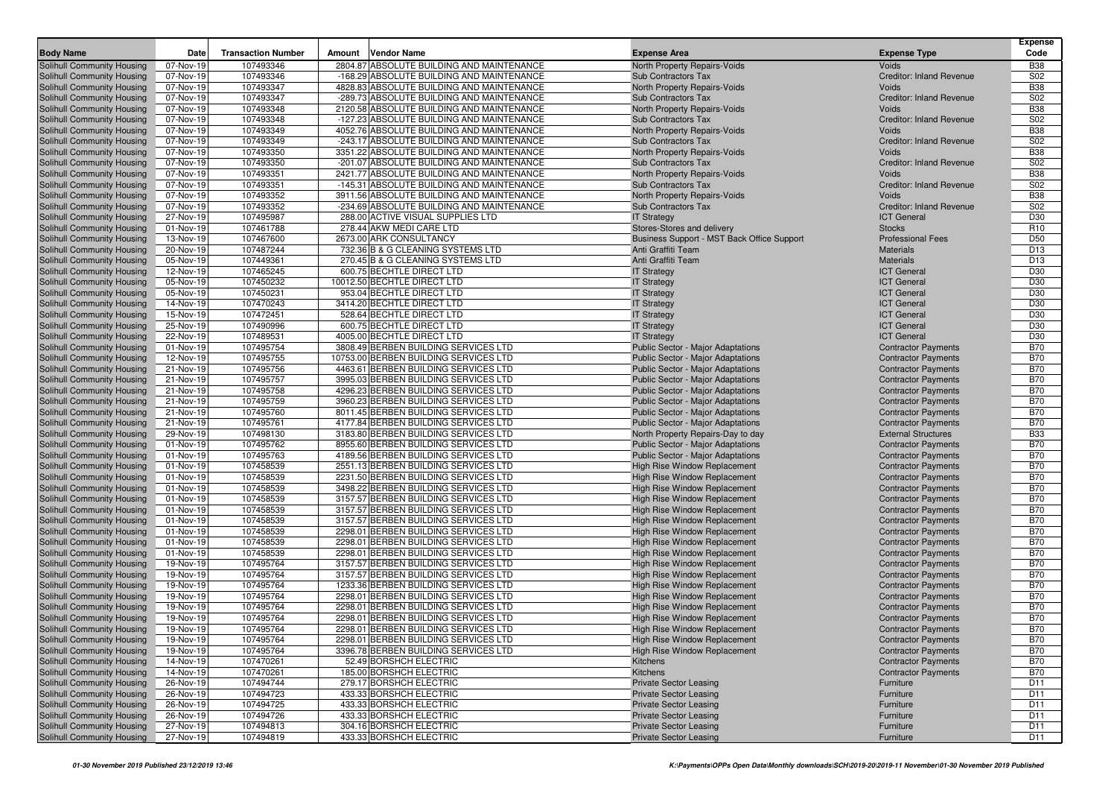|                                                          |                        |                           |                                                                                        |                                                                        |                                                          | <b>Expense</b>           |
|----------------------------------------------------------|------------------------|---------------------------|----------------------------------------------------------------------------------------|------------------------------------------------------------------------|----------------------------------------------------------|--------------------------|
| <b>Body Name</b>                                         | Date                   | <b>Transaction Number</b> | <b>Vendor Name</b><br>Amount                                                           | <b>Expense Area</b>                                                    | <b>Expense Type</b>                                      | Code                     |
| Solihull Community Housing                               | 07-Nov-19              | 107493346                 | 2804.87 ABSOLUTE BUILDING AND MAINTENANCE                                              | North Property Repairs-Voids                                           | Voids                                                    | <b>B38</b>               |
| Solihull Community Housing<br>Solihull Community Housing | 07-Nov-19<br>07-Nov-19 | 107493346<br>107493347    | -168.29 ABSOLUTE BUILDING AND MAINTENANCE<br>4828.83 ABSOLUTE BUILDING AND MAINTENANCE | Sub Contractors Tax<br>North Property Repairs-Voids                    | <b>Creditor: Inland Revenue</b><br>Voids                 | S02<br><b>B38</b>        |
| Solihull Community Housing                               | 07-Nov-19              | 107493347                 | -289.73 ABSOLUTE BUILDING AND MAINTENANCE                                              | <b>Sub Contractors Tax</b>                                             | <b>Creditor: Inland Revenue</b>                          | S02                      |
| Solihull Community Housing                               | 07-Nov-19              | 107493348                 | 2120.58 ABSOLUTE BUILDING AND MAINTENANCE                                              | North Property Repairs-Voids                                           | Voids                                                    | <b>B38</b>               |
| Solihull Community Housing                               | 07-Nov-19              | 107493348                 | -127.23 ABSOLUTE BUILDING AND MAINTENANCE                                              | <b>Sub Contractors Tax</b>                                             | <b>Creditor: Inland Revenue</b>                          | S02                      |
| Solihull Community Housing                               | 07-Nov-19              | 107493349                 | 4052.76 ABSOLUTE BUILDING AND MAINTENANCE                                              | North Property Repairs-Voids                                           | Voids                                                    | <b>B38</b>               |
| Solihull Community Housing                               | 07-Nov-19              | 107493349                 | -243.17 ABSOLUTE BUILDING AND MAINTENANCE                                              | Sub Contractors Tax                                                    | <b>Creditor: Inland Revenue</b>                          | S <sub>02</sub>          |
| Solihull Community Housing                               | 07-Nov-19              | 107493350                 | 3351.22 ABSOLUTE BUILDING AND MAINTENANCE                                              | North Property Repairs-Voids                                           | Voids                                                    | <b>B38</b>               |
| Solihull Community Housing                               | 07-Nov-19              | 107493350                 | -201.07 ABSOLUTE BUILDING AND MAINTENANCE                                              | <b>Sub Contractors Tax</b>                                             | <b>Creditor: Inland Revenue</b>                          | S <sub>02</sub>          |
| Solihull Community Housing                               | 07-Nov-19              | 107493351                 | 2421.77 ABSOLUTE BUILDING AND MAINTENANCE                                              | North Property Repairs-Voids                                           | Voids                                                    | <b>B38</b>               |
| Solihull Community Housing                               | 07-Nov-19              | 107493351                 | -145.31 ABSOLUTE BUILDING AND MAINTENANCE                                              | <b>Sub Contractors Tax</b>                                             | <b>Creditor: Inland Revenue</b>                          | S <sub>02</sub>          |
| Solihull Community Housing                               | 07-Nov-19              | 107493352                 | 3911.56 ABSOLUTE BUILDING AND MAINTENANCE                                              | North Property Repairs-Voids                                           | Voids                                                    | <b>B38</b>               |
| Solihull Community Housing                               | 07-Nov-19              | 107493352                 | -234.69 ABSOLUTE BUILDING AND MAINTENANCE                                              | Sub Contractors Tax                                                    | <b>Creditor: Inland Revenue</b>                          | S02                      |
| Solihull Community Housing                               | 27-Nov-19              | 107495987                 | 288.00 ACTIVE VISUAL SUPPLIES LTD                                                      | <b>IT Strategy</b>                                                     | <b>ICT</b> General                                       | D30                      |
| Solihull Community Housing                               | 01-Nov-19              | 107461788                 | 278.44 AKW MEDI CARE LTD                                                               | Stores-Stores and delivery                                             | <b>Stocks</b>                                            | R <sub>10</sub>          |
| Solihull Community Housing                               | 13-Nov-19              | 107467600                 | 2673.00 ARK CONSULTANCY                                                                | Business Support - MST Back Office Support                             | <b>Professional Fees</b>                                 | D50                      |
| Solihull Community Housing                               | 20-Nov-19              | 107487244                 | 732.36 B & G CLEANING SYSTEMS LTD                                                      | Anti Graffiti Team                                                     | <b>Materials</b>                                         | D <sub>13</sub>          |
| Solihull Community Housing<br>Solihull Community Housing | 05-Nov-19<br>12-Nov-19 | 107449361<br>107465245    | 270.45 B & G CLEANING SYSTEMS LTD<br>600.75 BECHTLE DIRECT LTD                         | Anti Graffiti Team<br><b>IT Strategy</b>                               | <b>Materials</b><br><b>ICT</b> General                   | D <sub>13</sub><br>D30   |
| Solihull Community Housing                               | 05-Nov-19              | 107450232                 | 10012.50 BECHTLE DIRECT LTD                                                            | <b>IT Strategy</b>                                                     | <b>ICT</b> General                                       | D30                      |
| Solihull Community Housing                               | 05-Nov-19              | 107450231                 | 953.04 BECHTLE DIRECT LTD                                                              | <b>IT Strategy</b>                                                     | <b>ICT</b> General                                       | D30                      |
| Solihull Community Housing                               | 14-Nov-19              | 107470243                 | 3414.20 BECHTLE DIRECT LTD                                                             | <b>IT Strategy</b>                                                     | <b>ICT</b> General                                       | D30                      |
| Solihull Community Housing                               | 15-Nov-19              | 107472451                 | 528.64 BECHTLE DIRECT LTD                                                              | <b>IT Strategy</b>                                                     | <b>ICT</b> General                                       | D30                      |
| Solihull Community Housing                               | 25-Nov-19              | 107490996                 | 600.75 BECHTLE DIRECT LTD                                                              | <b>IT Strategy</b>                                                     | <b>ICT</b> General                                       | D30                      |
| Solihull Community Housing                               | 22-Nov-19              | 107489531                 | 4005.00 BECHTLE DIRECT LTD                                                             | <b>IT Strategy</b>                                                     | <b>ICT</b> General                                       | D30                      |
| Solihull Community Housing                               | 01-Nov-19              | 107495754                 | 3808.49 BERBEN BUILDING SERVICES LTD                                                   | <b>Public Sector - Major Adaptations</b>                               | <b>Contractor Payments</b>                               | <b>B70</b>               |
| Solihull Community Housing                               | 12-Nov-19              | 107495755                 | 10753.00 BERBEN BUILDING SERVICES LTD                                                  | <b>Public Sector - Major Adaptations</b>                               | <b>Contractor Payments</b>                               | <b>B70</b>               |
| Solihull Community Housing                               | 21-Nov-19              | 107495756                 | 4463.61 BERBEN BUILDING SERVICES LTD                                                   | <b>Public Sector - Major Adaptations</b>                               | <b>Contractor Payments</b>                               | <b>B70</b>               |
| Solihull Community Housing                               | 21-Nov-19              | 107495757                 | 3995.03 BERBEN BUILDING SERVICES LTD                                                   | <b>Public Sector - Major Adaptations</b>                               | <b>Contractor Payments</b>                               | <b>B70</b>               |
| Solihull Community Housing                               | 21-Nov-19              | 107495758                 | 4296.23 BERBEN BUILDING SERVICES LTD                                                   | Public Sector - Major Adaptations                                      | <b>Contractor Payments</b>                               | <b>B70</b>               |
| Solihull Community Housing                               | 21-Nov-19              | 107495759                 | 3960.23 BERBEN BUILDING SERVICES LTD                                                   | Public Sector - Major Adaptations                                      | <b>Contractor Payments</b>                               | <b>B70</b>               |
| Solihull Community Housing                               | 21-Nov-19              | 107495760                 | 8011.45 BERBEN BUILDING SERVICES LTD                                                   | <b>Public Sector - Major Adaptations</b>                               | <b>Contractor Payments</b>                               | <b>B70</b>               |
| Solihull Community Housing                               | 21-Nov-19<br>29-Nov-19 | 107495761<br>107498130    | 4177.84 BERBEN BUILDING SERVICES LTD<br>3183.80 BERBEN BUILDING SERVICES LTD           | <b>Public Sector - Major Adaptations</b>                               | <b>Contractor Payments</b><br><b>External Structures</b> | <b>B70</b><br><b>B33</b> |
| Solihull Community Housing<br>Solihull Community Housing | 01-Nov-19              | 107495762                 | 8955.60 BERBEN BUILDING SERVICES LTD                                                   | North Property Repairs-Day to day<br>Public Sector - Major Adaptations | <b>Contractor Payments</b>                               | <b>B70</b>               |
| Solihull Community Housing                               | 01-Nov-19              | 107495763                 | 4189.56 BERBEN BUILDING SERVICES LTD                                                   | <b>Public Sector - Major Adaptations</b>                               | <b>Contractor Payments</b>                               | <b>B70</b>               |
| Solihull Community Housing                               | 01-Nov-19              | 107458539                 | 2551.13 BERBEN BUILDING SERVICES LTD                                                   | High Rise Window Replacement                                           | <b>Contractor Payments</b>                               | <b>B70</b>               |
| Solihull Community Housing                               | 01-Nov-19              | 107458539                 | 2231.50 BERBEN BUILDING SERVICES LTD                                                   | High Rise Window Replacement                                           | <b>Contractor Payments</b>                               | <b>B70</b>               |
| Solihull Community Housing                               | 01-Nov-19              | 107458539                 | 3498.22 BERBEN BUILDING SERVICES LTD                                                   | High Rise Window Replacement                                           | <b>Contractor Payments</b>                               | <b>B70</b>               |
| Solihull Community Housing                               | 01-Nov-19              | 107458539                 | 3157.57 BERBEN BUILDING SERVICES LTD                                                   | High Rise Window Replacement                                           | <b>Contractor Payments</b>                               | <b>B70</b>               |
| Solihull Community Housing                               | 01-Nov-19              | 107458539                 | 3157.57 BERBEN BUILDING SERVICES LTD                                                   | High Rise Window Replacement                                           | <b>Contractor Payments</b>                               | <b>B70</b>               |
| Solihull Community Housing                               | 01-Nov-19              | 107458539                 | 3157.57 BERBEN BUILDING SERVICES LTD                                                   | High Rise Window Replacement                                           | <b>Contractor Payments</b>                               | <b>B70</b>               |
| Solihull Community Housing                               | 01-Nov-19              | 107458539                 | 2298.01 BERBEN BUILDING SERVICES LTD                                                   | High Rise Window Replacement                                           | <b>Contractor Payments</b>                               | <b>B70</b>               |
| Solihull Community Housing                               | 01-Nov-19              | 107458539                 | 2298.01 BERBEN BUILDING SERVICES LTD                                                   | High Rise Window Replacement                                           | <b>Contractor Payments</b>                               | <b>B70</b>               |
| Solihull Community Housing                               | 01-Nov-19              | 107458539                 | 2298.01 BERBEN BUILDING SERVICES LTD                                                   | <b>High Rise Window Replacement</b>                                    | <b>Contractor Payments</b>                               | <b>B70</b>               |
| Solihull Community Housing                               | 19-Nov-19              | 107495764                 | 3157.57 BERBEN BUILDING SERVICES LTD                                                   | High Rise Window Replacement                                           | <b>Contractor Payments</b>                               | <b>B70</b>               |
| Solihull Community Housing<br>Solihull Community Housing | 19-Nov-19              | 107495764                 | 3157.57 BERBEN BUILDING SERVICES LTD<br>1233.36 BERBEN BUILDING SERVICES LTD           | <b>High Rise Window Replacement</b>                                    | <b>Contractor Payments</b>                               | <b>B70</b><br><b>B70</b> |
| Solihull Community Housing                               | 19-Nov-19<br>19-Nov-19 | 107495764<br>107495764    | 2298.01 BERBEN BUILDING SERVICES LTD                                                   | High Rise Window Replacement<br>High Rise Window Replacement           | <b>Contractor Payments</b><br><b>Contractor Payments</b> | <b>B70</b>               |
| Solihull Community Housing                               | 19-Nov-19              | 107495764                 | 2298.01 BERBEN BUILDING SERVICES LTD                                                   | High Rise Window Replacement                                           | <b>Contractor Payments</b>                               | <b>B70</b>               |
| Solihull Community Housing                               | 19-Nov-19              | 107495764                 | 2298.01 BERBEN BUILDING SERVICES LTD                                                   | <b>High Rise Window Replacement</b>                                    | <b>Contractor Payments</b>                               | <b>B70</b>               |
| Solihull Community Housing                               | 19-Nov-19              | 107495764                 | 2298.01 BERBEN BUILDING SERVICES LTD                                                   | High Rise Window Replacement                                           | <b>Contractor Payments</b>                               | <b>B70</b>               |
| Solihull Community Housing                               | 19-Nov-19              | 107495764                 | 2298.01 BERBEN BUILDING SERVICES LTD                                                   | High Rise Window Replacement                                           | <b>Contractor Payments</b>                               | <b>B70</b>               |
| Solihull Community Housing                               | 19-Nov-19              | 107495764                 | 3396.78 BERBEN BUILDING SERVICES LTD                                                   | High Rise Window Replacement                                           | <b>Contractor Payments</b>                               | <b>B70</b>               |
| Solihull Community Housing                               | 14-Nov-19              | 107470261                 | 52.49 BORSHCH ELECTRIC                                                                 | Kitchens                                                               | <b>Contractor Payments</b>                               | <b>B70</b>               |
| Solihull Community Housing                               | 14-Nov-19              | 107470261                 | 185.00 BORSHCH ELECTRIC                                                                | Kitchens                                                               | <b>Contractor Payments</b>                               | B70                      |
| Solihull Community Housing                               | 26-Nov-19              | 107494744                 | 279.17 BORSHCH ELECTRIC                                                                | <b>Private Sector Leasing</b>                                          | Furniture                                                | D11                      |
| Solihull Community Housing                               | 26-Nov-19              | 107494723                 | 433.33 BORSHCH ELECTRIC                                                                | <b>Private Sector Leasing</b>                                          | Furniture                                                | D <sub>11</sub>          |
| Solihull Community Housing                               | 26-Nov-19              | 107494725                 | 433.33 BORSHCH ELECTRIC                                                                | <b>Private Sector Leasing</b>                                          | Furniture                                                | D <sub>11</sub>          |
| Solihull Community Housing                               | 26-Nov-19              | 107494726                 | 433.33 BORSHCH ELECTRIC                                                                | <b>Private Sector Leasing</b>                                          | Furniture                                                | D11                      |
| Solihull Community Housing                               | 27-Nov-19              | 107494813                 | 304.16 BORSHCH ELECTRIC                                                                | <b>Private Sector Leasing</b>                                          | Furniture                                                | D11                      |
| Solihull Community Housing                               | 27-Nov-19              | 107494819                 | 433.33 BORSHCH ELECTRIC                                                                | <b>Private Sector Leasing</b>                                          | Furniture                                                | D11                      |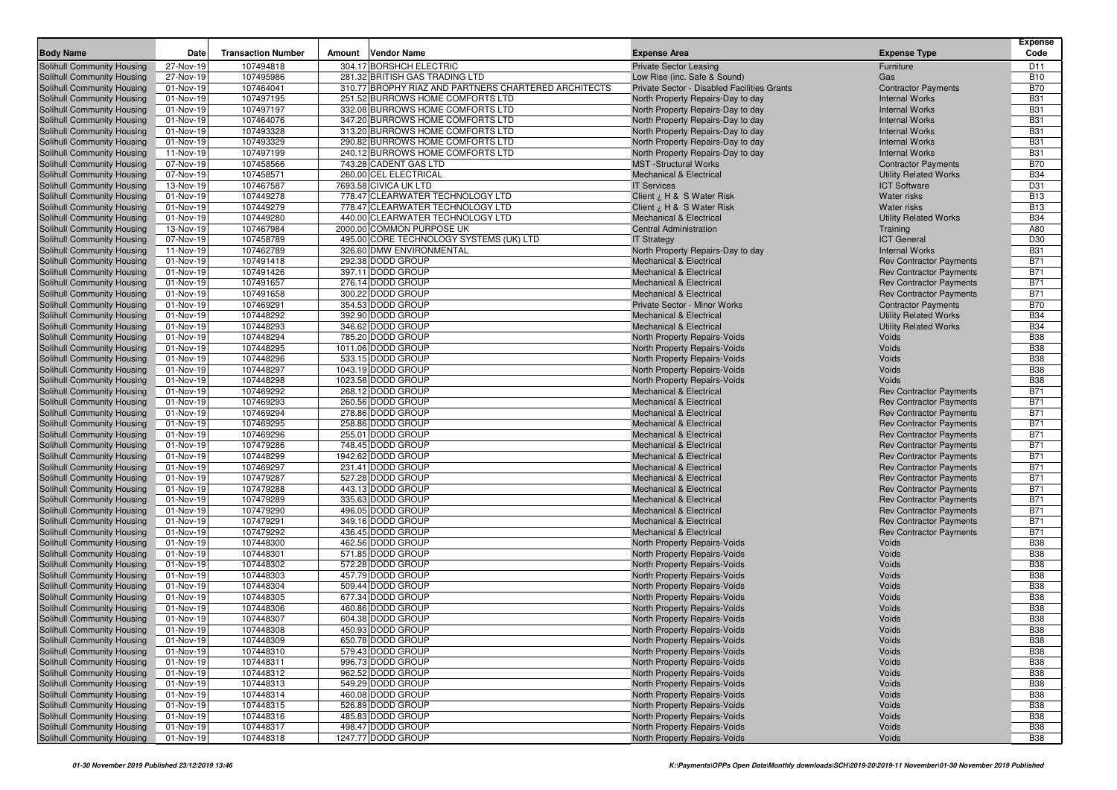| <b>Body Name</b>                                         | Date                   | <b>Transaction Number</b> | Amount | <b>Vendor Name</b>                                   | <b>Expense Area</b>                                                      | <b>Expense Type</b>                                              | <b>Expense</b><br>Code   |
|----------------------------------------------------------|------------------------|---------------------------|--------|------------------------------------------------------|--------------------------------------------------------------------------|------------------------------------------------------------------|--------------------------|
| <b>Solihull Community Housing</b>                        | 27-Nov-19              | 107494818                 |        | 304.17 BORSHCH ELECTRIC                              | <b>Private Sector Leasing</b>                                            | Furniture                                                        | D <sub>11</sub>          |
| Solihull Community Housing                               | 27-Nov-19              | 107495986                 |        | 281.32 BRITISH GAS TRADING LTD                       | Low Rise (inc. Safe & Sound)                                             | Gas                                                              | <b>B10</b>               |
| Solihull Community Housing                               | 01-Nov-19              | 107464041                 |        | 310.77 BROPHY RIAZ AND PARTNERS CHARTERED ARCHITECTS | Private Sector - Disabled Facilities Grants                              | <b>Contractor Payments</b>                                       | <b>B70</b>               |
| Solihull Community Housing                               | 01-Nov-19              | 107497195                 |        | 251.52 BURROWS HOME COMFORTS LTD                     | North Property Repairs-Day to day                                        | <b>Internal Works</b>                                            | <b>B31</b>               |
| Solihull Community Housing                               | 01-Nov-19              | 107497197                 |        | 332.08 BURROWS HOME COMFORTS LTD                     | North Property Repairs-Day to day                                        | <b>Internal Works</b>                                            | <b>B31</b>               |
| Solihull Community Housing                               | 01-Nov-19              | 107464076                 |        | 347.20 BURROWS HOME COMFORTS LTD                     | North Property Repairs-Day to day                                        | <b>Internal Works</b>                                            | <b>B31</b>               |
| Solihull Community Housing                               | 01-Nov-19              | 107493328                 |        | 313.20 BURROWS HOME COMFORTS LTD                     | North Property Repairs-Day to day                                        | <b>Internal Works</b>                                            | <b>B31</b>               |
| Solihull Community Housing                               | 01-Nov-19              | 107493329                 |        | 290.82 BURROWS HOME COMFORTS LTD                     | North Property Repairs-Day to day                                        | <b>Internal Works</b>                                            | <b>B31</b>               |
| Solihull Community Housing                               | 11-Nov-19              | 107497199                 |        | 240.12 BURROWS HOME COMFORTS LTD                     | North Property Repairs-Day to day                                        | <b>Internal Works</b>                                            | <b>B31</b>               |
| Solihull Community Housing                               | 07-Nov-19              | 107458566                 |        | 743.28 CADENT GAS LTD                                | <b>MST</b> -Structural Works                                             | <b>Contractor Payments</b>                                       | <b>B70</b>               |
| Solihull Community Housing                               | 07-Nov-19              | 107458571                 |        | 260.00 CEL ELECTRICAL                                | <b>Mechanical &amp; Electrical</b>                                       | <b>Utility Related Works</b>                                     | <b>B34</b>               |
| Solihull Community Housing                               | 13-Nov-19              | 107467587                 |        | 7693.58 CIVICA UK LTD                                | <b>IT Services</b>                                                       | <b>ICT Software</b>                                              | D31                      |
| Solihull Community Housing                               | 01-Nov-19              | 107449278                 |        | 778.47 CLEARWATER TECHNOLOGY LTD                     | Client ¿ H & S Water Risk                                                | Water risks                                                      | <b>B13</b>               |
| Solihull Community Housing                               | 01-Nov-19              | 107449279                 |        | 778.47 CLEARWATER TECHNOLOGY LTD                     | Client ¿ H & S Water Risk                                                | <b>Water risks</b>                                               | <b>B13</b>               |
| Solihull Community Housing                               | 01-Nov-19              | 107449280                 |        | 440.00 CLEARWATER TECHNOLOGY LTD                     | <b>Mechanical &amp; Electrical</b>                                       | <b>Utility Related Works</b>                                     | <b>B34</b>               |
| Solihull Community Housing                               | 13-Nov-19              | 107467984                 |        | 2000.00 COMMON PURPOSE UK                            | <b>Central Administration</b>                                            | Training                                                         | A80                      |
| Solihull Community Housing                               | 07-Nov-19              | 107458789                 |        | 495.00 CORE TECHNOLOGY SYSTEMS (UK) LTD              | <b>IT Strategy</b>                                                       | <b>ICT</b> General                                               | D30                      |
| <b>Solihull Community Housing</b>                        | 11-Nov-19              | 107462789                 |        | 326.60 DMW ENVIRONMENTAL                             | North Property Repairs-Day to day                                        | <b>Internal Works</b>                                            | <b>B31</b>               |
| Solihull Community Housing                               | 01-Nov-19              | 107491418                 |        | 292.38 DODD GROUP                                    | <b>Mechanical &amp; Electrical</b>                                       | <b>Rev Contractor Payments</b>                                   | <b>B71</b>               |
| Solihull Community Housing                               | 01-Nov-19              | 107491426                 |        | 397.11 DODD GROUP                                    | <b>Mechanical &amp; Electrical</b>                                       | <b>Rev Contractor Payments</b>                                   | <b>B71</b>               |
| Solihull Community Housing                               | 01-Nov-19              | 107491657                 |        | 276.14 DODD GROUP                                    | <b>Mechanical &amp; Electrical</b>                                       | <b>Rev Contractor Payments</b>                                   | <b>B71</b>               |
| Solihull Community Housing                               | 01-Nov-19              | 107491658                 |        | 300.22 DODD GROUP                                    | <b>Mechanical &amp; Electrical</b>                                       | <b>Rev Contractor Payments</b>                                   | <b>B71</b>               |
| Solihull Community Housing                               | 01-Nov-19              | 107469291                 |        | 354.53 DODD GROUP                                    | Private Sector - Minor Works                                             | <b>Contractor Payments</b>                                       | <b>B70</b>               |
| Solihull Community Housing                               | 01-Nov-19              | 107448292                 |        | 392.90 DODD GROUP                                    | <b>Mechanical &amp; Electrical</b>                                       | <b>Utility Related Works</b>                                     | <b>B34</b>               |
| Solihull Community Housing                               | 01-Nov-19              | 107448293                 |        | 346.62 DODD GROUP                                    | <b>Mechanical &amp; Electrical</b>                                       | <b>Utility Related Works</b>                                     | <b>B34</b>               |
| Solihull Community Housing                               | 01-Nov-19              | 107448294                 |        | 785.20 DODD GROUP                                    | North Property Repairs-Voids                                             | Voids                                                            | <b>B38</b>               |
| Solihull Community Housing                               | 01-Nov-19              | 107448295                 |        | 1011.06 DODD GROUP                                   | North Property Repairs-Voids                                             | Voids                                                            | <b>B38</b>               |
| Solihull Community Housing                               | 01-Nov-19              | 107448296                 |        | 533.15 DODD GROUP                                    | North Property Repairs-Voids                                             | Voids                                                            | <b>B38</b>               |
| Solihull Community Housing                               | 01-Nov-19              | 107448297                 |        | 1043.19 DODD GROUP                                   | North Property Repairs-Voids                                             | Voids                                                            | <b>B38</b>               |
| Solihull Community Housing                               | 01-Nov-19              | 107448298                 |        | 1023.58 DODD GROUP                                   | North Property Repairs-Voids                                             | Voids<br><b>Rev Contractor Payments</b>                          | <b>B38</b><br><b>B71</b> |
| Solihull Community Housing                               | 01-Nov-19              | 107469292<br>107469293    |        | 268.12 DODD GROUP<br>260.56 DODD GROUP               | <b>Mechanical &amp; Electrical</b><br><b>Mechanical &amp; Electrical</b> |                                                                  | <b>B71</b>               |
| Solihull Community Housing                               | 01-Nov-19<br>01-Nov-19 | 107469294                 |        | 278.86 DODD GROUP                                    | <b>Mechanical &amp; Electrical</b>                                       | <b>Rev Contractor Payments</b><br><b>Rev Contractor Payments</b> | <b>B71</b>               |
| Solihull Community Housing<br>Solihull Community Housing | 01-Nov-19              | 107469295                 |        | 258.86 DODD GROUP                                    | <b>Mechanical &amp; Electrical</b>                                       | <b>Rev Contractor Payments</b>                                   | <b>B71</b>               |
| Solihull Community Housing                               | 01-Nov-19              | 107469296                 |        | 255.01 DODD GROUP                                    | <b>Mechanical &amp; Electrical</b>                                       | <b>Rev Contractor Payments</b>                                   | <b>B71</b>               |
| Solihull Community Housing                               | 01-Nov-19              | 107479286                 |        | 748.45 DODD GROUP                                    | <b>Mechanical &amp; Electrical</b>                                       | <b>Rev Contractor Payments</b>                                   | <b>B71</b>               |
| Solihull Community Housing                               | 01-Nov-19              | 107448299                 |        | 1942.62 DODD GROUP                                   | <b>Mechanical &amp; Electrical</b>                                       | <b>Rev Contractor Payments</b>                                   | <b>B71</b>               |
| Solihull Community Housing                               | 01-Nov-19              | 107469297                 |        | 231.41 DODD GROUP                                    | Mechanical & Electrical                                                  | <b>Rev Contractor Payments</b>                                   | <b>B71</b>               |
| Solihull Community Housing                               | 01-Nov-19              | 107479287                 |        | 527.28 DODD GROUP                                    | <b>Mechanical &amp; Electrical</b>                                       | <b>Rev Contractor Payments</b>                                   | <b>B71</b>               |
| Solihull Community Housing                               | 01-Nov-19              | 107479288                 |        | 443.13 DODD GROUP                                    | <b>Mechanical &amp; Electrical</b>                                       | <b>Rev Contractor Payments</b>                                   | <b>B71</b>               |
| Solihull Community Housing                               | 01-Nov-19              | 107479289                 |        | 335.63 DODD GROUP                                    | <b>Mechanical &amp; Electrical</b>                                       | <b>Rev Contractor Payments</b>                                   | <b>B71</b>               |
| Solihull Community Housing                               | 01-Nov-19              | 107479290                 |        | 496.05 DODD GROUP                                    | <b>Mechanical &amp; Electrical</b>                                       | <b>Rev Contractor Payments</b>                                   | <b>B71</b>               |
| Solihull Community Housing                               | 01-Nov-19              | 107479291                 |        | 349.16 DODD GROUP                                    | <b>Mechanical &amp; Electrical</b>                                       | <b>Rev Contractor Payments</b>                                   | <b>B71</b>               |
| Solihull Community Housing                               | 01-Nov-19              | 107479292                 |        | 436.45 DODD GROUP                                    | <b>Mechanical &amp; Electrical</b>                                       | <b>Rev Contractor Payments</b>                                   | <b>B71</b>               |
| Solihull Community Housing                               | 01-Nov-19              | 107448300                 |        | 462.56 DODD GROUP                                    | North Property Repairs-Voids                                             | Voids                                                            | <b>B38</b>               |
| Solihull Community Housing                               | 01-Nov-19              | 107448301                 |        | 571.85 DODD GROUP                                    | North Property Repairs-Voids                                             | Voids                                                            | <b>B38</b>               |
| Solihull Community Housing                               | 01-Nov-19              | 107448302                 |        | 572.28 DODD GROUP                                    | North Property Repairs-Voids                                             | Voids                                                            | <b>B38</b>               |
| Solihull Community Housing                               | 01-Nov-19              | 107448303                 |        | 457.79 DODD GROUP                                    | North Property Repairs-Voids                                             | Voids                                                            | <b>B38</b>               |
| Solihull Community Housing                               | 01-Nov-19              | 107448304                 |        | 509.44 DODD GROUP                                    | North Property Repairs-Voids                                             | Voids                                                            | <b>B38</b>               |
| Solihull Community Housing                               | 01-Nov-19              | 107448305                 |        | 677.34 DODD GROUP                                    | North Property Repairs-Voids                                             | Voids                                                            | <b>B38</b>               |
| Solihull Community Housing                               | 01-Nov-19              | 107448306                 |        | 460.86 DODD GROUP                                    | North Property Repairs-Voids                                             | Voids                                                            | <b>B38</b>               |
| Solihull Community Housing                               | 01-Nov-19              | 107448307                 |        | 604.38 DODD GROUP                                    | North Property Repairs-Voids                                             | Voids                                                            | <b>B38</b>               |
| Solihull Community Housing                               | 01-Nov-19              | 107448308                 |        | 450.93 DODD GROUP                                    | North Property Repairs-Voids                                             | Voids                                                            | <b>B38</b>               |
| <b>Solihull Community Housing</b>                        | 01-Nov-19              | 107448309                 |        | 650.78 DODD GROUP                                    | North Property Repairs-Voids                                             | Voids                                                            | <b>B38</b>               |
| Solihull Community Housing                               | 01-Nov-19              | 107448310                 |        | 579.43 DODD GROUP                                    | North Property Repairs-Voids                                             | Voids                                                            | <b>B38</b>               |
| Solihull Community Housing                               | 01-Nov-19              | 107448311                 |        | 996.73 DODD GROUP                                    | North Property Repairs-Voids                                             | Voids                                                            | <b>B38</b>               |
| Solihull Community Housing                               | 01-Nov-19              | 107448312                 |        | 962.52 DODD GROUP                                    | North Property Repairs-Voids                                             | Voids                                                            | <b>B38</b>               |
| Solihull Community Housing                               | 01-Nov-19              | 107448313                 |        | 549.29 DODD GROUP                                    | North Property Repairs-Voids                                             | Voids                                                            | <b>B38</b>               |
| Solihull Community Housing                               | 01-Nov-19              | 107448314                 |        | 460.08 DODD GROUP                                    | North Property Repairs-Voids                                             | Voids                                                            | <b>B38</b>               |
| Solihull Community Housing                               | 01-Nov-19              | 107448315                 |        | 526.89 DODD GROUP                                    | North Property Repairs-Voids                                             | Voids                                                            | <b>B38</b>               |
| Solihull Community Housing                               | 01-Nov-19              | 107448316                 |        | 485.83 DODD GROUP                                    | North Property Repairs-Voids                                             | Voids                                                            | <b>B38</b>               |
| Solihull Community Housing                               | 01-Nov-19              | 107448317                 |        | 498.47 DODD GROUP                                    | North Property Repairs-Voids                                             | Voids                                                            | <b>B38</b>               |
| Solihull Community Housing                               | 01-Nov-19              | 107448318                 |        | 1247.77 DODD GROUP                                   | North Property Repairs-Voids                                             | Voids                                                            | <b>B38</b>               |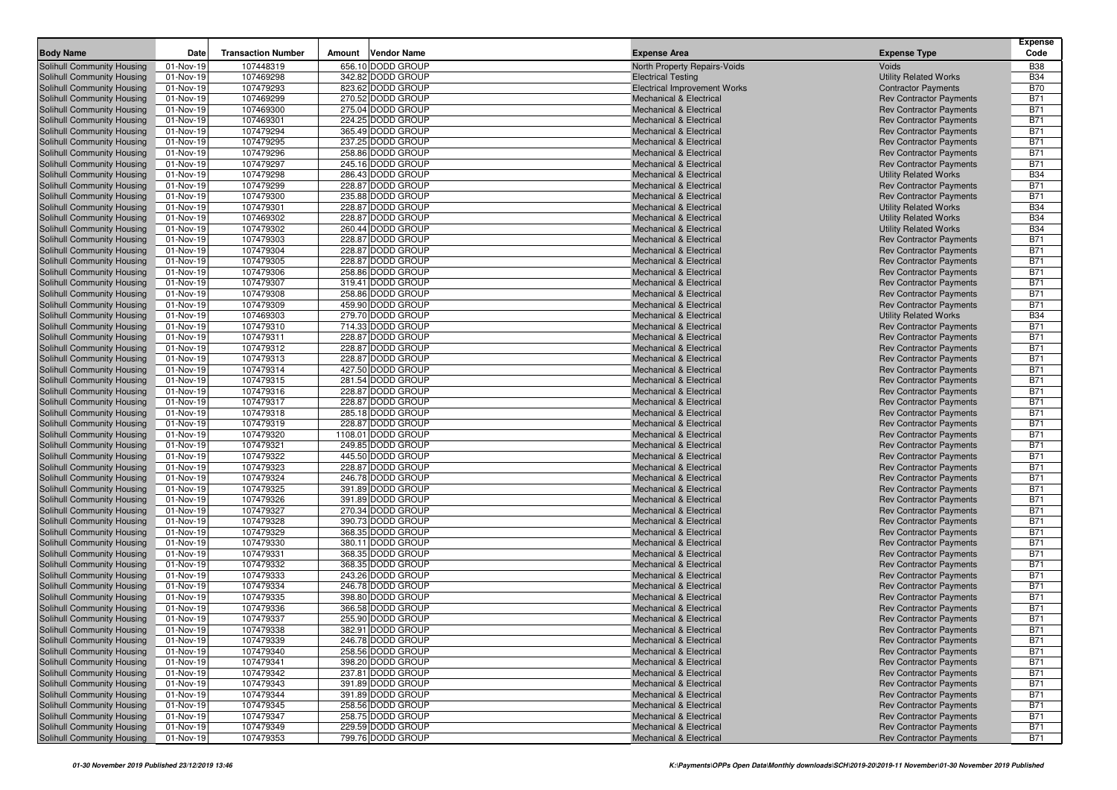| <b>Body Name</b>                                         | Date                   | <b>Transaction Number</b> | Amount | Vendor Name                            | <b>Expense Area</b>                                           |                                                                  | Expense<br>Code          |
|----------------------------------------------------------|------------------------|---------------------------|--------|----------------------------------------|---------------------------------------------------------------|------------------------------------------------------------------|--------------------------|
|                                                          |                        |                           |        |                                        |                                                               | <b>Expense Type</b>                                              |                          |
| Solihull Community Housing                               | 01-Nov-19              | 107448319                 |        | 656.10 DODD GROUP                      | North Property Repairs-Voids                                  | Voids                                                            | <b>B38</b>               |
| Solihull Community Housing                               | 01-Nov-19              | 107469298                 |        | 342.82 DODD GROUP                      | <b>Electrical Testing</b>                                     | <b>Utility Related Works</b>                                     | <b>B34</b>               |
| Solihull Community Housing                               | 01-Nov-19              | 107479293                 |        | 823.62 DODD GROUP                      | <b>Electrical Improvement Works</b>                           | <b>Contractor Payments</b>                                       | <b>B70</b>               |
| Solihull Community Housing                               | 01-Nov-19              | 107469299                 |        | 270.52 DODD GROUP                      | <b>Mechanical &amp; Electrical</b>                            | <b>Rev Contractor Payments</b>                                   | <b>B71</b>               |
| Solihull Community Housing                               | 01-Nov-19              | 107469300                 |        | 275.04 DODD GROUP                      | <b>Mechanical &amp; Electrical</b>                            | <b>Rev Contractor Payments</b>                                   | <b>B71</b>               |
| Solihull Community Housing                               | 01-Nov-19              | 107469301                 |        | 224.25 DODD GROUP                      | Mechanical & Electrical                                       | <b>Rev Contractor Payments</b>                                   | <b>B71</b>               |
| Solihull Community Housing                               | 01-Nov-19              | 107479294                 |        | 365.49 DODD GROUP                      | <b>Mechanical &amp; Electrical</b>                            | <b>Rev Contractor Payments</b>                                   | <b>B71</b>               |
| Solihull Community Housing                               | 01-Nov-19              | 107479295                 |        | 237.25 DODD GROUP                      | Mechanical & Electrical                                       | <b>Rev Contractor Payments</b>                                   | <b>B71</b>               |
| Solihull Community Housing                               | 01-Nov-19              | 107479296                 |        | 258.86 DODD GROUP                      | <b>Mechanical &amp; Electrical</b>                            | <b>Rev Contractor Payments</b>                                   | <b>B71</b>               |
| Solihull Community Housing                               | 01-Nov-19              | 107479297                 |        | 245.16 DODD GROUP                      | <b>Mechanical &amp; Electrical</b>                            | <b>Rev Contractor Payments</b>                                   | <b>B71</b>               |
| Solihull Community Housing                               | 01-Nov-19              | 107479298                 |        | 286.43 DODD GROUP                      | <b>Mechanical &amp; Electrical</b>                            | <b>Utility Related Works</b>                                     | <b>B34</b>               |
| Solihull Community Housing                               | 01-Nov-19              | 107479299                 |        | 228.87 DODD GROUP                      | <b>Mechanical &amp; Electrical</b>                            | <b>Rev Contractor Payments</b>                                   | <b>B71</b>               |
| Solihull Community Housing                               | 01-Nov-19              | 107479300                 |        | 235.88 DODD GROUP                      | <b>Mechanical &amp; Electrical</b>                            | <b>Rev Contractor Payments</b>                                   | <b>B71</b>               |
| Solihull Community Housing<br>Solihull Community Housing | 01-Nov-19              | 107479301                 |        | 228.87 DODD GROUP<br>228.87 DODD GROUP | <b>Mechanical &amp; Electrical</b>                            | <b>Utility Related Works</b>                                     | <b>B34</b>               |
|                                                          | 01-Nov-19              | 107469302<br>107479302    |        | 260.44 DODD GROUP                      | Mechanical & Electrical                                       | <b>Utility Related Works</b>                                     | <b>B34</b><br><b>B34</b> |
| Solihull Community Housing                               | 01-Nov-19              | 107479303                 |        | 228.87 DODD GROUP                      | Mechanical & Electrical<br><b>Mechanical &amp; Electrical</b> | <b>Utility Related Works</b><br><b>Rev Contractor Payments</b>   | <b>B71</b>               |
| Solihull Community Housing<br>Solihull Community Housing | 01-Nov-19<br>01-Nov-19 | 107479304                 |        | 228.87 DODD GROUP                      | <b>Mechanical &amp; Electrical</b>                            | <b>Rev Contractor Payments</b>                                   | <b>B71</b>               |
| Solihull Community Housing                               | 01-Nov-19              | 107479305                 |        | 228.87 DODD GROUP                      | <b>Mechanical &amp; Electrical</b>                            | <b>Rev Contractor Payments</b>                                   | <b>B71</b>               |
| Solihull Community Housing                               | 01-Nov-19              | 107479306                 |        | 258.86 DODD GROUP                      | <b>Mechanical &amp; Electrical</b>                            | <b>Rev Contractor Payments</b>                                   | <b>B71</b>               |
| Solihull Community Housing                               | 01-Nov-19              | 107479307                 |        | 319.41 DODD GROUP                      | <b>Mechanical &amp; Electrical</b>                            | <b>Rev Contractor Payments</b>                                   | <b>B71</b>               |
| Solihull Community Housing                               | 01-Nov-19              | 107479308                 |        | 258.86 DODD GROUP                      | <b>Mechanical &amp; Electrical</b>                            | <b>Rev Contractor Payments</b>                                   | <b>B71</b>               |
| Solihull Community Housing                               | 01-Nov-19              | 107479309                 |        | 459.90 DODD GROUP                      | Mechanical & Electrical                                       | <b>Rev Contractor Payments</b>                                   | <b>B71</b>               |
| Solihull Community Housing                               | 01-Nov-19              | 107469303                 |        | 279.70 DODD GROUP                      | <b>Mechanical &amp; Electrical</b>                            | <b>Utility Related Works</b>                                     | <b>B34</b>               |
| Solihull Community Housing                               | 01-Nov-19              | 107479310                 |        | 714.33 DODD GROUP                      | <b>Mechanical &amp; Electrical</b>                            | <b>Rev Contractor Payments</b>                                   | <b>B71</b>               |
| Solihull Community Housing                               | 01-Nov-19              | 107479311                 |        | 228.87 DODD GROUP                      | <b>Mechanical &amp; Electrical</b>                            | <b>Rev Contractor Payments</b>                                   | <b>B71</b>               |
| Solihull Community Housing                               | 01-Nov-19              | 107479312                 |        | 228.87 DODD GROUP                      | <b>Mechanical &amp; Electrical</b>                            | <b>Rev Contractor Payments</b>                                   | <b>B71</b>               |
| Solihull Community Housing                               | 01-Nov-19              | 107479313                 |        | 228.87 DODD GROUP                      | <b>Mechanical &amp; Electrical</b>                            | <b>Rev Contractor Payments</b>                                   | <b>B71</b>               |
| Solihull Community Housing                               | 01-Nov-19              | 107479314                 |        | 427.50 DODD GROUP                      | <b>Mechanical &amp; Electrical</b>                            | <b>Rev Contractor Payments</b>                                   | <b>B71</b>               |
| Solihull Community Housing                               | 01-Nov-19              | 107479315                 |        | 281.54 DODD GROUP                      | <b>Mechanical &amp; Electrical</b>                            | <b>Rev Contractor Payments</b>                                   | <b>B71</b>               |
| Solihull Community Housing                               | 01-Nov-19              | 107479316                 |        | 228.87 DODD GROUP                      | <b>Mechanical &amp; Electrical</b>                            | <b>Rev Contractor Payments</b>                                   | <b>B71</b>               |
| Solihull Community Housing                               | 01-Nov-19              | 107479317                 |        | 228.87 DODD GROUP                      | <b>Mechanical &amp; Electrical</b>                            | <b>Rev Contractor Payments</b>                                   | <b>B71</b>               |
| Solihull Community Housing                               | 01-Nov-19              | 107479318                 |        | 285.18 DODD GROUP                      | Mechanical & Electrical                                       | <b>Rev Contractor Payments</b>                                   | <b>B71</b>               |
| Solihull Community Housing                               | 01-Nov-19              | 107479319                 |        | 228.87 DODD GROUP                      | <b>Mechanical &amp; Electrical</b>                            | <b>Rev Contractor Payments</b>                                   | <b>B71</b>               |
| Solihull Community Housing                               | 01-Nov-19              | 107479320                 |        | 1108.01 DODD GROUP                     | <b>Mechanical &amp; Electrical</b>                            | <b>Rev Contractor Payments</b>                                   | <b>B71</b>               |
| Solihull Community Housing                               | 01-Nov-19              | 107479321                 |        | 249.85 DODD GROUP                      | <b>Mechanical &amp; Electrical</b>                            | <b>Rev Contractor Payments</b>                                   | <b>B71</b>               |
| Solihull Community Housing                               | 01-Nov-19              | 107479322                 |        | 445.50 DODD GROUP                      | <b>Mechanical &amp; Electrical</b>                            | <b>Rev Contractor Payments</b>                                   | <b>B71</b>               |
| Solihull Community Housing                               | 01-Nov-19              | 107479323                 |        | 228.87 DODD GROUP                      | <b>Mechanical &amp; Electrical</b>                            | <b>Rev Contractor Payments</b>                                   | <b>B71</b>               |
| Solihull Community Housing                               | 01-Nov-19              | 107479324                 |        | 246.78 DODD GROUP                      | <b>Mechanical &amp; Electrical</b>                            | <b>Rev Contractor Payments</b>                                   | <b>B71</b>               |
| Solihull Community Housing                               | 01-Nov-19              | 107479325                 |        | 391.89 DODD GROUP                      | Mechanical & Electrical                                       | <b>Rev Contractor Payments</b>                                   | <b>B71</b>               |
| Solihull Community Housing                               | 01-Nov-19              | 107479326                 |        | 391.89 DODD GROUP                      | Mechanical & Electrical                                       | <b>Rev Contractor Payments</b>                                   | <b>B71</b>               |
| Solihull Community Housing                               | 01-Nov-19              | 107479327                 |        | 270.34 DODD GROUP                      | <b>Mechanical &amp; Electrical</b>                            | <b>Rev Contractor Payments</b>                                   | <b>B71</b>               |
| Solihull Community Housing                               | 01-Nov-19              | 107479328                 |        | 390.73 DODD GROUP                      | <b>Mechanical &amp; Electrical</b>                            | <b>Rev Contractor Payments</b>                                   | <b>B71</b>               |
| Solihull Community Housing                               | 01-Nov-19              | 107479329                 |        | 368.35 DODD GROUP                      | <b>Mechanical &amp; Electrical</b>                            | <b>Rev Contractor Payments</b>                                   | <b>B71</b>               |
| Solihull Community Housing                               | 01-Nov-19              | 107479330                 |        | 380.11 DODD GROUP                      | <b>Mechanical &amp; Electrical</b>                            | <b>Rev Contractor Payments</b>                                   | <b>B71</b>               |
| Solihull Community Housing                               | 01-Nov-19              | 107479331                 |        | 368.35 DODD GROUP                      | <b>Mechanical &amp; Electrical</b>                            | <b>Rev Contractor Payments</b>                                   | <b>B71</b>               |
| Solihull Community Housing                               | 01-Nov-19              | 107479332                 |        | 368.35 DODD GROUP                      | <b>Mechanical &amp; Electrical</b>                            | <b>Rev Contractor Payments</b>                                   | <b>B71</b>               |
| Solihull Community Housing                               | 01-Nov-19              | 107479333                 |        | 243.26 DODD GROUP                      | <b>Mechanical &amp; Electrical</b>                            | <b>Rev Contractor Payments</b>                                   | <b>B71</b>               |
| Solihull Community Housing                               | 01-Nov-19              | 107479334                 |        | 246.78 DODD GROUP                      | <b>Mechanical &amp; Electrical</b>                            | <b>Rev Contractor Payments</b>                                   | <b>B71</b>               |
| Solihull Community Housing                               | 01-Nov-19              | 107479335                 |        | 398.80 DODD GROUP                      | <b>Mechanical &amp; Electrical</b>                            | <b>Rev Contractor Payments</b>                                   | <b>B71</b>               |
| Solihull Community Housing                               | 01-Nov-19              | 107479336                 |        | 366.58 DODD GROUP                      | <b>Mechanical &amp; Electrical</b>                            | <b>Rev Contractor Payments</b>                                   | <b>B71</b>               |
| Solihull Community Housing                               | 01-Nov-19              | 107479337                 |        | 255.90 DODD GROUP                      | <b>Mechanical &amp; Electrical</b>                            | <b>Rev Contractor Payments</b>                                   | <b>B71</b>               |
| Solihull Community Housing                               | 01-Nov-19              | 107479338                 |        | 382.91 DODD GROUP                      | Mechanical & Electrical                                       | <b>Rev Contractor Payments</b>                                   | <b>B71</b>               |
| Solihull Community Housing                               | 01-Nov-19              | 107479339                 |        | 246.78 DODD GROUP                      | Mechanical & Electrical                                       | <b>Rev Contractor Payments</b>                                   | <b>B71</b>               |
| Solihull Community Housing                               | 01-Nov-19              | 107479340                 |        | 258.56 DODD GROUP                      | <b>Mechanical &amp; Electrical</b>                            | <b>Rev Contractor Payments</b>                                   | <b>B71</b>               |
| Solihull Community Housing                               | 01-Nov-19              | 107479341                 |        | 398.20 DODD GROUP                      | <b>Mechanical &amp; Electrical</b>                            | <b>Rev Contractor Payments</b>                                   | <b>B71</b>               |
| Solihull Community Housing                               | 01-Nov-19              | 107479342                 |        | 237.81 DODD GROUP                      | Mechanical & Electrical                                       | <b>Rev Contractor Payments</b>                                   | <b>B71</b>               |
| Solihull Community Housing                               | 01-Nov-19              | 107479343                 |        | 391.89 DODD GROUP                      | <b>Mechanical &amp; Electrical</b>                            | <b>Rev Contractor Payments</b>                                   | <b>B71</b>               |
| Solihull Community Housing                               | 01-Nov-19              | 107479344                 |        | 391.89 DODD GROUP                      | <b>Mechanical &amp; Electrical</b>                            | <b>Rev Contractor Payments</b>                                   | <b>B71</b>               |
| Solihull Community Housing<br>Solihull Community Housing | 01-Nov-19<br>01-Nov-19 | 107479345                 |        | 258.56 DODD GROUP<br>258.75 DODD GROUP | Mechanical & Electrical                                       | <b>Rev Contractor Payments</b><br><b>Rev Contractor Payments</b> | <b>B71</b><br><b>B71</b> |
| Solihull Community Housing                               | 01-Nov-19              | 107479347<br>107479349    |        | 229.59 DODD GROUP                      | <b>Mechanical &amp; Electrical</b><br>Mechanical & Electrical |                                                                  | <b>B71</b>               |
| Solihull Community Housing                               |                        | 107479353                 |        | 799.76 DODD GROUP                      | <b>Mechanical &amp; Electrical</b>                            | <b>Rev Contractor Payments</b><br><b>Rev Contractor Payments</b> | <b>B71</b>               |
|                                                          | 01-Nov-19              |                           |        |                                        |                                                               |                                                                  |                          |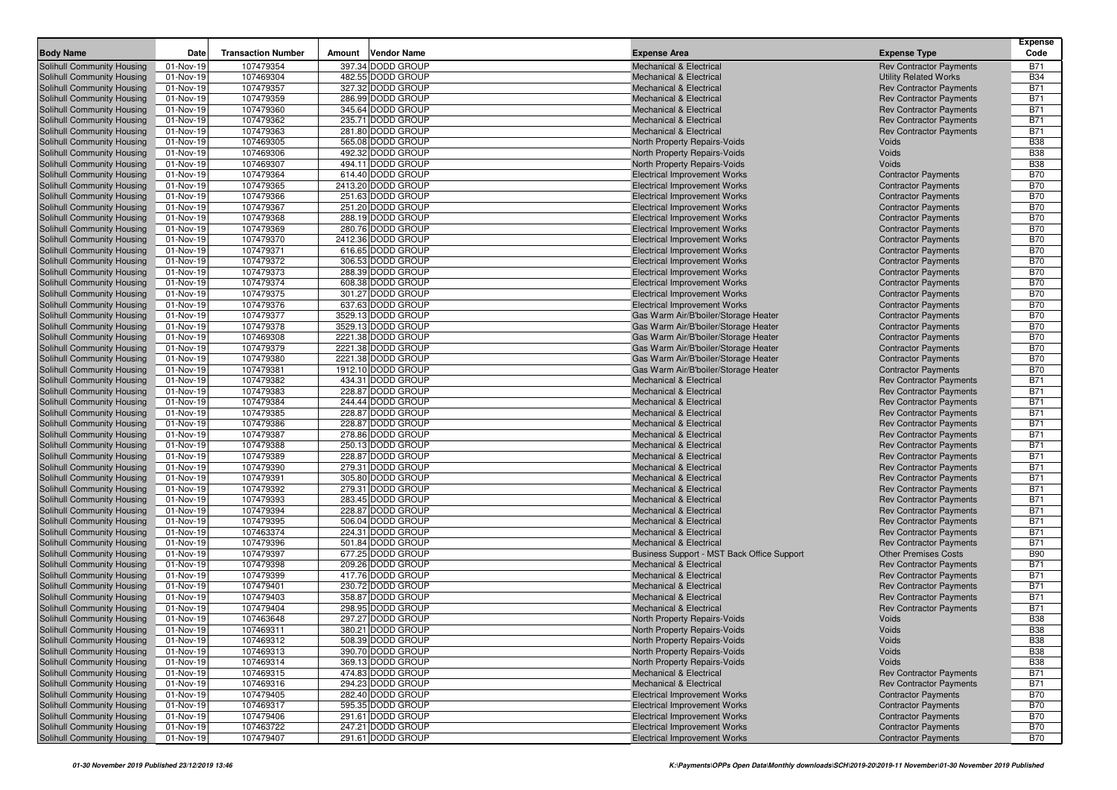| <b>Body Name</b>                                         | Date                   | <b>Transaction Number</b> | Amount | Vendor Name                             | <b>Expense Area</b>                                                        | <b>Expense Type</b>                                              | <b>Expense</b><br>Code   |
|----------------------------------------------------------|------------------------|---------------------------|--------|-----------------------------------------|----------------------------------------------------------------------------|------------------------------------------------------------------|--------------------------|
| Solihull Community Housing                               | 01-Nov-19              | 107479354                 |        | 397.34 DODD GROUP                       | <b>Mechanical &amp; Electrical</b>                                         | <b>Rev Contractor Payments</b>                                   | <b>B71</b>               |
| Solihull Community Housing                               | 01-Nov-19              | 107469304                 |        | 482.55 DODD GROUP                       | <b>Mechanical &amp; Electrical</b>                                         | <b>Utility Related Works</b>                                     | <b>B34</b>               |
| Solihull Community Housing                               | 01-Nov-19              | 107479357                 |        | 327.32 DODD GROUP                       | <b>Mechanical &amp; Electrical</b>                                         | <b>Rev Contractor Payments</b>                                   | <b>B71</b>               |
| Solihull Community Housing                               | 01-Nov-19              | 107479359                 |        | 286.99 DODD GROUP                       | <b>Mechanical &amp; Electrical</b>                                         | <b>Rev Contractor Payments</b>                                   | <b>B71</b>               |
| Solihull Community Housing                               | 01-Nov-19              | 107479360                 |        | 345.64 DODD GROUP                       | <b>Mechanical &amp; Electrical</b>                                         | <b>Rev Contractor Payments</b>                                   | <b>B71</b>               |
| Solihull Community Housing                               | 01-Nov-19              | 107479362                 |        | 235.71 DODD GROUP                       | <b>Mechanical &amp; Electrical</b>                                         | <b>Rev Contractor Payments</b>                                   | <b>B71</b>               |
| Solihull Community Housing                               | 01-Nov-19              | 107479363                 |        | 281.80 DODD GROUP                       | <b>Mechanical &amp; Electrical</b>                                         | <b>Rev Contractor Payments</b>                                   | <b>B71</b>               |
| Solihull Community Housing                               | 01-Nov-19              | 107469305                 |        | 565.08 DODD GROUP                       | North Property Repairs-Voids                                               | Voids                                                            | <b>B38</b>               |
| Solihull Community Housing                               | 01-Nov-19              | 107469306                 |        | 492.32 DODD GROUP                       | North Property Repairs-Voids                                               | Voids                                                            | <b>B38</b>               |
| Solihull Community Housing                               | 01-Nov-19              | 107469307                 |        | 494.11 DODD GROUP                       | North Property Repairs-Voids                                               | Voids                                                            | <b>B38</b>               |
| <b>Solihull Community Housing</b>                        | 01-Nov-19              | 107479364                 |        | 614.40 DODD GROUP                       | <b>Electrical Improvement Works</b>                                        | <b>Contractor Payments</b>                                       | <b>B70</b>               |
| Solihull Community Housing                               | 01-Nov-19              | 107479365                 |        | 2413.20 DODD GROUP                      | <b>Electrical Improvement Works</b>                                        | <b>Contractor Payments</b>                                       | <b>B70</b>               |
| Solihull Community Housing                               | 01-Nov-19              | 107479366                 |        | 251.63 DODD GROUP                       | <b>Electrical Improvement Works</b>                                        | <b>Contractor Payments</b>                                       | <b>B70</b>               |
| Solihull Community Housing                               | 01-Nov-19              | 107479367                 |        | 251.20 DODD GROUP                       | <b>Electrical Improvement Works</b>                                        | <b>Contractor Payments</b>                                       | <b>B70</b>               |
| Solihull Community Housing                               | 01-Nov-19              | 107479368                 |        | 288.19 DODD GROUP                       | <b>Electrical Improvement Works</b>                                        | <b>Contractor Payments</b>                                       | <b>B70</b>               |
| Solihull Community Housing                               | 01-Nov-19<br>01-Nov-19 | 107479369                 |        | 280.76 DODD GROUP<br>2412.36 DODD GROUP | <b>Electrical Improvement Works</b>                                        | <b>Contractor Payments</b>                                       | <b>B70</b><br><b>B70</b> |
| Solihull Community Housing<br>Solihull Community Housing |                        | 107479370<br>107479371    |        | 616.65 DODD GROUP                       | <b>Electrical Improvement Works</b><br><b>Electrical Improvement Works</b> | <b>Contractor Payments</b>                                       | <b>B70</b>               |
| Solihull Community Housing                               | 01-Nov-19<br>01-Nov-19 | 107479372                 |        | 306.53 DODD GROUP                       | <b>Electrical Improvement Works</b>                                        | <b>Contractor Payments</b><br><b>Contractor Payments</b>         | <b>B70</b>               |
| Solihull Community Housing                               | 01-Nov-19              | 107479373                 |        | 288.39 DODD GROUP                       | <b>Electrical Improvement Works</b>                                        | <b>Contractor Payments</b>                                       | <b>B70</b>               |
| Solihull Community Housing                               | 01-Nov-19              | 107479374                 |        | 608.38 DODD GROUP                       | <b>Electrical Improvement Works</b>                                        | <b>Contractor Payments</b>                                       | <b>B70</b>               |
| Solihull Community Housing                               | 01-Nov-19              | 107479375                 |        | 301.27 DODD GROUP                       | <b>Electrical Improvement Works</b>                                        | <b>Contractor Payments</b>                                       | <b>B70</b>               |
| Solihull Community Housing                               | 01-Nov-19              | 107479376                 |        | 637.63 DODD GROUP                       | <b>Electrical Improvement Works</b>                                        | <b>Contractor Payments</b>                                       | <b>B70</b>               |
| Solihull Community Housing                               | 01-Nov-19              | 107479377                 |        | 3529.13 DODD GROUP                      | Gas Warm Air/B'boiler/Storage Heater                                       | <b>Contractor Payments</b>                                       | <b>B70</b>               |
| Solihull Community Housing                               | 01-Nov-19              | 107479378                 |        | 3529.13 DODD GROUP                      | Gas Warm Air/B'boiler/Storage Heater                                       | <b>Contractor Payments</b>                                       | <b>B70</b>               |
| Solihull Community Housing                               | 01-Nov-19              | 107469308                 |        | 2221.38 DODD GROUP                      | Gas Warm Air/B'boiler/Storage Heater                                       | <b>Contractor Payments</b>                                       | <b>B70</b>               |
| Solihull Community Housing                               | 01-Nov-19              | 107479379                 |        | 2221.38 DODD GROUP                      | Gas Warm Air/B'boiler/Storage Heater                                       | <b>Contractor Payments</b>                                       | <b>B70</b>               |
| Solihull Community Housing                               | 01-Nov-19              | 107479380                 |        | 2221.38 DODD GROUP                      | Gas Warm Air/B'boiler/Storage Heater                                       | <b>Contractor Payments</b>                                       | <b>B70</b>               |
| Solihull Community Housing                               | 01-Nov-19              | 107479381                 |        | 1912.10 DODD GROUP                      | Gas Warm Air/B'boiler/Storage Heater                                       | <b>Contractor Payments</b>                                       | <b>B70</b>               |
| Solihull Community Housing                               | 01-Nov-19              | 107479382                 |        | 434.31 DODD GROUP                       | Mechanical & Electrical                                                    | <b>Rev Contractor Payments</b>                                   | <b>B71</b>               |
| Solihull Community Housing                               | 01-Nov-19              | 107479383                 |        | 228.87 DODD GROUP                       | <b>Mechanical &amp; Electrical</b>                                         | <b>Rev Contractor Payments</b>                                   | <b>B71</b>               |
| Solihull Community Housing                               | 01-Nov-19              | 107479384                 |        | 244.44 DODD GROUP                       | <b>Mechanical &amp; Electrical</b>                                         | <b>Rev Contractor Payments</b>                                   | <b>B71</b>               |
| Solihull Community Housing                               | 01-Nov-19              | 107479385                 |        | 228.87 DODD GROUP                       | <b>Mechanical &amp; Electrical</b>                                         | <b>Rev Contractor Payments</b>                                   | <b>B71</b>               |
| Solihull Community Housing                               | 01-Nov-19              | 107479386<br>107479387    |        | 228.87 DODD GROUP<br>278.86 DODD GROUP  | <b>Mechanical &amp; Electrical</b>                                         | <b>Rev Contractor Payments</b>                                   | <b>B71</b><br><b>B71</b> |
| Solihull Community Housing<br>Solihull Community Housing | 01-Nov-19<br>01-Nov-19 | 107479388                 |        | 250.13 DODD GROUP                       | <b>Mechanical &amp; Electrical</b><br><b>Mechanical &amp; Electrical</b>   | <b>Rev Contractor Payments</b><br><b>Rev Contractor Payments</b> | <b>B71</b>               |
| Solihull Community Housing                               | 01-Nov-19              | 107479389                 |        | 228.87 DODD GROUP                       | <b>Mechanical &amp; Electrical</b>                                         | <b>Rev Contractor Payments</b>                                   | <b>B71</b>               |
| Solihull Community Housing                               | 01-Nov-19              | 107479390                 |        | 279.31 DODD GROUP                       | <b>Mechanical &amp; Electrical</b>                                         | <b>Rev Contractor Payments</b>                                   | <b>B71</b>               |
| Solihull Community Housing                               | 01-Nov-19              | 107479391                 |        | 305.80 DODD GROUP                       | <b>Mechanical &amp; Electrical</b>                                         | <b>Rev Contractor Payments</b>                                   | <b>B71</b>               |
| Solihull Community Housing                               | 01-Nov-19              | 107479392                 |        | 279.31 DODD GROUP                       | <b>Mechanical &amp; Electrical</b>                                         | <b>Rev Contractor Payments</b>                                   | <b>B71</b>               |
| Solihull Community Housing                               | 01-Nov-19              | 107479393                 |        | 283.45 DODD GROUP                       | <b>Mechanical &amp; Electrical</b>                                         | <b>Rev Contractor Payments</b>                                   | <b>B71</b>               |
| Solihull Community Housing                               | 01-Nov-19              | 107479394                 |        | 228.87 DODD GROUP                       | <b>Mechanical &amp; Electrical</b>                                         | <b>Rev Contractor Payments</b>                                   | <b>B71</b>               |
| Solihull Community Housing                               | 01-Nov-19              | 107479395                 |        | 506.04 DODD GROUP                       | <b>Mechanical &amp; Electrical</b>                                         | <b>Rev Contractor Payments</b>                                   | <b>B71</b>               |
| Solihull Community Housing                               | 01-Nov-19              | 107463374                 |        | 224.31 DODD GROUP                       | Mechanical & Electrical                                                    | <b>Rev Contractor Payments</b>                                   | <b>B71</b>               |
| Solihull Community Housing                               | 01-Nov-19              | 107479396                 |        | 501.84 DODD GROUP                       | <b>Mechanical &amp; Electrical</b>                                         | <b>Rev Contractor Payments</b>                                   | <b>B71</b>               |
| Solihull Community Housing                               | 01-Nov-19              | 107479397                 |        | 677.25 DODD GROUP                       | Business Support - MST Back Office Support                                 | <b>Other Premises Costs</b>                                      | <b>B90</b>               |
| Solihull Community Housing                               | 01-Nov-19              | 107479398                 |        | 209.26 DODD GROUP                       | <b>Mechanical &amp; Electrical</b>                                         | <b>Rev Contractor Payments</b>                                   | <b>B71</b>               |
| Solihull Community Housing                               | 01-Nov-19              | 107479399                 |        | 417.76 DODD GROUP                       | <b>Mechanical &amp; Electrical</b>                                         | <b>Rev Contractor Payments</b>                                   | <b>B71</b>               |
| Solihull Community Housing                               | 01-Nov-19              | 107479401                 |        | 230.72 DODD GROUP                       | <b>Mechanical &amp; Electrical</b>                                         | <b>Rev Contractor Payments</b>                                   | <b>B71</b>               |
| <b>Solihull Community Housing</b>                        | 01-Nov-19              | 107479403<br>107479404    |        | 358.87 DODD GROUP<br>298.95 DODD GROUP  | <b>Mechanical &amp; Electrical</b>                                         | <b>Rev Contractor Payments</b>                                   | <b>B71</b><br><b>B71</b> |
| Solihull Community Housing<br>Solihull Community Housing | 01-Nov-19<br>01-Nov-19 | 107463648                 |        | 297.27 DODD GROUP                       | <b>Mechanical &amp; Electrical</b><br>North Property Repairs-Voids         | <b>Rev Contractor Payments</b><br>Voids                          | <b>B38</b>               |
| Solihull Community Housing                               | 01-Nov-19              | 107469311                 |        | 380.21 DODD GROUP                       |                                                                            | Voids                                                            | <b>B38</b>               |
| Solihull Community Housing                               | 01-Nov-19              | 107469312                 |        | 508.39 DODD GROUP                       | North Property Repairs-Voids<br>North Property Repairs-Voids               | Voids                                                            | <b>B38</b>               |
| Solihull Community Housing                               | 01-Nov-19              | 107469313                 |        | 390.70 DODD GROUP                       | North Property Repairs-Voids                                               | Voids                                                            | <b>B38</b>               |
| Solihull Community Housing                               | 01-Nov-19              | 107469314                 |        | 369.13 DODD GROUP                       | North Property Repairs-Voids                                               | Voids                                                            | <b>B38</b>               |
| Solihull Community Housing                               | 01-Nov-19              | 107469315                 |        | 474.83 DODD GROUP                       | Mechanical & Electrical                                                    | <b>Rev Contractor Payments</b>                                   | <b>B71</b>               |
| Solihull Community Housing                               | 01-Nov-19              | 107469316                 |        | 294.23 DODD GROUP                       | <b>Mechanical &amp; Electrical</b>                                         | <b>Rev Contractor Payments</b>                                   | <b>B71</b>               |
| Solihull Community Housing                               | 01-Nov-19              | 107479405                 |        | 282.40 DODD GROUP                       | <b>Electrical Improvement Works</b>                                        | <b>Contractor Payments</b>                                       | <b>B70</b>               |
| Solihull Community Housing                               | 01-Nov-19              | 107469317                 |        | 595.35 DODD GROUP                       | <b>Electrical Improvement Works</b>                                        | <b>Contractor Payments</b>                                       | <b>B70</b>               |
| Solihull Community Housing                               | 01-Nov-19              | 107479406                 |        | 291.61 DODD GROUP                       | <b>Electrical Improvement Works</b>                                        | <b>Contractor Payments</b>                                       | <b>B70</b>               |
| Solihull Community Housing                               | 01-Nov-19              | 107463722                 |        | 247.21 DODD GROUP                       | <b>Electrical Improvement Works</b>                                        | <b>Contractor Payments</b>                                       | <b>B70</b>               |
| Solihull Community Housing                               | 01-Nov-19              | 107479407                 |        | 291.61 DODD GROUP                       | <b>Electrical Improvement Works</b>                                        | <b>Contractor Payments</b>                                       | <b>B70</b>               |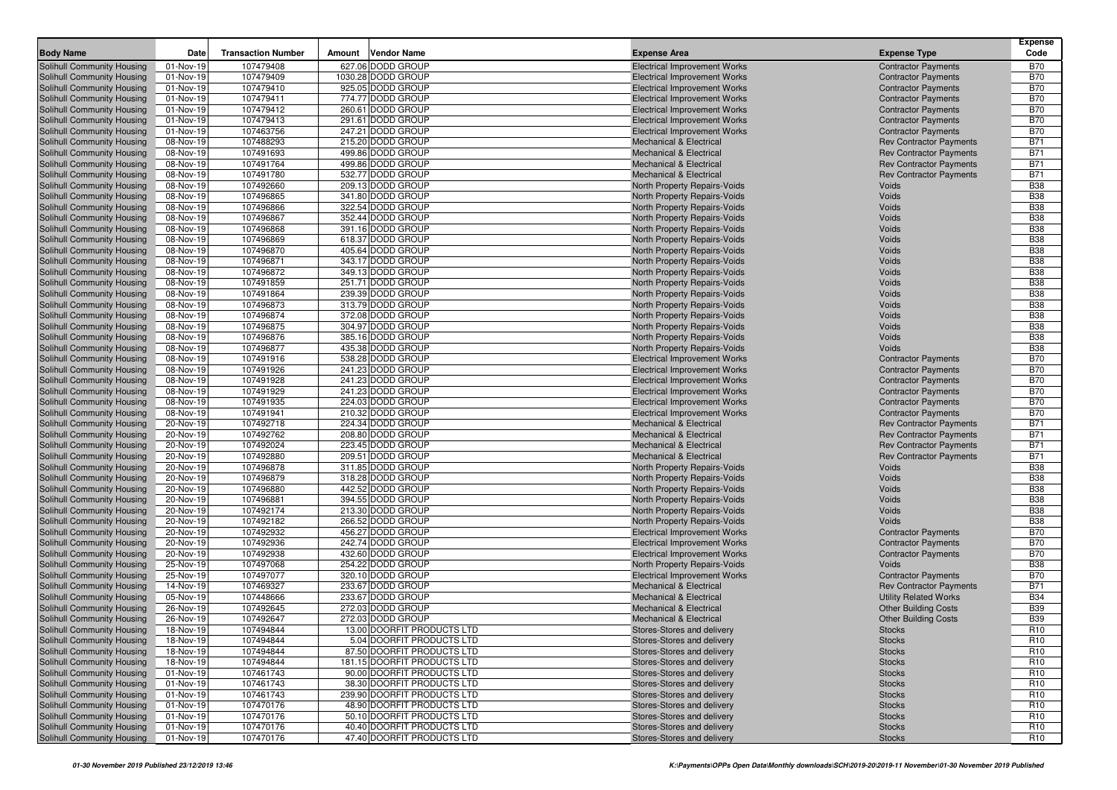|                                                          |                         |                           |        |                                        |                                                                          |                                                                  | <b>Expense</b>           |
|----------------------------------------------------------|-------------------------|---------------------------|--------|----------------------------------------|--------------------------------------------------------------------------|------------------------------------------------------------------|--------------------------|
| <b>Body Name</b>                                         | Date                    | <b>Transaction Number</b> | Amount | <b>Vendor Name</b>                     | <b>Expense Area</b>                                                      | <b>Expense Type</b>                                              | Code                     |
| Solihull Community Housing                               | 01-Nov-19               | 107479408                 |        | 627.06 DODD GROUP                      | <b>Electrical Improvement Works</b>                                      | <b>Contractor Payments</b>                                       | <b>B70</b>               |
| Solihull Community Housing                               | 01-Nov-19               | 107479409                 |        | 1030.28 DODD GROUP                     | <b>Electrical Improvement Works</b>                                      | <b>Contractor Payments</b>                                       | <b>B70</b>               |
| Solihull Community Housing                               | 01-Nov-19               | 107479410                 |        | 925.05 DODD GROUP                      | <b>Electrical Improvement Works</b>                                      | <b>Contractor Payments</b>                                       | <b>B70</b>               |
| Solihull Community Housing                               | 01-Nov-19               | 107479411                 |        | 774.77 DODD GROUP                      | <b>Electrical Improvement Works</b>                                      | <b>Contractor Payments</b>                                       | <b>B70</b>               |
| Solihull Community Housing                               | 01-Nov-19               | 107479412                 |        | 260.61 DODD GROUP                      | <b>Electrical Improvement Works</b>                                      | <b>Contractor Payments</b>                                       | <b>B70</b>               |
| Solihull Community Housing                               | 01-Nov-19               | 107479413                 |        | 291.61 DODD GROUP                      | <b>Electrical Improvement Works</b>                                      | <b>Contractor Payments</b>                                       | <b>B70</b>               |
| Solihull Community Housing                               | 01-Nov-19               | 107463756                 |        | 247.21 DODD GROUP<br>215.20 DODD GROUP | <b>Electrical Improvement Works</b>                                      | <b>Contractor Payments</b>                                       | <b>B70</b><br><b>B71</b> |
| Solihull Community Housing                               | 08-Nov-19               | 107488293                 |        |                                        | <b>Mechanical &amp; Electrical</b>                                       | <b>Rev Contractor Payments</b>                                   | <b>B71</b>               |
| Solihull Community Housing<br>Solihull Community Housing | 08-Nov-19<br>08-Nov-19  | 107491693<br>107491764    |        | 499.86 DODD GROUP<br>499.86 DODD GROUP | <b>Mechanical &amp; Electrical</b><br><b>Mechanical &amp; Electrical</b> | <b>Rev Contractor Payments</b><br><b>Rev Contractor Payments</b> | <b>B71</b>               |
| Solihull Community Housing                               | 08-Nov-19               | 107491780                 |        | 532.77 DODD GROUP                      | <b>Mechanical &amp; Electrical</b>                                       | <b>Rev Contractor Payments</b>                                   | <b>B71</b>               |
| Solihull Community Housing                               | 08-Nov-19               | 107492660                 |        | 209.13 DODD GROUP                      | North Property Repairs-Voids                                             | Voids                                                            | <b>B38</b>               |
| Solihull Community Housing                               | 08-Nov-19               | 107496865                 |        | 341.80 DODD GROUP                      | North Property Repairs-Voids                                             | Voids                                                            | <b>B38</b>               |
| Solihull Community Housing                               | 08-Nov-19               | 107496866                 |        | 322.54 DODD GROUP                      | North Property Repairs-Voids                                             | Voids                                                            | <b>B38</b>               |
| Solihull Community Housing                               | 08-Nov-19               | 107496867                 |        | 352.44 DODD GROUP                      | North Property Repairs-Voids                                             | Voids                                                            | <b>B38</b>               |
| Solihull Community Housing                               | 08-Nov-19               | 107496868                 |        | 391.16 DODD GROUP                      | North Property Repairs-Voids                                             | Voids                                                            | <b>B38</b>               |
| Solihull Community Housing                               | 08-Nov-19               | 107496869                 |        | 618.37 DODD GROUP                      | North Property Repairs-Voids                                             | Voids                                                            | <b>B38</b>               |
| Solihull Community Housing                               | 08-Nov-19               | 107496870                 |        | 405.64 DODD GROUP                      | North Property Repairs-Voids                                             | Voids                                                            | <b>B38</b>               |
| Solihull Community Housing                               | 08-Nov-19               | 107496871                 |        | 343.17 DODD GROUP                      | North Property Repairs-Voids                                             | Voids                                                            | <b>B38</b>               |
| Solihull Community Housing                               | 08-Nov-19               | 107496872                 |        | 349.13 DODD GROUP                      | North Property Repairs-Voids                                             | Voids                                                            | <b>B38</b>               |
| Solihull Community Housing                               | 08-Nov-19               | 107491859                 |        | 251.71 DODD GROUP                      | North Property Repairs-Voids                                             | Voids                                                            | <b>B38</b>               |
| Solihull Community Housing                               | 08-Nov-19               | 107491864                 |        | 239.39 DODD GROUP                      | <b>North Property Repairs-Voids</b>                                      | Voids                                                            | <b>B38</b>               |
| Solihull Community Housing                               | 08-Nov-19               | 107496873                 |        | 313.79 DODD GROUP                      | North Property Repairs-Voids                                             | Voids                                                            | <b>B38</b>               |
| Solihull Community Housing                               | $\overline{0}$ 8-Nov-19 | 107496874                 |        | 372.08 DODD GROUP                      | North Property Repairs-Voids                                             | Voids                                                            | <b>B38</b>               |
| Solihull Community Housing                               | 08-Nov-19               | 107496875                 |        | 304.97 DODD GROUP                      | <b>North Property Repairs-Voids</b>                                      | Voids                                                            | <b>B38</b>               |
| Solihull Community Housing                               | 08-Nov-19               | 107496876                 |        | 385.16 DODD GROUP                      | <b>North Property Repairs-Voids</b>                                      | Voids                                                            | <b>B38</b>               |
| Solihull Community Housing                               | 08-Nov-19               | 107496877                 |        | 435.38 DODD GROUP                      | <b>North Property Repairs-Voids</b>                                      | Voids                                                            | <b>B38</b>               |
| Solihull Community Housing                               | 08-Nov-19               | 107491916                 |        | 538.28 DODD GROUP                      | <b>Electrical Improvement Works</b>                                      | <b>Contractor Payments</b>                                       | <b>B70</b>               |
| Solihull Community Housing                               | 08-Nov-19               | 107491926                 |        | 241.23 DODD GROUP                      | <b>Electrical Improvement Works</b>                                      | <b>Contractor Payments</b>                                       | <b>B70</b>               |
| Solihull Community Housing                               | 08-Nov-19               | 107491928                 |        | 241.23 DODD GROUP                      | <b>Electrical Improvement Works</b>                                      | <b>Contractor Payments</b>                                       | <b>B70</b>               |
| Solihull Community Housing                               | 08-Nov-19               | 107491929                 |        | 241.23 DODD GROUP                      | <b>Electrical Improvement Works</b>                                      | <b>Contractor Payments</b>                                       | <b>B70</b>               |
| Solihull Community Housing                               | 08-Nov-19               | 107491935                 |        | 224.03 DODD GROUP                      | <b>Electrical Improvement Works</b>                                      | <b>Contractor Payments</b>                                       | <b>B70</b>               |
| Solihull Community Housing                               | 08-Nov-19               | 107491941                 |        | 210.32 DODD GROUP                      | <b>Electrical Improvement Works</b>                                      | <b>Contractor Payments</b>                                       | <b>B70</b>               |
| Solihull Community Housing                               | 20-Nov-19               | 107492718                 |        | 224.34 DODD GROUP                      | <b>Mechanical &amp; Electrical</b>                                       | <b>Rev Contractor Payments</b>                                   | <b>B71</b>               |
| Solihull Community Housing                               | 20-Nov-19               | 107492762                 |        | 208.80 DODD GROUP                      | <b>Mechanical &amp; Electrical</b>                                       | <b>Rev Contractor Payments</b>                                   | <b>B71</b>               |
| Solihull Community Housing                               | 20-Nov-19               | 107492024                 |        | 223.45 DODD GROUP                      | <b>Mechanical &amp; Electrical</b>                                       | <b>Rev Contractor Payments</b>                                   | <b>B71</b>               |
| Solihull Community Housing                               | 20-Nov-19               | 107492880                 |        | 209.51 DODD GROUP                      | <b>Mechanical &amp; Electrical</b>                                       | <b>Rev Contractor Payments</b>                                   | <b>B71</b>               |
| Solihull Community Housing                               | 20-Nov-19               | 107496878                 |        | 311.85 DODD GROUP                      | North Property Repairs-Voids                                             | Voids                                                            | <b>B38</b>               |
| <b>Solihull Community Housing</b>                        | 20-Nov-19               | 107496879<br>107496880    |        | 318.28 DODD GROUP<br>442.52 DODD GROUP | North Property Repairs-Voids                                             | Voids<br>Voids                                                   | <b>B38</b><br><b>B38</b> |
| Solihull Community Housing<br>Solihull Community Housing | 20-Nov-19<br>20-Nov-19  | 107496881                 |        | 394.55 DODD GROUP                      | North Property Repairs-Voids<br>North Property Repairs-Voids             | Voids                                                            | <b>B38</b>               |
| Solihull Community Housing                               | 20-Nov-19               | 107492174                 |        | 213.30 DODD GROUP                      | North Property Repairs-Voids                                             | Voids                                                            | <b>B38</b>               |
| Solihull Community Housing                               | 20-Nov-19               | 107492182                 |        | 266.52 DODD GROUP                      | North Property Repairs-Voids                                             | Voids                                                            | <b>B38</b>               |
| Solihull Community Housing                               | 20-Nov-19               | 107492932                 |        | 456.27 DODD GROUP                      | <b>Electrical Improvement Works</b>                                      | <b>Contractor Payments</b>                                       | <b>B70</b>               |
| Solihull Community Housing                               | 20-Nov-19               | 107492936                 |        | 242.74 DODD GROUP                      | <b>Electrical Improvement Works</b>                                      | <b>Contractor Payments</b>                                       | <b>B70</b>               |
| Solihull Community Housing                               | 20-Nov-19               | 107492938                 |        | 432.60 DODD GROUP                      | <b>Electrical Improvement Works</b>                                      | <b>Contractor Payments</b>                                       | <b>B70</b>               |
| Solihull Community Housing                               | 25-Nov-19               | 107497068                 |        | 254.22 DODD GROUP                      | North Property Repairs-Voids                                             | Voids                                                            | <b>B38</b>               |
| Solihull Community Housing                               | 25-Nov-19               | 107497077                 |        | 320.10 DODD GROUP                      | <b>Electrical Improvement Works</b>                                      | <b>Contractor Payments</b>                                       | <b>B70</b>               |
| Solihull Community Housing                               | 14-Nov-19               | 107469327                 |        | 233.67 DODD GROUP                      | <b>Mechanical &amp; Electrical</b>                                       | <b>Rev Contractor Payments</b>                                   | <b>B71</b>               |
| Solihull Community Housing                               | 05-Nov-19               | 107448666                 |        | 233.67 DODD GROUP                      | <b>Mechanical &amp; Electrical</b>                                       | <b>Utility Related Works</b>                                     | <b>B34</b>               |
| Solihull Community Housing                               | 26-Nov-19               | 107492645                 |        | 272.03 DODD GROUP                      | <b>Mechanical &amp; Electrical</b>                                       | <b>Other Building Costs</b>                                      | <b>B39</b>               |
| Solihull Community Housing                               | 26-Nov-19               | 107492647                 |        | 272.03 DODD GROUP                      | <b>Mechanical &amp; Electrical</b>                                       | <b>Other Building Costs</b>                                      | <b>B39</b>               |
| Solihull Community Housing                               | 18-Nov-19               | 107494844                 |        | 13.00 DOORFIT PRODUCTS LTD             | Stores-Stores and delivery                                               | <b>Stocks</b>                                                    | R <sub>10</sub>          |
| Solihull Community Housing                               | 18-Nov-19               | 107494844                 |        | 5.04 DOORFIT PRODUCTS LTD              | Stores-Stores and delivery                                               | <b>Stocks</b>                                                    | R <sub>10</sub>          |
| Solihull Community Housing                               | 18-Nov-19               | 107494844                 |        | 87.50 DOORFIT PRODUCTS LTD             | Stores-Stores and delivery                                               | <b>Stocks</b>                                                    | R <sub>10</sub>          |
| Solihull Community Housing                               | 18-Nov-19               | 107494844                 |        | 181.15 DOORFIT PRODUCTS LTD            | Stores-Stores and delivery                                               | <b>Stocks</b>                                                    | R <sub>10</sub>          |
| Solihull Community Housing                               | 01-Nov-19               | 107461743                 |        | 90.00 DOORFIT PRODUCTS LTD             | Stores-Stores and delivery                                               | <b>Stocks</b>                                                    | R <sub>10</sub>          |
| Solihull Community Housing                               | 01-Nov-19               | 107461743                 |        | 38.30 DOORFIT PRODUCTS LTD             | Stores-Stores and delivery                                               | <b>Stocks</b>                                                    | R <sub>10</sub>          |
| Solihull Community Housing                               | 01-Nov-19               | 107461743                 |        | 239.90 DOORFIT PRODUCTS LTD            | Stores-Stores and delivery                                               | <b>Stocks</b>                                                    | R <sub>10</sub>          |
| Solihull Community Housing                               | 01-Nov-19               | 107470176                 |        | 48.90 DOORFIT PRODUCTS LTD             | Stores-Stores and delivery                                               | <b>Stocks</b>                                                    | R <sub>10</sub>          |
| Solihull Community Housing                               | 01-Nov-19               | 107470176                 |        | 50.10 DOORFIT PRODUCTS LTD             | Stores-Stores and delivery                                               | <b>Stocks</b>                                                    | R <sub>10</sub>          |
| Solihull Community Housing                               | 01-Nov-19               | 107470176                 |        | 40.40 DOORFIT PRODUCTS LTD             | Stores-Stores and delivery                                               | <b>Stocks</b>                                                    | R <sub>10</sub>          |
| Solihull Community Housing                               | 01-Nov-19               | 107470176                 |        | 47.40 DOORFIT PRODUCTS LTD             | Stores-Stores and delivery                                               | <b>Stocks</b>                                                    | R <sub>10</sub>          |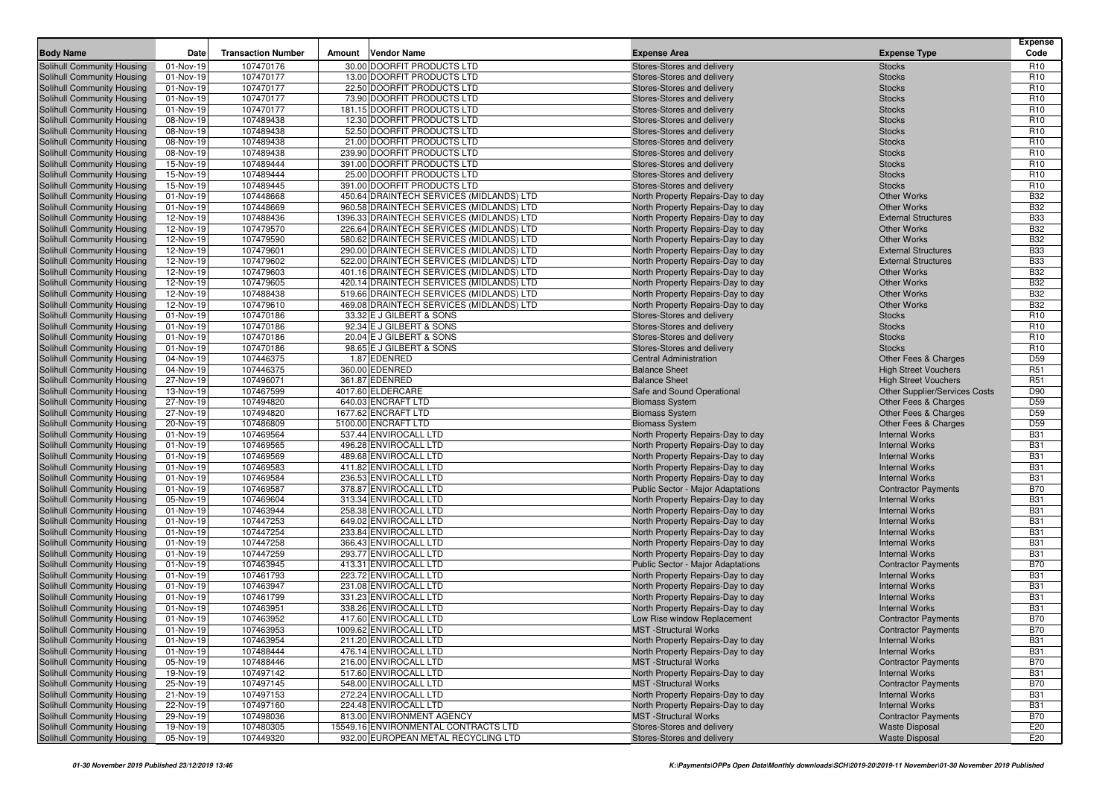| <b>Body Name</b>                                         | Date                   | <b>Transaction Number</b> | Amount | <b>Vendor Name</b>                                   | <b>Expense Area</b>                                               | <b>Expense Type</b>                                 | <b>Expense</b><br>Code             |
|----------------------------------------------------------|------------------------|---------------------------|--------|------------------------------------------------------|-------------------------------------------------------------------|-----------------------------------------------------|------------------------------------|
| Solihull Community Housing                               | 01-Nov-19              | 107470176                 |        | 30.00 DOORFIT PRODUCTS LTD                           | Stores-Stores and delivery                                        | <b>Stocks</b>                                       | R <sub>10</sub>                    |
| Solihull Community Housing                               | 01-Nov-19              | 107470177                 |        | 13.00 DOORFIT PRODUCTS LTD                           | Stores-Stores and delivery                                        | <b>Stocks</b>                                       | R <sub>10</sub>                    |
| Solihull Community Housing                               | 01-Nov-19              | 107470177                 |        | 22.50 DOORFIT PRODUCTS LTD                           | Stores-Stores and delivery                                        | <b>Stocks</b>                                       | R <sub>10</sub>                    |
| Solihull Community Housing                               | 01-Nov-19              | 107470177                 |        | 73.90 DOORFIT PRODUCTS LTD                           | Stores-Stores and delivery                                        | <b>Stocks</b>                                       | R <sub>10</sub>                    |
| Solihull Community Housing                               | 01-Nov-19              | 107470177                 |        | 181.15 DOORFIT PRODUCTS LTD                          | Stores-Stores and delivery                                        | <b>Stocks</b>                                       | R <sub>10</sub>                    |
| Solihull Community Housing                               | 08-Nov-19              | 107489438                 |        | 12.30 DOORFIT PRODUCTS LTD                           | Stores-Stores and delivery                                        | <b>Stocks</b>                                       | R <sub>10</sub>                    |
| Solihull Community Housing                               | 08-Nov-19              | 107489438                 |        | 52.50 DOORFIT PRODUCTS LTD                           | Stores-Stores and delivery                                        | <b>Stocks</b>                                       | R <sub>10</sub>                    |
| Solihull Community Housing                               | 08-Nov-19              | 107489438                 |        | 21.00 DOORFIT PRODUCTS LTD                           | Stores-Stores and delivery                                        | <b>Stocks</b>                                       | R <sub>10</sub>                    |
| Solihull Community Housing                               | 08-Nov-19              | 107489438                 |        | 239.90 DOORFIT PRODUCTS LTD                          | Stores-Stores and delivery                                        | <b>Stocks</b>                                       | R <sub>10</sub>                    |
| Solihull Community Housing                               | 15-Nov-19              | 107489444                 |        | 391.00 DOORFIT PRODUCTS LTD                          | Stores-Stores and delivery                                        | <b>Stocks</b>                                       | R <sub>10</sub>                    |
| Solihull Community Housing                               | 15-Nov-19              | 107489444                 |        | 25.00 DOORFIT PRODUCTS LTD                           | Stores-Stores and delivery                                        | <b>Stocks</b>                                       | R <sub>10</sub>                    |
| Solihull Community Housing                               | 15-Nov-19              | 107489445                 |        | 391.00 DOORFIT PRODUCTS LTD                          | Stores-Stores and delivery                                        | <b>Stocks</b>                                       | R <sub>10</sub>                    |
| Solihull Community Housing                               | 01-Nov-19              | 107448668                 |        | 450.64 DRAINTECH SERVICES (MIDLANDS) LTD             | North Property Repairs-Day to day                                 | <b>Other Works</b>                                  | <b>B32</b>                         |
| Solihull Community Housing                               | 01-Nov-19              | 107448669                 |        | 960.58 DRAINTECH SERVICES (MIDLANDS) LTD             | North Property Repairs-Day to day                                 | <b>Other Works</b>                                  | <b>B32</b>                         |
| Solihull Community Housing                               | 12-Nov-19              | 107488436                 |        | 1396.33 DRAINTECH SERVICES (MIDLANDS) LTD            | North Property Repairs-Day to day                                 | <b>External Structures</b>                          | <b>B33</b>                         |
| Solihull Community Housing                               | 12-Nov-19              | 107479570                 |        | 226.64 DRAINTECH SERVICES (MIDLANDS) LTD             | North Property Repairs-Day to day                                 | <b>Other Works</b>                                  | <b>B32</b>                         |
| Solihull Community Housing                               | 12-Nov-19              | 107479590                 |        | 580.62 DRAINTECH SERVICES (MIDLANDS) LTD             | North Property Repairs-Day to day                                 | <b>Other Works</b>                                  | <b>B32</b>                         |
| Solihull Community Housing                               | 12-Nov-19              | 107479601                 |        | 290.00 DRAINTECH SERVICES (MIDLANDS) LTD             | North Property Repairs-Day to day                                 | <b>External Structures</b>                          | <b>B33</b>                         |
| Solihull Community Housing                               | 12-Nov-19              | 107479602                 |        | 522.00 DRAINTECH SERVICES (MIDLANDS) LTD             | North Property Repairs-Day to day                                 | <b>External Structures</b>                          | <b>B33</b>                         |
| Solihull Community Housing                               | 12-Nov-19              | 107479603                 |        | 401.16 DRAINTECH SERVICES (MIDLANDS) LTD             | North Property Repairs-Day to day                                 | Other Works                                         | <b>B32</b>                         |
| Solihull Community Housing                               | 12-Nov-19              | 107479605                 |        | 420.14 DRAINTECH SERVICES (MIDLANDS) LTD             | North Property Repairs-Day to day                                 | <b>Other Works</b>                                  | <b>B32</b>                         |
| Solihull Community Housing                               | 12-Nov-19              | 107488438                 |        | 519.66 DRAINTECH SERVICES (MIDLANDS) LTD             | North Property Repairs-Day to day                                 | <b>Other Works</b>                                  | <b>B32</b>                         |
| Solihull Community Housing                               | 12-Nov-19              | 107479610                 |        | 469.08 DRAINTECH SERVICES (MIDLANDS) LTD             | North Property Repairs-Day to day                                 | <b>Other Works</b>                                  | <b>B32</b>                         |
| Solihull Community Housing                               | 01-Nov-19              | 107470186                 |        | 33.32 E J GILBERT & SONS                             | Stores-Stores and delivery                                        | <b>Stocks</b>                                       | R <sub>10</sub>                    |
| Solihull Community Housing                               | 01-Nov-19<br>01-Nov-19 | 107470186<br>107470186    |        | 92.34 E J GILBERT & SONS<br>20.04 E J GILBERT & SONS | Stores-Stores and delivery<br>Stores-Stores and delivery          | <b>Stocks</b>                                       | R <sub>10</sub><br>R <sub>10</sub> |
| Solihull Community Housing<br>Solihull Community Housing | 01-Nov-19              | 107470186                 |        | 98.65 E J GILBERT & SONS                             | Stores-Stores and delivery                                        | <b>Stocks</b><br><b>Stocks</b>                      | R <sub>10</sub>                    |
| Solihull Community Housing                               | 04-Nov-19              | 107446375                 |        | 1.87 EDENRED                                         | <b>Central Administration</b>                                     | Other Fees & Charges                                | D <sub>59</sub>                    |
| Solihull Community Housing                               | 04-Nov-19              | 107446375                 |        | 360.00 EDENRED                                       | <b>Balance Sheet</b>                                              | <b>High Street Vouchers</b>                         | R <sub>51</sub>                    |
| Solihull Community Housing                               | 27-Nov-19              | 107496071                 |        | 361.87 EDENRED                                       | <b>Balance Sheet</b>                                              | <b>High Street Vouchers</b>                         | R <sub>51</sub>                    |
| Solihull Community Housing                               | 13-Nov-19              | 107467599                 |        | 4017.60 ELDERCARE                                    | Safe and Sound Operational                                        | Other Supplier/Services Costs                       | D90                                |
| Solihull Community Housing                               | 27-Nov-19              | 107494820                 |        | 640.03 ENCRAFT LTD                                   | <b>Biomass System</b>                                             | Other Fees & Charges                                | D <sub>59</sub>                    |
| Solihull Community Housing                               | 27-Nov-19              | 107494820                 |        | 1677.62 ENCRAFT LTD                                  | <b>Biomass System</b>                                             | <b>Other Fees &amp; Charges</b>                     | D <sub>59</sub>                    |
| Solihull Community Housing                               | 20-Nov-19              | 107486809                 |        | 5100.00 ENCRAFT LTD                                  | <b>Biomass System</b>                                             | Other Fees & Charges                                | D <sub>59</sub>                    |
| Solihull Community Housing                               | 01-Nov-19              | 107469564                 |        | 537.44 ENVIROCALL LTD                                | North Property Repairs-Day to day                                 | <b>Internal Works</b>                               | <b>B31</b>                         |
| Solihull Community Housing                               | 01-Nov-19              | 107469565                 |        | 496.28 ENVIROCALL LTD                                | North Property Repairs-Day to day                                 | <b>Internal Works</b>                               | <b>B31</b>                         |
| Solihull Community Housing                               | 01-Nov-19              | 107469569                 |        | 489.68 ENVIROCALL LTD                                | North Property Repairs-Day to day                                 | <b>Internal Works</b>                               | <b>B31</b>                         |
| Solihull Community Housing                               | 01-Nov-19              | 107469583                 |        | 411.82 ENVIROCALL LTD                                | North Property Repairs-Day to day                                 | <b>Internal Works</b>                               | <b>B31</b>                         |
| Solihull Community Housing                               | 01-Nov-19              | 107469584                 |        | 236.53 ENVIROCALL LTD                                | North Property Repairs-Day to day                                 | <b>Internal Works</b>                               | <b>B31</b>                         |
| Solihull Community Housing                               | 01-Nov-19              | 107469587                 |        | 378.87 ENVIROCALL LTD                                | Public Sector - Major Adaptations                                 | <b>Contractor Payments</b>                          | <b>B70</b>                         |
| Solihull Community Housing                               | 05-Nov-19              | 107469604                 |        | 313.34 ENVIROCALL LTD                                | North Property Repairs-Day to day                                 | <b>Internal Works</b>                               | <b>B31</b>                         |
| Solihull Community Housing                               | 01-Nov-19              | 107463944                 |        | 258.38 ENVIROCALL LTD                                | North Property Repairs-Day to day                                 | <b>Internal Works</b>                               | <b>B31</b>                         |
| Solihull Community Housing                               | 01-Nov-19              | 107447253                 |        | 649.02 ENVIROCALL LTD                                | North Property Repairs-Day to day                                 | <b>Internal Works</b>                               | <b>B31</b>                         |
| Solihull Community Housing                               | 01-Nov-19              | 107447254                 |        | 233.84 ENVIROCALL LTD                                | North Property Repairs-Day to day                                 | <b>Internal Works</b>                               | <b>B31</b>                         |
| Solihull Community Housing                               | 01-Nov-19              | 107447258                 |        | 366.43 ENVIROCALL LTD                                | North Property Repairs-Day to day                                 | <b>Internal Works</b>                               | <b>B31</b>                         |
| Solihull Community Housing                               | 01-Nov-19              | 107447259                 |        | 293.77 ENVIROCALL LTD                                | North Property Repairs-Day to day                                 | <b>Internal Works</b>                               | <b>B31</b>                         |
| Solihull Community Housing                               | 01-Nov-19              | 107463945                 |        | 413.31 ENVIROCALL LTD                                | Public Sector - Major Adaptations                                 | <b>Contractor Payments</b>                          | <b>B70</b>                         |
| Solihull Community Housing                               | 01-Nov-19              | 107461793                 |        | 223.72 ENVIROCALL LTD                                | North Property Repairs-Day to day                                 | <b>Internal Works</b>                               | <b>B31</b>                         |
| Solihull Community Housing                               | 01-Nov-19              | 107463947                 |        | 231.08 ENVIROCALL LTD                                | North Property Repairs-Day to day                                 | <b>Internal Works</b>                               | <b>B31</b>                         |
| Solihull Community Housing                               | 01-Nov-19              | 107461799                 |        | 331.23 ENVIROCALL LTD                                | North Property Repairs-Day to day                                 | <b>Internal Works</b>                               | <b>B31</b>                         |
| Solihull Community Housing                               | 01-Nov-19              | 107463951                 |        | 338.26 ENVIROCALL LTD                                | North Property Repairs-Day to day                                 | <b>Internal Works</b>                               | <b>B31</b>                         |
| Solihull Community Housing                               | 01-Nov-19              | 107463952                 |        | 417.60 ENVIROCALL LTD                                | Low Rise window Replacement                                       | <b>Contractor Payments</b>                          | <b>B70</b>                         |
| Solihull Community Housing                               | 01-Nov-19              | 107463953                 |        | 1009.62 ENVIROCALL LTD                               | <b>MST</b> -Structural Works                                      | <b>Contractor Payments</b>                          | <b>B70</b>                         |
| Solihull Community Housing                               | 01-Nov-19              | 107463954                 |        | 211.20 ENVIROCALL LTD                                | North Property Repairs-Day to day                                 | <b>Internal Works</b>                               | <b>B31</b>                         |
| Solihull Community Housing                               | 01-Nov-19              | 107488444                 |        | 476.14 ENVIROCALL LTD                                | North Property Repairs-Day to day                                 | <b>Internal Works</b>                               | <b>B31</b>                         |
| Solihull Community Housing<br>Solihull Community Housing | 05-Nov-19              | 107488446<br>107497142    |        | 216.00 ENVIROCALL LTD<br>517.60 ENVIROCALL LTD       | <b>MST</b> -Structural Works<br>North Property Repairs-Day to day | <b>Contractor Payments</b><br><b>Internal Works</b> | <b>B70</b>                         |
|                                                          | 19-Nov-19<br>25-Nov-19 | 107497145                 |        | 548.00 ENVIROCALL LTD                                | <b>MST</b> -Structural Works                                      |                                                     | <b>B31</b><br><b>B70</b>           |
| Solihull Community Housing<br>Solihull Community Housing | 21-Nov-19              | 107497153                 |        | 272.24 ENVIROCALL LTD                                | North Property Repairs-Day to day                                 | <b>Contractor Payments</b><br><b>Internal Works</b> | <b>B31</b>                         |
| Solihull Community Housing                               | 22-Nov-19              | 107497160                 |        | 224.48 ENVIROCALL LTD                                | North Property Repairs-Day to day                                 | <b>Internal Works</b>                               | <b>B31</b>                         |
| Solihull Community Housing                               | 29-Nov-19              | 107498036                 |        | 813.00 ENVIRONMENT AGENCY                            | <b>MST</b> -Structural Works                                      | <b>Contractor Payments</b>                          | <b>B70</b>                         |
| Solihull Community Housing                               | 19-Nov-19              | 107480305                 |        | 15549.16 ENVIRONMENTAL CONTRACTS LTD                 | Stores-Stores and delivery                                        | <b>Waste Disposal</b>                               | E20                                |
| Solihull Community Housing                               | 05-Nov-19              | 107449320                 |        | 932.00 EUROPEAN METAL RECYCLING LTD                  | Stores-Stores and delivery                                        | <b>Waste Disposal</b>                               | E20                                |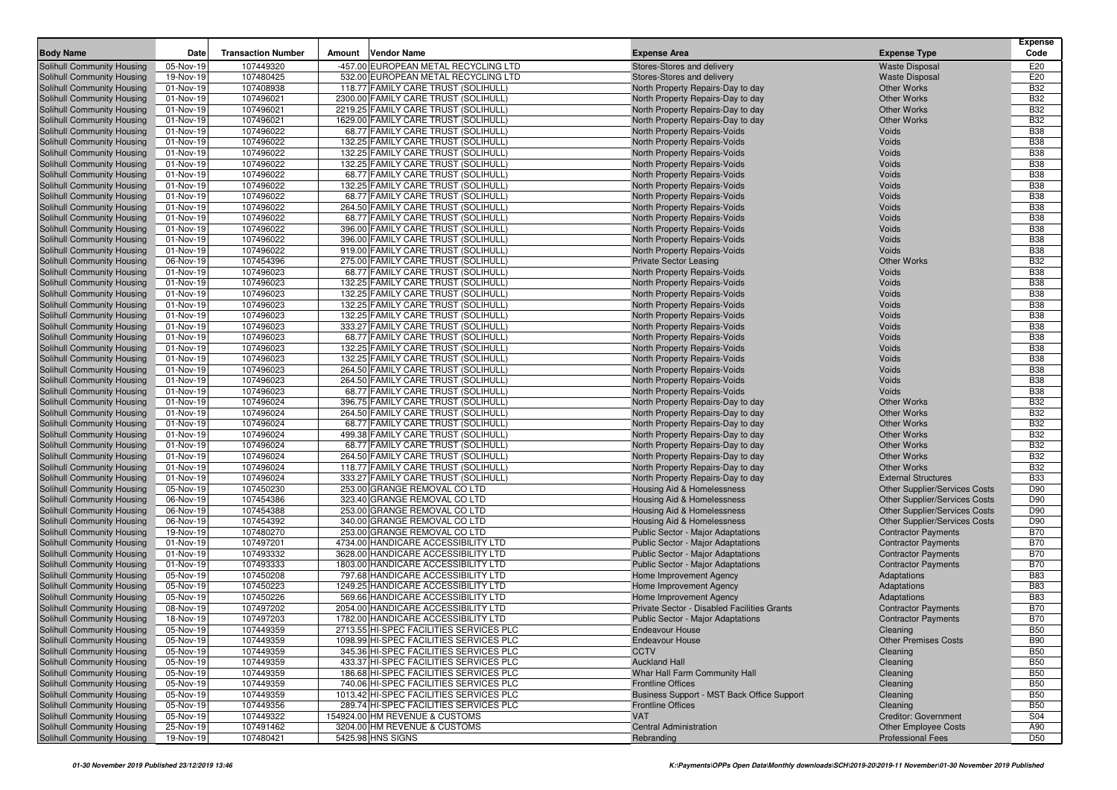|                                                          |                        |                           |        |                                                                           |                                                                        |                                          | <b>Expense</b>           |
|----------------------------------------------------------|------------------------|---------------------------|--------|---------------------------------------------------------------------------|------------------------------------------------------------------------|------------------------------------------|--------------------------|
| <b>Body Name</b>                                         | Date                   | <b>Transaction Number</b> | Amount | <b>Vendor Name</b>                                                        | <b>Expense Area</b>                                                    | <b>Expense Type</b>                      | Code                     |
| Solihull Community Housing                               | 05-Nov-19              | 107449320                 |        | -457.00 EUROPEAN METAL RECYCLING LTD                                      | Stores-Stores and delivery                                             | <b>Waste Disposal</b>                    | E20                      |
| Solihull Community Housing                               | 19-Nov-19              | 107480425                 |        | 532.00 EUROPEAN METAL RECYCLING LTD                                       | Stores-Stores and delivery                                             | <b>Waste Disposal</b>                    | E20                      |
| Solihull Community Housing                               | 01-Nov-19              | 107408938                 |        | 118.77 FAMILY CARE TRUST (SOLIHULL)                                       | North Property Repairs-Day to day                                      | <b>Other Works</b>                       | <b>B32</b>               |
| Solihull Community Housing                               | 01-Nov-19              | 107496021                 |        | 2300.00 FAMILY CARE TRUST (SOLIHULL)                                      | North Property Repairs-Day to day                                      | <b>Other Works</b>                       | <b>B32</b>               |
| Solihull Community Housing                               | 01-Nov-19              | 107496021                 |        | 2219.25 FAMILY CARE TRUST (SOLIHULL)                                      | North Property Repairs-Day to day                                      | <b>Other Works</b>                       | <b>B32</b>               |
| Solihull Community Housing                               | 01-Nov-19              | 107496021                 |        | 1629.00 FAMILY CARE TRUST (SOLIHULL)                                      | North Property Repairs-Day to day                                      | <b>Other Works</b>                       | <b>B32</b>               |
| Solihull Community Housing                               | 01-Nov-19              | 107496022                 |        | 68.77 FAMILY CARE TRUST (SOLIHULL)                                        | North Property Repairs-Voids                                           | Voids                                    | <b>B38</b>               |
| Solihull Community Housing                               | 01-Nov-19              | 107496022                 |        | 132.25 FAMILY CARE TRUST (SOLIHULL)                                       | North Property Repairs-Voids                                           | Voids                                    | <b>B38</b>               |
| Solihull Community Housing                               | 01-Nov-19              | 107496022                 |        | 132.25 FAMILY CARE TRUST (SOLIHULL)                                       | North Property Repairs-Voids                                           | Voids                                    | <b>B38</b>               |
| Solihull Community Housing                               | 01-Nov-19              | 107496022                 |        | 132.25 FAMILY CARE TRUST (SOLIHULL)                                       | North Property Repairs-Voids                                           | Voids                                    | <b>B38</b><br><b>B38</b> |
| Solihull Community Housing                               | 01-Nov-19              | 107496022<br>107496022    |        | 68.77 FAMILY CARE TRUST (SOLIHULL)<br>132.25 FAMILY CARE TRUST (SOLIHULL) | North Property Repairs-Voids                                           | Voids<br>Voids                           | <b>B38</b>               |
| Solihull Community Housing<br>Solihull Community Housing | 01-Nov-19<br>01-Nov-19 | 107496022                 |        | 68.77 FAMILY CARE TRUST (SOLIHULL)                                        | North Property Repairs-Voids<br>North Property Repairs-Voids           | Voids                                    | <b>B38</b>               |
| Solihull Community Housing                               | 01-Nov-19              | 107496022                 |        | 264.50 FAMILY CARE TRUST (SOLIHULL)                                       | North Property Repairs-Voids                                           | Voids                                    | <b>B38</b>               |
| Solihull Community Housing                               | 01-Nov-19              | 107496022                 |        | 68.77 FAMILY CARE TRUST (SOLIHULL)                                        | North Property Repairs-Voids                                           | Voids                                    | <b>B38</b>               |
| Solihull Community Housing                               | 01-Nov-19              | 107496022                 |        | 396.00 FAMILY CARE TRUST (SOLIHULL)                                       | North Property Repairs-Voids                                           | Voids                                    | <b>B38</b>               |
| Solihull Community Housing                               | 01-Nov-19              | 107496022                 |        | 396.00 FAMILY CARE TRUST (SOLIHULL                                        | North Property Repairs-Voids                                           | Voids                                    | <b>B38</b>               |
| Solihull Community Housing                               | 01-Nov-19              | 107496022                 |        | 919.00 FAMILY CARE TRUST (SOLIHULL)                                       | North Property Repairs-Voids                                           | Voids                                    | <b>B38</b>               |
| Solihull Community Housing                               | 06-Nov-19              | 107454396                 |        | 275.00 FAMILY CARE TRUST (SOLIHULL)                                       | <b>Private Sector Leasing</b>                                          | <b>Other Works</b>                       | <b>B32</b>               |
| Solihull Community Housing                               | 01-Nov-19              | 107496023                 |        | 68.77 FAMILY CARE TRUST (SOLIHULL)                                        | North Property Repairs-Voids                                           | Voids                                    | <b>B38</b>               |
| Solihull Community Housing                               | 01-Nov-19              | 107496023                 |        | 132.25 FAMILY CARE TRUST (SOLIHULL)                                       | North Property Repairs-Voids                                           | Voids                                    | <b>B38</b>               |
| Solihull Community Housing                               | 01-Nov-19              | 107496023                 |        | 132.25 FAMILY CARE TRUST (SOLIHULL)                                       | North Property Repairs-Voids                                           | Voids                                    | <b>B38</b>               |
| Solihull Community Housing                               | 01-Nov-19              | 107496023                 |        | 132.25 FAMILY CARE TRUST (SOLIHULL)                                       | North Property Repairs-Voids                                           | Voids                                    | <b>B38</b>               |
| Solihull Community Housing                               | 01-Nov-19              | 107496023                 |        | 132.25 FAMILY CARE TRUST (SOLIHULL)                                       | North Property Repairs-Voids                                           | Voids                                    | <b>B38</b>               |
| Solihull Community Housing                               | 01-Nov-19              | 107496023                 |        | 333.27 FAMILY CARE TRUST (SOLIHULL)                                       | North Property Repairs-Voids                                           | Voids                                    | <b>B38</b>               |
| Solihull Community Housing                               | 01-Nov-19              | 107496023                 |        | 68.77 FAMILY CARE TRUST (SOLIHULL)                                        | North Property Repairs-Voids                                           | Voids                                    | <b>B38</b>               |
| Solihull Community Housing                               | 01-Nov-19              | 107496023                 |        | 132.25 FAMILY CARE TRUST (SOLIHULL)                                       | North Property Repairs-Voids                                           | Voids                                    | <b>B38</b>               |
| Solihull Community Housing                               | 01-Nov-19              | 107496023                 |        | 132.25 FAMILY CARE TRUST (SOLIHULL)                                       | North Property Repairs-Voids                                           | Voids                                    | <b>B38</b>               |
| Solihull Community Housing                               | 01-Nov-19              | 107496023                 |        | 264.50 FAMILY CARE TRUST (SOLIHULL)                                       | North Property Repairs-Voids                                           | Voids                                    | <b>B38</b>               |
| Solihull Community Housing                               | 01-Nov-19              | 107496023                 |        | 264.50 FAMILY CARE TRUST (SOLIHULL)                                       | North Property Repairs-Voids                                           | Voids                                    | <b>B38</b>               |
| Solihull Community Housing                               | 01-Nov-19              | 107496023                 |        | 68.77 FAMILY CARE TRUST (SOLIHULL)                                        | North Property Repairs-Voids                                           | Voids                                    | <b>B38</b>               |
| Solihull Community Housing                               | 01-Nov-19              | 107496024                 |        | 396.75 FAMILY CARE TRUST (SOLIHULL)                                       | North Property Repairs-Day to day                                      | <b>Other Works</b>                       | <b>B32</b>               |
| Solihull Community Housing                               | 01-Nov-19              | 107496024                 |        | 264.50 FAMILY CARE TRUST (SOLIHULL)                                       | North Property Repairs-Day to day                                      | <b>Other Works</b>                       | <b>B32</b>               |
| Solihull Community Housing                               | 01-Nov-19              | 107496024                 |        | 68.77 FAMILY CARE TRUST (SOLIHULL)                                        | North Property Repairs-Day to day                                      | <b>Other Works</b>                       | <b>B32</b>               |
| Solihull Community Housing                               | 01-Nov-19              | 107496024                 |        | 499.38 FAMILY CARE TRUST (SOLIHULL                                        | North Property Repairs-Day to day                                      | <b>Other Works</b><br><b>Other Works</b> | <b>B32</b><br><b>B32</b> |
| Solihull Community Housing<br>Solihull Community Housing | 01-Nov-19<br>01-Nov-19 | 107496024<br>107496024    |        | 68.77 FAMILY CARE TRUST (SOLIHULL)<br>264.50 FAMILY CARE TRUST (SOLIHULL) | North Property Repairs-Day to day<br>North Property Repairs-Day to day | <b>Other Works</b>                       | <b>B32</b>               |
| Solihull Community Housing                               | 01-Nov-19              | 107496024                 |        | 118.77 FAMILY CARE TRUST (SOLIHULL)                                       | North Property Repairs-Day to day                                      | <b>Other Works</b>                       | <b>B32</b>               |
| Solihull Community Housing                               | 01-Nov-19              | 107496024                 |        | 333.27 FAMILY CARE TRUST (SOLIHULL)                                       | North Property Repairs-Day to day                                      | <b>External Structures</b>               | <b>B33</b>               |
| Solihull Community Housing                               | 05-Nov-19              | 107450230                 |        | 253.00 GRANGE REMOVAL CO LTD                                              | Housing Aid & Homelessness                                             | <b>Other Supplier/Services Costs</b>     | D90                      |
| Solihull Community Housing                               | 06-Nov-19              | 107454386                 |        | 323.40 GRANGE REMOVAL CO LTD                                              | Housing Aid & Homelessness                                             | <b>Other Supplier/Services Costs</b>     | D90                      |
| Solihull Community Housing                               | 06-Nov-19              | 107454388                 |        | 253.00 GRANGE REMOVAL CO LTD                                              | Housing Aid & Homelessness                                             | <b>Other Supplier/Services Costs</b>     | D90                      |
| Solihull Community Housing                               | 06-Nov-19              | 107454392                 |        | 340.00 GRANGE REMOVAL CO LTD                                              | Housing Aid & Homelessness                                             | <b>Other Supplier/Services Costs</b>     | D90                      |
| Solihull Community Housing                               | 19-Nov-19              | 107480270                 |        | 253.00 GRANGE REMOVAL CO LTD                                              | Public Sector - Major Adaptations                                      | <b>Contractor Payments</b>               | <b>B70</b>               |
| Solihull Community Housing                               | 01-Nov-19              | 107497201                 |        | 4734.00 HANDICARE ACCESSIBILITY LTD                                       | Public Sector - Major Adaptations                                      | <b>Contractor Payments</b>               | <b>B70</b>               |
| Solihull Community Housing                               | 01-Nov-19              | 107493332                 |        | 3628.00 HANDICARE ACCESSIBILITY LTD                                       | Public Sector - Major Adaptations                                      | <b>Contractor Payments</b>               | <b>B70</b>               |
| Solihull Community Housing                               | 01-Nov-19              | 107493333                 |        | 1803.00 HANDICARE ACCESSIBILITY LTD                                       | Public Sector - Major Adaptations                                      | <b>Contractor Payments</b>               | <b>B70</b>               |
| Solihull Community Housing                               | 05-Nov-19              | 107450208                 |        | 797.68 HANDICARE ACCESSIBILITY LTD                                        | Home Improvement Agency                                                | Adaptations                              | <b>B83</b>               |
| Solihull Community Housing                               | 05-Nov-19              | 107450223                 |        | 1249.25 HANDICARE ACCESSIBILITY LTD                                       | Home Improvement Agency                                                | Adaptations                              | <b>B83</b>               |
| Solihull Community Housing                               | 05-Nov-19              | 107450226                 |        | 569.66 HANDICARE ACCESSIBILITY LTD                                        | Home Improvement Agency                                                | Adaptations                              | <b>B83</b>               |
| Solihull Community Housing                               | 08-Nov-19              | 107497202                 |        | 2054.00 HANDICARE ACCESSIBILITY LTD                                       | Private Sector - Disabled Facilities Grants                            | <b>Contractor Payments</b>               | <b>B70</b>               |
| Solihull Community Housing                               | 18-Nov-19              | 107497203                 |        | 1782.00 HANDICARE ACCESSIBILITY LTD                                       | Public Sector - Major Adaptations                                      | <b>Contractor Payments</b>               | <b>B70</b>               |
| Solihull Community Housing                               | 05-Nov-19              | 107449359                 |        | 2713.55 HI-SPEC FACILITIES SERVICES PLC                                   | Endeavour House                                                        | Cleaning                                 | <b>B50</b>               |
| Solihull Community Housing                               | 05-Nov-19              | 107449359                 |        | 1098.99 HI-SPEC FACILITIES SERVICES PLC                                   | <b>Endeavour House</b>                                                 | <b>Other Premises Costs</b>              | <b>B90</b>               |
| Solihull Community Housing                               | 05-Nov-19              | 107449359                 |        | 345.36 HI-SPEC FACILITIES SERVICES PLC                                    | <b>CCTV</b>                                                            | Cleaning                                 | <b>B50</b>               |
| Solihull Community Housing                               | 05-Nov-19              | 107449359                 |        | 433.37 HI-SPEC FACILITIES SERVICES PLC                                    | <b>Auckland Hall</b>                                                   | Cleaning                                 | <b>B50</b>               |
| Solihull Community Housing                               | 05-Nov-19              | 107449359                 |        | 186.68 HI-SPEC FACILITIES SERVICES PLC                                    | Whar Hall Farm Community Hall                                          | Cleaning                                 | <b>B50</b>               |
| Solihull Community Housing                               | 05-Nov-19              | 107449359                 |        | 740.06 HI-SPEC FACILITIES SERVICES PLC                                    | <b>Frontline Offices</b>                                               | Cleaning                                 | <b>B50</b>               |
| Solihull Community Housing<br>Solihull Community Housing | 05-Nov-19              | 107449359                 |        | 1013.42 HI-SPEC FACILITIES SERVICES PLC                                   | Business Support - MST Back Office Support                             | Cleaning                                 | <b>B50</b>               |
| Solihull Community Housing                               | 05-Nov-19<br>05-Nov-19 | 107449356<br>107449322    |        | 289.74 HI-SPEC FACILITIES SERVICES PLC<br>154924.00 HM REVENUE & CUSTOMS  | <b>Frontline Offices</b><br><b>VAT</b>                                 | Cleaning<br><b>Creditor: Government</b>  | <b>B50</b><br><b>S04</b> |
| Solihull Community Housing                               | 25-Nov-19              | 107491462                 |        | 3204.00 HM REVENUE & CUSTOMS                                              | <b>Central Administration</b>                                          | <b>Other Employee Costs</b>              | A90                      |
| Solihull Community Housing                               | 19-Nov-19              | 107480421                 |        | 5425.98 HNS SIGNS                                                         | Rebranding                                                             | <b>Professional Fees</b>                 | D <sub>50</sub>          |
|                                                          |                        |                           |        |                                                                           |                                                                        |                                          |                          |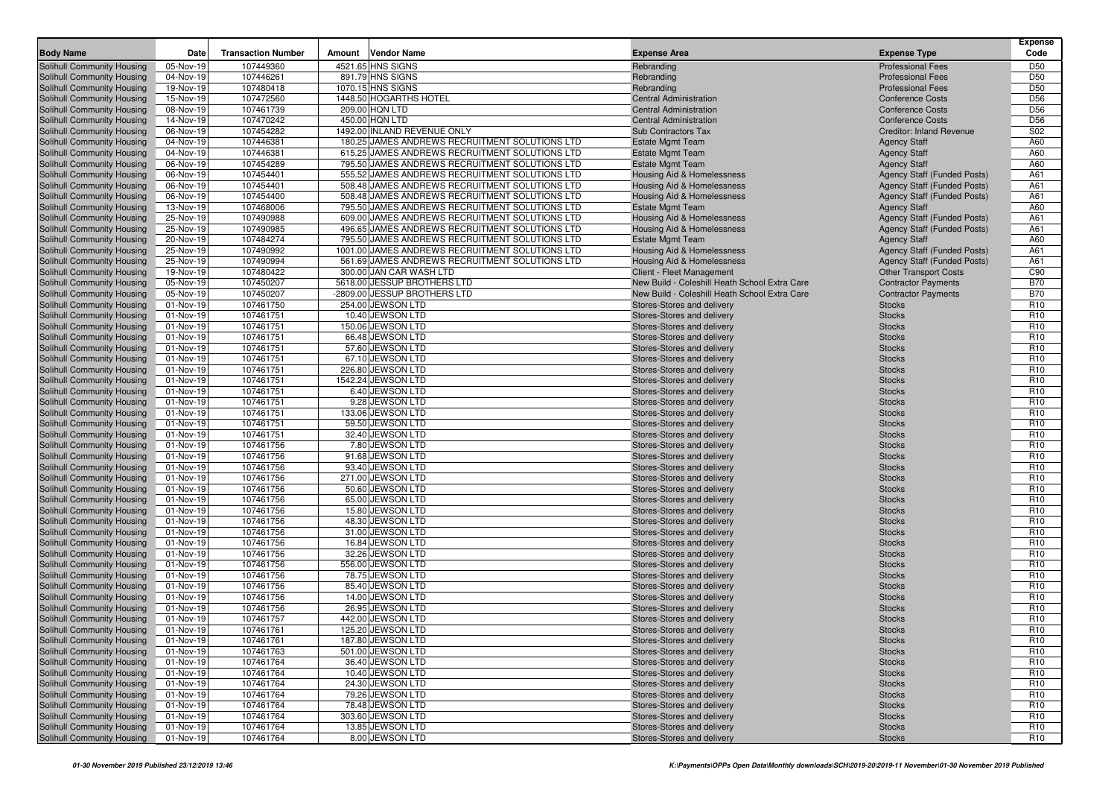|                                                          |                        |                           |                                                                                                  |                                                          |                                            | <b>Expense</b>                     |
|----------------------------------------------------------|------------------------|---------------------------|--------------------------------------------------------------------------------------------------|----------------------------------------------------------|--------------------------------------------|------------------------------------|
| <b>Body Name</b>                                         | Date                   | <b>Transaction Number</b> | <b>Vendor Name</b><br>Amount                                                                     | <b>Expense Area</b>                                      | <b>Expense Type</b>                        | Code                               |
| Solihull Community Housing                               | 05-Nov-19              | 107449360                 | 4521.65 HNS SIGNS                                                                                | Rebranding                                               | <b>Professional Fees</b>                   | D <sub>50</sub>                    |
| Solihull Community Housing                               | 04-Nov-19              | 107446261                 | 891.79 HNS SIGNS                                                                                 | Rebranding                                               | <b>Professional Fees</b>                   | D <sub>50</sub>                    |
| Solihull Community Housing                               | 19-Nov-19              | 107480418                 | 1070.15 HNS SIGNS                                                                                | Rebranding                                               | <b>Professional Fees</b>                   | D <sub>50</sub>                    |
| Solihull Community Housing                               | 15-Nov-19              | 107472560                 | 1448.50 HOGARTHS HOTEL                                                                           | Central Administration                                   | <b>Conference Costs</b>                    | D <sub>56</sub>                    |
| Solihull Community Housing                               | 08-Nov-19              | 107461739                 | 209.00 HQN LTD                                                                                   | <b>Central Administration</b>                            | <b>Conference Costs</b>                    | D <sub>56</sub>                    |
| Solihull Community Housing                               | 14-Nov-19              | 107470242                 | 450.00 HQN LTD                                                                                   | <b>Central Administration</b>                            | <b>Conference Costs</b>                    | D <sub>56</sub>                    |
| Solihull Community Housing                               | 06-Nov-19              | 107454282                 | 1492.00 INLAND REVENUE ONLY                                                                      | <b>Sub Contractors Tax</b>                               | <b>Creditor: Inland Revenue</b>            | S02                                |
| Solihull Community Housing                               | 04-Nov-19              | 107446381                 | 180.25 JAMES ANDREWS RECRUITMENT SOLUTIONS LTD                                                   | <b>Estate Mgmt Team</b>                                  | <b>Agency Staff</b>                        | A60                                |
| Solihull Community Housing<br>Solihull Community Housing | 04-Nov-19<br>06-Nov-19 | 107446381<br>107454289    | 615.25 JAMES ANDREWS RECRUITMENT SOLUTIONS LTD<br>795.50 JAMES ANDREWS RECRUITMENT SOLUTIONS LTD | <b>Estate Mgmt Team</b><br><b>Estate Mgmt Team</b>       | <b>Agency Staff</b><br><b>Agency Staff</b> | A60<br>A60                         |
| Solihull Community Housing                               | 06-Nov-19              | 107454401                 | 555.52 JAMES ANDREWS RECRUITMENT SOLUTIONS LTD                                                   | Housing Aid & Homelessness                               | Agency Staff (Funded Posts)                | A61                                |
| Solihull Community Housing                               | 06-Nov-19              | 107454401                 | 508.48 JAMES ANDREWS RECRUITMENT SOLUTIONS LTD                                                   | Housing Aid & Homelessness                               | <b>Agency Staff (Funded Posts)</b>         | A61                                |
| Solihull Community Housing                               | 06-Nov-19              | 107454400                 | 508.48 JAMES ANDREWS RECRUITMENT SOLUTIONS LTD                                                   | Housing Aid & Homelessness                               | <b>Agency Staff (Funded Posts)</b>         | A61                                |
| Solihull Community Housing                               | 13-Nov-19              | 107468006                 | 795.50 JAMES ANDREWS RECRUITMENT SOLUTIONS LTD                                                   | <b>Estate Mgmt Team</b>                                  | <b>Agency Staff</b>                        | A60                                |
| Solihull Community Housing                               | 25-Nov-19              | 107490988                 | 609.00 JAMES ANDREWS RECRUITMENT SOLUTIONS LTD                                                   | Housing Aid & Homelessness                               | Agency Staff (Funded Posts)                | A61                                |
| Solihull Community Housing                               | 25-Nov-19              | 107490985                 | 496.65 JAMES ANDREWS RECRUITMENT SOLUTIONS LTD                                                   | <b>Housing Aid &amp; Homelessness</b>                    | <b>Agency Staff (Funded Posts)</b>         | A61                                |
| Solihull Community Housing                               | 20-Nov-19              | 107484274                 | 795.50 JAMES ANDREWS RECRUITMENT SOLUTIONS LTD                                                   | <b>Estate Mgmt Team</b>                                  | <b>Agency Staff</b>                        | A60                                |
| Solihull Community Housing                               | 25-Nov-19              | 107490992                 | 1001.00 JAMES ANDREWS RECRUITMENT SOLUTIONS LTD                                                  | Housing Aid & Homelessness                               | <b>Agency Staff (Funded Posts)</b>         | A61                                |
| Solihull Community Housing                               | 25-Nov-19              | 107490994                 | 561.69 JAMES ANDREWS RECRUITMENT SOLUTIONS LTD                                                   | Housing Aid & Homelessness                               | <b>Agency Staff (Funded Posts)</b>         | A61                                |
| Solihull Community Housing                               | 19-Nov-19              | 107480422                 | 300.00 JAN CAR WASH LTD                                                                          | Client - Fleet Management                                | <b>Other Transport Costs</b>               | C90                                |
| Solihull Community Housing                               | 05-Nov-19              | 107450207                 | 5618.00 JESSUP BROTHERS LTD                                                                      | New Build - Coleshill Heath School Extra Care            | <b>Contractor Payments</b>                 | <b>B70</b>                         |
| Solihull Community Housing                               | 05-Nov-19              | 107450207                 | -2809.00 JESSUP BROTHERS LTD                                                                     | New Build - Coleshill Heath School Extra Care            | <b>Contractor Payments</b>                 | <b>B70</b>                         |
| Solihull Community Housing                               | 01-Nov-19              | 107461750                 | 254.00 JEWSON LTD                                                                                | Stores-Stores and delivery                               | <b>Stocks</b>                              | R <sub>10</sub>                    |
| Solihull Community Housing                               | 01-Nov-19              | 107461751                 | 10.40 JEWSON LTD                                                                                 | Stores-Stores and delivery                               | <b>Stocks</b>                              | R <sub>10</sub>                    |
| Solihull Community Housing                               | 01-Nov-19              | 107461751                 | 150.06 JEWSON LTD                                                                                | Stores-Stores and delivery                               | <b>Stocks</b>                              | R <sub>10</sub>                    |
| Solihull Community Housing                               | 01-Nov-19              | 107461751<br>107461751    | 66.48 JEWSON LTD<br>57.60 JEWSON LTD                                                             | Stores-Stores and delivery                               | <b>Stocks</b>                              | R <sub>10</sub><br>R <sub>10</sub> |
| Solihull Community Housing<br>Solihull Community Housing | 01-Nov-19<br>01-Nov-19 | 107461751                 | 67.10 JEWSON LTD                                                                                 | Stores-Stores and delivery<br>Stores-Stores and delivery | <b>Stocks</b><br><b>Stocks</b>             | R <sub>10</sub>                    |
| Solihull Community Housing                               | 01-Nov-19              | 107461751                 | 226.80 JEWSON LTD                                                                                | Stores-Stores and delivery                               | <b>Stocks</b>                              | R <sub>10</sub>                    |
| <b>Solihull Community Housing</b>                        | 01-Nov-19              | 107461751                 | 1542.24 JEWSON LTD                                                                               | Stores-Stores and delivery                               | <b>Stocks</b>                              | R <sub>10</sub>                    |
| Solihull Community Housing                               | 01-Nov-19              | 107461751                 | 6.40 JEWSON LTD                                                                                  | Stores-Stores and delivery                               | <b>Stocks</b>                              | R <sub>10</sub>                    |
| Solihull Community Housing                               | 01-Nov-19              | 107461751                 | 9.28 JEWSON LTD                                                                                  | Stores-Stores and delivery                               | <b>Stocks</b>                              | R <sub>10</sub>                    |
| Solihull Community Housing                               | 01-Nov-19              | 107461751                 | 133.06 JEWSON LTD                                                                                | Stores-Stores and delivery                               | <b>Stocks</b>                              | R <sub>10</sub>                    |
| Solihull Community Housing                               | 01-Nov-19              | 107461751                 | 59.50 JEWSON LTD                                                                                 | Stores-Stores and delivery                               | <b>Stocks</b>                              | R <sub>10</sub>                    |
| Solihull Community Housing                               | 01-Nov-19              | 107461751                 | 32.40 JEWSON LTD                                                                                 | Stores-Stores and delivery                               | <b>Stocks</b>                              | R <sub>10</sub>                    |
| Solihull Community Housing                               | 01-Nov-19              | 107461756                 | 7.80 JEWSON LTD                                                                                  | Stores-Stores and delivery                               | <b>Stocks</b>                              | R <sub>10</sub>                    |
| Solihull Community Housing                               | 01-Nov-19              | 107461756                 | 91.68 JEWSON LTD                                                                                 | Stores-Stores and delivery                               | <b>Stocks</b>                              | R <sub>10</sub>                    |
| Solihull Community Housing                               | 01-Nov-19              | 107461756                 | 93.40 JEWSON LTD                                                                                 | Stores-Stores and delivery                               | <b>Stocks</b>                              | R <sub>10</sub>                    |
| <b>Solihull Community Housing</b>                        | 01-Nov-19              | 107461756                 | 271.00 JEWSON LTD                                                                                | Stores-Stores and delivery                               | <b>Stocks</b>                              | R <sub>10</sub>                    |
| Solihull Community Housing                               | 01-Nov-19              | 107461756                 | 50.60 JEWSON LTD                                                                                 | Stores-Stores and delivery                               | <b>Stocks</b>                              | R <sub>10</sub>                    |
| Solihull Community Housing                               | 01-Nov-19              | 107461756                 | 65.00 JEWSON LTD                                                                                 | Stores-Stores and delivery                               | <b>Stocks</b>                              | R <sub>10</sub>                    |
| Solihull Community Housing                               | 01-Nov-19<br>01-Nov-19 | 107461756<br>107461756    | 15.80 JEWSON LTD<br>48.30 JEWSON LTD                                                             | Stores-Stores and delivery                               | <b>Stocks</b>                              | R <sub>10</sub><br>R <sub>10</sub> |
| Solihull Community Housing<br>Solihull Community Housing | 01-Nov-19              | 107461756                 | 31.00 JEWSON LTD                                                                                 | Stores-Stores and delivery<br>Stores-Stores and delivery | <b>Stocks</b><br><b>Stocks</b>             | R <sub>10</sub>                    |
| Solihull Community Housing                               | 01-Nov-19              | 107461756                 | 16.84 JEWSON LTD                                                                                 | Stores-Stores and delivery                               | <b>Stocks</b>                              | R <sub>10</sub>                    |
| Solihull Community Housing                               | 01-Nov-19              | 107461756                 | 32.26 JEWSON LTD                                                                                 | Stores-Stores and delivery                               | <b>Stocks</b>                              | R <sub>10</sub>                    |
| Solihull Community Housing                               | 01-Nov-19              | 107461756                 | 556.00 JEWSON LTD                                                                                | Stores-Stores and delivery                               | <b>Stocks</b>                              | R <sub>10</sub>                    |
| Solihull Community Housing                               | 01-Nov-19              | 107461756                 | 78.75 JEWSON LTD                                                                                 | Stores-Stores and delivery                               | <b>Stocks</b>                              | R <sub>10</sub>                    |
| Solihull Community Housing                               | 01-Nov-19              | 107461756                 | 85.40 JEWSON LTD                                                                                 | Stores-Stores and delivery                               | <b>Stocks</b>                              | R <sub>10</sub>                    |
| Solihull Community Housing                               | 01-Nov-19              | 107461756                 | 14.00 JEWSON LTD                                                                                 | Stores-Stores and delivery                               | <b>Stocks</b>                              | R <sub>10</sub>                    |
| Solihull Community Housing                               | 01-Nov-19              | 107461756                 | 26.95 JEWSON LTD                                                                                 | Stores-Stores and delivery                               | <b>Stocks</b>                              | R <sub>10</sub>                    |
| Solihull Community Housing                               | 01-Nov-19              | 107461757                 | 442.00 JEWSON LTD                                                                                | Stores-Stores and delivery                               | <b>Stocks</b>                              | R <sub>10</sub>                    |
| Solihull Community Housing                               | 01-Nov-19              | 107461761                 | 125.20 JEWSON LTD                                                                                | Stores-Stores and delivery                               | <b>Stocks</b>                              | R <sub>10</sub>                    |
| Solihull Community Housing                               | 01-Nov-19              | 107461761                 | 187.80 JEWSON LTD                                                                                | Stores-Stores and delivery                               | <b>Stocks</b>                              | R <sub>10</sub>                    |
| Solihull Community Housing                               | 01-Nov-19              | 107461763                 | 501.00 JEWSON LTD                                                                                | Stores-Stores and delivery                               | <b>Stocks</b>                              | R <sub>10</sub>                    |
| Solihull Community Housing                               | 01-Nov-19              | 107461764                 | 36.40 JEWSON LTD                                                                                 | Stores-Stores and delivery                               | <b>Stocks</b>                              | R <sub>10</sub>                    |
| Solihull Community Housing                               | 01-Nov-19              | 107461764                 | 10.40 JEWSON LTD                                                                                 | Stores-Stores and delivery                               | <b>Stocks</b>                              | R <sub>10</sub>                    |
| Solihull Community Housing                               | 01-Nov-19              | 107461764                 | 24.30 JEWSON LTD<br>79.26 JEWSON LTD                                                             | Stores-Stores and delivery                               | <b>Stocks</b>                              | R <sub>10</sub>                    |
| Solihull Community Housing<br>Solihull Community Housing | 01-Nov-19<br>01-Nov-19 | 107461764<br>107461764    | 78.48 JEWSON LTD                                                                                 | Stores-Stores and delivery<br>Stores-Stores and delivery | <b>Stocks</b><br><b>Stocks</b>             | R <sub>10</sub><br>R <sub>10</sub> |
| Solihull Community Housing                               | 01-Nov-19              | 107461764                 | 303.60 JEWSON LTD                                                                                | Stores-Stores and delivery                               | <b>Stocks</b>                              | R <sub>10</sub>                    |
| Solihull Community Housing                               | 01-Nov-19              | 107461764                 | 13.85 JEWSON LTD                                                                                 | Stores-Stores and delivery                               | <b>Stocks</b>                              | R <sub>10</sub>                    |
| Solihull Community Housing                               | 01-Nov-19              | 107461764                 | 8.00 JEWSON LTD                                                                                  | Stores-Stores and delivery                               | <b>Stocks</b>                              | R <sub>10</sub>                    |
|                                                          |                        |                           |                                                                                                  |                                                          |                                            |                                    |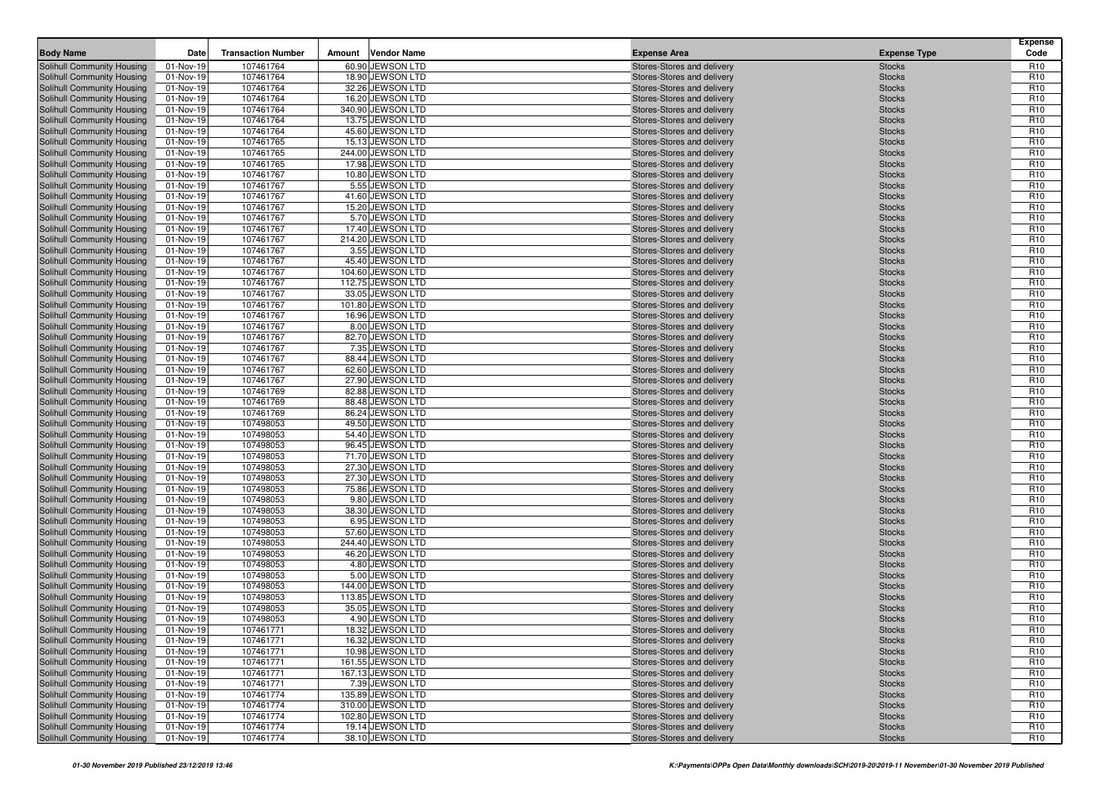| 107461764<br>Solihull Community Housing<br>60.90 JEWSON LTD<br>Stores-Stores and delivery<br>R <sub>10</sub><br>01-Nov-19<br><b>Stocks</b><br>107461764<br>18.90 JEWSON LTD<br>R <sub>10</sub><br>Solihull Community Housing<br>01-Nov-19<br>Stores-Stores and delivery<br><b>Stocks</b><br>107461764<br>32.26 JEWSON LTD<br>R <sub>10</sub><br>Solihull Community Housing<br>01-Nov-19<br>Stores-Stores and delivery<br><b>Stocks</b><br>107461764<br>16.20 JEWSON LTD<br>R <sub>10</sub><br>Solihull Community Housing<br>01-Nov-19<br>Stores-Stores and delivery<br><b>Stocks</b><br>Solihull Community Housing<br>107461764<br>340.90 JEWSON LTD<br>R <sub>10</sub><br>01-Nov-19<br>Stores-Stores and delivery<br><b>Stocks</b><br>107461764<br>13.75 JEWSON LTD<br>R <sub>10</sub><br>Solihull Community Housing<br>01-Nov-19<br>Stores-Stores and delivery<br><b>Stocks</b><br>107461764<br>45.60 JEWSON LTD<br>R <sub>10</sub><br>Solihull Community Housing<br>01-Nov-19<br>Stores-Stores and delivery<br><b>Stocks</b><br>107461765<br>15.13 JEWSON LTD<br>R <sub>10</sub><br>Solihull Community Housing<br>01-Nov-19<br>Stores-Stores and delivery<br><b>Stocks</b><br>107461765<br>244.00 JEWSON LTD<br>R <sub>10</sub><br>Solihull Community Housing<br>01-Nov-19<br>Stores-Stores and delivery<br><b>Stocks</b><br>107461765<br>17.98 JEWSON LTD<br>R <sub>10</sub><br><b>Solihull Community Housing</b><br>01-Nov-19<br>Stores-Stores and delivery<br><b>Stocks</b><br>107461767<br>10.80 JEWSON LTD<br>R <sub>10</sub><br>Solihull Community Housing<br>01-Nov-19<br>Stores-Stores and delivery<br><b>Stocks</b><br>107461767<br>5.55 JEWSON LTD<br>R <sub>10</sub><br>Solihull Community Housing<br>01-Nov-19<br>Stores-Stores and delivery<br><b>Stocks</b><br>107461767<br>41.60 JEWSON LTD<br>R <sub>10</sub><br>Solihull Community Housing<br>01-Nov-19<br>Stores-Stores and delivery<br><b>Stocks</b><br>R <sub>10</sub><br><b>Solihull Community Housing</b><br>01-Nov-19<br>107461767<br>15.20 JEWSON LTD<br><b>Stocks</b><br>Stores-Stores and delivery<br>107461767<br>5.70 JEWSON LTD<br>R <sub>10</sub><br>Solihull Community Housing<br>01-Nov-19<br>Stores-Stores and delivery<br><b>Stocks</b><br>107461767<br>17.40 JEWSON LTD<br>R <sub>10</sub><br>Solihull Community Housing<br>01-Nov-19<br>Stores-Stores and delivery<br><b>Stocks</b><br>01-Nov-19<br>107461767<br>214.20 JEWSON LTD<br>R <sub>10</sub><br>Solihull Community Housing<br>Stores-Stores and delivery<br><b>Stocks</b><br><b>Solihull Community Housing</b><br>107461767<br>3.55 JEWSON LTD<br>R <sub>10</sub><br>01-Nov-19<br>Stores-Stores and delivery<br><b>Stocks</b><br>R <sub>10</sub><br>Solihull Community Housing<br>01-Nov-19<br>107461767<br>45.40 JEWSON LTD<br>Stores-Stores and delivery<br><b>Stocks</b><br>107461767<br>104.60 JEWSON LTD<br>R <sub>10</sub><br>Solihull Community Housing<br>01-Nov-19<br>Stores-Stores and delivery<br><b>Stocks</b><br>Solihull Community Housing<br>01-Nov-19<br>107461767<br>112.75 JEWSON LTD<br>R <sub>10</sub><br>Stores-Stores and delivery<br><b>Stocks</b><br>107461767<br>33.05 JEWSON LTD<br>R <sub>10</sub><br>Solihull Community Housing<br>01-Nov-19<br>Stores-Stores and delivery<br><b>Stocks</b><br>107461767<br>101.80 JEWSON LTD<br>R <sub>10</sub><br>Solihull Community Housing<br>01-Nov-19<br><b>Stocks</b><br>Stores-Stores and delivery<br>107461767<br>16.96 JEWSON LTD<br>R <sub>10</sub><br>Solihull Community Housing<br>01-Nov-19<br>Stores-Stores and delivery<br><b>Stocks</b><br>R <sub>10</sub><br>107461767<br>8.00 JEWSON LTD<br>Solihull Community Housing<br>01-Nov-19<br>Stores-Stores and delivery<br><b>Stocks</b><br>107461767<br>82.70 JEWSON LTD<br>R <sub>10</sub><br>Solihull Community Housing<br>01-Nov-19<br>Stores-Stores and delivery<br><b>Stocks</b><br>107461767<br>7.35 JEWSON LTD<br>R <sub>10</sub><br>Solihull Community Housing<br>01-Nov-19<br>Stores-Stores and delivery<br><b>Stocks</b><br>107461767<br>R <sub>10</sub><br>Solihull Community Housing<br>01-Nov-19<br>88.44 JEWSON LTD<br>Stores-Stores and delivery<br><b>Stocks</b><br>107461767<br>62.60 JEWSON LTD<br>R <sub>10</sub><br>Solihull Community Housing<br>01-Nov-19<br>Stores-Stores and delivery<br><b>Stocks</b><br>107461767<br>27.90 JEWSON LTD<br>R <sub>10</sub><br>Solihull Community Housing<br>01-Nov-19<br>Stores-Stores and delivery<br><b>Stocks</b><br>107461769<br>82.88 JEWSON LTD<br>R <sub>10</sub><br>Solihull Community Housing<br>01-Nov-19<br>Stores-Stores and delivery<br><b>Stocks</b><br>107461769<br>88.48 JEWSON LTD<br>R <sub>10</sub><br>Solihull Community Housing<br>01-Nov-19<br>Stores-Stores and delivery<br><b>Stocks</b><br>107461769<br>86.24 JEWSON LTD<br>R <sub>10</sub><br>Solihull Community Housing<br>01-Nov-19<br>Stores-Stores and delivery<br><b>Stocks</b><br>107498053<br>49.50 JEWSON LTD<br>R <sub>10</sub><br>Solihull Community Housing<br>01-Nov-19<br>Stores-Stores and delivery<br><b>Stocks</b><br><b>Solihull Community Housing</b><br>01-Nov-19<br>107498053<br>54.40 JEWSON LTD<br>R <sub>10</sub><br>Stores-Stores and delivery<br><b>Stocks</b><br>107498053<br>96.45 JEWSON LTD<br>R <sub>10</sub><br>Solihull Community Housing<br>01-Nov-19<br>Stores-Stores and delivery<br><b>Stocks</b><br>107498053<br>71.70 JEWSON LTD<br>R <sub>10</sub><br>Solihull Community Housing<br>01-Nov-19<br>Stores-Stores and delivery<br><b>Stocks</b><br>107498053<br>27.30 JEWSON LTD<br>R <sub>10</sub><br>Solihull Community Housing<br>01-Nov-19<br>Stores-Stores and delivery<br><b>Stocks</b><br>27.30 JEWSON LTD<br>R <sub>10</sub><br>Solihull Community Housing<br>01-Nov-19<br>107498053<br>Stores-Stores and delivery<br><b>Stocks</b><br>107498053<br>75.86 JEWSON LTD<br>R <sub>10</sub><br>Solihull Community Housing<br>01-Nov-19<br>Stores-Stores and delivery<br><b>Stocks</b><br>R <sub>10</sub><br>107498053<br>9.80 JEWSON LTD<br>Solihull Community Housing<br>01-Nov-19<br>Stores-Stores and delivery<br><b>Stocks</b><br>107498053<br>38.30 JEWSON LTD<br>R <sub>10</sub><br>Solihull Community Housing<br>01-Nov-19<br>Stores-Stores and delivery<br><b>Stocks</b><br>107498053<br>6.95 JEWSON LTD<br>R <sub>10</sub><br>Solihull Community Housing<br>01-Nov-19<br>Stores-Stores and delivery<br><b>Stocks</b><br>57.60 JEWSON LTD<br>R <sub>10</sub><br>Solihull Community Housing<br>01-Nov-19<br>107498053<br>Stores-Stores and delivery<br><b>Stocks</b><br>107498053<br>244.40 JEWSON LTD<br>R <sub>10</sub><br>Solihull Community Housing<br>01-Nov-19<br>Stores-Stores and delivery<br><b>Stocks</b><br>107498053<br>46.20 JEWSON LTD<br>R <sub>10</sub><br>Solihull Community Housing<br>01-Nov-19<br>Stores-Stores and delivery<br><b>Stocks</b><br>107498053<br>4.80 JEWSON LTD<br>R <sub>10</sub><br>Solihull Community Housing<br>01-Nov-19<br>Stores-Stores and delivery<br><b>Stocks</b><br>107498053<br>5.00 JEWSON LTD<br>R <sub>10</sub><br>Solihull Community Housing<br>01-Nov-19<br><b>Stocks</b><br>Stores-Stores and delivery<br>107498053<br>144.00 JEWSON LTD<br>R <sub>10</sub><br>Solihull Community Housing<br>01-Nov-19<br>Stores-Stores and delivery<br><b>Stocks</b><br>107498053<br>113.85 JEWSON LTD<br>R <sub>10</sub><br>Solihull Community Housing<br>01-Nov-19<br>Stores-Stores and delivery<br><b>Stocks</b><br>107498053<br>35.05 JEWSON LTD<br>R <sub>10</sub><br>Solihull Community Housing<br>01-Nov-19<br>Stores-Stores and delivery<br><b>Stocks</b><br>Solihull Community Housing<br>107498053<br>4.90 JEWSON LTD<br>R <sub>10</sub><br>01-Nov-19<br>Stores-Stores and delivery<br><b>Stocks</b><br>R <sub>10</sub><br>Solihull Community Housing<br>01-Nov-19<br>18.32 JEWSON LTD<br>107461771<br>Stores-Stores and delivery<br><b>Stocks</b><br>107461771<br>16.32 JEWSON LTD<br>R <sub>10</sub><br>Solihull Community Housing<br>01-Nov-19<br>Stores-Stores and delivery<br><b>Stocks</b><br>Solihull Community Housing<br>10.98 JEWSON LTD<br>R <sub>10</sub><br>01-Nov-19<br>107461771<br>Stores-Stores and delivery<br><b>Stocks</b><br>161.55 JEWSON LTD<br>Solihull Community Housing<br>107461771<br>Stores-Stores and delivery<br>R <sub>10</sub><br>01-Nov-19<br><b>Stocks</b><br>Solihull Community Housing<br>167.13 JEWSON LTD<br>Stores-Stores and delivery<br>R <sub>10</sub><br>01-Nov-19<br>107461771<br><b>Stocks</b><br>Solihull Community Housing<br>107461771<br>7.39 JEWSON LTD<br>R <sub>10</sub><br>01-Nov-19<br>Stores-Stores and delivery<br><b>Stocks</b><br>Solihull Community Housing<br>107461774<br>135.89 JEWSON LTD<br>Stores-Stores and delivery<br>R <sub>10</sub><br>01-Nov-19<br><b>Stocks</b><br>Solihull Community Housing<br>01-Nov-19<br>107461774<br>310.00 JEWSON LTD<br>Stores-Stores and delivery<br>R <sub>10</sub><br><b>Stocks</b><br>Solihull Community Housing<br>107461774<br>102.80 JEWSON LTD<br>R <sub>10</sub><br>01-Nov-19<br>Stores-Stores and delivery<br><b>Stocks</b><br>Solihull Community Housing<br>107461774<br>19.14 JEWSON LTD<br>Stores-Stores and delivery<br>R <sub>10</sub><br>01-Nov-19<br><b>Stocks</b><br>38.10 JEWSON LTD | <b>Body Name</b>           | Date      | <b>Transaction Number</b> | Amount | <b>Vendor Name</b> | <b>Expense Area</b>        | <b>Expense Type</b> | <b>Expense</b><br>Code |
|---------------------------------------------------------------------------------------------------------------------------------------------------------------------------------------------------------------------------------------------------------------------------------------------------------------------------------------------------------------------------------------------------------------------------------------------------------------------------------------------------------------------------------------------------------------------------------------------------------------------------------------------------------------------------------------------------------------------------------------------------------------------------------------------------------------------------------------------------------------------------------------------------------------------------------------------------------------------------------------------------------------------------------------------------------------------------------------------------------------------------------------------------------------------------------------------------------------------------------------------------------------------------------------------------------------------------------------------------------------------------------------------------------------------------------------------------------------------------------------------------------------------------------------------------------------------------------------------------------------------------------------------------------------------------------------------------------------------------------------------------------------------------------------------------------------------------------------------------------------------------------------------------------------------------------------------------------------------------------------------------------------------------------------------------------------------------------------------------------------------------------------------------------------------------------------------------------------------------------------------------------------------------------------------------------------------------------------------------------------------------------------------------------------------------------------------------------------------------------------------------------------------------------------------------------------------------------------------------------------------------------------------------------------------------------------------------------------------------------------------------------------------------------------------------------------------------------------------------------------------------------------------------------------------------------------------------------------------------------------------------------------------------------------------------------------------------------------------------------------------------------------------------------------------------------------------------------------------------------------------------------------------------------------------------------------------------------------------------------------------------------------------------------------------------------------------------------------------------------------------------------------------------------------------------------------------------------------------------------------------------------------------------------------------------------------------------------------------------------------------------------------------------------------------------------------------------------------------------------------------------------------------------------------------------------------------------------------------------------------------------------------------------------------------------------------------------------------------------------------------------------------------------------------------------------------------------------------------------------------------------------------------------------------------------------------------------------------------------------------------------------------------------------------------------------------------------------------------------------------------------------------------------------------------------------------------------------------------------------------------------------------------------------------------------------------------------------------------------------------------------------------------------------------------------------------------------------------------------------------------------------------------------------------------------------------------------------------------------------------------------------------------------------------------------------------------------------------------------------------------------------------------------------------------------------------------------------------------------------------------------------------------------------------------------------------------------------------------------------------------------------------------------------------------------------------------------------------------------------------------------------------------------------------------------------------------------------------------------------------------------------------------------------------------------------------------------------------------------------------------------------------------------------------------------------------------------------------------------------------------------------------------------------------------------------------------------------------------------------------------------------------------------------------------------------------------------------------------------------------------------------------------------------------------------------------------------------------------------------------------------------------------------------------------------------------------------------------------------------------------------------------------------------------------------------------------------------------------------------------------------------------------------------------------------------------------------------------------------------------------------------------------------------------------------------------------------------------------------------------------------------------------------------------------------------------------------------------------------------------------------------------------------------------------------------------------------------------------------------------------------------------------------------------------------------------------------------------------------------------------------------------------------------------------------------------------------------------------------------------------------------------------------------------------------------------------------------------------------------------------------------------------------------------------------------------------------------------------------------------------------------------------------------------------------------------------------------------------------------------------------------------------------------------------------------------------------------------------------------------------------------------------------------------------------------------------------------------------------------------------------------------------------------------------------------------------------------------------------------------------------------------------------------------------------------------------------------------------------------------------------------------------------------------------------------------------------------------------------------------------------------------------------------------------------------------------------------------------------------------------------------------------------------------------------------------------------------------------------------------------------------------------------------------------------------------------------------------------------------------------------------------------------------------------------------------------------------------------------------------------------------------------------------------------------------------------------------------------------------------------------------------------------------------------------------------------------------------------------------------------------------------------------------------------------------------------------------------------------------------------------------------------------------------------------------------------------------------------|----------------------------|-----------|---------------------------|--------|--------------------|----------------------------|---------------------|------------------------|
|                                                                                                                                                                                                                                                                                                                                                                                                                                                                                                                                                                                                                                                                                                                                                                                                                                                                                                                                                                                                                                                                                                                                                                                                                                                                                                                                                                                                                                                                                                                                                                                                                                                                                                                                                                                                                                                                                                                                                                                                                                                                                                                                                                                                                                                                                                                                                                                                                                                                                                                                                                                                                                                                                                                                                                                                                                                                                                                                                                                                                                                                                                                                                                                                                                                                                                                                                                                                                                                                                                                                                                                                                                                                                                                                                                                                                                                                                                                                                                                                                                                                                                                                                                                                                                                                                                                                                                                                                                                                                                                                                                                                                                                                                                                                                                                                                                                                                                                                                                                                                                                                                                                                                                                                                                                                                                                                                                                                                                                                                                                                                                                                                                                                                                                                                                                                                                                                                                                                                                                                                                                                                                                                                                                                                                                                                                                                                                                                                                                                                                                                                                                                                                                                                                                                                                                                                                                                                                                                                                                                                                                                                                                                                                                                                                                                                                                                                                                                                                                                                                                                                                                                                                                                                                                                                                                                                                                                                                                                                                                                                                                                                                                                                                                                                                                                                                                                                                                                                                                                                                                                                                                                                                                                                                                                                                                                                                                                                                                                                                                                                                                                                                                                                                                                                     |                            |           |                           |        |                    |                            |                     |                        |
|                                                                                                                                                                                                                                                                                                                                                                                                                                                                                                                                                                                                                                                                                                                                                                                                                                                                                                                                                                                                                                                                                                                                                                                                                                                                                                                                                                                                                                                                                                                                                                                                                                                                                                                                                                                                                                                                                                                                                                                                                                                                                                                                                                                                                                                                                                                                                                                                                                                                                                                                                                                                                                                                                                                                                                                                                                                                                                                                                                                                                                                                                                                                                                                                                                                                                                                                                                                                                                                                                                                                                                                                                                                                                                                                                                                                                                                                                                                                                                                                                                                                                                                                                                                                                                                                                                                                                                                                                                                                                                                                                                                                                                                                                                                                                                                                                                                                                                                                                                                                                                                                                                                                                                                                                                                                                                                                                                                                                                                                                                                                                                                                                                                                                                                                                                                                                                                                                                                                                                                                                                                                                                                                                                                                                                                                                                                                                                                                                                                                                                                                                                                                                                                                                                                                                                                                                                                                                                                                                                                                                                                                                                                                                                                                                                                                                                                                                                                                                                                                                                                                                                                                                                                                                                                                                                                                                                                                                                                                                                                                                                                                                                                                                                                                                                                                                                                                                                                                                                                                                                                                                                                                                                                                                                                                                                                                                                                                                                                                                                                                                                                                                                                                                                                                                     |                            |           |                           |        |                    |                            |                     |                        |
|                                                                                                                                                                                                                                                                                                                                                                                                                                                                                                                                                                                                                                                                                                                                                                                                                                                                                                                                                                                                                                                                                                                                                                                                                                                                                                                                                                                                                                                                                                                                                                                                                                                                                                                                                                                                                                                                                                                                                                                                                                                                                                                                                                                                                                                                                                                                                                                                                                                                                                                                                                                                                                                                                                                                                                                                                                                                                                                                                                                                                                                                                                                                                                                                                                                                                                                                                                                                                                                                                                                                                                                                                                                                                                                                                                                                                                                                                                                                                                                                                                                                                                                                                                                                                                                                                                                                                                                                                                                                                                                                                                                                                                                                                                                                                                                                                                                                                                                                                                                                                                                                                                                                                                                                                                                                                                                                                                                                                                                                                                                                                                                                                                                                                                                                                                                                                                                                                                                                                                                                                                                                                                                                                                                                                                                                                                                                                                                                                                                                                                                                                                                                                                                                                                                                                                                                                                                                                                                                                                                                                                                                                                                                                                                                                                                                                                                                                                                                                                                                                                                                                                                                                                                                                                                                                                                                                                                                                                                                                                                                                                                                                                                                                                                                                                                                                                                                                                                                                                                                                                                                                                                                                                                                                                                                                                                                                                                                                                                                                                                                                                                                                                                                                                                                                     |                            |           |                           |        |                    |                            |                     |                        |
|                                                                                                                                                                                                                                                                                                                                                                                                                                                                                                                                                                                                                                                                                                                                                                                                                                                                                                                                                                                                                                                                                                                                                                                                                                                                                                                                                                                                                                                                                                                                                                                                                                                                                                                                                                                                                                                                                                                                                                                                                                                                                                                                                                                                                                                                                                                                                                                                                                                                                                                                                                                                                                                                                                                                                                                                                                                                                                                                                                                                                                                                                                                                                                                                                                                                                                                                                                                                                                                                                                                                                                                                                                                                                                                                                                                                                                                                                                                                                                                                                                                                                                                                                                                                                                                                                                                                                                                                                                                                                                                                                                                                                                                                                                                                                                                                                                                                                                                                                                                                                                                                                                                                                                                                                                                                                                                                                                                                                                                                                                                                                                                                                                                                                                                                                                                                                                                                                                                                                                                                                                                                                                                                                                                                                                                                                                                                                                                                                                                                                                                                                                                                                                                                                                                                                                                                                                                                                                                                                                                                                                                                                                                                                                                                                                                                                                                                                                                                                                                                                                                                                                                                                                                                                                                                                                                                                                                                                                                                                                                                                                                                                                                                                                                                                                                                                                                                                                                                                                                                                                                                                                                                                                                                                                                                                                                                                                                                                                                                                                                                                                                                                                                                                                                                                     |                            |           |                           |        |                    |                            |                     |                        |
|                                                                                                                                                                                                                                                                                                                                                                                                                                                                                                                                                                                                                                                                                                                                                                                                                                                                                                                                                                                                                                                                                                                                                                                                                                                                                                                                                                                                                                                                                                                                                                                                                                                                                                                                                                                                                                                                                                                                                                                                                                                                                                                                                                                                                                                                                                                                                                                                                                                                                                                                                                                                                                                                                                                                                                                                                                                                                                                                                                                                                                                                                                                                                                                                                                                                                                                                                                                                                                                                                                                                                                                                                                                                                                                                                                                                                                                                                                                                                                                                                                                                                                                                                                                                                                                                                                                                                                                                                                                                                                                                                                                                                                                                                                                                                                                                                                                                                                                                                                                                                                                                                                                                                                                                                                                                                                                                                                                                                                                                                                                                                                                                                                                                                                                                                                                                                                                                                                                                                                                                                                                                                                                                                                                                                                                                                                                                                                                                                                                                                                                                                                                                                                                                                                                                                                                                                                                                                                                                                                                                                                                                                                                                                                                                                                                                                                                                                                                                                                                                                                                                                                                                                                                                                                                                                                                                                                                                                                                                                                                                                                                                                                                                                                                                                                                                                                                                                                                                                                                                                                                                                                                                                                                                                                                                                                                                                                                                                                                                                                                                                                                                                                                                                                                                                     |                            |           |                           |        |                    |                            |                     |                        |
|                                                                                                                                                                                                                                                                                                                                                                                                                                                                                                                                                                                                                                                                                                                                                                                                                                                                                                                                                                                                                                                                                                                                                                                                                                                                                                                                                                                                                                                                                                                                                                                                                                                                                                                                                                                                                                                                                                                                                                                                                                                                                                                                                                                                                                                                                                                                                                                                                                                                                                                                                                                                                                                                                                                                                                                                                                                                                                                                                                                                                                                                                                                                                                                                                                                                                                                                                                                                                                                                                                                                                                                                                                                                                                                                                                                                                                                                                                                                                                                                                                                                                                                                                                                                                                                                                                                                                                                                                                                                                                                                                                                                                                                                                                                                                                                                                                                                                                                                                                                                                                                                                                                                                                                                                                                                                                                                                                                                                                                                                                                                                                                                                                                                                                                                                                                                                                                                                                                                                                                                                                                                                                                                                                                                                                                                                                                                                                                                                                                                                                                                                                                                                                                                                                                                                                                                                                                                                                                                                                                                                                                                                                                                                                                                                                                                                                                                                                                                                                                                                                                                                                                                                                                                                                                                                                                                                                                                                                                                                                                                                                                                                                                                                                                                                                                                                                                                                                                                                                                                                                                                                                                                                                                                                                                                                                                                                                                                                                                                                                                                                                                                                                                                                                                                                     |                            |           |                           |        |                    |                            |                     |                        |
|                                                                                                                                                                                                                                                                                                                                                                                                                                                                                                                                                                                                                                                                                                                                                                                                                                                                                                                                                                                                                                                                                                                                                                                                                                                                                                                                                                                                                                                                                                                                                                                                                                                                                                                                                                                                                                                                                                                                                                                                                                                                                                                                                                                                                                                                                                                                                                                                                                                                                                                                                                                                                                                                                                                                                                                                                                                                                                                                                                                                                                                                                                                                                                                                                                                                                                                                                                                                                                                                                                                                                                                                                                                                                                                                                                                                                                                                                                                                                                                                                                                                                                                                                                                                                                                                                                                                                                                                                                                                                                                                                                                                                                                                                                                                                                                                                                                                                                                                                                                                                                                                                                                                                                                                                                                                                                                                                                                                                                                                                                                                                                                                                                                                                                                                                                                                                                                                                                                                                                                                                                                                                                                                                                                                                                                                                                                                                                                                                                                                                                                                                                                                                                                                                                                                                                                                                                                                                                                                                                                                                                                                                                                                                                                                                                                                                                                                                                                                                                                                                                                                                                                                                                                                                                                                                                                                                                                                                                                                                                                                                                                                                                                                                                                                                                                                                                                                                                                                                                                                                                                                                                                                                                                                                                                                                                                                                                                                                                                                                                                                                                                                                                                                                                                                                     |                            |           |                           |        |                    |                            |                     |                        |
|                                                                                                                                                                                                                                                                                                                                                                                                                                                                                                                                                                                                                                                                                                                                                                                                                                                                                                                                                                                                                                                                                                                                                                                                                                                                                                                                                                                                                                                                                                                                                                                                                                                                                                                                                                                                                                                                                                                                                                                                                                                                                                                                                                                                                                                                                                                                                                                                                                                                                                                                                                                                                                                                                                                                                                                                                                                                                                                                                                                                                                                                                                                                                                                                                                                                                                                                                                                                                                                                                                                                                                                                                                                                                                                                                                                                                                                                                                                                                                                                                                                                                                                                                                                                                                                                                                                                                                                                                                                                                                                                                                                                                                                                                                                                                                                                                                                                                                                                                                                                                                                                                                                                                                                                                                                                                                                                                                                                                                                                                                                                                                                                                                                                                                                                                                                                                                                                                                                                                                                                                                                                                                                                                                                                                                                                                                                                                                                                                                                                                                                                                                                                                                                                                                                                                                                                                                                                                                                                                                                                                                                                                                                                                                                                                                                                                                                                                                                                                                                                                                                                                                                                                                                                                                                                                                                                                                                                                                                                                                                                                                                                                                                                                                                                                                                                                                                                                                                                                                                                                                                                                                                                                                                                                                                                                                                                                                                                                                                                                                                                                                                                                                                                                                                                                     |                            |           |                           |        |                    |                            |                     |                        |
|                                                                                                                                                                                                                                                                                                                                                                                                                                                                                                                                                                                                                                                                                                                                                                                                                                                                                                                                                                                                                                                                                                                                                                                                                                                                                                                                                                                                                                                                                                                                                                                                                                                                                                                                                                                                                                                                                                                                                                                                                                                                                                                                                                                                                                                                                                                                                                                                                                                                                                                                                                                                                                                                                                                                                                                                                                                                                                                                                                                                                                                                                                                                                                                                                                                                                                                                                                                                                                                                                                                                                                                                                                                                                                                                                                                                                                                                                                                                                                                                                                                                                                                                                                                                                                                                                                                                                                                                                                                                                                                                                                                                                                                                                                                                                                                                                                                                                                                                                                                                                                                                                                                                                                                                                                                                                                                                                                                                                                                                                                                                                                                                                                                                                                                                                                                                                                                                                                                                                                                                                                                                                                                                                                                                                                                                                                                                                                                                                                                                                                                                                                                                                                                                                                                                                                                                                                                                                                                                                                                                                                                                                                                                                                                                                                                                                                                                                                                                                                                                                                                                                                                                                                                                                                                                                                                                                                                                                                                                                                                                                                                                                                                                                                                                                                                                                                                                                                                                                                                                                                                                                                                                                                                                                                                                                                                                                                                                                                                                                                                                                                                                                                                                                                                                                     |                            |           |                           |        |                    |                            |                     |                        |
|                                                                                                                                                                                                                                                                                                                                                                                                                                                                                                                                                                                                                                                                                                                                                                                                                                                                                                                                                                                                                                                                                                                                                                                                                                                                                                                                                                                                                                                                                                                                                                                                                                                                                                                                                                                                                                                                                                                                                                                                                                                                                                                                                                                                                                                                                                                                                                                                                                                                                                                                                                                                                                                                                                                                                                                                                                                                                                                                                                                                                                                                                                                                                                                                                                                                                                                                                                                                                                                                                                                                                                                                                                                                                                                                                                                                                                                                                                                                                                                                                                                                                                                                                                                                                                                                                                                                                                                                                                                                                                                                                                                                                                                                                                                                                                                                                                                                                                                                                                                                                                                                                                                                                                                                                                                                                                                                                                                                                                                                                                                                                                                                                                                                                                                                                                                                                                                                                                                                                                                                                                                                                                                                                                                                                                                                                                                                                                                                                                                                                                                                                                                                                                                                                                                                                                                                                                                                                                                                                                                                                                                                                                                                                                                                                                                                                                                                                                                                                                                                                                                                                                                                                                                                                                                                                                                                                                                                                                                                                                                                                                                                                                                                                                                                                                                                                                                                                                                                                                                                                                                                                                                                                                                                                                                                                                                                                                                                                                                                                                                                                                                                                                                                                                                                                     |                            |           |                           |        |                    |                            |                     |                        |
|                                                                                                                                                                                                                                                                                                                                                                                                                                                                                                                                                                                                                                                                                                                                                                                                                                                                                                                                                                                                                                                                                                                                                                                                                                                                                                                                                                                                                                                                                                                                                                                                                                                                                                                                                                                                                                                                                                                                                                                                                                                                                                                                                                                                                                                                                                                                                                                                                                                                                                                                                                                                                                                                                                                                                                                                                                                                                                                                                                                                                                                                                                                                                                                                                                                                                                                                                                                                                                                                                                                                                                                                                                                                                                                                                                                                                                                                                                                                                                                                                                                                                                                                                                                                                                                                                                                                                                                                                                                                                                                                                                                                                                                                                                                                                                                                                                                                                                                                                                                                                                                                                                                                                                                                                                                                                                                                                                                                                                                                                                                                                                                                                                                                                                                                                                                                                                                                                                                                                                                                                                                                                                                                                                                                                                                                                                                                                                                                                                                                                                                                                                                                                                                                                                                                                                                                                                                                                                                                                                                                                                                                                                                                                                                                                                                                                                                                                                                                                                                                                                                                                                                                                                                                                                                                                                                                                                                                                                                                                                                                                                                                                                                                                                                                                                                                                                                                                                                                                                                                                                                                                                                                                                                                                                                                                                                                                                                                                                                                                                                                                                                                                                                                                                                                                     |                            |           |                           |        |                    |                            |                     |                        |
|                                                                                                                                                                                                                                                                                                                                                                                                                                                                                                                                                                                                                                                                                                                                                                                                                                                                                                                                                                                                                                                                                                                                                                                                                                                                                                                                                                                                                                                                                                                                                                                                                                                                                                                                                                                                                                                                                                                                                                                                                                                                                                                                                                                                                                                                                                                                                                                                                                                                                                                                                                                                                                                                                                                                                                                                                                                                                                                                                                                                                                                                                                                                                                                                                                                                                                                                                                                                                                                                                                                                                                                                                                                                                                                                                                                                                                                                                                                                                                                                                                                                                                                                                                                                                                                                                                                                                                                                                                                                                                                                                                                                                                                                                                                                                                                                                                                                                                                                                                                                                                                                                                                                                                                                                                                                                                                                                                                                                                                                                                                                                                                                                                                                                                                                                                                                                                                                                                                                                                                                                                                                                                                                                                                                                                                                                                                                                                                                                                                                                                                                                                                                                                                                                                                                                                                                                                                                                                                                                                                                                                                                                                                                                                                                                                                                                                                                                                                                                                                                                                                                                                                                                                                                                                                                                                                                                                                                                                                                                                                                                                                                                                                                                                                                                                                                                                                                                                                                                                                                                                                                                                                                                                                                                                                                                                                                                                                                                                                                                                                                                                                                                                                                                                                                                     |                            |           |                           |        |                    |                            |                     |                        |
|                                                                                                                                                                                                                                                                                                                                                                                                                                                                                                                                                                                                                                                                                                                                                                                                                                                                                                                                                                                                                                                                                                                                                                                                                                                                                                                                                                                                                                                                                                                                                                                                                                                                                                                                                                                                                                                                                                                                                                                                                                                                                                                                                                                                                                                                                                                                                                                                                                                                                                                                                                                                                                                                                                                                                                                                                                                                                                                                                                                                                                                                                                                                                                                                                                                                                                                                                                                                                                                                                                                                                                                                                                                                                                                                                                                                                                                                                                                                                                                                                                                                                                                                                                                                                                                                                                                                                                                                                                                                                                                                                                                                                                                                                                                                                                                                                                                                                                                                                                                                                                                                                                                                                                                                                                                                                                                                                                                                                                                                                                                                                                                                                                                                                                                                                                                                                                                                                                                                                                                                                                                                                                                                                                                                                                                                                                                                                                                                                                                                                                                                                                                                                                                                                                                                                                                                                                                                                                                                                                                                                                                                                                                                                                                                                                                                                                                                                                                                                                                                                                                                                                                                                                                                                                                                                                                                                                                                                                                                                                                                                                                                                                                                                                                                                                                                                                                                                                                                                                                                                                                                                                                                                                                                                                                                                                                                                                                                                                                                                                                                                                                                                                                                                                                                                     |                            |           |                           |        |                    |                            |                     |                        |
|                                                                                                                                                                                                                                                                                                                                                                                                                                                                                                                                                                                                                                                                                                                                                                                                                                                                                                                                                                                                                                                                                                                                                                                                                                                                                                                                                                                                                                                                                                                                                                                                                                                                                                                                                                                                                                                                                                                                                                                                                                                                                                                                                                                                                                                                                                                                                                                                                                                                                                                                                                                                                                                                                                                                                                                                                                                                                                                                                                                                                                                                                                                                                                                                                                                                                                                                                                                                                                                                                                                                                                                                                                                                                                                                                                                                                                                                                                                                                                                                                                                                                                                                                                                                                                                                                                                                                                                                                                                                                                                                                                                                                                                                                                                                                                                                                                                                                                                                                                                                                                                                                                                                                                                                                                                                                                                                                                                                                                                                                                                                                                                                                                                                                                                                                                                                                                                                                                                                                                                                                                                                                                                                                                                                                                                                                                                                                                                                                                                                                                                                                                                                                                                                                                                                                                                                                                                                                                                                                                                                                                                                                                                                                                                                                                                                                                                                                                                                                                                                                                                                                                                                                                                                                                                                                                                                                                                                                                                                                                                                                                                                                                                                                                                                                                                                                                                                                                                                                                                                                                                                                                                                                                                                                                                                                                                                                                                                                                                                                                                                                                                                                                                                                                                                                     |                            |           |                           |        |                    |                            |                     |                        |
|                                                                                                                                                                                                                                                                                                                                                                                                                                                                                                                                                                                                                                                                                                                                                                                                                                                                                                                                                                                                                                                                                                                                                                                                                                                                                                                                                                                                                                                                                                                                                                                                                                                                                                                                                                                                                                                                                                                                                                                                                                                                                                                                                                                                                                                                                                                                                                                                                                                                                                                                                                                                                                                                                                                                                                                                                                                                                                                                                                                                                                                                                                                                                                                                                                                                                                                                                                                                                                                                                                                                                                                                                                                                                                                                                                                                                                                                                                                                                                                                                                                                                                                                                                                                                                                                                                                                                                                                                                                                                                                                                                                                                                                                                                                                                                                                                                                                                                                                                                                                                                                                                                                                                                                                                                                                                                                                                                                                                                                                                                                                                                                                                                                                                                                                                                                                                                                                                                                                                                                                                                                                                                                                                                                                                                                                                                                                                                                                                                                                                                                                                                                                                                                                                                                                                                                                                                                                                                                                                                                                                                                                                                                                                                                                                                                                                                                                                                                                                                                                                                                                                                                                                                                                                                                                                                                                                                                                                                                                                                                                                                                                                                                                                                                                                                                                                                                                                                                                                                                                                                                                                                                                                                                                                                                                                                                                                                                                                                                                                                                                                                                                                                                                                                                                                     |                            |           |                           |        |                    |                            |                     |                        |
|                                                                                                                                                                                                                                                                                                                                                                                                                                                                                                                                                                                                                                                                                                                                                                                                                                                                                                                                                                                                                                                                                                                                                                                                                                                                                                                                                                                                                                                                                                                                                                                                                                                                                                                                                                                                                                                                                                                                                                                                                                                                                                                                                                                                                                                                                                                                                                                                                                                                                                                                                                                                                                                                                                                                                                                                                                                                                                                                                                                                                                                                                                                                                                                                                                                                                                                                                                                                                                                                                                                                                                                                                                                                                                                                                                                                                                                                                                                                                                                                                                                                                                                                                                                                                                                                                                                                                                                                                                                                                                                                                                                                                                                                                                                                                                                                                                                                                                                                                                                                                                                                                                                                                                                                                                                                                                                                                                                                                                                                                                                                                                                                                                                                                                                                                                                                                                                                                                                                                                                                                                                                                                                                                                                                                                                                                                                                                                                                                                                                                                                                                                                                                                                                                                                                                                                                                                                                                                                                                                                                                                                                                                                                                                                                                                                                                                                                                                                                                                                                                                                                                                                                                                                                                                                                                                                                                                                                                                                                                                                                                                                                                                                                                                                                                                                                                                                                                                                                                                                                                                                                                                                                                                                                                                                                                                                                                                                                                                                                                                                                                                                                                                                                                                                                                     |                            |           |                           |        |                    |                            |                     |                        |
|                                                                                                                                                                                                                                                                                                                                                                                                                                                                                                                                                                                                                                                                                                                                                                                                                                                                                                                                                                                                                                                                                                                                                                                                                                                                                                                                                                                                                                                                                                                                                                                                                                                                                                                                                                                                                                                                                                                                                                                                                                                                                                                                                                                                                                                                                                                                                                                                                                                                                                                                                                                                                                                                                                                                                                                                                                                                                                                                                                                                                                                                                                                                                                                                                                                                                                                                                                                                                                                                                                                                                                                                                                                                                                                                                                                                                                                                                                                                                                                                                                                                                                                                                                                                                                                                                                                                                                                                                                                                                                                                                                                                                                                                                                                                                                                                                                                                                                                                                                                                                                                                                                                                                                                                                                                                                                                                                                                                                                                                                                                                                                                                                                                                                                                                                                                                                                                                                                                                                                                                                                                                                                                                                                                                                                                                                                                                                                                                                                                                                                                                                                                                                                                                                                                                                                                                                                                                                                                                                                                                                                                                                                                                                                                                                                                                                                                                                                                                                                                                                                                                                                                                                                                                                                                                                                                                                                                                                                                                                                                                                                                                                                                                                                                                                                                                                                                                                                                                                                                                                                                                                                                                                                                                                                                                                                                                                                                                                                                                                                                                                                                                                                                                                                                                                     |                            |           |                           |        |                    |                            |                     |                        |
|                                                                                                                                                                                                                                                                                                                                                                                                                                                                                                                                                                                                                                                                                                                                                                                                                                                                                                                                                                                                                                                                                                                                                                                                                                                                                                                                                                                                                                                                                                                                                                                                                                                                                                                                                                                                                                                                                                                                                                                                                                                                                                                                                                                                                                                                                                                                                                                                                                                                                                                                                                                                                                                                                                                                                                                                                                                                                                                                                                                                                                                                                                                                                                                                                                                                                                                                                                                                                                                                                                                                                                                                                                                                                                                                                                                                                                                                                                                                                                                                                                                                                                                                                                                                                                                                                                                                                                                                                                                                                                                                                                                                                                                                                                                                                                                                                                                                                                                                                                                                                                                                                                                                                                                                                                                                                                                                                                                                                                                                                                                                                                                                                                                                                                                                                                                                                                                                                                                                                                                                                                                                                                                                                                                                                                                                                                                                                                                                                                                                                                                                                                                                                                                                                                                                                                                                                                                                                                                                                                                                                                                                                                                                                                                                                                                                                                                                                                                                                                                                                                                                                                                                                                                                                                                                                                                                                                                                                                                                                                                                                                                                                                                                                                                                                                                                                                                                                                                                                                                                                                                                                                                                                                                                                                                                                                                                                                                                                                                                                                                                                                                                                                                                                                                                                     |                            |           |                           |        |                    |                            |                     |                        |
|                                                                                                                                                                                                                                                                                                                                                                                                                                                                                                                                                                                                                                                                                                                                                                                                                                                                                                                                                                                                                                                                                                                                                                                                                                                                                                                                                                                                                                                                                                                                                                                                                                                                                                                                                                                                                                                                                                                                                                                                                                                                                                                                                                                                                                                                                                                                                                                                                                                                                                                                                                                                                                                                                                                                                                                                                                                                                                                                                                                                                                                                                                                                                                                                                                                                                                                                                                                                                                                                                                                                                                                                                                                                                                                                                                                                                                                                                                                                                                                                                                                                                                                                                                                                                                                                                                                                                                                                                                                                                                                                                                                                                                                                                                                                                                                                                                                                                                                                                                                                                                                                                                                                                                                                                                                                                                                                                                                                                                                                                                                                                                                                                                                                                                                                                                                                                                                                                                                                                                                                                                                                                                                                                                                                                                                                                                                                                                                                                                                                                                                                                                                                                                                                                                                                                                                                                                                                                                                                                                                                                                                                                                                                                                                                                                                                                                                                                                                                                                                                                                                                                                                                                                                                                                                                                                                                                                                                                                                                                                                                                                                                                                                                                                                                                                                                                                                                                                                                                                                                                                                                                                                                                                                                                                                                                                                                                                                                                                                                                                                                                                                                                                                                                                                                                     |                            |           |                           |        |                    |                            |                     |                        |
|                                                                                                                                                                                                                                                                                                                                                                                                                                                                                                                                                                                                                                                                                                                                                                                                                                                                                                                                                                                                                                                                                                                                                                                                                                                                                                                                                                                                                                                                                                                                                                                                                                                                                                                                                                                                                                                                                                                                                                                                                                                                                                                                                                                                                                                                                                                                                                                                                                                                                                                                                                                                                                                                                                                                                                                                                                                                                                                                                                                                                                                                                                                                                                                                                                                                                                                                                                                                                                                                                                                                                                                                                                                                                                                                                                                                                                                                                                                                                                                                                                                                                                                                                                                                                                                                                                                                                                                                                                                                                                                                                                                                                                                                                                                                                                                                                                                                                                                                                                                                                                                                                                                                                                                                                                                                                                                                                                                                                                                                                                                                                                                                                                                                                                                                                                                                                                                                                                                                                                                                                                                                                                                                                                                                                                                                                                                                                                                                                                                                                                                                                                                                                                                                                                                                                                                                                                                                                                                                                                                                                                                                                                                                                                                                                                                                                                                                                                                                                                                                                                                                                                                                                                                                                                                                                                                                                                                                                                                                                                                                                                                                                                                                                                                                                                                                                                                                                                                                                                                                                                                                                                                                                                                                                                                                                                                                                                                                                                                                                                                                                                                                                                                                                                                                                     |                            |           |                           |        |                    |                            |                     |                        |
|                                                                                                                                                                                                                                                                                                                                                                                                                                                                                                                                                                                                                                                                                                                                                                                                                                                                                                                                                                                                                                                                                                                                                                                                                                                                                                                                                                                                                                                                                                                                                                                                                                                                                                                                                                                                                                                                                                                                                                                                                                                                                                                                                                                                                                                                                                                                                                                                                                                                                                                                                                                                                                                                                                                                                                                                                                                                                                                                                                                                                                                                                                                                                                                                                                                                                                                                                                                                                                                                                                                                                                                                                                                                                                                                                                                                                                                                                                                                                                                                                                                                                                                                                                                                                                                                                                                                                                                                                                                                                                                                                                                                                                                                                                                                                                                                                                                                                                                                                                                                                                                                                                                                                                                                                                                                                                                                                                                                                                                                                                                                                                                                                                                                                                                                                                                                                                                                                                                                                                                                                                                                                                                                                                                                                                                                                                                                                                                                                                                                                                                                                                                                                                                                                                                                                                                                                                                                                                                                                                                                                                                                                                                                                                                                                                                                                                                                                                                                                                                                                                                                                                                                                                                                                                                                                                                                                                                                                                                                                                                                                                                                                                                                                                                                                                                                                                                                                                                                                                                                                                                                                                                                                                                                                                                                                                                                                                                                                                                                                                                                                                                                                                                                                                                                                     |                            |           |                           |        |                    |                            |                     |                        |
|                                                                                                                                                                                                                                                                                                                                                                                                                                                                                                                                                                                                                                                                                                                                                                                                                                                                                                                                                                                                                                                                                                                                                                                                                                                                                                                                                                                                                                                                                                                                                                                                                                                                                                                                                                                                                                                                                                                                                                                                                                                                                                                                                                                                                                                                                                                                                                                                                                                                                                                                                                                                                                                                                                                                                                                                                                                                                                                                                                                                                                                                                                                                                                                                                                                                                                                                                                                                                                                                                                                                                                                                                                                                                                                                                                                                                                                                                                                                                                                                                                                                                                                                                                                                                                                                                                                                                                                                                                                                                                                                                                                                                                                                                                                                                                                                                                                                                                                                                                                                                                                                                                                                                                                                                                                                                                                                                                                                                                                                                                                                                                                                                                                                                                                                                                                                                                                                                                                                                                                                                                                                                                                                                                                                                                                                                                                                                                                                                                                                                                                                                                                                                                                                                                                                                                                                                                                                                                                                                                                                                                                                                                                                                                                                                                                                                                                                                                                                                                                                                                                                                                                                                                                                                                                                                                                                                                                                                                                                                                                                                                                                                                                                                                                                                                                                                                                                                                                                                                                                                                                                                                                                                                                                                                                                                                                                                                                                                                                                                                                                                                                                                                                                                                                                                     |                            |           |                           |        |                    |                            |                     |                        |
|                                                                                                                                                                                                                                                                                                                                                                                                                                                                                                                                                                                                                                                                                                                                                                                                                                                                                                                                                                                                                                                                                                                                                                                                                                                                                                                                                                                                                                                                                                                                                                                                                                                                                                                                                                                                                                                                                                                                                                                                                                                                                                                                                                                                                                                                                                                                                                                                                                                                                                                                                                                                                                                                                                                                                                                                                                                                                                                                                                                                                                                                                                                                                                                                                                                                                                                                                                                                                                                                                                                                                                                                                                                                                                                                                                                                                                                                                                                                                                                                                                                                                                                                                                                                                                                                                                                                                                                                                                                                                                                                                                                                                                                                                                                                                                                                                                                                                                                                                                                                                                                                                                                                                                                                                                                                                                                                                                                                                                                                                                                                                                                                                                                                                                                                                                                                                                                                                                                                                                                                                                                                                                                                                                                                                                                                                                                                                                                                                                                                                                                                                                                                                                                                                                                                                                                                                                                                                                                                                                                                                                                                                                                                                                                                                                                                                                                                                                                                                                                                                                                                                                                                                                                                                                                                                                                                                                                                                                                                                                                                                                                                                                                                                                                                                                                                                                                                                                                                                                                                                                                                                                                                                                                                                                                                                                                                                                                                                                                                                                                                                                                                                                                                                                                                                     |                            |           |                           |        |                    |                            |                     |                        |
|                                                                                                                                                                                                                                                                                                                                                                                                                                                                                                                                                                                                                                                                                                                                                                                                                                                                                                                                                                                                                                                                                                                                                                                                                                                                                                                                                                                                                                                                                                                                                                                                                                                                                                                                                                                                                                                                                                                                                                                                                                                                                                                                                                                                                                                                                                                                                                                                                                                                                                                                                                                                                                                                                                                                                                                                                                                                                                                                                                                                                                                                                                                                                                                                                                                                                                                                                                                                                                                                                                                                                                                                                                                                                                                                                                                                                                                                                                                                                                                                                                                                                                                                                                                                                                                                                                                                                                                                                                                                                                                                                                                                                                                                                                                                                                                                                                                                                                                                                                                                                                                                                                                                                                                                                                                                                                                                                                                                                                                                                                                                                                                                                                                                                                                                                                                                                                                                                                                                                                                                                                                                                                                                                                                                                                                                                                                                                                                                                                                                                                                                                                                                                                                                                                                                                                                                                                                                                                                                                                                                                                                                                                                                                                                                                                                                                                                                                                                                                                                                                                                                                                                                                                                                                                                                                                                                                                                                                                                                                                                                                                                                                                                                                                                                                                                                                                                                                                                                                                                                                                                                                                                                                                                                                                                                                                                                                                                                                                                                                                                                                                                                                                                                                                                                                     |                            |           |                           |        |                    |                            |                     |                        |
|                                                                                                                                                                                                                                                                                                                                                                                                                                                                                                                                                                                                                                                                                                                                                                                                                                                                                                                                                                                                                                                                                                                                                                                                                                                                                                                                                                                                                                                                                                                                                                                                                                                                                                                                                                                                                                                                                                                                                                                                                                                                                                                                                                                                                                                                                                                                                                                                                                                                                                                                                                                                                                                                                                                                                                                                                                                                                                                                                                                                                                                                                                                                                                                                                                                                                                                                                                                                                                                                                                                                                                                                                                                                                                                                                                                                                                                                                                                                                                                                                                                                                                                                                                                                                                                                                                                                                                                                                                                                                                                                                                                                                                                                                                                                                                                                                                                                                                                                                                                                                                                                                                                                                                                                                                                                                                                                                                                                                                                                                                                                                                                                                                                                                                                                                                                                                                                                                                                                                                                                                                                                                                                                                                                                                                                                                                                                                                                                                                                                                                                                                                                                                                                                                                                                                                                                                                                                                                                                                                                                                                                                                                                                                                                                                                                                                                                                                                                                                                                                                                                                                                                                                                                                                                                                                                                                                                                                                                                                                                                                                                                                                                                                                                                                                                                                                                                                                                                                                                                                                                                                                                                                                                                                                                                                                                                                                                                                                                                                                                                                                                                                                                                                                                                                                     |                            |           |                           |        |                    |                            |                     |                        |
|                                                                                                                                                                                                                                                                                                                                                                                                                                                                                                                                                                                                                                                                                                                                                                                                                                                                                                                                                                                                                                                                                                                                                                                                                                                                                                                                                                                                                                                                                                                                                                                                                                                                                                                                                                                                                                                                                                                                                                                                                                                                                                                                                                                                                                                                                                                                                                                                                                                                                                                                                                                                                                                                                                                                                                                                                                                                                                                                                                                                                                                                                                                                                                                                                                                                                                                                                                                                                                                                                                                                                                                                                                                                                                                                                                                                                                                                                                                                                                                                                                                                                                                                                                                                                                                                                                                                                                                                                                                                                                                                                                                                                                                                                                                                                                                                                                                                                                                                                                                                                                                                                                                                                                                                                                                                                                                                                                                                                                                                                                                                                                                                                                                                                                                                                                                                                                                                                                                                                                                                                                                                                                                                                                                                                                                                                                                                                                                                                                                                                                                                                                                                                                                                                                                                                                                                                                                                                                                                                                                                                                                                                                                                                                                                                                                                                                                                                                                                                                                                                                                                                                                                                                                                                                                                                                                                                                                                                                                                                                                                                                                                                                                                                                                                                                                                                                                                                                                                                                                                                                                                                                                                                                                                                                                                                                                                                                                                                                                                                                                                                                                                                                                                                                                                                     |                            |           |                           |        |                    |                            |                     |                        |
|                                                                                                                                                                                                                                                                                                                                                                                                                                                                                                                                                                                                                                                                                                                                                                                                                                                                                                                                                                                                                                                                                                                                                                                                                                                                                                                                                                                                                                                                                                                                                                                                                                                                                                                                                                                                                                                                                                                                                                                                                                                                                                                                                                                                                                                                                                                                                                                                                                                                                                                                                                                                                                                                                                                                                                                                                                                                                                                                                                                                                                                                                                                                                                                                                                                                                                                                                                                                                                                                                                                                                                                                                                                                                                                                                                                                                                                                                                                                                                                                                                                                                                                                                                                                                                                                                                                                                                                                                                                                                                                                                                                                                                                                                                                                                                                                                                                                                                                                                                                                                                                                                                                                                                                                                                                                                                                                                                                                                                                                                                                                                                                                                                                                                                                                                                                                                                                                                                                                                                                                                                                                                                                                                                                                                                                                                                                                                                                                                                                                                                                                                                                                                                                                                                                                                                                                                                                                                                                                                                                                                                                                                                                                                                                                                                                                                                                                                                                                                                                                                                                                                                                                                                                                                                                                                                                                                                                                                                                                                                                                                                                                                                                                                                                                                                                                                                                                                                                                                                                                                                                                                                                                                                                                                                                                                                                                                                                                                                                                                                                                                                                                                                                                                                                                                     |                            |           |                           |        |                    |                            |                     |                        |
|                                                                                                                                                                                                                                                                                                                                                                                                                                                                                                                                                                                                                                                                                                                                                                                                                                                                                                                                                                                                                                                                                                                                                                                                                                                                                                                                                                                                                                                                                                                                                                                                                                                                                                                                                                                                                                                                                                                                                                                                                                                                                                                                                                                                                                                                                                                                                                                                                                                                                                                                                                                                                                                                                                                                                                                                                                                                                                                                                                                                                                                                                                                                                                                                                                                                                                                                                                                                                                                                                                                                                                                                                                                                                                                                                                                                                                                                                                                                                                                                                                                                                                                                                                                                                                                                                                                                                                                                                                                                                                                                                                                                                                                                                                                                                                                                                                                                                                                                                                                                                                                                                                                                                                                                                                                                                                                                                                                                                                                                                                                                                                                                                                                                                                                                                                                                                                                                                                                                                                                                                                                                                                                                                                                                                                                                                                                                                                                                                                                                                                                                                                                                                                                                                                                                                                                                                                                                                                                                                                                                                                                                                                                                                                                                                                                                                                                                                                                                                                                                                                                                                                                                                                                                                                                                                                                                                                                                                                                                                                                                                                                                                                                                                                                                                                                                                                                                                                                                                                                                                                                                                                                                                                                                                                                                                                                                                                                                                                                                                                                                                                                                                                                                                                                                                     |                            |           |                           |        |                    |                            |                     |                        |
|                                                                                                                                                                                                                                                                                                                                                                                                                                                                                                                                                                                                                                                                                                                                                                                                                                                                                                                                                                                                                                                                                                                                                                                                                                                                                                                                                                                                                                                                                                                                                                                                                                                                                                                                                                                                                                                                                                                                                                                                                                                                                                                                                                                                                                                                                                                                                                                                                                                                                                                                                                                                                                                                                                                                                                                                                                                                                                                                                                                                                                                                                                                                                                                                                                                                                                                                                                                                                                                                                                                                                                                                                                                                                                                                                                                                                                                                                                                                                                                                                                                                                                                                                                                                                                                                                                                                                                                                                                                                                                                                                                                                                                                                                                                                                                                                                                                                                                                                                                                                                                                                                                                                                                                                                                                                                                                                                                                                                                                                                                                                                                                                                                                                                                                                                                                                                                                                                                                                                                                                                                                                                                                                                                                                                                                                                                                                                                                                                                                                                                                                                                                                                                                                                                                                                                                                                                                                                                                                                                                                                                                                                                                                                                                                                                                                                                                                                                                                                                                                                                                                                                                                                                                                                                                                                                                                                                                                                                                                                                                                                                                                                                                                                                                                                                                                                                                                                                                                                                                                                                                                                                                                                                                                                                                                                                                                                                                                                                                                                                                                                                                                                                                                                                                                                     |                            |           |                           |        |                    |                            |                     |                        |
|                                                                                                                                                                                                                                                                                                                                                                                                                                                                                                                                                                                                                                                                                                                                                                                                                                                                                                                                                                                                                                                                                                                                                                                                                                                                                                                                                                                                                                                                                                                                                                                                                                                                                                                                                                                                                                                                                                                                                                                                                                                                                                                                                                                                                                                                                                                                                                                                                                                                                                                                                                                                                                                                                                                                                                                                                                                                                                                                                                                                                                                                                                                                                                                                                                                                                                                                                                                                                                                                                                                                                                                                                                                                                                                                                                                                                                                                                                                                                                                                                                                                                                                                                                                                                                                                                                                                                                                                                                                                                                                                                                                                                                                                                                                                                                                                                                                                                                                                                                                                                                                                                                                                                                                                                                                                                                                                                                                                                                                                                                                                                                                                                                                                                                                                                                                                                                                                                                                                                                                                                                                                                                                                                                                                                                                                                                                                                                                                                                                                                                                                                                                                                                                                                                                                                                                                                                                                                                                                                                                                                                                                                                                                                                                                                                                                                                                                                                                                                                                                                                                                                                                                                                                                                                                                                                                                                                                                                                                                                                                                                                                                                                                                                                                                                                                                                                                                                                                                                                                                                                                                                                                                                                                                                                                                                                                                                                                                                                                                                                                                                                                                                                                                                                                                                     |                            |           |                           |        |                    |                            |                     |                        |
|                                                                                                                                                                                                                                                                                                                                                                                                                                                                                                                                                                                                                                                                                                                                                                                                                                                                                                                                                                                                                                                                                                                                                                                                                                                                                                                                                                                                                                                                                                                                                                                                                                                                                                                                                                                                                                                                                                                                                                                                                                                                                                                                                                                                                                                                                                                                                                                                                                                                                                                                                                                                                                                                                                                                                                                                                                                                                                                                                                                                                                                                                                                                                                                                                                                                                                                                                                                                                                                                                                                                                                                                                                                                                                                                                                                                                                                                                                                                                                                                                                                                                                                                                                                                                                                                                                                                                                                                                                                                                                                                                                                                                                                                                                                                                                                                                                                                                                                                                                                                                                                                                                                                                                                                                                                                                                                                                                                                                                                                                                                                                                                                                                                                                                                                                                                                                                                                                                                                                                                                                                                                                                                                                                                                                                                                                                                                                                                                                                                                                                                                                                                                                                                                                                                                                                                                                                                                                                                                                                                                                                                                                                                                                                                                                                                                                                                                                                                                                                                                                                                                                                                                                                                                                                                                                                                                                                                                                                                                                                                                                                                                                                                                                                                                                                                                                                                                                                                                                                                                                                                                                                                                                                                                                                                                                                                                                                                                                                                                                                                                                                                                                                                                                                                                                     |                            |           |                           |        |                    |                            |                     |                        |
|                                                                                                                                                                                                                                                                                                                                                                                                                                                                                                                                                                                                                                                                                                                                                                                                                                                                                                                                                                                                                                                                                                                                                                                                                                                                                                                                                                                                                                                                                                                                                                                                                                                                                                                                                                                                                                                                                                                                                                                                                                                                                                                                                                                                                                                                                                                                                                                                                                                                                                                                                                                                                                                                                                                                                                                                                                                                                                                                                                                                                                                                                                                                                                                                                                                                                                                                                                                                                                                                                                                                                                                                                                                                                                                                                                                                                                                                                                                                                                                                                                                                                                                                                                                                                                                                                                                                                                                                                                                                                                                                                                                                                                                                                                                                                                                                                                                                                                                                                                                                                                                                                                                                                                                                                                                                                                                                                                                                                                                                                                                                                                                                                                                                                                                                                                                                                                                                                                                                                                                                                                                                                                                                                                                                                                                                                                                                                                                                                                                                                                                                                                                                                                                                                                                                                                                                                                                                                                                                                                                                                                                                                                                                                                                                                                                                                                                                                                                                                                                                                                                                                                                                                                                                                                                                                                                                                                                                                                                                                                                                                                                                                                                                                                                                                                                                                                                                                                                                                                                                                                                                                                                                                                                                                                                                                                                                                                                                                                                                                                                                                                                                                                                                                                                                                     |                            |           |                           |        |                    |                            |                     |                        |
|                                                                                                                                                                                                                                                                                                                                                                                                                                                                                                                                                                                                                                                                                                                                                                                                                                                                                                                                                                                                                                                                                                                                                                                                                                                                                                                                                                                                                                                                                                                                                                                                                                                                                                                                                                                                                                                                                                                                                                                                                                                                                                                                                                                                                                                                                                                                                                                                                                                                                                                                                                                                                                                                                                                                                                                                                                                                                                                                                                                                                                                                                                                                                                                                                                                                                                                                                                                                                                                                                                                                                                                                                                                                                                                                                                                                                                                                                                                                                                                                                                                                                                                                                                                                                                                                                                                                                                                                                                                                                                                                                                                                                                                                                                                                                                                                                                                                                                                                                                                                                                                                                                                                                                                                                                                                                                                                                                                                                                                                                                                                                                                                                                                                                                                                                                                                                                                                                                                                                                                                                                                                                                                                                                                                                                                                                                                                                                                                                                                                                                                                                                                                                                                                                                                                                                                                                                                                                                                                                                                                                                                                                                                                                                                                                                                                                                                                                                                                                                                                                                                                                                                                                                                                                                                                                                                                                                                                                                                                                                                                                                                                                                                                                                                                                                                                                                                                                                                                                                                                                                                                                                                                                                                                                                                                                                                                                                                                                                                                                                                                                                                                                                                                                                                                                     |                            |           |                           |        |                    |                            |                     |                        |
|                                                                                                                                                                                                                                                                                                                                                                                                                                                                                                                                                                                                                                                                                                                                                                                                                                                                                                                                                                                                                                                                                                                                                                                                                                                                                                                                                                                                                                                                                                                                                                                                                                                                                                                                                                                                                                                                                                                                                                                                                                                                                                                                                                                                                                                                                                                                                                                                                                                                                                                                                                                                                                                                                                                                                                                                                                                                                                                                                                                                                                                                                                                                                                                                                                                                                                                                                                                                                                                                                                                                                                                                                                                                                                                                                                                                                                                                                                                                                                                                                                                                                                                                                                                                                                                                                                                                                                                                                                                                                                                                                                                                                                                                                                                                                                                                                                                                                                                                                                                                                                                                                                                                                                                                                                                                                                                                                                                                                                                                                                                                                                                                                                                                                                                                                                                                                                                                                                                                                                                                                                                                                                                                                                                                                                                                                                                                                                                                                                                                                                                                                                                                                                                                                                                                                                                                                                                                                                                                                                                                                                                                                                                                                                                                                                                                                                                                                                                                                                                                                                                                                                                                                                                                                                                                                                                                                                                                                                                                                                                                                                                                                                                                                                                                                                                                                                                                                                                                                                                                                                                                                                                                                                                                                                                                                                                                                                                                                                                                                                                                                                                                                                                                                                                                                     |                            |           |                           |        |                    |                            |                     |                        |
|                                                                                                                                                                                                                                                                                                                                                                                                                                                                                                                                                                                                                                                                                                                                                                                                                                                                                                                                                                                                                                                                                                                                                                                                                                                                                                                                                                                                                                                                                                                                                                                                                                                                                                                                                                                                                                                                                                                                                                                                                                                                                                                                                                                                                                                                                                                                                                                                                                                                                                                                                                                                                                                                                                                                                                                                                                                                                                                                                                                                                                                                                                                                                                                                                                                                                                                                                                                                                                                                                                                                                                                                                                                                                                                                                                                                                                                                                                                                                                                                                                                                                                                                                                                                                                                                                                                                                                                                                                                                                                                                                                                                                                                                                                                                                                                                                                                                                                                                                                                                                                                                                                                                                                                                                                                                                                                                                                                                                                                                                                                                                                                                                                                                                                                                                                                                                                                                                                                                                                                                                                                                                                                                                                                                                                                                                                                                                                                                                                                                                                                                                                                                                                                                                                                                                                                                                                                                                                                                                                                                                                                                                                                                                                                                                                                                                                                                                                                                                                                                                                                                                                                                                                                                                                                                                                                                                                                                                                                                                                                                                                                                                                                                                                                                                                                                                                                                                                                                                                                                                                                                                                                                                                                                                                                                                                                                                                                                                                                                                                                                                                                                                                                                                                                                                     |                            |           |                           |        |                    |                            |                     |                        |
|                                                                                                                                                                                                                                                                                                                                                                                                                                                                                                                                                                                                                                                                                                                                                                                                                                                                                                                                                                                                                                                                                                                                                                                                                                                                                                                                                                                                                                                                                                                                                                                                                                                                                                                                                                                                                                                                                                                                                                                                                                                                                                                                                                                                                                                                                                                                                                                                                                                                                                                                                                                                                                                                                                                                                                                                                                                                                                                                                                                                                                                                                                                                                                                                                                                                                                                                                                                                                                                                                                                                                                                                                                                                                                                                                                                                                                                                                                                                                                                                                                                                                                                                                                                                                                                                                                                                                                                                                                                                                                                                                                                                                                                                                                                                                                                                                                                                                                                                                                                                                                                                                                                                                                                                                                                                                                                                                                                                                                                                                                                                                                                                                                                                                                                                                                                                                                                                                                                                                                                                                                                                                                                                                                                                                                                                                                                                                                                                                                                                                                                                                                                                                                                                                                                                                                                                                                                                                                                                                                                                                                                                                                                                                                                                                                                                                                                                                                                                                                                                                                                                                                                                                                                                                                                                                                                                                                                                                                                                                                                                                                                                                                                                                                                                                                                                                                                                                                                                                                                                                                                                                                                                                                                                                                                                                                                                                                                                                                                                                                                                                                                                                                                                                                                                                     |                            |           |                           |        |                    |                            |                     |                        |
|                                                                                                                                                                                                                                                                                                                                                                                                                                                                                                                                                                                                                                                                                                                                                                                                                                                                                                                                                                                                                                                                                                                                                                                                                                                                                                                                                                                                                                                                                                                                                                                                                                                                                                                                                                                                                                                                                                                                                                                                                                                                                                                                                                                                                                                                                                                                                                                                                                                                                                                                                                                                                                                                                                                                                                                                                                                                                                                                                                                                                                                                                                                                                                                                                                                                                                                                                                                                                                                                                                                                                                                                                                                                                                                                                                                                                                                                                                                                                                                                                                                                                                                                                                                                                                                                                                                                                                                                                                                                                                                                                                                                                                                                                                                                                                                                                                                                                                                                                                                                                                                                                                                                                                                                                                                                                                                                                                                                                                                                                                                                                                                                                                                                                                                                                                                                                                                                                                                                                                                                                                                                                                                                                                                                                                                                                                                                                                                                                                                                                                                                                                                                                                                                                                                                                                                                                                                                                                                                                                                                                                                                                                                                                                                                                                                                                                                                                                                                                                                                                                                                                                                                                                                                                                                                                                                                                                                                                                                                                                                                                                                                                                                                                                                                                                                                                                                                                                                                                                                                                                                                                                                                                                                                                                                                                                                                                                                                                                                                                                                                                                                                                                                                                                                                                     |                            |           |                           |        |                    |                            |                     |                        |
|                                                                                                                                                                                                                                                                                                                                                                                                                                                                                                                                                                                                                                                                                                                                                                                                                                                                                                                                                                                                                                                                                                                                                                                                                                                                                                                                                                                                                                                                                                                                                                                                                                                                                                                                                                                                                                                                                                                                                                                                                                                                                                                                                                                                                                                                                                                                                                                                                                                                                                                                                                                                                                                                                                                                                                                                                                                                                                                                                                                                                                                                                                                                                                                                                                                                                                                                                                                                                                                                                                                                                                                                                                                                                                                                                                                                                                                                                                                                                                                                                                                                                                                                                                                                                                                                                                                                                                                                                                                                                                                                                                                                                                                                                                                                                                                                                                                                                                                                                                                                                                                                                                                                                                                                                                                                                                                                                                                                                                                                                                                                                                                                                                                                                                                                                                                                                                                                                                                                                                                                                                                                                                                                                                                                                                                                                                                                                                                                                                                                                                                                                                                                                                                                                                                                                                                                                                                                                                                                                                                                                                                                                                                                                                                                                                                                                                                                                                                                                                                                                                                                                                                                                                                                                                                                                                                                                                                                                                                                                                                                                                                                                                                                                                                                                                                                                                                                                                                                                                                                                                                                                                                                                                                                                                                                                                                                                                                                                                                                                                                                                                                                                                                                                                                                                     |                            |           |                           |        |                    |                            |                     |                        |
|                                                                                                                                                                                                                                                                                                                                                                                                                                                                                                                                                                                                                                                                                                                                                                                                                                                                                                                                                                                                                                                                                                                                                                                                                                                                                                                                                                                                                                                                                                                                                                                                                                                                                                                                                                                                                                                                                                                                                                                                                                                                                                                                                                                                                                                                                                                                                                                                                                                                                                                                                                                                                                                                                                                                                                                                                                                                                                                                                                                                                                                                                                                                                                                                                                                                                                                                                                                                                                                                                                                                                                                                                                                                                                                                                                                                                                                                                                                                                                                                                                                                                                                                                                                                                                                                                                                                                                                                                                                                                                                                                                                                                                                                                                                                                                                                                                                                                                                                                                                                                                                                                                                                                                                                                                                                                                                                                                                                                                                                                                                                                                                                                                                                                                                                                                                                                                                                                                                                                                                                                                                                                                                                                                                                                                                                                                                                                                                                                                                                                                                                                                                                                                                                                                                                                                                                                                                                                                                                                                                                                                                                                                                                                                                                                                                                                                                                                                                                                                                                                                                                                                                                                                                                                                                                                                                                                                                                                                                                                                                                                                                                                                                                                                                                                                                                                                                                                                                                                                                                                                                                                                                                                                                                                                                                                                                                                                                                                                                                                                                                                                                                                                                                                                                                                     |                            |           |                           |        |                    |                            |                     |                        |
|                                                                                                                                                                                                                                                                                                                                                                                                                                                                                                                                                                                                                                                                                                                                                                                                                                                                                                                                                                                                                                                                                                                                                                                                                                                                                                                                                                                                                                                                                                                                                                                                                                                                                                                                                                                                                                                                                                                                                                                                                                                                                                                                                                                                                                                                                                                                                                                                                                                                                                                                                                                                                                                                                                                                                                                                                                                                                                                                                                                                                                                                                                                                                                                                                                                                                                                                                                                                                                                                                                                                                                                                                                                                                                                                                                                                                                                                                                                                                                                                                                                                                                                                                                                                                                                                                                                                                                                                                                                                                                                                                                                                                                                                                                                                                                                                                                                                                                                                                                                                                                                                                                                                                                                                                                                                                                                                                                                                                                                                                                                                                                                                                                                                                                                                                                                                                                                                                                                                                                                                                                                                                                                                                                                                                                                                                                                                                                                                                                                                                                                                                                                                                                                                                                                                                                                                                                                                                                                                                                                                                                                                                                                                                                                                                                                                                                                                                                                                                                                                                                                                                                                                                                                                                                                                                                                                                                                                                                                                                                                                                                                                                                                                                                                                                                                                                                                                                                                                                                                                                                                                                                                                                                                                                                                                                                                                                                                                                                                                                                                                                                                                                                                                                                                                                     |                            |           |                           |        |                    |                            |                     |                        |
|                                                                                                                                                                                                                                                                                                                                                                                                                                                                                                                                                                                                                                                                                                                                                                                                                                                                                                                                                                                                                                                                                                                                                                                                                                                                                                                                                                                                                                                                                                                                                                                                                                                                                                                                                                                                                                                                                                                                                                                                                                                                                                                                                                                                                                                                                                                                                                                                                                                                                                                                                                                                                                                                                                                                                                                                                                                                                                                                                                                                                                                                                                                                                                                                                                                                                                                                                                                                                                                                                                                                                                                                                                                                                                                                                                                                                                                                                                                                                                                                                                                                                                                                                                                                                                                                                                                                                                                                                                                                                                                                                                                                                                                                                                                                                                                                                                                                                                                                                                                                                                                                                                                                                                                                                                                                                                                                                                                                                                                                                                                                                                                                                                                                                                                                                                                                                                                                                                                                                                                                                                                                                                                                                                                                                                                                                                                                                                                                                                                                                                                                                                                                                                                                                                                                                                                                                                                                                                                                                                                                                                                                                                                                                                                                                                                                                                                                                                                                                                                                                                                                                                                                                                                                                                                                                                                                                                                                                                                                                                                                                                                                                                                                                                                                                                                                                                                                                                                                                                                                                                                                                                                                                                                                                                                                                                                                                                                                                                                                                                                                                                                                                                                                                                                                                     |                            |           |                           |        |                    |                            |                     |                        |
|                                                                                                                                                                                                                                                                                                                                                                                                                                                                                                                                                                                                                                                                                                                                                                                                                                                                                                                                                                                                                                                                                                                                                                                                                                                                                                                                                                                                                                                                                                                                                                                                                                                                                                                                                                                                                                                                                                                                                                                                                                                                                                                                                                                                                                                                                                                                                                                                                                                                                                                                                                                                                                                                                                                                                                                                                                                                                                                                                                                                                                                                                                                                                                                                                                                                                                                                                                                                                                                                                                                                                                                                                                                                                                                                                                                                                                                                                                                                                                                                                                                                                                                                                                                                                                                                                                                                                                                                                                                                                                                                                                                                                                                                                                                                                                                                                                                                                                                                                                                                                                                                                                                                                                                                                                                                                                                                                                                                                                                                                                                                                                                                                                                                                                                                                                                                                                                                                                                                                                                                                                                                                                                                                                                                                                                                                                                                                                                                                                                                                                                                                                                                                                                                                                                                                                                                                                                                                                                                                                                                                                                                                                                                                                                                                                                                                                                                                                                                                                                                                                                                                                                                                                                                                                                                                                                                                                                                                                                                                                                                                                                                                                                                                                                                                                                                                                                                                                                                                                                                                                                                                                                                                                                                                                                                                                                                                                                                                                                                                                                                                                                                                                                                                                                                                     |                            |           |                           |        |                    |                            |                     |                        |
|                                                                                                                                                                                                                                                                                                                                                                                                                                                                                                                                                                                                                                                                                                                                                                                                                                                                                                                                                                                                                                                                                                                                                                                                                                                                                                                                                                                                                                                                                                                                                                                                                                                                                                                                                                                                                                                                                                                                                                                                                                                                                                                                                                                                                                                                                                                                                                                                                                                                                                                                                                                                                                                                                                                                                                                                                                                                                                                                                                                                                                                                                                                                                                                                                                                                                                                                                                                                                                                                                                                                                                                                                                                                                                                                                                                                                                                                                                                                                                                                                                                                                                                                                                                                                                                                                                                                                                                                                                                                                                                                                                                                                                                                                                                                                                                                                                                                                                                                                                                                                                                                                                                                                                                                                                                                                                                                                                                                                                                                                                                                                                                                                                                                                                                                                                                                                                                                                                                                                                                                                                                                                                                                                                                                                                                                                                                                                                                                                                                                                                                                                                                                                                                                                                                                                                                                                                                                                                                                                                                                                                                                                                                                                                                                                                                                                                                                                                                                                                                                                                                                                                                                                                                                                                                                                                                                                                                                                                                                                                                                                                                                                                                                                                                                                                                                                                                                                                                                                                                                                                                                                                                                                                                                                                                                                                                                                                                                                                                                                                                                                                                                                                                                                                                                                     |                            |           |                           |        |                    |                            |                     |                        |
|                                                                                                                                                                                                                                                                                                                                                                                                                                                                                                                                                                                                                                                                                                                                                                                                                                                                                                                                                                                                                                                                                                                                                                                                                                                                                                                                                                                                                                                                                                                                                                                                                                                                                                                                                                                                                                                                                                                                                                                                                                                                                                                                                                                                                                                                                                                                                                                                                                                                                                                                                                                                                                                                                                                                                                                                                                                                                                                                                                                                                                                                                                                                                                                                                                                                                                                                                                                                                                                                                                                                                                                                                                                                                                                                                                                                                                                                                                                                                                                                                                                                                                                                                                                                                                                                                                                                                                                                                                                                                                                                                                                                                                                                                                                                                                                                                                                                                                                                                                                                                                                                                                                                                                                                                                                                                                                                                                                                                                                                                                                                                                                                                                                                                                                                                                                                                                                                                                                                                                                                                                                                                                                                                                                                                                                                                                                                                                                                                                                                                                                                                                                                                                                                                                                                                                                                                                                                                                                                                                                                                                                                                                                                                                                                                                                                                                                                                                                                                                                                                                                                                                                                                                                                                                                                                                                                                                                                                                                                                                                                                                                                                                                                                                                                                                                                                                                                                                                                                                                                                                                                                                                                                                                                                                                                                                                                                                                                                                                                                                                                                                                                                                                                                                                                                     |                            |           |                           |        |                    |                            |                     |                        |
|                                                                                                                                                                                                                                                                                                                                                                                                                                                                                                                                                                                                                                                                                                                                                                                                                                                                                                                                                                                                                                                                                                                                                                                                                                                                                                                                                                                                                                                                                                                                                                                                                                                                                                                                                                                                                                                                                                                                                                                                                                                                                                                                                                                                                                                                                                                                                                                                                                                                                                                                                                                                                                                                                                                                                                                                                                                                                                                                                                                                                                                                                                                                                                                                                                                                                                                                                                                                                                                                                                                                                                                                                                                                                                                                                                                                                                                                                                                                                                                                                                                                                                                                                                                                                                                                                                                                                                                                                                                                                                                                                                                                                                                                                                                                                                                                                                                                                                                                                                                                                                                                                                                                                                                                                                                                                                                                                                                                                                                                                                                                                                                                                                                                                                                                                                                                                                                                                                                                                                                                                                                                                                                                                                                                                                                                                                                                                                                                                                                                                                                                                                                                                                                                                                                                                                                                                                                                                                                                                                                                                                                                                                                                                                                                                                                                                                                                                                                                                                                                                                                                                                                                                                                                                                                                                                                                                                                                                                                                                                                                                                                                                                                                                                                                                                                                                                                                                                                                                                                                                                                                                                                                                                                                                                                                                                                                                                                                                                                                                                                                                                                                                                                                                                                                                     |                            |           |                           |        |                    |                            |                     |                        |
|                                                                                                                                                                                                                                                                                                                                                                                                                                                                                                                                                                                                                                                                                                                                                                                                                                                                                                                                                                                                                                                                                                                                                                                                                                                                                                                                                                                                                                                                                                                                                                                                                                                                                                                                                                                                                                                                                                                                                                                                                                                                                                                                                                                                                                                                                                                                                                                                                                                                                                                                                                                                                                                                                                                                                                                                                                                                                                                                                                                                                                                                                                                                                                                                                                                                                                                                                                                                                                                                                                                                                                                                                                                                                                                                                                                                                                                                                                                                                                                                                                                                                                                                                                                                                                                                                                                                                                                                                                                                                                                                                                                                                                                                                                                                                                                                                                                                                                                                                                                                                                                                                                                                                                                                                                                                                                                                                                                                                                                                                                                                                                                                                                                                                                                                                                                                                                                                                                                                                                                                                                                                                                                                                                                                                                                                                                                                                                                                                                                                                                                                                                                                                                                                                                                                                                                                                                                                                                                                                                                                                                                                                                                                                                                                                                                                                                                                                                                                                                                                                                                                                                                                                                                                                                                                                                                                                                                                                                                                                                                                                                                                                                                                                                                                                                                                                                                                                                                                                                                                                                                                                                                                                                                                                                                                                                                                                                                                                                                                                                                                                                                                                                                                                                                                                     |                            |           |                           |        |                    |                            |                     |                        |
|                                                                                                                                                                                                                                                                                                                                                                                                                                                                                                                                                                                                                                                                                                                                                                                                                                                                                                                                                                                                                                                                                                                                                                                                                                                                                                                                                                                                                                                                                                                                                                                                                                                                                                                                                                                                                                                                                                                                                                                                                                                                                                                                                                                                                                                                                                                                                                                                                                                                                                                                                                                                                                                                                                                                                                                                                                                                                                                                                                                                                                                                                                                                                                                                                                                                                                                                                                                                                                                                                                                                                                                                                                                                                                                                                                                                                                                                                                                                                                                                                                                                                                                                                                                                                                                                                                                                                                                                                                                                                                                                                                                                                                                                                                                                                                                                                                                                                                                                                                                                                                                                                                                                                                                                                                                                                                                                                                                                                                                                                                                                                                                                                                                                                                                                                                                                                                                                                                                                                                                                                                                                                                                                                                                                                                                                                                                                                                                                                                                                                                                                                                                                                                                                                                                                                                                                                                                                                                                                                                                                                                                                                                                                                                                                                                                                                                                                                                                                                                                                                                                                                                                                                                                                                                                                                                                                                                                                                                                                                                                                                                                                                                                                                                                                                                                                                                                                                                                                                                                                                                                                                                                                                                                                                                                                                                                                                                                                                                                                                                                                                                                                                                                                                                                                                     |                            |           |                           |        |                    |                            |                     |                        |
|                                                                                                                                                                                                                                                                                                                                                                                                                                                                                                                                                                                                                                                                                                                                                                                                                                                                                                                                                                                                                                                                                                                                                                                                                                                                                                                                                                                                                                                                                                                                                                                                                                                                                                                                                                                                                                                                                                                                                                                                                                                                                                                                                                                                                                                                                                                                                                                                                                                                                                                                                                                                                                                                                                                                                                                                                                                                                                                                                                                                                                                                                                                                                                                                                                                                                                                                                                                                                                                                                                                                                                                                                                                                                                                                                                                                                                                                                                                                                                                                                                                                                                                                                                                                                                                                                                                                                                                                                                                                                                                                                                                                                                                                                                                                                                                                                                                                                                                                                                                                                                                                                                                                                                                                                                                                                                                                                                                                                                                                                                                                                                                                                                                                                                                                                                                                                                                                                                                                                                                                                                                                                                                                                                                                                                                                                                                                                                                                                                                                                                                                                                                                                                                                                                                                                                                                                                                                                                                                                                                                                                                                                                                                                                                                                                                                                                                                                                                                                                                                                                                                                                                                                                                                                                                                                                                                                                                                                                                                                                                                                                                                                                                                                                                                                                                                                                                                                                                                                                                                                                                                                                                                                                                                                                                                                                                                                                                                                                                                                                                                                                                                                                                                                                                                                     |                            |           |                           |        |                    |                            |                     |                        |
|                                                                                                                                                                                                                                                                                                                                                                                                                                                                                                                                                                                                                                                                                                                                                                                                                                                                                                                                                                                                                                                                                                                                                                                                                                                                                                                                                                                                                                                                                                                                                                                                                                                                                                                                                                                                                                                                                                                                                                                                                                                                                                                                                                                                                                                                                                                                                                                                                                                                                                                                                                                                                                                                                                                                                                                                                                                                                                                                                                                                                                                                                                                                                                                                                                                                                                                                                                                                                                                                                                                                                                                                                                                                                                                                                                                                                                                                                                                                                                                                                                                                                                                                                                                                                                                                                                                                                                                                                                                                                                                                                                                                                                                                                                                                                                                                                                                                                                                                                                                                                                                                                                                                                                                                                                                                                                                                                                                                                                                                                                                                                                                                                                                                                                                                                                                                                                                                                                                                                                                                                                                                                                                                                                                                                                                                                                                                                                                                                                                                                                                                                                                                                                                                                                                                                                                                                                                                                                                                                                                                                                                                                                                                                                                                                                                                                                                                                                                                                                                                                                                                                                                                                                                                                                                                                                                                                                                                                                                                                                                                                                                                                                                                                                                                                                                                                                                                                                                                                                                                                                                                                                                                                                                                                                                                                                                                                                                                                                                                                                                                                                                                                                                                                                                                                     |                            |           |                           |        |                    |                            |                     |                        |
|                                                                                                                                                                                                                                                                                                                                                                                                                                                                                                                                                                                                                                                                                                                                                                                                                                                                                                                                                                                                                                                                                                                                                                                                                                                                                                                                                                                                                                                                                                                                                                                                                                                                                                                                                                                                                                                                                                                                                                                                                                                                                                                                                                                                                                                                                                                                                                                                                                                                                                                                                                                                                                                                                                                                                                                                                                                                                                                                                                                                                                                                                                                                                                                                                                                                                                                                                                                                                                                                                                                                                                                                                                                                                                                                                                                                                                                                                                                                                                                                                                                                                                                                                                                                                                                                                                                                                                                                                                                                                                                                                                                                                                                                                                                                                                                                                                                                                                                                                                                                                                                                                                                                                                                                                                                                                                                                                                                                                                                                                                                                                                                                                                                                                                                                                                                                                                                                                                                                                                                                                                                                                                                                                                                                                                                                                                                                                                                                                                                                                                                                                                                                                                                                                                                                                                                                                                                                                                                                                                                                                                                                                                                                                                                                                                                                                                                                                                                                                                                                                                                                                                                                                                                                                                                                                                                                                                                                                                                                                                                                                                                                                                                                                                                                                                                                                                                                                                                                                                                                                                                                                                                                                                                                                                                                                                                                                                                                                                                                                                                                                                                                                                                                                                                                                     |                            |           |                           |        |                    |                            |                     |                        |
|                                                                                                                                                                                                                                                                                                                                                                                                                                                                                                                                                                                                                                                                                                                                                                                                                                                                                                                                                                                                                                                                                                                                                                                                                                                                                                                                                                                                                                                                                                                                                                                                                                                                                                                                                                                                                                                                                                                                                                                                                                                                                                                                                                                                                                                                                                                                                                                                                                                                                                                                                                                                                                                                                                                                                                                                                                                                                                                                                                                                                                                                                                                                                                                                                                                                                                                                                                                                                                                                                                                                                                                                                                                                                                                                                                                                                                                                                                                                                                                                                                                                                                                                                                                                                                                                                                                                                                                                                                                                                                                                                                                                                                                                                                                                                                                                                                                                                                                                                                                                                                                                                                                                                                                                                                                                                                                                                                                                                                                                                                                                                                                                                                                                                                                                                                                                                                                                                                                                                                                                                                                                                                                                                                                                                                                                                                                                                                                                                                                                                                                                                                                                                                                                                                                                                                                                                                                                                                                                                                                                                                                                                                                                                                                                                                                                                                                                                                                                                                                                                                                                                                                                                                                                                                                                                                                                                                                                                                                                                                                                                                                                                                                                                                                                                                                                                                                                                                                                                                                                                                                                                                                                                                                                                                                                                                                                                                                                                                                                                                                                                                                                                                                                                                                                                     |                            |           |                           |        |                    |                            |                     |                        |
|                                                                                                                                                                                                                                                                                                                                                                                                                                                                                                                                                                                                                                                                                                                                                                                                                                                                                                                                                                                                                                                                                                                                                                                                                                                                                                                                                                                                                                                                                                                                                                                                                                                                                                                                                                                                                                                                                                                                                                                                                                                                                                                                                                                                                                                                                                                                                                                                                                                                                                                                                                                                                                                                                                                                                                                                                                                                                                                                                                                                                                                                                                                                                                                                                                                                                                                                                                                                                                                                                                                                                                                                                                                                                                                                                                                                                                                                                                                                                                                                                                                                                                                                                                                                                                                                                                                                                                                                                                                                                                                                                                                                                                                                                                                                                                                                                                                                                                                                                                                                                                                                                                                                                                                                                                                                                                                                                                                                                                                                                                                                                                                                                                                                                                                                                                                                                                                                                                                                                                                                                                                                                                                                                                                                                                                                                                                                                                                                                                                                                                                                                                                                                                                                                                                                                                                                                                                                                                                                                                                                                                                                                                                                                                                                                                                                                                                                                                                                                                                                                                                                                                                                                                                                                                                                                                                                                                                                                                                                                                                                                                                                                                                                                                                                                                                                                                                                                                                                                                                                                                                                                                                                                                                                                                                                                                                                                                                                                                                                                                                                                                                                                                                                                                                                                     |                            |           |                           |        |                    |                            |                     |                        |
|                                                                                                                                                                                                                                                                                                                                                                                                                                                                                                                                                                                                                                                                                                                                                                                                                                                                                                                                                                                                                                                                                                                                                                                                                                                                                                                                                                                                                                                                                                                                                                                                                                                                                                                                                                                                                                                                                                                                                                                                                                                                                                                                                                                                                                                                                                                                                                                                                                                                                                                                                                                                                                                                                                                                                                                                                                                                                                                                                                                                                                                                                                                                                                                                                                                                                                                                                                                                                                                                                                                                                                                                                                                                                                                                                                                                                                                                                                                                                                                                                                                                                                                                                                                                                                                                                                                                                                                                                                                                                                                                                                                                                                                                                                                                                                                                                                                                                                                                                                                                                                                                                                                                                                                                                                                                                                                                                                                                                                                                                                                                                                                                                                                                                                                                                                                                                                                                                                                                                                                                                                                                                                                                                                                                                                                                                                                                                                                                                                                                                                                                                                                                                                                                                                                                                                                                                                                                                                                                                                                                                                                                                                                                                                                                                                                                                                                                                                                                                                                                                                                                                                                                                                                                                                                                                                                                                                                                                                                                                                                                                                                                                                                                                                                                                                                                                                                                                                                                                                                                                                                                                                                                                                                                                                                                                                                                                                                                                                                                                                                                                                                                                                                                                                                                                     |                            |           |                           |        |                    |                            |                     |                        |
|                                                                                                                                                                                                                                                                                                                                                                                                                                                                                                                                                                                                                                                                                                                                                                                                                                                                                                                                                                                                                                                                                                                                                                                                                                                                                                                                                                                                                                                                                                                                                                                                                                                                                                                                                                                                                                                                                                                                                                                                                                                                                                                                                                                                                                                                                                                                                                                                                                                                                                                                                                                                                                                                                                                                                                                                                                                                                                                                                                                                                                                                                                                                                                                                                                                                                                                                                                                                                                                                                                                                                                                                                                                                                                                                                                                                                                                                                                                                                                                                                                                                                                                                                                                                                                                                                                                                                                                                                                                                                                                                                                                                                                                                                                                                                                                                                                                                                                                                                                                                                                                                                                                                                                                                                                                                                                                                                                                                                                                                                                                                                                                                                                                                                                                                                                                                                                                                                                                                                                                                                                                                                                                                                                                                                                                                                                                                                                                                                                                                                                                                                                                                                                                                                                                                                                                                                                                                                                                                                                                                                                                                                                                                                                                                                                                                                                                                                                                                                                                                                                                                                                                                                                                                                                                                                                                                                                                                                                                                                                                                                                                                                                                                                                                                                                                                                                                                                                                                                                                                                                                                                                                                                                                                                                                                                                                                                                                                                                                                                                                                                                                                                                                                                                                                                     |                            |           |                           |        |                    |                            |                     |                        |
|                                                                                                                                                                                                                                                                                                                                                                                                                                                                                                                                                                                                                                                                                                                                                                                                                                                                                                                                                                                                                                                                                                                                                                                                                                                                                                                                                                                                                                                                                                                                                                                                                                                                                                                                                                                                                                                                                                                                                                                                                                                                                                                                                                                                                                                                                                                                                                                                                                                                                                                                                                                                                                                                                                                                                                                                                                                                                                                                                                                                                                                                                                                                                                                                                                                                                                                                                                                                                                                                                                                                                                                                                                                                                                                                                                                                                                                                                                                                                                                                                                                                                                                                                                                                                                                                                                                                                                                                                                                                                                                                                                                                                                                                                                                                                                                                                                                                                                                                                                                                                                                                                                                                                                                                                                                                                                                                                                                                                                                                                                                                                                                                                                                                                                                                                                                                                                                                                                                                                                                                                                                                                                                                                                                                                                                                                                                                                                                                                                                                                                                                                                                                                                                                                                                                                                                                                                                                                                                                                                                                                                                                                                                                                                                                                                                                                                                                                                                                                                                                                                                                                                                                                                                                                                                                                                                                                                                                                                                                                                                                                                                                                                                                                                                                                                                                                                                                                                                                                                                                                                                                                                                                                                                                                                                                                                                                                                                                                                                                                                                                                                                                                                                                                                                                                     |                            |           |                           |        |                    |                            |                     |                        |
|                                                                                                                                                                                                                                                                                                                                                                                                                                                                                                                                                                                                                                                                                                                                                                                                                                                                                                                                                                                                                                                                                                                                                                                                                                                                                                                                                                                                                                                                                                                                                                                                                                                                                                                                                                                                                                                                                                                                                                                                                                                                                                                                                                                                                                                                                                                                                                                                                                                                                                                                                                                                                                                                                                                                                                                                                                                                                                                                                                                                                                                                                                                                                                                                                                                                                                                                                                                                                                                                                                                                                                                                                                                                                                                                                                                                                                                                                                                                                                                                                                                                                                                                                                                                                                                                                                                                                                                                                                                                                                                                                                                                                                                                                                                                                                                                                                                                                                                                                                                                                                                                                                                                                                                                                                                                                                                                                                                                                                                                                                                                                                                                                                                                                                                                                                                                                                                                                                                                                                                                                                                                                                                                                                                                                                                                                                                                                                                                                                                                                                                                                                                                                                                                                                                                                                                                                                                                                                                                                                                                                                                                                                                                                                                                                                                                                                                                                                                                                                                                                                                                                                                                                                                                                                                                                                                                                                                                                                                                                                                                                                                                                                                                                                                                                                                                                                                                                                                                                                                                                                                                                                                                                                                                                                                                                                                                                                                                                                                                                                                                                                                                                                                                                                                                                     |                            |           |                           |        |                    |                            |                     |                        |
|                                                                                                                                                                                                                                                                                                                                                                                                                                                                                                                                                                                                                                                                                                                                                                                                                                                                                                                                                                                                                                                                                                                                                                                                                                                                                                                                                                                                                                                                                                                                                                                                                                                                                                                                                                                                                                                                                                                                                                                                                                                                                                                                                                                                                                                                                                                                                                                                                                                                                                                                                                                                                                                                                                                                                                                                                                                                                                                                                                                                                                                                                                                                                                                                                                                                                                                                                                                                                                                                                                                                                                                                                                                                                                                                                                                                                                                                                                                                                                                                                                                                                                                                                                                                                                                                                                                                                                                                                                                                                                                                                                                                                                                                                                                                                                                                                                                                                                                                                                                                                                                                                                                                                                                                                                                                                                                                                                                                                                                                                                                                                                                                                                                                                                                                                                                                                                                                                                                                                                                                                                                                                                                                                                                                                                                                                                                                                                                                                                                                                                                                                                                                                                                                                                                                                                                                                                                                                                                                                                                                                                                                                                                                                                                                                                                                                                                                                                                                                                                                                                                                                                                                                                                                                                                                                                                                                                                                                                                                                                                                                                                                                                                                                                                                                                                                                                                                                                                                                                                                                                                                                                                                                                                                                                                                                                                                                                                                                                                                                                                                                                                                                                                                                                                                                     |                            |           |                           |        |                    |                            |                     |                        |
|                                                                                                                                                                                                                                                                                                                                                                                                                                                                                                                                                                                                                                                                                                                                                                                                                                                                                                                                                                                                                                                                                                                                                                                                                                                                                                                                                                                                                                                                                                                                                                                                                                                                                                                                                                                                                                                                                                                                                                                                                                                                                                                                                                                                                                                                                                                                                                                                                                                                                                                                                                                                                                                                                                                                                                                                                                                                                                                                                                                                                                                                                                                                                                                                                                                                                                                                                                                                                                                                                                                                                                                                                                                                                                                                                                                                                                                                                                                                                                                                                                                                                                                                                                                                                                                                                                                                                                                                                                                                                                                                                                                                                                                                                                                                                                                                                                                                                                                                                                                                                                                                                                                                                                                                                                                                                                                                                                                                                                                                                                                                                                                                                                                                                                                                                                                                                                                                                                                                                                                                                                                                                                                                                                                                                                                                                                                                                                                                                                                                                                                                                                                                                                                                                                                                                                                                                                                                                                                                                                                                                                                                                                                                                                                                                                                                                                                                                                                                                                                                                                                                                                                                                                                                                                                                                                                                                                                                                                                                                                                                                                                                                                                                                                                                                                                                                                                                                                                                                                                                                                                                                                                                                                                                                                                                                                                                                                                                                                                                                                                                                                                                                                                                                                                                                     |                            |           |                           |        |                    |                            |                     |                        |
|                                                                                                                                                                                                                                                                                                                                                                                                                                                                                                                                                                                                                                                                                                                                                                                                                                                                                                                                                                                                                                                                                                                                                                                                                                                                                                                                                                                                                                                                                                                                                                                                                                                                                                                                                                                                                                                                                                                                                                                                                                                                                                                                                                                                                                                                                                                                                                                                                                                                                                                                                                                                                                                                                                                                                                                                                                                                                                                                                                                                                                                                                                                                                                                                                                                                                                                                                                                                                                                                                                                                                                                                                                                                                                                                                                                                                                                                                                                                                                                                                                                                                                                                                                                                                                                                                                                                                                                                                                                                                                                                                                                                                                                                                                                                                                                                                                                                                                                                                                                                                                                                                                                                                                                                                                                                                                                                                                                                                                                                                                                                                                                                                                                                                                                                                                                                                                                                                                                                                                                                                                                                                                                                                                                                                                                                                                                                                                                                                                                                                                                                                                                                                                                                                                                                                                                                                                                                                                                                                                                                                                                                                                                                                                                                                                                                                                                                                                                                                                                                                                                                                                                                                                                                                                                                                                                                                                                                                                                                                                                                                                                                                                                                                                                                                                                                                                                                                                                                                                                                                                                                                                                                                                                                                                                                                                                                                                                                                                                                                                                                                                                                                                                                                                                                                     |                            |           |                           |        |                    |                            |                     |                        |
|                                                                                                                                                                                                                                                                                                                                                                                                                                                                                                                                                                                                                                                                                                                                                                                                                                                                                                                                                                                                                                                                                                                                                                                                                                                                                                                                                                                                                                                                                                                                                                                                                                                                                                                                                                                                                                                                                                                                                                                                                                                                                                                                                                                                                                                                                                                                                                                                                                                                                                                                                                                                                                                                                                                                                                                                                                                                                                                                                                                                                                                                                                                                                                                                                                                                                                                                                                                                                                                                                                                                                                                                                                                                                                                                                                                                                                                                                                                                                                                                                                                                                                                                                                                                                                                                                                                                                                                                                                                                                                                                                                                                                                                                                                                                                                                                                                                                                                                                                                                                                                                                                                                                                                                                                                                                                                                                                                                                                                                                                                                                                                                                                                                                                                                                                                                                                                                                                                                                                                                                                                                                                                                                                                                                                                                                                                                                                                                                                                                                                                                                                                                                                                                                                                                                                                                                                                                                                                                                                                                                                                                                                                                                                                                                                                                                                                                                                                                                                                                                                                                                                                                                                                                                                                                                                                                                                                                                                                                                                                                                                                                                                                                                                                                                                                                                                                                                                                                                                                                                                                                                                                                                                                                                                                                                                                                                                                                                                                                                                                                                                                                                                                                                                                                                                     |                            |           |                           |        |                    |                            |                     |                        |
|                                                                                                                                                                                                                                                                                                                                                                                                                                                                                                                                                                                                                                                                                                                                                                                                                                                                                                                                                                                                                                                                                                                                                                                                                                                                                                                                                                                                                                                                                                                                                                                                                                                                                                                                                                                                                                                                                                                                                                                                                                                                                                                                                                                                                                                                                                                                                                                                                                                                                                                                                                                                                                                                                                                                                                                                                                                                                                                                                                                                                                                                                                                                                                                                                                                                                                                                                                                                                                                                                                                                                                                                                                                                                                                                                                                                                                                                                                                                                                                                                                                                                                                                                                                                                                                                                                                                                                                                                                                                                                                                                                                                                                                                                                                                                                                                                                                                                                                                                                                                                                                                                                                                                                                                                                                                                                                                                                                                                                                                                                                                                                                                                                                                                                                                                                                                                                                                                                                                                                                                                                                                                                                                                                                                                                                                                                                                                                                                                                                                                                                                                                                                                                                                                                                                                                                                                                                                                                                                                                                                                                                                                                                                                                                                                                                                                                                                                                                                                                                                                                                                                                                                                                                                                                                                                                                                                                                                                                                                                                                                                                                                                                                                                                                                                                                                                                                                                                                                                                                                                                                                                                                                                                                                                                                                                                                                                                                                                                                                                                                                                                                                                                                                                                                                                     | Solihull Community Housing | 01-Nov-19 | 107461774                 |        |                    | Stores-Stores and delivery | <b>Stocks</b>       | R <sub>10</sub>        |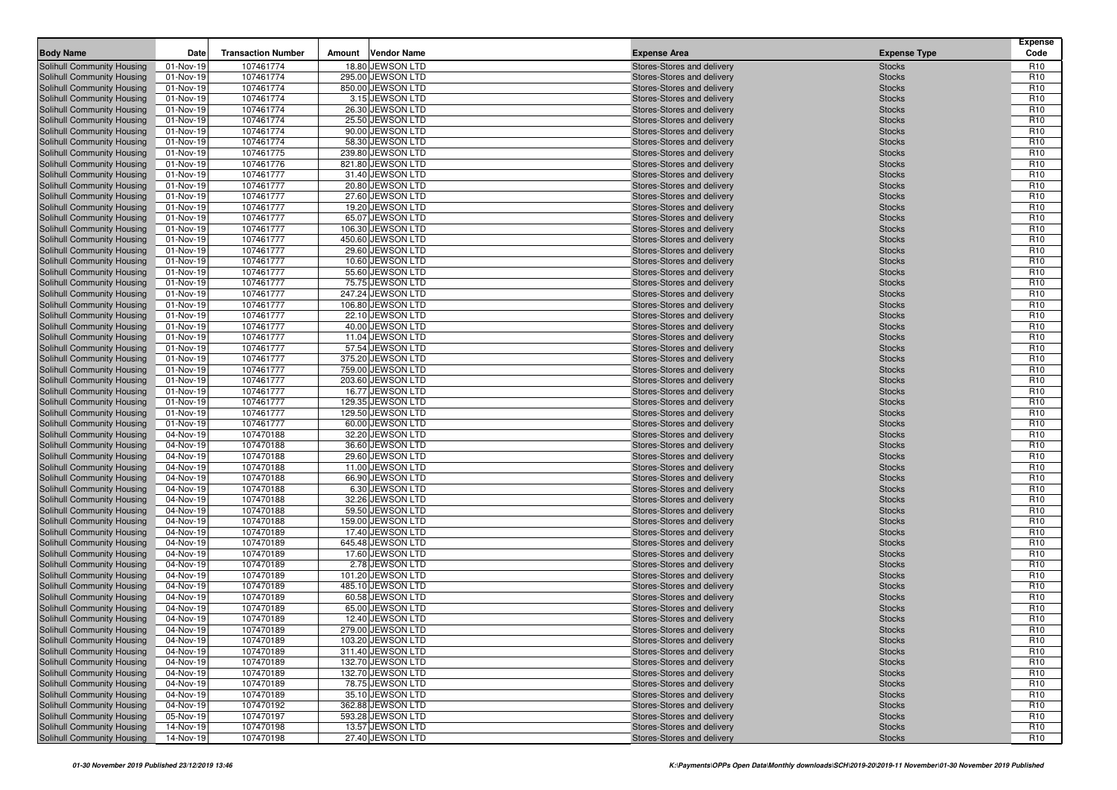| <b>Body Name</b>                                                | Date                   | <b>Transaction Number</b> | Amount | <b>Vendor Name</b>                    | <b>Expense Area</b>                                      | <b>Expense Type</b>            | <b>Expense</b><br>Code             |
|-----------------------------------------------------------------|------------------------|---------------------------|--------|---------------------------------------|----------------------------------------------------------|--------------------------------|------------------------------------|
| Solihull Community Housing                                      | 01-Nov-19              | 107461774                 |        | 18.80 JEWSON LTD                      | Stores-Stores and delivery                               | <b>Stocks</b>                  | R <sub>10</sub>                    |
| Solihull Community Housing                                      | 01-Nov-19              | 107461774                 |        | 295.00 JEWSON LTD                     | Stores-Stores and delivery                               | <b>Stocks</b>                  | R <sub>10</sub>                    |
| Solihull Community Housing                                      | 01-Nov-19              | 107461774                 |        | 850.00 JEWSON LTD                     | Stores-Stores and delivery                               | <b>Stocks</b>                  | R <sub>10</sub>                    |
| Solihull Community Housing                                      | 01-Nov-19              | 107461774                 |        | 3.15 JEWSON LTD                       | Stores-Stores and delivery                               | <b>Stocks</b>                  | R <sub>10</sub>                    |
| Solihull Community Housing                                      | 01-Nov-19              | 107461774                 |        | 26.30 JEWSON LTD                      | Stores-Stores and delivery                               | <b>Stocks</b>                  | R <sub>10</sub>                    |
| Solihull Community Housing                                      | 01-Nov-19              | 107461774                 |        | 25.50 JEWSON LTD                      | Stores-Stores and delivery                               | <b>Stocks</b>                  | R <sub>10</sub>                    |
| Solihull Community Housing                                      | 01-Nov-19              | 107461774                 |        | 90.00 JEWSON LTD                      | Stores-Stores and delivery                               | <b>Stocks</b>                  | R <sub>10</sub>                    |
| Solihull Community Housing                                      | 01-Nov-19              | 107461774                 |        | 58.30 JEWSON LTD                      | Stores-Stores and delivery                               | <b>Stocks</b>                  | R <sub>10</sub>                    |
| Solihull Community Housing                                      | 01-Nov-19              | 107461775                 |        | 239.80 JEWSON LTD                     | Stores-Stores and delivery                               | <b>Stocks</b>                  | R <sub>10</sub>                    |
| <b>Solihull Community Housing</b>                               | 01-Nov-19              | 107461776                 |        | 821.80 JEWSON LTD                     | Stores-Stores and delivery                               | <b>Stocks</b>                  | R <sub>10</sub>                    |
| Solihull Community Housing                                      | 01-Nov-19              | 107461777                 |        | 31.40 JEWSON LTD                      | Stores-Stores and delivery                               | <b>Stocks</b>                  | R <sub>10</sub>                    |
| Solihull Community Housing                                      | 01-Nov-19              | 107461777                 |        | 20.80 JEWSON LTD<br>27.60 JEWSON LTD  | Stores-Stores and delivery                               | <b>Stocks</b>                  | R <sub>10</sub><br>R <sub>10</sub> |
| Solihull Community Housing<br><b>Solihull Community Housing</b> | 01-Nov-19<br>01-Nov-19 | 107461777<br>107461777    |        | 19.20 JEWSON LTD                      | Stores-Stores and delivery<br>Stores-Stores and delivery | <b>Stocks</b><br><b>Stocks</b> | R <sub>10</sub>                    |
| Solihull Community Housing                                      | 01-Nov-19              | 107461777                 |        | 65.07 JEWSON LTD                      | Stores-Stores and delivery                               | <b>Stocks</b>                  | R <sub>10</sub>                    |
| Solihull Community Housing                                      | 01-Nov-19              | 107461777                 |        | 106.30 JEWSON LTD                     | Stores-Stores and delivery                               | <b>Stocks</b>                  | R <sub>10</sub>                    |
| Solihull Community Housing                                      | 01-Nov-19              | 107461777                 |        | 450.60 JEWSON LTD                     | Stores-Stores and delivery                               | <b>Stocks</b>                  | R <sub>10</sub>                    |
| <b>Solihull Community Housing</b>                               | 01-Nov-19              | 107461777                 |        | 29.60 JEWSON LTD                      | Stores-Stores and delivery                               | <b>Stocks</b>                  | R <sub>10</sub>                    |
| Solihull Community Housing                                      | 01-Nov-19              | 107461777                 |        | 10.60 JEWSON LTD                      | Stores-Stores and delivery                               | <b>Stocks</b>                  | R <sub>10</sub>                    |
| Solihull Community Housing                                      | 01-Nov-19              | 107461777                 |        | 55.60 JEWSON LTD                      | Stores-Stores and delivery                               | <b>Stocks</b>                  | R <sub>10</sub>                    |
| Solihull Community Housing                                      | 01-Nov-19              | 107461777                 |        | 75.75 JEWSON LTD                      | Stores-Stores and delivery                               | <b>Stocks</b>                  | R <sub>10</sub>                    |
| Solihull Community Housing                                      | 01-Nov-19              | 107461777                 |        | 247.24 JEWSON LTD                     | Stores-Stores and delivery                               | <b>Stocks</b>                  | R <sub>10</sub>                    |
| <b>Solihull Community Housing</b>                               | 01-Nov-19              | 107461777                 |        | 106.80 JEWSON LTD                     | Stores-Stores and delivery                               | <b>Stocks</b>                  | R <sub>10</sub>                    |
| Solihull Community Housing                                      | 01-Nov-19              | 107461777                 |        | 22.10 JEWSON LTD                      | Stores-Stores and delivery                               | <b>Stocks</b>                  | R <sub>10</sub>                    |
| Solihull Community Housing                                      | 01-Nov-19              | 107461777                 |        | 40.00 JEWSON LTD                      | Stores-Stores and delivery                               | <b>Stocks</b>                  | R <sub>10</sub>                    |
| Solihull Community Housing                                      | 01-Nov-19              | 107461777                 |        | 11.04 JEWSON LTD                      | Stores-Stores and delivery                               | <b>Stocks</b>                  | R <sub>10</sub>                    |
| Solihull Community Housing                                      | 01-Nov-19              | 107461777                 |        | 57.54 JEWSON LTD                      | Stores-Stores and delivery                               | <b>Stocks</b>                  | R <sub>10</sub>                    |
| Solihull Community Housing                                      | 01-Nov-19              | 107461777                 |        | 375.20 JEWSON LTD                     | Stores-Stores and delivery                               | <b>Stocks</b>                  | R <sub>10</sub>                    |
| Solihull Community Housing                                      | 01-Nov-19              | 107461777                 |        | 759.00 JEWSON LTD                     | Stores-Stores and delivery                               | <b>Stocks</b>                  | R <sub>10</sub>                    |
| Solihull Community Housing                                      | 01-Nov-19              | 107461777                 |        | 203.60 JEWSON LTD                     | Stores-Stores and delivery                               | <b>Stocks</b>                  | R <sub>10</sub>                    |
| Solihull Community Housing                                      | 01-Nov-19              | 107461777                 |        | 16.77 JEWSON LTD<br>129.35 JEWSON LTD | Stores-Stores and delivery                               | <b>Stocks</b>                  | R <sub>10</sub>                    |
| Solihull Community Housing                                      | 01-Nov-19              | 107461777<br>107461777    |        | 129.50 JEWSON LTD                     | Stores-Stores and delivery<br>Stores-Stores and delivery | <b>Stocks</b>                  | R <sub>10</sub><br>R <sub>10</sub> |
| Solihull Community Housing<br>Solihull Community Housing        | 01-Nov-19<br>01-Nov-19 | 107461777                 |        | 60.00 JEWSON LTD                      | Stores-Stores and delivery                               | <b>Stocks</b><br><b>Stocks</b> | R <sub>10</sub>                    |
| Solihull Community Housing                                      | 04-Nov-19              | 107470188                 |        | 32.20 JEWSON LTD                      | Stores-Stores and delivery                               | <b>Stocks</b>                  | R <sub>10</sub>                    |
| Solihull Community Housing                                      | 04-Nov-19              | 107470188                 |        | 36.60 JEWSON LTD                      | Stores-Stores and delivery                               | <b>Stocks</b>                  | R <sub>10</sub>                    |
| Solihull Community Housing                                      | 04-Nov-19              | 107470188                 |        | 29.60 JEWSON LTD                      | Stores-Stores and delivery                               | <b>Stocks</b>                  | R <sub>10</sub>                    |
| Solihull Community Housing                                      | 04-Nov-19              | 107470188                 |        | 11.00 JEWSON LTD                      | Stores-Stores and delivery                               | <b>Stocks</b>                  | R <sub>10</sub>                    |
| Solihull Community Housing                                      | 04-Nov-19              | 107470188                 |        | 66.90 JEWSON LTD                      | Stores-Stores and delivery                               | <b>Stocks</b>                  | R <sub>10</sub>                    |
| Solihull Community Housing                                      | 04-Nov-19              | 107470188                 |        | 6.30 JEWSON LTD                       | Stores-Stores and delivery                               | <b>Stocks</b>                  | R <sub>10</sub>                    |
| Solihull Community Housing                                      | 04-Nov-19              | 107470188                 |        | 32.26 JEWSON LTD                      | Stores-Stores and delivery                               | <b>Stocks</b>                  | R <sub>10</sub>                    |
| Solihull Community Housing                                      | 04-Nov-19              | 107470188                 |        | 59.50 JEWSON LTD                      | Stores-Stores and delivery                               | <b>Stocks</b>                  | R <sub>10</sub>                    |
| Solihull Community Housing                                      | 04-Nov-19              | 107470188                 |        | 159.00 JEWSON LTD                     | Stores-Stores and delivery                               | <b>Stocks</b>                  | R <sub>10</sub>                    |
| Solihull Community Housing                                      | 04-Nov-19              | 107470189                 |        | 17.40 JEWSON LTD                      | Stores-Stores and delivery                               | <b>Stocks</b>                  | R <sub>10</sub>                    |
| Solihull Community Housing                                      | 04-Nov-19              | 107470189                 |        | 645.48 JEWSON LTD                     | Stores-Stores and delivery                               | <b>Stocks</b>                  | R <sub>10</sub>                    |
| Solihull Community Housing                                      | 04-Nov-19              | 107470189                 |        | 17.60 JEWSON LTD                      | Stores-Stores and delivery                               | <b>Stocks</b>                  | R <sub>10</sub>                    |
| Solihull Community Housing                                      | 04-Nov-19              | 107470189                 |        | 2.78 JEWSON LTD                       | Stores-Stores and delivery                               | <b>Stocks</b>                  | R <sub>10</sub>                    |
| Solihull Community Housing                                      | 04-Nov-19              | 107470189                 |        | 101.20 JEWSON LTD                     | Stores-Stores and delivery                               | <b>Stocks</b>                  | R <sub>10</sub>                    |
| Solihull Community Housing                                      | 04-Nov-19              | 107470189                 |        | 485.10 JEWSON LTD                     | Stores-Stores and delivery                               | <b>Stocks</b>                  | R <sub>10</sub>                    |
| Solihull Community Housing                                      | 04-Nov-19              | 107470189                 |        | 60.58 JEWSON LTD                      | Stores-Stores and delivery                               | <b>Stocks</b>                  | R <sub>10</sub>                    |
| Solihull Community Housing<br>Solihull Community Housing        | 04-Nov-19<br>04-Nov-19 | 107470189<br>107470189    |        | 65.00 JEWSON LTD<br>12.40 JEWSON LTD  | Stores-Stores and delivery<br>Stores-Stores and delivery | <b>Stocks</b>                  | R <sub>10</sub><br>R <sub>10</sub> |
| Solihull Community Housing                                      | 04-Nov-19              | 107470189                 |        | 279.00 JEWSON LTD                     | Stores-Stores and delivery                               | <b>Stocks</b><br><b>Stocks</b> | R <sub>10</sub>                    |
| Solihull Community Housing                                      | 04-Nov-19              | 107470189                 |        | 103.20 JEWSON LTD                     | Stores-Stores and delivery                               | <b>Stocks</b>                  | R <sub>10</sub>                    |
| Solihull Community Housing                                      | 04-Nov-19              | 107470189                 |        | 311.40 JEWSON LTD                     | Stores-Stores and delivery                               | <b>Stocks</b>                  | R <sub>10</sub>                    |
| Solihull Community Housing                                      | 04-Nov-19              | 107470189                 |        | 132.70 JEWSON LTD                     | Stores-Stores and delivery                               | <b>Stocks</b>                  | R <sub>10</sub>                    |
| Solihull Community Housing                                      | 04-Nov-19              | 107470189                 |        | 132.70 JEWSON LTD                     | Stores-Stores and delivery                               | <b>Stocks</b>                  | R <sub>10</sub>                    |
| Solihull Community Housing                                      | 04-Nov-19              | 107470189                 |        | 78.75 JEWSON LTD                      | Stores-Stores and delivery                               | <b>Stocks</b>                  | R <sub>10</sub>                    |
| Solihull Community Housing                                      | 04-Nov-19              | 107470189                 |        | 35.10 JEWSON LTD                      | Stores-Stores and delivery                               | <b>Stocks</b>                  | R <sub>10</sub>                    |
| Solihull Community Housing                                      | 04-Nov-19              | 107470192                 |        | 362.88 JEWSON LTD                     | Stores-Stores and delivery                               | <b>Stocks</b>                  | R <sub>10</sub>                    |
| Solihull Community Housing                                      | 05-Nov-19              | 107470197                 |        | 593.28 JEWSON LTD                     | Stores-Stores and delivery                               | <b>Stocks</b>                  | R <sub>10</sub>                    |
| Solihull Community Housing                                      | 14-Nov-19              | 107470198                 |        | 13.57 JEWSON LTD                      | Stores-Stores and delivery                               | <b>Stocks</b>                  | R <sub>10</sub>                    |
| Solihull Community Housing                                      | 14-Nov-19              | 107470198                 |        | 27.40 JEWSON LTD                      | Stores-Stores and delivery                               | <b>Stocks</b>                  | R <sub>10</sub>                    |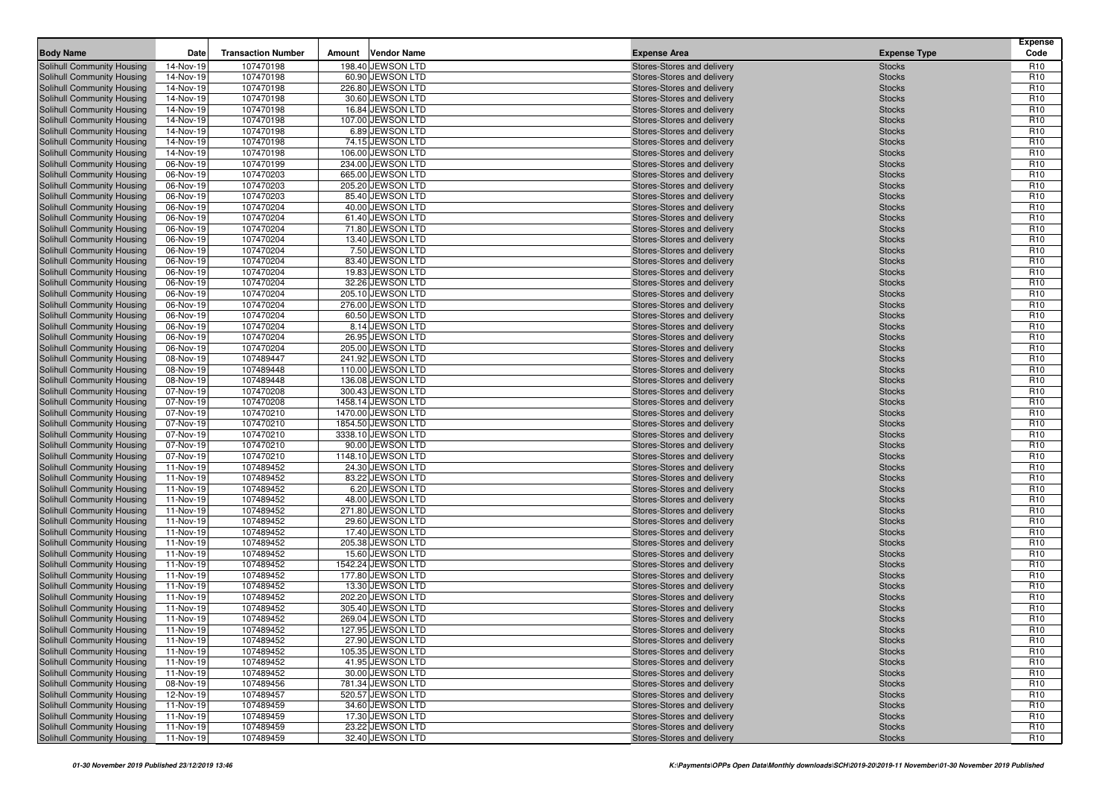| Solihull Community Housing<br>14-Nov-19<br>107470198<br>198.40 JEWSON LTD<br>Stores-Stores and delivery<br>R <sub>10</sub><br><b>Stocks</b><br>107470198<br>60.90 JEWSON LTD<br>R <sub>10</sub><br>Solihull Community Housing<br>14-Nov-19<br>Stores-Stores and delivery<br><b>Stocks</b><br>107470198<br>226.80 JEWSON LTD<br>R <sub>10</sub><br>Solihull Community Housing<br>14-Nov-19<br>Stores-Stores and delivery<br><b>Stocks</b><br>107470198<br>30.60 JEWSON LTD<br>R <sub>10</sub><br>Solihull Community Housing<br>14-Nov-19<br>Stores-Stores and delivery<br><b>Stocks</b><br>16.84 JEWSON LTD<br>R <sub>10</sub><br>Solihull Community Housing<br>14-Nov-19<br>107470198<br>Stores-Stores and delivery<br><b>Stocks</b><br>107470198<br>107.00 JEWSON LTD<br>R <sub>10</sub><br>Solihull Community Housing<br>14-Nov-19<br>Stores-Stores and delivery<br><b>Stocks</b><br>107470198<br>6.89 JEWSON LTD<br>R <sub>10</sub><br>Solihull Community Housing<br>14-Nov-19<br>Stores-Stores and delivery<br><b>Stocks</b><br>107470198<br>74.15 JEWSON LTD<br>R <sub>10</sub><br>Solihull Community Housing<br>14-Nov-19<br>Stores-Stores and delivery<br><b>Stocks</b><br>107470198<br>106.00 JEWSON LTD<br>R <sub>10</sub><br>Solihull Community Housing<br>14-Nov-19<br>Stores-Stores and delivery<br><b>Stocks</b><br>107470199<br>234.00 JEWSON LTD<br>R <sub>10</sub><br><b>Solihull Community Housing</b><br>06-Nov-19<br>Stores-Stores and delivery<br><b>Stocks</b><br>107470203<br>665.00 JEWSON LTD<br>R <sub>10</sub><br>Solihull Community Housing<br>06-Nov-19<br>Stores-Stores and delivery<br><b>Stocks</b><br>107470203<br>205.20 JEWSON LTD<br>R <sub>10</sub><br>Solihull Community Housing<br>06-Nov-19<br>Stores-Stores and delivery<br><b>Stocks</b><br>107470203<br>85.40 JEWSON LTD<br>R <sub>10</sub><br>Solihull Community Housing<br>06-Nov-19<br>Stores-Stores and delivery<br><b>Stocks</b><br>R <sub>10</sub><br><b>Solihull Community Housing</b><br>06-Nov-19<br>107470204<br>40.00 JEWSON LTD<br><b>Stocks</b><br>Stores-Stores and delivery<br>107470204<br>61.40 JEWSON LTD<br>R <sub>10</sub><br>Solihull Community Housing<br>06-Nov-19<br>Stores-Stores and delivery<br><b>Stocks</b><br>107470204<br>71.80 JEWSON LTD<br>R <sub>10</sub><br>Solihull Community Housing<br>06-Nov-19<br>Stores-Stores and delivery<br><b>Stocks</b><br>06-Nov-19<br>107470204<br>13.40 JEWSON LTD<br>R <sub>10</sub><br>Solihull Community Housing<br>Stores-Stores and delivery<br><b>Stocks</b><br>107470204<br>7.50 JEWSON LTD<br>R <sub>10</sub><br>Solihull Community Housing<br>06-Nov-19<br>Stores-Stores and delivery<br><b>Stocks</b><br>83.40 JEWSON LTD<br>R <sub>10</sub><br>Solihull Community Housing<br>06-Nov-19<br>107470204<br>Stores-Stores and delivery<br><b>Stocks</b><br>107470204<br>19.83 JEWSON LTD<br>R <sub>10</sub><br>Solihull Community Housing<br>06-Nov-19<br>Stores-Stores and delivery<br><b>Stocks</b><br>107470204<br>32.26 JEWSON LTD<br>R <sub>10</sub><br>Solihull Community Housing<br>06-Nov-19<br>Stores-Stores and delivery<br><b>Stocks</b><br>107470204<br>205.10 JEWSON LTD<br>R <sub>10</sub><br>Solihull Community Housing<br>06-Nov-19<br>Stores-Stores and delivery<br><b>Stocks</b><br>107470204<br>R <sub>10</sub><br>Solihull Community Housing<br>06-Nov-19<br>276.00 JEWSON LTD<br><b>Stocks</b><br>Stores-Stores and delivery<br>06-Nov-19<br>107470204<br>60.50 JEWSON LTD<br>R <sub>10</sub><br>Solihull Community Housing<br>Stores-Stores and delivery<br><b>Stocks</b><br>R <sub>10</sub><br>107470204<br>8.14 JEWSON LTD<br>Solihull Community Housing<br>06-Nov-19<br>Stores-Stores and delivery<br><b>Stocks</b><br>107470204<br>26.95 JEWSON LTD<br>R <sub>10</sub><br>Solihull Community Housing<br>06-Nov-19<br>Stores-Stores and delivery<br><b>Stocks</b><br>107470204<br>205.00 JEWSON LTD<br>R <sub>10</sub><br>Solihull Community Housing<br>06-Nov-19<br>Stores-Stores and delivery<br><b>Stocks</b><br>107489447<br>241.92 JEWSON LTD<br>R <sub>10</sub><br>Solihull Community Housing<br>08-Nov-19<br>Stores-Stores and delivery<br><b>Stocks</b><br>107489448<br>110.00 JEWSON LTD<br>R <sub>10</sub><br>Solihull Community Housing<br>08-Nov-19<br>Stores-Stores and delivery<br><b>Stocks</b><br>136.08 JEWSON LTD<br>R <sub>10</sub><br>Solihull Community Housing<br>08-Nov-19<br>107489448<br>Stores-Stores and delivery<br><b>Stocks</b><br>107470208<br>300.43 JEWSON LTD<br>R <sub>10</sub><br>Solihull Community Housing<br>07-Nov-19<br>Stores-Stores and delivery<br><b>Stocks</b><br>107470208<br>1458.14 JEWSON LTD<br>R <sub>10</sub><br>Solihull Community Housing<br>07-Nov-19<br>Stores-Stores and delivery<br><b>Stocks</b><br>107470210<br>1470.00 JEWSON LTD<br>R <sub>10</sub><br>Solihull Community Housing<br>07-Nov-19<br>Stores-Stores and delivery<br><b>Stocks</b><br>107470210<br>1854.50 JEWSON LTD<br>R <sub>10</sub><br>Solihull Community Housing<br>07-Nov-19<br>Stores-Stores and delivery<br><b>Stocks</b><br><b>Solihull Community Housing</b><br>07-Nov-19<br>107470210<br>3338.10 JEWSON LTD<br>R <sub>10</sub><br>Stores-Stores and delivery<br><b>Stocks</b><br>107470210<br>90.00 JEWSON LTD<br>R <sub>10</sub><br>Solihull Community Housing<br>07-Nov-19<br>Stores-Stores and delivery<br><b>Stocks</b><br>107470210<br>1148.10 JEWSON LTD<br>R <sub>10</sub><br>Solihull Community Housing<br>07-Nov-19<br>Stores-Stores and delivery<br><b>Stocks</b><br>107489452<br>24.30 JEWSON LTD<br>R <sub>10</sub><br>Solihull Community Housing<br>11-Nov-19<br>Stores-Stores and delivery<br><b>Stocks</b><br>107489452<br>83.22 JEWSON LTD<br>R <sub>10</sub><br>Solihull Community Housing<br>11-Nov-19<br>Stores-Stores and delivery<br><b>Stocks</b><br>107489452<br>6.20 JEWSON LTD<br>R <sub>10</sub><br>Solihull Community Housing<br>11-Nov-19<br>Stores-Stores and delivery<br><b>Stocks</b><br>R <sub>10</sub><br>107489452<br>48.00 JEWSON LTD<br>Solihull Community Housing<br>11-Nov-19<br>Stores-Stores and delivery<br><b>Stocks</b><br>107489452<br>271.80 JEWSON LTD<br>R <sub>10</sub><br>Solihull Community Housing<br>11-Nov-19<br>Stores-Stores and delivery<br><b>Stocks</b><br>107489452<br>29.60 JEWSON LTD<br>R <sub>10</sub><br>Solihull Community Housing<br>11-Nov-19<br>Stores-Stores and delivery<br><b>Stocks</b><br>R <sub>10</sub><br>Solihull Community Housing<br>11-Nov-19<br>107489452<br>17.40 JEWSON LTD<br>Stores-Stores and delivery<br><b>Stocks</b><br>107489452<br>205.38 JEWSON LTD<br>R <sub>10</sub><br>Solihull Community Housing<br>11-Nov-19<br>Stores-Stores and delivery<br><b>Stocks</b><br>107489452<br>15.60 JEWSON LTD<br>R <sub>10</sub><br>Solihull Community Housing<br>11-Nov-19<br>Stores-Stores and delivery<br><b>Stocks</b><br>107489452<br>1542.24 JEWSON LTD<br>R <sub>10</sub><br>Solihull Community Housing<br>11-Nov-19<br>Stores-Stores and delivery<br><b>Stocks</b><br>107489452<br>177.80 JEWSON LTD<br>R <sub>10</sub><br>Solihull Community Housing<br>11-Nov-19<br><b>Stocks</b><br>Stores-Stores and delivery<br>107489452<br>13.30 JEWSON LTD<br>R <sub>10</sub><br>Solihull Community Housing<br>11-Nov-19<br>Stores-Stores and delivery<br><b>Stocks</b><br>107489452<br>202.20 JEWSON LTD<br>R <sub>10</sub><br>Solihull Community Housing<br>11-Nov-19<br>Stores-Stores and delivery<br><b>Stocks</b><br>107489452<br>305.40 JEWSON LTD<br>R <sub>10</sub><br>Solihull Community Housing<br>11-Nov-19<br>Stores-Stores and delivery<br><b>Stocks</b><br>Solihull Community Housing<br>107489452<br>269.04 JEWSON LTD<br>R <sub>10</sub><br>11-Nov-19<br>Stores-Stores and delivery<br><b>Stocks</b><br>R <sub>10</sub><br>Solihull Community Housing<br>11-Nov-19<br>107489452<br>127.95 JEWSON LTD<br>Stores-Stores and delivery<br><b>Stocks</b><br>107489452<br>27.90 JEWSON LTD<br>R <sub>10</sub><br>Solihull Community Housing<br>11-Nov-19<br>Stores-Stores and delivery<br><b>Stocks</b><br>Solihull Community Housing<br>105.35 JEWSON LTD<br>R <sub>10</sub><br>11-Nov-19<br>107489452<br>Stores-Stores and delivery<br><b>Stocks</b><br>Solihull Community Housing<br>107489452<br>41.95 JEWSON LTD<br>Stores-Stores and delivery<br>R <sub>10</sub><br>11-Nov-19<br><b>Stocks</b><br>Solihull Community Housing<br>30.00 JEWSON LTD<br>Stores-Stores and delivery<br>R <sub>10</sub><br>11-Nov-19<br>107489452<br><b>Stocks</b><br>Solihull Community Housing<br>107489456<br>781.34 JEWSON LTD<br>R <sub>10</sub><br>08-Nov-19<br>Stores-Stores and delivery<br><b>Stocks</b><br>Solihull Community Housing<br>107489457<br>520.57 JEWSON LTD<br>Stores-Stores and delivery<br>R <sub>10</sub><br>12-Nov-19<br><b>Stocks</b><br>Solihull Community Housing<br>11-Nov-19<br>107489459<br>34.60 JEWSON LTD<br>Stores-Stores and delivery<br>R <sub>10</sub><br><b>Stocks</b><br>Solihull Community Housing<br>107489459<br>17.30 JEWSON LTD<br>R <sub>10</sub><br>11-Nov-19<br>Stores-Stores and delivery<br><b>Stocks</b><br>Solihull Community Housing<br>107489459<br>23.22 JEWSON LTD<br>Stores-Stores and delivery<br>R <sub>10</sub><br>11-Nov-19<br><b>Stocks</b><br>Solihull Community Housing<br>11-Nov-19<br>107489459<br>32.40 JEWSON LTD<br>Stores-Stores and delivery<br><b>Stocks</b><br>R <sub>10</sub> | <b>Body Name</b> | Date | <b>Transaction Number</b> | Amount | <b>Vendor Name</b> | <b>Expense Area</b> | <b>Expense Type</b> | <b>Expense</b><br>Code |
|---------------------------------------------------------------------------------------------------------------------------------------------------------------------------------------------------------------------------------------------------------------------------------------------------------------------------------------------------------------------------------------------------------------------------------------------------------------------------------------------------------------------------------------------------------------------------------------------------------------------------------------------------------------------------------------------------------------------------------------------------------------------------------------------------------------------------------------------------------------------------------------------------------------------------------------------------------------------------------------------------------------------------------------------------------------------------------------------------------------------------------------------------------------------------------------------------------------------------------------------------------------------------------------------------------------------------------------------------------------------------------------------------------------------------------------------------------------------------------------------------------------------------------------------------------------------------------------------------------------------------------------------------------------------------------------------------------------------------------------------------------------------------------------------------------------------------------------------------------------------------------------------------------------------------------------------------------------------------------------------------------------------------------------------------------------------------------------------------------------------------------------------------------------------------------------------------------------------------------------------------------------------------------------------------------------------------------------------------------------------------------------------------------------------------------------------------------------------------------------------------------------------------------------------------------------------------------------------------------------------------------------------------------------------------------------------------------------------------------------------------------------------------------------------------------------------------------------------------------------------------------------------------------------------------------------------------------------------------------------------------------------------------------------------------------------------------------------------------------------------------------------------------------------------------------------------------------------------------------------------------------------------------------------------------------------------------------------------------------------------------------------------------------------------------------------------------------------------------------------------------------------------------------------------------------------------------------------------------------------------------------------------------------------------------------------------------------------------------------------------------------------------------------------------------------------------------------------------------------------------------------------------------------------------------------------------------------------------------------------------------------------------------------------------------------------------------------------------------------------------------------------------------------------------------------------------------------------------------------------------------------------------------------------------------------------------------------------------------------------------------------------------------------------------------------------------------------------------------------------------------------------------------------------------------------------------------------------------------------------------------------------------------------------------------------------------------------------------------------------------------------------------------------------------------------------------------------------------------------------------------------------------------------------------------------------------------------------------------------------------------------------------------------------------------------------------------------------------------------------------------------------------------------------------------------------------------------------------------------------------------------------------------------------------------------------------------------------------------------------------------------------------------------------------------------------------------------------------------------------------------------------------------------------------------------------------------------------------------------------------------------------------------------------------------------------------------------------------------------------------------------------------------------------------------------------------------------------------------------------------------------------------------------------------------------------------------------------------------------------------------------------------------------------------------------------------------------------------------------------------------------------------------------------------------------------------------------------------------------------------------------------------------------------------------------------------------------------------------------------------------------------------------------------------------------------------------------------------------------------------------------------------------------------------------------------------------------------------------------------------------------------------------------------------------------------------------------------------------------------------------------------------------------------------------------------------------------------------------------------------------------------------------------------------------------------------------------------------------------------------------------------------------------------------------------------------------------------------------------------------------------------------------------------------------------------------------------------------------------------------------------------------------------------------------------------------------------------------------------------------------------------------------------------------------------------------------------------------------------------------------------------------------------------------------------------------------------------------------------------------------------------------------------------------------------------------------------------------------------------------------------------------------------------------------------------------------------------------------------------------------------------------------------------------------------------------------------------------------------------------------------------------------------------------------------------------------------------------------------------------------------------------------------------------------------------------------------------------------------------------------------------------------------------------------------------------------------------------------------------------------------------------------------------------------------------------------------------------------------------------------------------------------------------------------------------------------------------------------------------------------------------------------------------------------------------------------------------------------------------------------------------------------------------------------------------------------------------------------------------------------------------------------------------------------------------------------------------------------------------------------------------------------------------------------------------------------------------------------------------------------------------------------------------------------------------------------------------------------------------------------------------------------------------------------------------------------------------------------------------------|------------------|------|---------------------------|--------|--------------------|---------------------|---------------------|------------------------|
|                                                                                                                                                                                                                                                                                                                                                                                                                                                                                                                                                                                                                                                                                                                                                                                                                                                                                                                                                                                                                                                                                                                                                                                                                                                                                                                                                                                                                                                                                                                                                                                                                                                                                                                                                                                                                                                                                                                                                                                                                                                                                                                                                                                                                                                                                                                                                                                                                                                                                                                                                                                                                                                                                                                                                                                                                                                                                                                                                                                                                                                                                                                                                                                                                                                                                                                                                                                                                                                                                                                                                                                                                                                                                                                                                                                                                                                                                                                                                                                                                                                                                                                                                                                                                                                                                                                                                                                                                                                                                                                                                                                                                                                                                                                                                                                                                                                                                                                                                                                                                                                                                                                                                                                                                                                                                                                                                                                                                                                                                                                                                                                                                                                                                                                                                                                                                                                                                                                                                                                                                                                                                                                                                                                                                                                                                                                                                                                                                                                                                                                                                                                                                                                                                                                                                                                                                                                                                                                                                                                                                                                                                                                                                                                                                                                                                                                                                                                                                                                                                                                                                                                                                                                                                                                                                                                                                                                                                                                                                                                                                                                                                                                                                                                                                                                                                                                                                                                                                                                                                                                                                                                                                                                                                                                                                                                                                                                                                                                                                                                                                                                                                                                                                                                                                                                                                                                                                                     |                  |      |                           |        |                    |                     |                     |                        |
|                                                                                                                                                                                                                                                                                                                                                                                                                                                                                                                                                                                                                                                                                                                                                                                                                                                                                                                                                                                                                                                                                                                                                                                                                                                                                                                                                                                                                                                                                                                                                                                                                                                                                                                                                                                                                                                                                                                                                                                                                                                                                                                                                                                                                                                                                                                                                                                                                                                                                                                                                                                                                                                                                                                                                                                                                                                                                                                                                                                                                                                                                                                                                                                                                                                                                                                                                                                                                                                                                                                                                                                                                                                                                                                                                                                                                                                                                                                                                                                                                                                                                                                                                                                                                                                                                                                                                                                                                                                                                                                                                                                                                                                                                                                                                                                                                                                                                                                                                                                                                                                                                                                                                                                                                                                                                                                                                                                                                                                                                                                                                                                                                                                                                                                                                                                                                                                                                                                                                                                                                                                                                                                                                                                                                                                                                                                                                                                                                                                                                                                                                                                                                                                                                                                                                                                                                                                                                                                                                                                                                                                                                                                                                                                                                                                                                                                                                                                                                                                                                                                                                                                                                                                                                                                                                                                                                                                                                                                                                                                                                                                                                                                                                                                                                                                                                                                                                                                                                                                                                                                                                                                                                                                                                                                                                                                                                                                                                                                                                                                                                                                                                                                                                                                                                                                                                                                                                                     |                  |      |                           |        |                    |                     |                     |                        |
|                                                                                                                                                                                                                                                                                                                                                                                                                                                                                                                                                                                                                                                                                                                                                                                                                                                                                                                                                                                                                                                                                                                                                                                                                                                                                                                                                                                                                                                                                                                                                                                                                                                                                                                                                                                                                                                                                                                                                                                                                                                                                                                                                                                                                                                                                                                                                                                                                                                                                                                                                                                                                                                                                                                                                                                                                                                                                                                                                                                                                                                                                                                                                                                                                                                                                                                                                                                                                                                                                                                                                                                                                                                                                                                                                                                                                                                                                                                                                                                                                                                                                                                                                                                                                                                                                                                                                                                                                                                                                                                                                                                                                                                                                                                                                                                                                                                                                                                                                                                                                                                                                                                                                                                                                                                                                                                                                                                                                                                                                                                                                                                                                                                                                                                                                                                                                                                                                                                                                                                                                                                                                                                                                                                                                                                                                                                                                                                                                                                                                                                                                                                                                                                                                                                                                                                                                                                                                                                                                                                                                                                                                                                                                                                                                                                                                                                                                                                                                                                                                                                                                                                                                                                                                                                                                                                                                                                                                                                                                                                                                                                                                                                                                                                                                                                                                                                                                                                                                                                                                                                                                                                                                                                                                                                                                                                                                                                                                                                                                                                                                                                                                                                                                                                                                                                                                                                                                                     |                  |      |                           |        |                    |                     |                     |                        |
|                                                                                                                                                                                                                                                                                                                                                                                                                                                                                                                                                                                                                                                                                                                                                                                                                                                                                                                                                                                                                                                                                                                                                                                                                                                                                                                                                                                                                                                                                                                                                                                                                                                                                                                                                                                                                                                                                                                                                                                                                                                                                                                                                                                                                                                                                                                                                                                                                                                                                                                                                                                                                                                                                                                                                                                                                                                                                                                                                                                                                                                                                                                                                                                                                                                                                                                                                                                                                                                                                                                                                                                                                                                                                                                                                                                                                                                                                                                                                                                                                                                                                                                                                                                                                                                                                                                                                                                                                                                                                                                                                                                                                                                                                                                                                                                                                                                                                                                                                                                                                                                                                                                                                                                                                                                                                                                                                                                                                                                                                                                                                                                                                                                                                                                                                                                                                                                                                                                                                                                                                                                                                                                                                                                                                                                                                                                                                                                                                                                                                                                                                                                                                                                                                                                                                                                                                                                                                                                                                                                                                                                                                                                                                                                                                                                                                                                                                                                                                                                                                                                                                                                                                                                                                                                                                                                                                                                                                                                                                                                                                                                                                                                                                                                                                                                                                                                                                                                                                                                                                                                                                                                                                                                                                                                                                                                                                                                                                                                                                                                                                                                                                                                                                                                                                                                                                                                                                                     |                  |      |                           |        |                    |                     |                     |                        |
|                                                                                                                                                                                                                                                                                                                                                                                                                                                                                                                                                                                                                                                                                                                                                                                                                                                                                                                                                                                                                                                                                                                                                                                                                                                                                                                                                                                                                                                                                                                                                                                                                                                                                                                                                                                                                                                                                                                                                                                                                                                                                                                                                                                                                                                                                                                                                                                                                                                                                                                                                                                                                                                                                                                                                                                                                                                                                                                                                                                                                                                                                                                                                                                                                                                                                                                                                                                                                                                                                                                                                                                                                                                                                                                                                                                                                                                                                                                                                                                                                                                                                                                                                                                                                                                                                                                                                                                                                                                                                                                                                                                                                                                                                                                                                                                                                                                                                                                                                                                                                                                                                                                                                                                                                                                                                                                                                                                                                                                                                                                                                                                                                                                                                                                                                                                                                                                                                                                                                                                                                                                                                                                                                                                                                                                                                                                                                                                                                                                                                                                                                                                                                                                                                                                                                                                                                                                                                                                                                                                                                                                                                                                                                                                                                                                                                                                                                                                                                                                                                                                                                                                                                                                                                                                                                                                                                                                                                                                                                                                                                                                                                                                                                                                                                                                                                                                                                                                                                                                                                                                                                                                                                                                                                                                                                                                                                                                                                                                                                                                                                                                                                                                                                                                                                                                                                                                                                                     |                  |      |                           |        |                    |                     |                     |                        |
|                                                                                                                                                                                                                                                                                                                                                                                                                                                                                                                                                                                                                                                                                                                                                                                                                                                                                                                                                                                                                                                                                                                                                                                                                                                                                                                                                                                                                                                                                                                                                                                                                                                                                                                                                                                                                                                                                                                                                                                                                                                                                                                                                                                                                                                                                                                                                                                                                                                                                                                                                                                                                                                                                                                                                                                                                                                                                                                                                                                                                                                                                                                                                                                                                                                                                                                                                                                                                                                                                                                                                                                                                                                                                                                                                                                                                                                                                                                                                                                                                                                                                                                                                                                                                                                                                                                                                                                                                                                                                                                                                                                                                                                                                                                                                                                                                                                                                                                                                                                                                                                                                                                                                                                                                                                                                                                                                                                                                                                                                                                                                                                                                                                                                                                                                                                                                                                                                                                                                                                                                                                                                                                                                                                                                                                                                                                                                                                                                                                                                                                                                                                                                                                                                                                                                                                                                                                                                                                                                                                                                                                                                                                                                                                                                                                                                                                                                                                                                                                                                                                                                                                                                                                                                                                                                                                                                                                                                                                                                                                                                                                                                                                                                                                                                                                                                                                                                                                                                                                                                                                                                                                                                                                                                                                                                                                                                                                                                                                                                                                                                                                                                                                                                                                                                                                                                                                                                                     |                  |      |                           |        |                    |                     |                     |                        |
|                                                                                                                                                                                                                                                                                                                                                                                                                                                                                                                                                                                                                                                                                                                                                                                                                                                                                                                                                                                                                                                                                                                                                                                                                                                                                                                                                                                                                                                                                                                                                                                                                                                                                                                                                                                                                                                                                                                                                                                                                                                                                                                                                                                                                                                                                                                                                                                                                                                                                                                                                                                                                                                                                                                                                                                                                                                                                                                                                                                                                                                                                                                                                                                                                                                                                                                                                                                                                                                                                                                                                                                                                                                                                                                                                                                                                                                                                                                                                                                                                                                                                                                                                                                                                                                                                                                                                                                                                                                                                                                                                                                                                                                                                                                                                                                                                                                                                                                                                                                                                                                                                                                                                                                                                                                                                                                                                                                                                                                                                                                                                                                                                                                                                                                                                                                                                                                                                                                                                                                                                                                                                                                                                                                                                                                                                                                                                                                                                                                                                                                                                                                                                                                                                                                                                                                                                                                                                                                                                                                                                                                                                                                                                                                                                                                                                                                                                                                                                                                                                                                                                                                                                                                                                                                                                                                                                                                                                                                                                                                                                                                                                                                                                                                                                                                                                                                                                                                                                                                                                                                                                                                                                                                                                                                                                                                                                                                                                                                                                                                                                                                                                                                                                                                                                                                                                                                                                                     |                  |      |                           |        |                    |                     |                     |                        |
|                                                                                                                                                                                                                                                                                                                                                                                                                                                                                                                                                                                                                                                                                                                                                                                                                                                                                                                                                                                                                                                                                                                                                                                                                                                                                                                                                                                                                                                                                                                                                                                                                                                                                                                                                                                                                                                                                                                                                                                                                                                                                                                                                                                                                                                                                                                                                                                                                                                                                                                                                                                                                                                                                                                                                                                                                                                                                                                                                                                                                                                                                                                                                                                                                                                                                                                                                                                                                                                                                                                                                                                                                                                                                                                                                                                                                                                                                                                                                                                                                                                                                                                                                                                                                                                                                                                                                                                                                                                                                                                                                                                                                                                                                                                                                                                                                                                                                                                                                                                                                                                                                                                                                                                                                                                                                                                                                                                                                                                                                                                                                                                                                                                                                                                                                                                                                                                                                                                                                                                                                                                                                                                                                                                                                                                                                                                                                                                                                                                                                                                                                                                                                                                                                                                                                                                                                                                                                                                                                                                                                                                                                                                                                                                                                                                                                                                                                                                                                                                                                                                                                                                                                                                                                                                                                                                                                                                                                                                                                                                                                                                                                                                                                                                                                                                                                                                                                                                                                                                                                                                                                                                                                                                                                                                                                                                                                                                                                                                                                                                                                                                                                                                                                                                                                                                                                                                                                                     |                  |      |                           |        |                    |                     |                     |                        |
|                                                                                                                                                                                                                                                                                                                                                                                                                                                                                                                                                                                                                                                                                                                                                                                                                                                                                                                                                                                                                                                                                                                                                                                                                                                                                                                                                                                                                                                                                                                                                                                                                                                                                                                                                                                                                                                                                                                                                                                                                                                                                                                                                                                                                                                                                                                                                                                                                                                                                                                                                                                                                                                                                                                                                                                                                                                                                                                                                                                                                                                                                                                                                                                                                                                                                                                                                                                                                                                                                                                                                                                                                                                                                                                                                                                                                                                                                                                                                                                                                                                                                                                                                                                                                                                                                                                                                                                                                                                                                                                                                                                                                                                                                                                                                                                                                                                                                                                                                                                                                                                                                                                                                                                                                                                                                                                                                                                                                                                                                                                                                                                                                                                                                                                                                                                                                                                                                                                                                                                                                                                                                                                                                                                                                                                                                                                                                                                                                                                                                                                                                                                                                                                                                                                                                                                                                                                                                                                                                                                                                                                                                                                                                                                                                                                                                                                                                                                                                                                                                                                                                                                                                                                                                                                                                                                                                                                                                                                                                                                                                                                                                                                                                                                                                                                                                                                                                                                                                                                                                                                                                                                                                                                                                                                                                                                                                                                                                                                                                                                                                                                                                                                                                                                                                                                                                                                                                                     |                  |      |                           |        |                    |                     |                     |                        |
|                                                                                                                                                                                                                                                                                                                                                                                                                                                                                                                                                                                                                                                                                                                                                                                                                                                                                                                                                                                                                                                                                                                                                                                                                                                                                                                                                                                                                                                                                                                                                                                                                                                                                                                                                                                                                                                                                                                                                                                                                                                                                                                                                                                                                                                                                                                                                                                                                                                                                                                                                                                                                                                                                                                                                                                                                                                                                                                                                                                                                                                                                                                                                                                                                                                                                                                                                                                                                                                                                                                                                                                                                                                                                                                                                                                                                                                                                                                                                                                                                                                                                                                                                                                                                                                                                                                                                                                                                                                                                                                                                                                                                                                                                                                                                                                                                                                                                                                                                                                                                                                                                                                                                                                                                                                                                                                                                                                                                                                                                                                                                                                                                                                                                                                                                                                                                                                                                                                                                                                                                                                                                                                                                                                                                                                                                                                                                                                                                                                                                                                                                                                                                                                                                                                                                                                                                                                                                                                                                                                                                                                                                                                                                                                                                                                                                                                                                                                                                                                                                                                                                                                                                                                                                                                                                                                                                                                                                                                                                                                                                                                                                                                                                                                                                                                                                                                                                                                                                                                                                                                                                                                                                                                                                                                                                                                                                                                                                                                                                                                                                                                                                                                                                                                                                                                                                                                                                                     |                  |      |                           |        |                    |                     |                     |                        |
|                                                                                                                                                                                                                                                                                                                                                                                                                                                                                                                                                                                                                                                                                                                                                                                                                                                                                                                                                                                                                                                                                                                                                                                                                                                                                                                                                                                                                                                                                                                                                                                                                                                                                                                                                                                                                                                                                                                                                                                                                                                                                                                                                                                                                                                                                                                                                                                                                                                                                                                                                                                                                                                                                                                                                                                                                                                                                                                                                                                                                                                                                                                                                                                                                                                                                                                                                                                                                                                                                                                                                                                                                                                                                                                                                                                                                                                                                                                                                                                                                                                                                                                                                                                                                                                                                                                                                                                                                                                                                                                                                                                                                                                                                                                                                                                                                                                                                                                                                                                                                                                                                                                                                                                                                                                                                                                                                                                                                                                                                                                                                                                                                                                                                                                                                                                                                                                                                                                                                                                                                                                                                                                                                                                                                                                                                                                                                                                                                                                                                                                                                                                                                                                                                                                                                                                                                                                                                                                                                                                                                                                                                                                                                                                                                                                                                                                                                                                                                                                                                                                                                                                                                                                                                                                                                                                                                                                                                                                                                                                                                                                                                                                                                                                                                                                                                                                                                                                                                                                                                                                                                                                                                                                                                                                                                                                                                                                                                                                                                                                                                                                                                                                                                                                                                                                                                                                                                                     |                  |      |                           |        |                    |                     |                     |                        |
|                                                                                                                                                                                                                                                                                                                                                                                                                                                                                                                                                                                                                                                                                                                                                                                                                                                                                                                                                                                                                                                                                                                                                                                                                                                                                                                                                                                                                                                                                                                                                                                                                                                                                                                                                                                                                                                                                                                                                                                                                                                                                                                                                                                                                                                                                                                                                                                                                                                                                                                                                                                                                                                                                                                                                                                                                                                                                                                                                                                                                                                                                                                                                                                                                                                                                                                                                                                                                                                                                                                                                                                                                                                                                                                                                                                                                                                                                                                                                                                                                                                                                                                                                                                                                                                                                                                                                                                                                                                                                                                                                                                                                                                                                                                                                                                                                                                                                                                                                                                                                                                                                                                                                                                                                                                                                                                                                                                                                                                                                                                                                                                                                                                                                                                                                                                                                                                                                                                                                                                                                                                                                                                                                                                                                                                                                                                                                                                                                                                                                                                                                                                                                                                                                                                                                                                                                                                                                                                                                                                                                                                                                                                                                                                                                                                                                                                                                                                                                                                                                                                                                                                                                                                                                                                                                                                                                                                                                                                                                                                                                                                                                                                                                                                                                                                                                                                                                                                                                                                                                                                                                                                                                                                                                                                                                                                                                                                                                                                                                                                                                                                                                                                                                                                                                                                                                                                                                                     |                  |      |                           |        |                    |                     |                     |                        |
|                                                                                                                                                                                                                                                                                                                                                                                                                                                                                                                                                                                                                                                                                                                                                                                                                                                                                                                                                                                                                                                                                                                                                                                                                                                                                                                                                                                                                                                                                                                                                                                                                                                                                                                                                                                                                                                                                                                                                                                                                                                                                                                                                                                                                                                                                                                                                                                                                                                                                                                                                                                                                                                                                                                                                                                                                                                                                                                                                                                                                                                                                                                                                                                                                                                                                                                                                                                                                                                                                                                                                                                                                                                                                                                                                                                                                                                                                                                                                                                                                                                                                                                                                                                                                                                                                                                                                                                                                                                                                                                                                                                                                                                                                                                                                                                                                                                                                                                                                                                                                                                                                                                                                                                                                                                                                                                                                                                                                                                                                                                                                                                                                                                                                                                                                                                                                                                                                                                                                                                                                                                                                                                                                                                                                                                                                                                                                                                                                                                                                                                                                                                                                                                                                                                                                                                                                                                                                                                                                                                                                                                                                                                                                                                                                                                                                                                                                                                                                                                                                                                                                                                                                                                                                                                                                                                                                                                                                                                                                                                                                                                                                                                                                                                                                                                                                                                                                                                                                                                                                                                                                                                                                                                                                                                                                                                                                                                                                                                                                                                                                                                                                                                                                                                                                                                                                                                                                                     |                  |      |                           |        |                    |                     |                     |                        |
|                                                                                                                                                                                                                                                                                                                                                                                                                                                                                                                                                                                                                                                                                                                                                                                                                                                                                                                                                                                                                                                                                                                                                                                                                                                                                                                                                                                                                                                                                                                                                                                                                                                                                                                                                                                                                                                                                                                                                                                                                                                                                                                                                                                                                                                                                                                                                                                                                                                                                                                                                                                                                                                                                                                                                                                                                                                                                                                                                                                                                                                                                                                                                                                                                                                                                                                                                                                                                                                                                                                                                                                                                                                                                                                                                                                                                                                                                                                                                                                                                                                                                                                                                                                                                                                                                                                                                                                                                                                                                                                                                                                                                                                                                                                                                                                                                                                                                                                                                                                                                                                                                                                                                                                                                                                                                                                                                                                                                                                                                                                                                                                                                                                                                                                                                                                                                                                                                                                                                                                                                                                                                                                                                                                                                                                                                                                                                                                                                                                                                                                                                                                                                                                                                                                                                                                                                                                                                                                                                                                                                                                                                                                                                                                                                                                                                                                                                                                                                                                                                                                                                                                                                                                                                                                                                                                                                                                                                                                                                                                                                                                                                                                                                                                                                                                                                                                                                                                                                                                                                                                                                                                                                                                                                                                                                                                                                                                                                                                                                                                                                                                                                                                                                                                                                                                                                                                                                                     |                  |      |                           |        |                    |                     |                     |                        |
|                                                                                                                                                                                                                                                                                                                                                                                                                                                                                                                                                                                                                                                                                                                                                                                                                                                                                                                                                                                                                                                                                                                                                                                                                                                                                                                                                                                                                                                                                                                                                                                                                                                                                                                                                                                                                                                                                                                                                                                                                                                                                                                                                                                                                                                                                                                                                                                                                                                                                                                                                                                                                                                                                                                                                                                                                                                                                                                                                                                                                                                                                                                                                                                                                                                                                                                                                                                                                                                                                                                                                                                                                                                                                                                                                                                                                                                                                                                                                                                                                                                                                                                                                                                                                                                                                                                                                                                                                                                                                                                                                                                                                                                                                                                                                                                                                                                                                                                                                                                                                                                                                                                                                                                                                                                                                                                                                                                                                                                                                                                                                                                                                                                                                                                                                                                                                                                                                                                                                                                                                                                                                                                                                                                                                                                                                                                                                                                                                                                                                                                                                                                                                                                                                                                                                                                                                                                                                                                                                                                                                                                                                                                                                                                                                                                                                                                                                                                                                                                                                                                                                                                                                                                                                                                                                                                                                                                                                                                                                                                                                                                                                                                                                                                                                                                                                                                                                                                                                                                                                                                                                                                                                                                                                                                                                                                                                                                                                                                                                                                                                                                                                                                                                                                                                                                                                                                                                                     |                  |      |                           |        |                    |                     |                     |                        |
|                                                                                                                                                                                                                                                                                                                                                                                                                                                                                                                                                                                                                                                                                                                                                                                                                                                                                                                                                                                                                                                                                                                                                                                                                                                                                                                                                                                                                                                                                                                                                                                                                                                                                                                                                                                                                                                                                                                                                                                                                                                                                                                                                                                                                                                                                                                                                                                                                                                                                                                                                                                                                                                                                                                                                                                                                                                                                                                                                                                                                                                                                                                                                                                                                                                                                                                                                                                                                                                                                                                                                                                                                                                                                                                                                                                                                                                                                                                                                                                                                                                                                                                                                                                                                                                                                                                                                                                                                                                                                                                                                                                                                                                                                                                                                                                                                                                                                                                                                                                                                                                                                                                                                                                                                                                                                                                                                                                                                                                                                                                                                                                                                                                                                                                                                                                                                                                                                                                                                                                                                                                                                                                                                                                                                                                                                                                                                                                                                                                                                                                                                                                                                                                                                                                                                                                                                                                                                                                                                                                                                                                                                                                                                                                                                                                                                                                                                                                                                                                                                                                                                                                                                                                                                                                                                                                                                                                                                                                                                                                                                                                                                                                                                                                                                                                                                                                                                                                                                                                                                                                                                                                                                                                                                                                                                                                                                                                                                                                                                                                                                                                                                                                                                                                                                                                                                                                                                                     |                  |      |                           |        |                    |                     |                     |                        |
|                                                                                                                                                                                                                                                                                                                                                                                                                                                                                                                                                                                                                                                                                                                                                                                                                                                                                                                                                                                                                                                                                                                                                                                                                                                                                                                                                                                                                                                                                                                                                                                                                                                                                                                                                                                                                                                                                                                                                                                                                                                                                                                                                                                                                                                                                                                                                                                                                                                                                                                                                                                                                                                                                                                                                                                                                                                                                                                                                                                                                                                                                                                                                                                                                                                                                                                                                                                                                                                                                                                                                                                                                                                                                                                                                                                                                                                                                                                                                                                                                                                                                                                                                                                                                                                                                                                                                                                                                                                                                                                                                                                                                                                                                                                                                                                                                                                                                                                                                                                                                                                                                                                                                                                                                                                                                                                                                                                                                                                                                                                                                                                                                                                                                                                                                                                                                                                                                                                                                                                                                                                                                                                                                                                                                                                                                                                                                                                                                                                                                                                                                                                                                                                                                                                                                                                                                                                                                                                                                                                                                                                                                                                                                                                                                                                                                                                                                                                                                                                                                                                                                                                                                                                                                                                                                                                                                                                                                                                                                                                                                                                                                                                                                                                                                                                                                                                                                                                                                                                                                                                                                                                                                                                                                                                                                                                                                                                                                                                                                                                                                                                                                                                                                                                                                                                                                                                                                                     |                  |      |                           |        |                    |                     |                     |                        |
|                                                                                                                                                                                                                                                                                                                                                                                                                                                                                                                                                                                                                                                                                                                                                                                                                                                                                                                                                                                                                                                                                                                                                                                                                                                                                                                                                                                                                                                                                                                                                                                                                                                                                                                                                                                                                                                                                                                                                                                                                                                                                                                                                                                                                                                                                                                                                                                                                                                                                                                                                                                                                                                                                                                                                                                                                                                                                                                                                                                                                                                                                                                                                                                                                                                                                                                                                                                                                                                                                                                                                                                                                                                                                                                                                                                                                                                                                                                                                                                                                                                                                                                                                                                                                                                                                                                                                                                                                                                                                                                                                                                                                                                                                                                                                                                                                                                                                                                                                                                                                                                                                                                                                                                                                                                                                                                                                                                                                                                                                                                                                                                                                                                                                                                                                                                                                                                                                                                                                                                                                                                                                                                                                                                                                                                                                                                                                                                                                                                                                                                                                                                                                                                                                                                                                                                                                                                                                                                                                                                                                                                                                                                                                                                                                                                                                                                                                                                                                                                                                                                                                                                                                                                                                                                                                                                                                                                                                                                                                                                                                                                                                                                                                                                                                                                                                                                                                                                                                                                                                                                                                                                                                                                                                                                                                                                                                                                                                                                                                                                                                                                                                                                                                                                                                                                                                                                                                                     |                  |      |                           |        |                    |                     |                     |                        |
|                                                                                                                                                                                                                                                                                                                                                                                                                                                                                                                                                                                                                                                                                                                                                                                                                                                                                                                                                                                                                                                                                                                                                                                                                                                                                                                                                                                                                                                                                                                                                                                                                                                                                                                                                                                                                                                                                                                                                                                                                                                                                                                                                                                                                                                                                                                                                                                                                                                                                                                                                                                                                                                                                                                                                                                                                                                                                                                                                                                                                                                                                                                                                                                                                                                                                                                                                                                                                                                                                                                                                                                                                                                                                                                                                                                                                                                                                                                                                                                                                                                                                                                                                                                                                                                                                                                                                                                                                                                                                                                                                                                                                                                                                                                                                                                                                                                                                                                                                                                                                                                                                                                                                                                                                                                                                                                                                                                                                                                                                                                                                                                                                                                                                                                                                                                                                                                                                                                                                                                                                                                                                                                                                                                                                                                                                                                                                                                                                                                                                                                                                                                                                                                                                                                                                                                                                                                                                                                                                                                                                                                                                                                                                                                                                                                                                                                                                                                                                                                                                                                                                                                                                                                                                                                                                                                                                                                                                                                                                                                                                                                                                                                                                                                                                                                                                                                                                                                                                                                                                                                                                                                                                                                                                                                                                                                                                                                                                                                                                                                                                                                                                                                                                                                                                                                                                                                                                                     |                  |      |                           |        |                    |                     |                     |                        |
|                                                                                                                                                                                                                                                                                                                                                                                                                                                                                                                                                                                                                                                                                                                                                                                                                                                                                                                                                                                                                                                                                                                                                                                                                                                                                                                                                                                                                                                                                                                                                                                                                                                                                                                                                                                                                                                                                                                                                                                                                                                                                                                                                                                                                                                                                                                                                                                                                                                                                                                                                                                                                                                                                                                                                                                                                                                                                                                                                                                                                                                                                                                                                                                                                                                                                                                                                                                                                                                                                                                                                                                                                                                                                                                                                                                                                                                                                                                                                                                                                                                                                                                                                                                                                                                                                                                                                                                                                                                                                                                                                                                                                                                                                                                                                                                                                                                                                                                                                                                                                                                                                                                                                                                                                                                                                                                                                                                                                                                                                                                                                                                                                                                                                                                                                                                                                                                                                                                                                                                                                                                                                                                                                                                                                                                                                                                                                                                                                                                                                                                                                                                                                                                                                                                                                                                                                                                                                                                                                                                                                                                                                                                                                                                                                                                                                                                                                                                                                                                                                                                                                                                                                                                                                                                                                                                                                                                                                                                                                                                                                                                                                                                                                                                                                                                                                                                                                                                                                                                                                                                                                                                                                                                                                                                                                                                                                                                                                                                                                                                                                                                                                                                                                                                                                                                                                                                                                                     |                  |      |                           |        |                    |                     |                     |                        |
|                                                                                                                                                                                                                                                                                                                                                                                                                                                                                                                                                                                                                                                                                                                                                                                                                                                                                                                                                                                                                                                                                                                                                                                                                                                                                                                                                                                                                                                                                                                                                                                                                                                                                                                                                                                                                                                                                                                                                                                                                                                                                                                                                                                                                                                                                                                                                                                                                                                                                                                                                                                                                                                                                                                                                                                                                                                                                                                                                                                                                                                                                                                                                                                                                                                                                                                                                                                                                                                                                                                                                                                                                                                                                                                                                                                                                                                                                                                                                                                                                                                                                                                                                                                                                                                                                                                                                                                                                                                                                                                                                                                                                                                                                                                                                                                                                                                                                                                                                                                                                                                                                                                                                                                                                                                                                                                                                                                                                                                                                                                                                                                                                                                                                                                                                                                                                                                                                                                                                                                                                                                                                                                                                                                                                                                                                                                                                                                                                                                                                                                                                                                                                                                                                                                                                                                                                                                                                                                                                                                                                                                                                                                                                                                                                                                                                                                                                                                                                                                                                                                                                                                                                                                                                                                                                                                                                                                                                                                                                                                                                                                                                                                                                                                                                                                                                                                                                                                                                                                                                                                                                                                                                                                                                                                                                                                                                                                                                                                                                                                                                                                                                                                                                                                                                                                                                                                                                                     |                  |      |                           |        |                    |                     |                     |                        |
|                                                                                                                                                                                                                                                                                                                                                                                                                                                                                                                                                                                                                                                                                                                                                                                                                                                                                                                                                                                                                                                                                                                                                                                                                                                                                                                                                                                                                                                                                                                                                                                                                                                                                                                                                                                                                                                                                                                                                                                                                                                                                                                                                                                                                                                                                                                                                                                                                                                                                                                                                                                                                                                                                                                                                                                                                                                                                                                                                                                                                                                                                                                                                                                                                                                                                                                                                                                                                                                                                                                                                                                                                                                                                                                                                                                                                                                                                                                                                                                                                                                                                                                                                                                                                                                                                                                                                                                                                                                                                                                                                                                                                                                                                                                                                                                                                                                                                                                                                                                                                                                                                                                                                                                                                                                                                                                                                                                                                                                                                                                                                                                                                                                                                                                                                                                                                                                                                                                                                                                                                                                                                                                                                                                                                                                                                                                                                                                                                                                                                                                                                                                                                                                                                                                                                                                                                                                                                                                                                                                                                                                                                                                                                                                                                                                                                                                                                                                                                                                                                                                                                                                                                                                                                                                                                                                                                                                                                                                                                                                                                                                                                                                                                                                                                                                                                                                                                                                                                                                                                                                                                                                                                                                                                                                                                                                                                                                                                                                                                                                                                                                                                                                                                                                                                                                                                                                                                                     |                  |      |                           |        |                    |                     |                     |                        |
|                                                                                                                                                                                                                                                                                                                                                                                                                                                                                                                                                                                                                                                                                                                                                                                                                                                                                                                                                                                                                                                                                                                                                                                                                                                                                                                                                                                                                                                                                                                                                                                                                                                                                                                                                                                                                                                                                                                                                                                                                                                                                                                                                                                                                                                                                                                                                                                                                                                                                                                                                                                                                                                                                                                                                                                                                                                                                                                                                                                                                                                                                                                                                                                                                                                                                                                                                                                                                                                                                                                                                                                                                                                                                                                                                                                                                                                                                                                                                                                                                                                                                                                                                                                                                                                                                                                                                                                                                                                                                                                                                                                                                                                                                                                                                                                                                                                                                                                                                                                                                                                                                                                                                                                                                                                                                                                                                                                                                                                                                                                                                                                                                                                                                                                                                                                                                                                                                                                                                                                                                                                                                                                                                                                                                                                                                                                                                                                                                                                                                                                                                                                                                                                                                                                                                                                                                                                                                                                                                                                                                                                                                                                                                                                                                                                                                                                                                                                                                                                                                                                                                                                                                                                                                                                                                                                                                                                                                                                                                                                                                                                                                                                                                                                                                                                                                                                                                                                                                                                                                                                                                                                                                                                                                                                                                                                                                                                                                                                                                                                                                                                                                                                                                                                                                                                                                                                                                                     |                  |      |                           |        |                    |                     |                     |                        |
|                                                                                                                                                                                                                                                                                                                                                                                                                                                                                                                                                                                                                                                                                                                                                                                                                                                                                                                                                                                                                                                                                                                                                                                                                                                                                                                                                                                                                                                                                                                                                                                                                                                                                                                                                                                                                                                                                                                                                                                                                                                                                                                                                                                                                                                                                                                                                                                                                                                                                                                                                                                                                                                                                                                                                                                                                                                                                                                                                                                                                                                                                                                                                                                                                                                                                                                                                                                                                                                                                                                                                                                                                                                                                                                                                                                                                                                                                                                                                                                                                                                                                                                                                                                                                                                                                                                                                                                                                                                                                                                                                                                                                                                                                                                                                                                                                                                                                                                                                                                                                                                                                                                                                                                                                                                                                                                                                                                                                                                                                                                                                                                                                                                                                                                                                                                                                                                                                                                                                                                                                                                                                                                                                                                                                                                                                                                                                                                                                                                                                                                                                                                                                                                                                                                                                                                                                                                                                                                                                                                                                                                                                                                                                                                                                                                                                                                                                                                                                                                                                                                                                                                                                                                                                                                                                                                                                                                                                                                                                                                                                                                                                                                                                                                                                                                                                                                                                                                                                                                                                                                                                                                                                                                                                                                                                                                                                                                                                                                                                                                                                                                                                                                                                                                                                                                                                                                                                                     |                  |      |                           |        |                    |                     |                     |                        |
|                                                                                                                                                                                                                                                                                                                                                                                                                                                                                                                                                                                                                                                                                                                                                                                                                                                                                                                                                                                                                                                                                                                                                                                                                                                                                                                                                                                                                                                                                                                                                                                                                                                                                                                                                                                                                                                                                                                                                                                                                                                                                                                                                                                                                                                                                                                                                                                                                                                                                                                                                                                                                                                                                                                                                                                                                                                                                                                                                                                                                                                                                                                                                                                                                                                                                                                                                                                                                                                                                                                                                                                                                                                                                                                                                                                                                                                                                                                                                                                                                                                                                                                                                                                                                                                                                                                                                                                                                                                                                                                                                                                                                                                                                                                                                                                                                                                                                                                                                                                                                                                                                                                                                                                                                                                                                                                                                                                                                                                                                                                                                                                                                                                                                                                                                                                                                                                                                                                                                                                                                                                                                                                                                                                                                                                                                                                                                                                                                                                                                                                                                                                                                                                                                                                                                                                                                                                                                                                                                                                                                                                                                                                                                                                                                                                                                                                                                                                                                                                                                                                                                                                                                                                                                                                                                                                                                                                                                                                                                                                                                                                                                                                                                                                                                                                                                                                                                                                                                                                                                                                                                                                                                                                                                                                                                                                                                                                                                                                                                                                                                                                                                                                                                                                                                                                                                                                                                                     |                  |      |                           |        |                    |                     |                     |                        |
|                                                                                                                                                                                                                                                                                                                                                                                                                                                                                                                                                                                                                                                                                                                                                                                                                                                                                                                                                                                                                                                                                                                                                                                                                                                                                                                                                                                                                                                                                                                                                                                                                                                                                                                                                                                                                                                                                                                                                                                                                                                                                                                                                                                                                                                                                                                                                                                                                                                                                                                                                                                                                                                                                                                                                                                                                                                                                                                                                                                                                                                                                                                                                                                                                                                                                                                                                                                                                                                                                                                                                                                                                                                                                                                                                                                                                                                                                                                                                                                                                                                                                                                                                                                                                                                                                                                                                                                                                                                                                                                                                                                                                                                                                                                                                                                                                                                                                                                                                                                                                                                                                                                                                                                                                                                                                                                                                                                                                                                                                                                                                                                                                                                                                                                                                                                                                                                                                                                                                                                                                                                                                                                                                                                                                                                                                                                                                                                                                                                                                                                                                                                                                                                                                                                                                                                                                                                                                                                                                                                                                                                                                                                                                                                                                                                                                                                                                                                                                                                                                                                                                                                                                                                                                                                                                                                                                                                                                                                                                                                                                                                                                                                                                                                                                                                                                                                                                                                                                                                                                                                                                                                                                                                                                                                                                                                                                                                                                                                                                                                                                                                                                                                                                                                                                                                                                                                                                                     |                  |      |                           |        |                    |                     |                     |                        |
|                                                                                                                                                                                                                                                                                                                                                                                                                                                                                                                                                                                                                                                                                                                                                                                                                                                                                                                                                                                                                                                                                                                                                                                                                                                                                                                                                                                                                                                                                                                                                                                                                                                                                                                                                                                                                                                                                                                                                                                                                                                                                                                                                                                                                                                                                                                                                                                                                                                                                                                                                                                                                                                                                                                                                                                                                                                                                                                                                                                                                                                                                                                                                                                                                                                                                                                                                                                                                                                                                                                                                                                                                                                                                                                                                                                                                                                                                                                                                                                                                                                                                                                                                                                                                                                                                                                                                                                                                                                                                                                                                                                                                                                                                                                                                                                                                                                                                                                                                                                                                                                                                                                                                                                                                                                                                                                                                                                                                                                                                                                                                                                                                                                                                                                                                                                                                                                                                                                                                                                                                                                                                                                                                                                                                                                                                                                                                                                                                                                                                                                                                                                                                                                                                                                                                                                                                                                                                                                                                                                                                                                                                                                                                                                                                                                                                                                                                                                                                                                                                                                                                                                                                                                                                                                                                                                                                                                                                                                                                                                                                                                                                                                                                                                                                                                                                                                                                                                                                                                                                                                                                                                                                                                                                                                                                                                                                                                                                                                                                                                                                                                                                                                                                                                                                                                                                                                                                                     |                  |      |                           |        |                    |                     |                     |                        |
|                                                                                                                                                                                                                                                                                                                                                                                                                                                                                                                                                                                                                                                                                                                                                                                                                                                                                                                                                                                                                                                                                                                                                                                                                                                                                                                                                                                                                                                                                                                                                                                                                                                                                                                                                                                                                                                                                                                                                                                                                                                                                                                                                                                                                                                                                                                                                                                                                                                                                                                                                                                                                                                                                                                                                                                                                                                                                                                                                                                                                                                                                                                                                                                                                                                                                                                                                                                                                                                                                                                                                                                                                                                                                                                                                                                                                                                                                                                                                                                                                                                                                                                                                                                                                                                                                                                                                                                                                                                                                                                                                                                                                                                                                                                                                                                                                                                                                                                                                                                                                                                                                                                                                                                                                                                                                                                                                                                                                                                                                                                                                                                                                                                                                                                                                                                                                                                                                                                                                                                                                                                                                                                                                                                                                                                                                                                                                                                                                                                                                                                                                                                                                                                                                                                                                                                                                                                                                                                                                                                                                                                                                                                                                                                                                                                                                                                                                                                                                                                                                                                                                                                                                                                                                                                                                                                                                                                                                                                                                                                                                                                                                                                                                                                                                                                                                                                                                                                                                                                                                                                                                                                                                                                                                                                                                                                                                                                                                                                                                                                                                                                                                                                                                                                                                                                                                                                                                                     |                  |      |                           |        |                    |                     |                     |                        |
|                                                                                                                                                                                                                                                                                                                                                                                                                                                                                                                                                                                                                                                                                                                                                                                                                                                                                                                                                                                                                                                                                                                                                                                                                                                                                                                                                                                                                                                                                                                                                                                                                                                                                                                                                                                                                                                                                                                                                                                                                                                                                                                                                                                                                                                                                                                                                                                                                                                                                                                                                                                                                                                                                                                                                                                                                                                                                                                                                                                                                                                                                                                                                                                                                                                                                                                                                                                                                                                                                                                                                                                                                                                                                                                                                                                                                                                                                                                                                                                                                                                                                                                                                                                                                                                                                                                                                                                                                                                                                                                                                                                                                                                                                                                                                                                                                                                                                                                                                                                                                                                                                                                                                                                                                                                                                                                                                                                                                                                                                                                                                                                                                                                                                                                                                                                                                                                                                                                                                                                                                                                                                                                                                                                                                                                                                                                                                                                                                                                                                                                                                                                                                                                                                                                                                                                                                                                                                                                                                                                                                                                                                                                                                                                                                                                                                                                                                                                                                                                                                                                                                                                                                                                                                                                                                                                                                                                                                                                                                                                                                                                                                                                                                                                                                                                                                                                                                                                                                                                                                                                                                                                                                                                                                                                                                                                                                                                                                                                                                                                                                                                                                                                                                                                                                                                                                                                                                                     |                  |      |                           |        |                    |                     |                     |                        |
|                                                                                                                                                                                                                                                                                                                                                                                                                                                                                                                                                                                                                                                                                                                                                                                                                                                                                                                                                                                                                                                                                                                                                                                                                                                                                                                                                                                                                                                                                                                                                                                                                                                                                                                                                                                                                                                                                                                                                                                                                                                                                                                                                                                                                                                                                                                                                                                                                                                                                                                                                                                                                                                                                                                                                                                                                                                                                                                                                                                                                                                                                                                                                                                                                                                                                                                                                                                                                                                                                                                                                                                                                                                                                                                                                                                                                                                                                                                                                                                                                                                                                                                                                                                                                                                                                                                                                                                                                                                                                                                                                                                                                                                                                                                                                                                                                                                                                                                                                                                                                                                                                                                                                                                                                                                                                                                                                                                                                                                                                                                                                                                                                                                                                                                                                                                                                                                                                                                                                                                                                                                                                                                                                                                                                                                                                                                                                                                                                                                                                                                                                                                                                                                                                                                                                                                                                                                                                                                                                                                                                                                                                                                                                                                                                                                                                                                                                                                                                                                                                                                                                                                                                                                                                                                                                                                                                                                                                                                                                                                                                                                                                                                                                                                                                                                                                                                                                                                                                                                                                                                                                                                                                                                                                                                                                                                                                                                                                                                                                                                                                                                                                                                                                                                                                                                                                                                                                                     |                  |      |                           |        |                    |                     |                     |                        |
|                                                                                                                                                                                                                                                                                                                                                                                                                                                                                                                                                                                                                                                                                                                                                                                                                                                                                                                                                                                                                                                                                                                                                                                                                                                                                                                                                                                                                                                                                                                                                                                                                                                                                                                                                                                                                                                                                                                                                                                                                                                                                                                                                                                                                                                                                                                                                                                                                                                                                                                                                                                                                                                                                                                                                                                                                                                                                                                                                                                                                                                                                                                                                                                                                                                                                                                                                                                                                                                                                                                                                                                                                                                                                                                                                                                                                                                                                                                                                                                                                                                                                                                                                                                                                                                                                                                                                                                                                                                                                                                                                                                                                                                                                                                                                                                                                                                                                                                                                                                                                                                                                                                                                                                                                                                                                                                                                                                                                                                                                                                                                                                                                                                                                                                                                                                                                                                                                                                                                                                                                                                                                                                                                                                                                                                                                                                                                                                                                                                                                                                                                                                                                                                                                                                                                                                                                                                                                                                                                                                                                                                                                                                                                                                                                                                                                                                                                                                                                                                                                                                                                                                                                                                                                                                                                                                                                                                                                                                                                                                                                                                                                                                                                                                                                                                                                                                                                                                                                                                                                                                                                                                                                                                                                                                                                                                                                                                                                                                                                                                                                                                                                                                                                                                                                                                                                                                                                                     |                  |      |                           |        |                    |                     |                     |                        |
|                                                                                                                                                                                                                                                                                                                                                                                                                                                                                                                                                                                                                                                                                                                                                                                                                                                                                                                                                                                                                                                                                                                                                                                                                                                                                                                                                                                                                                                                                                                                                                                                                                                                                                                                                                                                                                                                                                                                                                                                                                                                                                                                                                                                                                                                                                                                                                                                                                                                                                                                                                                                                                                                                                                                                                                                                                                                                                                                                                                                                                                                                                                                                                                                                                                                                                                                                                                                                                                                                                                                                                                                                                                                                                                                                                                                                                                                                                                                                                                                                                                                                                                                                                                                                                                                                                                                                                                                                                                                                                                                                                                                                                                                                                                                                                                                                                                                                                                                                                                                                                                                                                                                                                                                                                                                                                                                                                                                                                                                                                                                                                                                                                                                                                                                                                                                                                                                                                                                                                                                                                                                                                                                                                                                                                                                                                                                                                                                                                                                                                                                                                                                                                                                                                                                                                                                                                                                                                                                                                                                                                                                                                                                                                                                                                                                                                                                                                                                                                                                                                                                                                                                                                                                                                                                                                                                                                                                                                                                                                                                                                                                                                                                                                                                                                                                                                                                                                                                                                                                                                                                                                                                                                                                                                                                                                                                                                                                                                                                                                                                                                                                                                                                                                                                                                                                                                                                                                     |                  |      |                           |        |                    |                     |                     |                        |
|                                                                                                                                                                                                                                                                                                                                                                                                                                                                                                                                                                                                                                                                                                                                                                                                                                                                                                                                                                                                                                                                                                                                                                                                                                                                                                                                                                                                                                                                                                                                                                                                                                                                                                                                                                                                                                                                                                                                                                                                                                                                                                                                                                                                                                                                                                                                                                                                                                                                                                                                                                                                                                                                                                                                                                                                                                                                                                                                                                                                                                                                                                                                                                                                                                                                                                                                                                                                                                                                                                                                                                                                                                                                                                                                                                                                                                                                                                                                                                                                                                                                                                                                                                                                                                                                                                                                                                                                                                                                                                                                                                                                                                                                                                                                                                                                                                                                                                                                                                                                                                                                                                                                                                                                                                                                                                                                                                                                                                                                                                                                                                                                                                                                                                                                                                                                                                                                                                                                                                                                                                                                                                                                                                                                                                                                                                                                                                                                                                                                                                                                                                                                                                                                                                                                                                                                                                                                                                                                                                                                                                                                                                                                                                                                                                                                                                                                                                                                                                                                                                                                                                                                                                                                                                                                                                                                                                                                                                                                                                                                                                                                                                                                                                                                                                                                                                                                                                                                                                                                                                                                                                                                                                                                                                                                                                                                                                                                                                                                                                                                                                                                                                                                                                                                                                                                                                                                                                     |                  |      |                           |        |                    |                     |                     |                        |
|                                                                                                                                                                                                                                                                                                                                                                                                                                                                                                                                                                                                                                                                                                                                                                                                                                                                                                                                                                                                                                                                                                                                                                                                                                                                                                                                                                                                                                                                                                                                                                                                                                                                                                                                                                                                                                                                                                                                                                                                                                                                                                                                                                                                                                                                                                                                                                                                                                                                                                                                                                                                                                                                                                                                                                                                                                                                                                                                                                                                                                                                                                                                                                                                                                                                                                                                                                                                                                                                                                                                                                                                                                                                                                                                                                                                                                                                                                                                                                                                                                                                                                                                                                                                                                                                                                                                                                                                                                                                                                                                                                                                                                                                                                                                                                                                                                                                                                                                                                                                                                                                                                                                                                                                                                                                                                                                                                                                                                                                                                                                                                                                                                                                                                                                                                                                                                                                                                                                                                                                                                                                                                                                                                                                                                                                                                                                                                                                                                                                                                                                                                                                                                                                                                                                                                                                                                                                                                                                                                                                                                                                                                                                                                                                                                                                                                                                                                                                                                                                                                                                                                                                                                                                                                                                                                                                                                                                                                                                                                                                                                                                                                                                                                                                                                                                                                                                                                                                                                                                                                                                                                                                                                                                                                                                                                                                                                                                                                                                                                                                                                                                                                                                                                                                                                                                                                                                                                     |                  |      |                           |        |                    |                     |                     |                        |
|                                                                                                                                                                                                                                                                                                                                                                                                                                                                                                                                                                                                                                                                                                                                                                                                                                                                                                                                                                                                                                                                                                                                                                                                                                                                                                                                                                                                                                                                                                                                                                                                                                                                                                                                                                                                                                                                                                                                                                                                                                                                                                                                                                                                                                                                                                                                                                                                                                                                                                                                                                                                                                                                                                                                                                                                                                                                                                                                                                                                                                                                                                                                                                                                                                                                                                                                                                                                                                                                                                                                                                                                                                                                                                                                                                                                                                                                                                                                                                                                                                                                                                                                                                                                                                                                                                                                                                                                                                                                                                                                                                                                                                                                                                                                                                                                                                                                                                                                                                                                                                                                                                                                                                                                                                                                                                                                                                                                                                                                                                                                                                                                                                                                                                                                                                                                                                                                                                                                                                                                                                                                                                                                                                                                                                                                                                                                                                                                                                                                                                                                                                                                                                                                                                                                                                                                                                                                                                                                                                                                                                                                                                                                                                                                                                                                                                                                                                                                                                                                                                                                                                                                                                                                                                                                                                                                                                                                                                                                                                                                                                                                                                                                                                                                                                                                                                                                                                                                                                                                                                                                                                                                                                                                                                                                                                                                                                                                                                                                                                                                                                                                                                                                                                                                                                                                                                                                                                     |                  |      |                           |        |                    |                     |                     |                        |
|                                                                                                                                                                                                                                                                                                                                                                                                                                                                                                                                                                                                                                                                                                                                                                                                                                                                                                                                                                                                                                                                                                                                                                                                                                                                                                                                                                                                                                                                                                                                                                                                                                                                                                                                                                                                                                                                                                                                                                                                                                                                                                                                                                                                                                                                                                                                                                                                                                                                                                                                                                                                                                                                                                                                                                                                                                                                                                                                                                                                                                                                                                                                                                                                                                                                                                                                                                                                                                                                                                                                                                                                                                                                                                                                                                                                                                                                                                                                                                                                                                                                                                                                                                                                                                                                                                                                                                                                                                                                                                                                                                                                                                                                                                                                                                                                                                                                                                                                                                                                                                                                                                                                                                                                                                                                                                                                                                                                                                                                                                                                                                                                                                                                                                                                                                                                                                                                                                                                                                                                                                                                                                                                                                                                                                                                                                                                                                                                                                                                                                                                                                                                                                                                                                                                                                                                                                                                                                                                                                                                                                                                                                                                                                                                                                                                                                                                                                                                                                                                                                                                                                                                                                                                                                                                                                                                                                                                                                                                                                                                                                                                                                                                                                                                                                                                                                                                                                                                                                                                                                                                                                                                                                                                                                                                                                                                                                                                                                                                                                                                                                                                                                                                                                                                                                                                                                                                                                     |                  |      |                           |        |                    |                     |                     |                        |
|                                                                                                                                                                                                                                                                                                                                                                                                                                                                                                                                                                                                                                                                                                                                                                                                                                                                                                                                                                                                                                                                                                                                                                                                                                                                                                                                                                                                                                                                                                                                                                                                                                                                                                                                                                                                                                                                                                                                                                                                                                                                                                                                                                                                                                                                                                                                                                                                                                                                                                                                                                                                                                                                                                                                                                                                                                                                                                                                                                                                                                                                                                                                                                                                                                                                                                                                                                                                                                                                                                                                                                                                                                                                                                                                                                                                                                                                                                                                                                                                                                                                                                                                                                                                                                                                                                                                                                                                                                                                                                                                                                                                                                                                                                                                                                                                                                                                                                                                                                                                                                                                                                                                                                                                                                                                                                                                                                                                                                                                                                                                                                                                                                                                                                                                                                                                                                                                                                                                                                                                                                                                                                                                                                                                                                                                                                                                                                                                                                                                                                                                                                                                                                                                                                                                                                                                                                                                                                                                                                                                                                                                                                                                                                                                                                                                                                                                                                                                                                                                                                                                                                                                                                                                                                                                                                                                                                                                                                                                                                                                                                                                                                                                                                                                                                                                                                                                                                                                                                                                                                                                                                                                                                                                                                                                                                                                                                                                                                                                                                                                                                                                                                                                                                                                                                                                                                                                                                     |                  |      |                           |        |                    |                     |                     |                        |
|                                                                                                                                                                                                                                                                                                                                                                                                                                                                                                                                                                                                                                                                                                                                                                                                                                                                                                                                                                                                                                                                                                                                                                                                                                                                                                                                                                                                                                                                                                                                                                                                                                                                                                                                                                                                                                                                                                                                                                                                                                                                                                                                                                                                                                                                                                                                                                                                                                                                                                                                                                                                                                                                                                                                                                                                                                                                                                                                                                                                                                                                                                                                                                                                                                                                                                                                                                                                                                                                                                                                                                                                                                                                                                                                                                                                                                                                                                                                                                                                                                                                                                                                                                                                                                                                                                                                                                                                                                                                                                                                                                                                                                                                                                                                                                                                                                                                                                                                                                                                                                                                                                                                                                                                                                                                                                                                                                                                                                                                                                                                                                                                                                                                                                                                                                                                                                                                                                                                                                                                                                                                                                                                                                                                                                                                                                                                                                                                                                                                                                                                                                                                                                                                                                                                                                                                                                                                                                                                                                                                                                                                                                                                                                                                                                                                                                                                                                                                                                                                                                                                                                                                                                                                                                                                                                                                                                                                                                                                                                                                                                                                                                                                                                                                                                                                                                                                                                                                                                                                                                                                                                                                                                                                                                                                                                                                                                                                                                                                                                                                                                                                                                                                                                                                                                                                                                                                                                     |                  |      |                           |        |                    |                     |                     |                        |
|                                                                                                                                                                                                                                                                                                                                                                                                                                                                                                                                                                                                                                                                                                                                                                                                                                                                                                                                                                                                                                                                                                                                                                                                                                                                                                                                                                                                                                                                                                                                                                                                                                                                                                                                                                                                                                                                                                                                                                                                                                                                                                                                                                                                                                                                                                                                                                                                                                                                                                                                                                                                                                                                                                                                                                                                                                                                                                                                                                                                                                                                                                                                                                                                                                                                                                                                                                                                                                                                                                                                                                                                                                                                                                                                                                                                                                                                                                                                                                                                                                                                                                                                                                                                                                                                                                                                                                                                                                                                                                                                                                                                                                                                                                                                                                                                                                                                                                                                                                                                                                                                                                                                                                                                                                                                                                                                                                                                                                                                                                                                                                                                                                                                                                                                                                                                                                                                                                                                                                                                                                                                                                                                                                                                                                                                                                                                                                                                                                                                                                                                                                                                                                                                                                                                                                                                                                                                                                                                                                                                                                                                                                                                                                                                                                                                                                                                                                                                                                                                                                                                                                                                                                                                                                                                                                                                                                                                                                                                                                                                                                                                                                                                                                                                                                                                                                                                                                                                                                                                                                                                                                                                                                                                                                                                                                                                                                                                                                                                                                                                                                                                                                                                                                                                                                                                                                                                                                     |                  |      |                           |        |                    |                     |                     |                        |
|                                                                                                                                                                                                                                                                                                                                                                                                                                                                                                                                                                                                                                                                                                                                                                                                                                                                                                                                                                                                                                                                                                                                                                                                                                                                                                                                                                                                                                                                                                                                                                                                                                                                                                                                                                                                                                                                                                                                                                                                                                                                                                                                                                                                                                                                                                                                                                                                                                                                                                                                                                                                                                                                                                                                                                                                                                                                                                                                                                                                                                                                                                                                                                                                                                                                                                                                                                                                                                                                                                                                                                                                                                                                                                                                                                                                                                                                                                                                                                                                                                                                                                                                                                                                                                                                                                                                                                                                                                                                                                                                                                                                                                                                                                                                                                                                                                                                                                                                                                                                                                                                                                                                                                                                                                                                                                                                                                                                                                                                                                                                                                                                                                                                                                                                                                                                                                                                                                                                                                                                                                                                                                                                                                                                                                                                                                                                                                                                                                                                                                                                                                                                                                                                                                                                                                                                                                                                                                                                                                                                                                                                                                                                                                                                                                                                                                                                                                                                                                                                                                                                                                                                                                                                                                                                                                                                                                                                                                                                                                                                                                                                                                                                                                                                                                                                                                                                                                                                                                                                                                                                                                                                                                                                                                                                                                                                                                                                                                                                                                                                                                                                                                                                                                                                                                                                                                                                                                     |                  |      |                           |        |                    |                     |                     |                        |
|                                                                                                                                                                                                                                                                                                                                                                                                                                                                                                                                                                                                                                                                                                                                                                                                                                                                                                                                                                                                                                                                                                                                                                                                                                                                                                                                                                                                                                                                                                                                                                                                                                                                                                                                                                                                                                                                                                                                                                                                                                                                                                                                                                                                                                                                                                                                                                                                                                                                                                                                                                                                                                                                                                                                                                                                                                                                                                                                                                                                                                                                                                                                                                                                                                                                                                                                                                                                                                                                                                                                                                                                                                                                                                                                                                                                                                                                                                                                                                                                                                                                                                                                                                                                                                                                                                                                                                                                                                                                                                                                                                                                                                                                                                                                                                                                                                                                                                                                                                                                                                                                                                                                                                                                                                                                                                                                                                                                                                                                                                                                                                                                                                                                                                                                                                                                                                                                                                                                                                                                                                                                                                                                                                                                                                                                                                                                                                                                                                                                                                                                                                                                                                                                                                                                                                                                                                                                                                                                                                                                                                                                                                                                                                                                                                                                                                                                                                                                                                                                                                                                                                                                                                                                                                                                                                                                                                                                                                                                                                                                                                                                                                                                                                                                                                                                                                                                                                                                                                                                                                                                                                                                                                                                                                                                                                                                                                                                                                                                                                                                                                                                                                                                                                                                                                                                                                                                                                     |                  |      |                           |        |                    |                     |                     |                        |
|                                                                                                                                                                                                                                                                                                                                                                                                                                                                                                                                                                                                                                                                                                                                                                                                                                                                                                                                                                                                                                                                                                                                                                                                                                                                                                                                                                                                                                                                                                                                                                                                                                                                                                                                                                                                                                                                                                                                                                                                                                                                                                                                                                                                                                                                                                                                                                                                                                                                                                                                                                                                                                                                                                                                                                                                                                                                                                                                                                                                                                                                                                                                                                                                                                                                                                                                                                                                                                                                                                                                                                                                                                                                                                                                                                                                                                                                                                                                                                                                                                                                                                                                                                                                                                                                                                                                                                                                                                                                                                                                                                                                                                                                                                                                                                                                                                                                                                                                                                                                                                                                                                                                                                                                                                                                                                                                                                                                                                                                                                                                                                                                                                                                                                                                                                                                                                                                                                                                                                                                                                                                                                                                                                                                                                                                                                                                                                                                                                                                                                                                                                                                                                                                                                                                                                                                                                                                                                                                                                                                                                                                                                                                                                                                                                                                                                                                                                                                                                                                                                                                                                                                                                                                                                                                                                                                                                                                                                                                                                                                                                                                                                                                                                                                                                                                                                                                                                                                                                                                                                                                                                                                                                                                                                                                                                                                                                                                                                                                                                                                                                                                                                                                                                                                                                                                                                                                                                     |                  |      |                           |        |                    |                     |                     |                        |
|                                                                                                                                                                                                                                                                                                                                                                                                                                                                                                                                                                                                                                                                                                                                                                                                                                                                                                                                                                                                                                                                                                                                                                                                                                                                                                                                                                                                                                                                                                                                                                                                                                                                                                                                                                                                                                                                                                                                                                                                                                                                                                                                                                                                                                                                                                                                                                                                                                                                                                                                                                                                                                                                                                                                                                                                                                                                                                                                                                                                                                                                                                                                                                                                                                                                                                                                                                                                                                                                                                                                                                                                                                                                                                                                                                                                                                                                                                                                                                                                                                                                                                                                                                                                                                                                                                                                                                                                                                                                                                                                                                                                                                                                                                                                                                                                                                                                                                                                                                                                                                                                                                                                                                                                                                                                                                                                                                                                                                                                                                                                                                                                                                                                                                                                                                                                                                                                                                                                                                                                                                                                                                                                                                                                                                                                                                                                                                                                                                                                                                                                                                                                                                                                                                                                                                                                                                                                                                                                                                                                                                                                                                                                                                                                                                                                                                                                                                                                                                                                                                                                                                                                                                                                                                                                                                                                                                                                                                                                                                                                                                                                                                                                                                                                                                                                                                                                                                                                                                                                                                                                                                                                                                                                                                                                                                                                                                                                                                                                                                                                                                                                                                                                                                                                                                                                                                                                                                     |                  |      |                           |        |                    |                     |                     |                        |
|                                                                                                                                                                                                                                                                                                                                                                                                                                                                                                                                                                                                                                                                                                                                                                                                                                                                                                                                                                                                                                                                                                                                                                                                                                                                                                                                                                                                                                                                                                                                                                                                                                                                                                                                                                                                                                                                                                                                                                                                                                                                                                                                                                                                                                                                                                                                                                                                                                                                                                                                                                                                                                                                                                                                                                                                                                                                                                                                                                                                                                                                                                                                                                                                                                                                                                                                                                                                                                                                                                                                                                                                                                                                                                                                                                                                                                                                                                                                                                                                                                                                                                                                                                                                                                                                                                                                                                                                                                                                                                                                                                                                                                                                                                                                                                                                                                                                                                                                                                                                                                                                                                                                                                                                                                                                                                                                                                                                                                                                                                                                                                                                                                                                                                                                                                                                                                                                                                                                                                                                                                                                                                                                                                                                                                                                                                                                                                                                                                                                                                                                                                                                                                                                                                                                                                                                                                                                                                                                                                                                                                                                                                                                                                                                                                                                                                                                                                                                                                                                                                                                                                                                                                                                                                                                                                                                                                                                                                                                                                                                                                                                                                                                                                                                                                                                                                                                                                                                                                                                                                                                                                                                                                                                                                                                                                                                                                                                                                                                                                                                                                                                                                                                                                                                                                                                                                                                                                     |                  |      |                           |        |                    |                     |                     |                        |
|                                                                                                                                                                                                                                                                                                                                                                                                                                                                                                                                                                                                                                                                                                                                                                                                                                                                                                                                                                                                                                                                                                                                                                                                                                                                                                                                                                                                                                                                                                                                                                                                                                                                                                                                                                                                                                                                                                                                                                                                                                                                                                                                                                                                                                                                                                                                                                                                                                                                                                                                                                                                                                                                                                                                                                                                                                                                                                                                                                                                                                                                                                                                                                                                                                                                                                                                                                                                                                                                                                                                                                                                                                                                                                                                                                                                                                                                                                                                                                                                                                                                                                                                                                                                                                                                                                                                                                                                                                                                                                                                                                                                                                                                                                                                                                                                                                                                                                                                                                                                                                                                                                                                                                                                                                                                                                                                                                                                                                                                                                                                                                                                                                                                                                                                                                                                                                                                                                                                                                                                                                                                                                                                                                                                                                                                                                                                                                                                                                                                                                                                                                                                                                                                                                                                                                                                                                                                                                                                                                                                                                                                                                                                                                                                                                                                                                                                                                                                                                                                                                                                                                                                                                                                                                                                                                                                                                                                                                                                                                                                                                                                                                                                                                                                                                                                                                                                                                                                                                                                                                                                                                                                                                                                                                                                                                                                                                                                                                                                                                                                                                                                                                                                                                                                                                                                                                                                                                     |                  |      |                           |        |                    |                     |                     |                        |
|                                                                                                                                                                                                                                                                                                                                                                                                                                                                                                                                                                                                                                                                                                                                                                                                                                                                                                                                                                                                                                                                                                                                                                                                                                                                                                                                                                                                                                                                                                                                                                                                                                                                                                                                                                                                                                                                                                                                                                                                                                                                                                                                                                                                                                                                                                                                                                                                                                                                                                                                                                                                                                                                                                                                                                                                                                                                                                                                                                                                                                                                                                                                                                                                                                                                                                                                                                                                                                                                                                                                                                                                                                                                                                                                                                                                                                                                                                                                                                                                                                                                                                                                                                                                                                                                                                                                                                                                                                                                                                                                                                                                                                                                                                                                                                                                                                                                                                                                                                                                                                                                                                                                                                                                                                                                                                                                                                                                                                                                                                                                                                                                                                                                                                                                                                                                                                                                                                                                                                                                                                                                                                                                                                                                                                                                                                                                                                                                                                                                                                                                                                                                                                                                                                                                                                                                                                                                                                                                                                                                                                                                                                                                                                                                                                                                                                                                                                                                                                                                                                                                                                                                                                                                                                                                                                                                                                                                                                                                                                                                                                                                                                                                                                                                                                                                                                                                                                                                                                                                                                                                                                                                                                                                                                                                                                                                                                                                                                                                                                                                                                                                                                                                                                                                                                                                                                                                                                     |                  |      |                           |        |                    |                     |                     |                        |
|                                                                                                                                                                                                                                                                                                                                                                                                                                                                                                                                                                                                                                                                                                                                                                                                                                                                                                                                                                                                                                                                                                                                                                                                                                                                                                                                                                                                                                                                                                                                                                                                                                                                                                                                                                                                                                                                                                                                                                                                                                                                                                                                                                                                                                                                                                                                                                                                                                                                                                                                                                                                                                                                                                                                                                                                                                                                                                                                                                                                                                                                                                                                                                                                                                                                                                                                                                                                                                                                                                                                                                                                                                                                                                                                                                                                                                                                                                                                                                                                                                                                                                                                                                                                                                                                                                                                                                                                                                                                                                                                                                                                                                                                                                                                                                                                                                                                                                                                                                                                                                                                                                                                                                                                                                                                                                                                                                                                                                                                                                                                                                                                                                                                                                                                                                                                                                                                                                                                                                                                                                                                                                                                                                                                                                                                                                                                                                                                                                                                                                                                                                                                                                                                                                                                                                                                                                                                                                                                                                                                                                                                                                                                                                                                                                                                                                                                                                                                                                                                                                                                                                                                                                                                                                                                                                                                                                                                                                                                                                                                                                                                                                                                                                                                                                                                                                                                                                                                                                                                                                                                                                                                                                                                                                                                                                                                                                                                                                                                                                                                                                                                                                                                                                                                                                                                                                                                                                     |                  |      |                           |        |                    |                     |                     |                        |
|                                                                                                                                                                                                                                                                                                                                                                                                                                                                                                                                                                                                                                                                                                                                                                                                                                                                                                                                                                                                                                                                                                                                                                                                                                                                                                                                                                                                                                                                                                                                                                                                                                                                                                                                                                                                                                                                                                                                                                                                                                                                                                                                                                                                                                                                                                                                                                                                                                                                                                                                                                                                                                                                                                                                                                                                                                                                                                                                                                                                                                                                                                                                                                                                                                                                                                                                                                                                                                                                                                                                                                                                                                                                                                                                                                                                                                                                                                                                                                                                                                                                                                                                                                                                                                                                                                                                                                                                                                                                                                                                                                                                                                                                                                                                                                                                                                                                                                                                                                                                                                                                                                                                                                                                                                                                                                                                                                                                                                                                                                                                                                                                                                                                                                                                                                                                                                                                                                                                                                                                                                                                                                                                                                                                                                                                                                                                                                                                                                                                                                                                                                                                                                                                                                                                                                                                                                                                                                                                                                                                                                                                                                                                                                                                                                                                                                                                                                                                                                                                                                                                                                                                                                                                                                                                                                                                                                                                                                                                                                                                                                                                                                                                                                                                                                                                                                                                                                                                                                                                                                                                                                                                                                                                                                                                                                                                                                                                                                                                                                                                                                                                                                                                                                                                                                                                                                                                                                     |                  |      |                           |        |                    |                     |                     |                        |
|                                                                                                                                                                                                                                                                                                                                                                                                                                                                                                                                                                                                                                                                                                                                                                                                                                                                                                                                                                                                                                                                                                                                                                                                                                                                                                                                                                                                                                                                                                                                                                                                                                                                                                                                                                                                                                                                                                                                                                                                                                                                                                                                                                                                                                                                                                                                                                                                                                                                                                                                                                                                                                                                                                                                                                                                                                                                                                                                                                                                                                                                                                                                                                                                                                                                                                                                                                                                                                                                                                                                                                                                                                                                                                                                                                                                                                                                                                                                                                                                                                                                                                                                                                                                                                                                                                                                                                                                                                                                                                                                                                                                                                                                                                                                                                                                                                                                                                                                                                                                                                                                                                                                                                                                                                                                                                                                                                                                                                                                                                                                                                                                                                                                                                                                                                                                                                                                                                                                                                                                                                                                                                                                                                                                                                                                                                                                                                                                                                                                                                                                                                                                                                                                                                                                                                                                                                                                                                                                                                                                                                                                                                                                                                                                                                                                                                                                                                                                                                                                                                                                                                                                                                                                                                                                                                                                                                                                                                                                                                                                                                                                                                                                                                                                                                                                                                                                                                                                                                                                                                                                                                                                                                                                                                                                                                                                                                                                                                                                                                                                                                                                                                                                                                                                                                                                                                                                                                     |                  |      |                           |        |                    |                     |                     |                        |
|                                                                                                                                                                                                                                                                                                                                                                                                                                                                                                                                                                                                                                                                                                                                                                                                                                                                                                                                                                                                                                                                                                                                                                                                                                                                                                                                                                                                                                                                                                                                                                                                                                                                                                                                                                                                                                                                                                                                                                                                                                                                                                                                                                                                                                                                                                                                                                                                                                                                                                                                                                                                                                                                                                                                                                                                                                                                                                                                                                                                                                                                                                                                                                                                                                                                                                                                                                                                                                                                                                                                                                                                                                                                                                                                                                                                                                                                                                                                                                                                                                                                                                                                                                                                                                                                                                                                                                                                                                                                                                                                                                                                                                                                                                                                                                                                                                                                                                                                                                                                                                                                                                                                                                                                                                                                                                                                                                                                                                                                                                                                                                                                                                                                                                                                                                                                                                                                                                                                                                                                                                                                                                                                                                                                                                                                                                                                                                                                                                                                                                                                                                                                                                                                                                                                                                                                                                                                                                                                                                                                                                                                                                                                                                                                                                                                                                                                                                                                                                                                                                                                                                                                                                                                                                                                                                                                                                                                                                                                                                                                                                                                                                                                                                                                                                                                                                                                                                                                                                                                                                                                                                                                                                                                                                                                                                                                                                                                                                                                                                                                                                                                                                                                                                                                                                                                                                                                                                     |                  |      |                           |        |                    |                     |                     |                        |
|                                                                                                                                                                                                                                                                                                                                                                                                                                                                                                                                                                                                                                                                                                                                                                                                                                                                                                                                                                                                                                                                                                                                                                                                                                                                                                                                                                                                                                                                                                                                                                                                                                                                                                                                                                                                                                                                                                                                                                                                                                                                                                                                                                                                                                                                                                                                                                                                                                                                                                                                                                                                                                                                                                                                                                                                                                                                                                                                                                                                                                                                                                                                                                                                                                                                                                                                                                                                                                                                                                                                                                                                                                                                                                                                                                                                                                                                                                                                                                                                                                                                                                                                                                                                                                                                                                                                                                                                                                                                                                                                                                                                                                                                                                                                                                                                                                                                                                                                                                                                                                                                                                                                                                                                                                                                                                                                                                                                                                                                                                                                                                                                                                                                                                                                                                                                                                                                                                                                                                                                                                                                                                                                                                                                                                                                                                                                                                                                                                                                                                                                                                                                                                                                                                                                                                                                                                                                                                                                                                                                                                                                                                                                                                                                                                                                                                                                                                                                                                                                                                                                                                                                                                                                                                                                                                                                                                                                                                                                                                                                                                                                                                                                                                                                                                                                                                                                                                                                                                                                                                                                                                                                                                                                                                                                                                                                                                                                                                                                                                                                                                                                                                                                                                                                                                                                                                                                                                     |                  |      |                           |        |                    |                     |                     |                        |
|                                                                                                                                                                                                                                                                                                                                                                                                                                                                                                                                                                                                                                                                                                                                                                                                                                                                                                                                                                                                                                                                                                                                                                                                                                                                                                                                                                                                                                                                                                                                                                                                                                                                                                                                                                                                                                                                                                                                                                                                                                                                                                                                                                                                                                                                                                                                                                                                                                                                                                                                                                                                                                                                                                                                                                                                                                                                                                                                                                                                                                                                                                                                                                                                                                                                                                                                                                                                                                                                                                                                                                                                                                                                                                                                                                                                                                                                                                                                                                                                                                                                                                                                                                                                                                                                                                                                                                                                                                                                                                                                                                                                                                                                                                                                                                                                                                                                                                                                                                                                                                                                                                                                                                                                                                                                                                                                                                                                                                                                                                                                                                                                                                                                                                                                                                                                                                                                                                                                                                                                                                                                                                                                                                                                                                                                                                                                                                                                                                                                                                                                                                                                                                                                                                                                                                                                                                                                                                                                                                                                                                                                                                                                                                                                                                                                                                                                                                                                                                                                                                                                                                                                                                                                                                                                                                                                                                                                                                                                                                                                                                                                                                                                                                                                                                                                                                                                                                                                                                                                                                                                                                                                                                                                                                                                                                                                                                                                                                                                                                                                                                                                                                                                                                                                                                                                                                                                                                     |                  |      |                           |        |                    |                     |                     |                        |
|                                                                                                                                                                                                                                                                                                                                                                                                                                                                                                                                                                                                                                                                                                                                                                                                                                                                                                                                                                                                                                                                                                                                                                                                                                                                                                                                                                                                                                                                                                                                                                                                                                                                                                                                                                                                                                                                                                                                                                                                                                                                                                                                                                                                                                                                                                                                                                                                                                                                                                                                                                                                                                                                                                                                                                                                                                                                                                                                                                                                                                                                                                                                                                                                                                                                                                                                                                                                                                                                                                                                                                                                                                                                                                                                                                                                                                                                                                                                                                                                                                                                                                                                                                                                                                                                                                                                                                                                                                                                                                                                                                                                                                                                                                                                                                                                                                                                                                                                                                                                                                                                                                                                                                                                                                                                                                                                                                                                                                                                                                                                                                                                                                                                                                                                                                                                                                                                                                                                                                                                                                                                                                                                                                                                                                                                                                                                                                                                                                                                                                                                                                                                                                                                                                                                                                                                                                                                                                                                                                                                                                                                                                                                                                                                                                                                                                                                                                                                                                                                                                                                                                                                                                                                                                                                                                                                                                                                                                                                                                                                                                                                                                                                                                                                                                                                                                                                                                                                                                                                                                                                                                                                                                                                                                                                                                                                                                                                                                                                                                                                                                                                                                                                                                                                                                                                                                                                                                     |                  |      |                           |        |                    |                     |                     |                        |
|                                                                                                                                                                                                                                                                                                                                                                                                                                                                                                                                                                                                                                                                                                                                                                                                                                                                                                                                                                                                                                                                                                                                                                                                                                                                                                                                                                                                                                                                                                                                                                                                                                                                                                                                                                                                                                                                                                                                                                                                                                                                                                                                                                                                                                                                                                                                                                                                                                                                                                                                                                                                                                                                                                                                                                                                                                                                                                                                                                                                                                                                                                                                                                                                                                                                                                                                                                                                                                                                                                                                                                                                                                                                                                                                                                                                                                                                                                                                                                                                                                                                                                                                                                                                                                                                                                                                                                                                                                                                                                                                                                                                                                                                                                                                                                                                                                                                                                                                                                                                                                                                                                                                                                                                                                                                                                                                                                                                                                                                                                                                                                                                                                                                                                                                                                                                                                                                                                                                                                                                                                                                                                                                                                                                                                                                                                                                                                                                                                                                                                                                                                                                                                                                                                                                                                                                                                                                                                                                                                                                                                                                                                                                                                                                                                                                                                                                                                                                                                                                                                                                                                                                                                                                                                                                                                                                                                                                                                                                                                                                                                                                                                                                                                                                                                                                                                                                                                                                                                                                                                                                                                                                                                                                                                                                                                                                                                                                                                                                                                                                                                                                                                                                                                                                                                                                                                                                                                     |                  |      |                           |        |                    |                     |                     |                        |
|                                                                                                                                                                                                                                                                                                                                                                                                                                                                                                                                                                                                                                                                                                                                                                                                                                                                                                                                                                                                                                                                                                                                                                                                                                                                                                                                                                                                                                                                                                                                                                                                                                                                                                                                                                                                                                                                                                                                                                                                                                                                                                                                                                                                                                                                                                                                                                                                                                                                                                                                                                                                                                                                                                                                                                                                                                                                                                                                                                                                                                                                                                                                                                                                                                                                                                                                                                                                                                                                                                                                                                                                                                                                                                                                                                                                                                                                                                                                                                                                                                                                                                                                                                                                                                                                                                                                                                                                                                                                                                                                                                                                                                                                                                                                                                                                                                                                                                                                                                                                                                                                                                                                                                                                                                                                                                                                                                                                                                                                                                                                                                                                                                                                                                                                                                                                                                                                                                                                                                                                                                                                                                                                                                                                                                                                                                                                                                                                                                                                                                                                                                                                                                                                                                                                                                                                                                                                                                                                                                                                                                                                                                                                                                                                                                                                                                                                                                                                                                                                                                                                                                                                                                                                                                                                                                                                                                                                                                                                                                                                                                                                                                                                                                                                                                                                                                                                                                                                                                                                                                                                                                                                                                                                                                                                                                                                                                                                                                                                                                                                                                                                                                                                                                                                                                                                                                                                                                     |                  |      |                           |        |                    |                     |                     |                        |
|                                                                                                                                                                                                                                                                                                                                                                                                                                                                                                                                                                                                                                                                                                                                                                                                                                                                                                                                                                                                                                                                                                                                                                                                                                                                                                                                                                                                                                                                                                                                                                                                                                                                                                                                                                                                                                                                                                                                                                                                                                                                                                                                                                                                                                                                                                                                                                                                                                                                                                                                                                                                                                                                                                                                                                                                                                                                                                                                                                                                                                                                                                                                                                                                                                                                                                                                                                                                                                                                                                                                                                                                                                                                                                                                                                                                                                                                                                                                                                                                                                                                                                                                                                                                                                                                                                                                                                                                                                                                                                                                                                                                                                                                                                                                                                                                                                                                                                                                                                                                                                                                                                                                                                                                                                                                                                                                                                                                                                                                                                                                                                                                                                                                                                                                                                                                                                                                                                                                                                                                                                                                                                                                                                                                                                                                                                                                                                                                                                                                                                                                                                                                                                                                                                                                                                                                                                                                                                                                                                                                                                                                                                                                                                                                                                                                                                                                                                                                                                                                                                                                                                                                                                                                                                                                                                                                                                                                                                                                                                                                                                                                                                                                                                                                                                                                                                                                                                                                                                                                                                                                                                                                                                                                                                                                                                                                                                                                                                                                                                                                                                                                                                                                                                                                                                                                                                                                                                     |                  |      |                           |        |                    |                     |                     |                        |
|                                                                                                                                                                                                                                                                                                                                                                                                                                                                                                                                                                                                                                                                                                                                                                                                                                                                                                                                                                                                                                                                                                                                                                                                                                                                                                                                                                                                                                                                                                                                                                                                                                                                                                                                                                                                                                                                                                                                                                                                                                                                                                                                                                                                                                                                                                                                                                                                                                                                                                                                                                                                                                                                                                                                                                                                                                                                                                                                                                                                                                                                                                                                                                                                                                                                                                                                                                                                                                                                                                                                                                                                                                                                                                                                                                                                                                                                                                                                                                                                                                                                                                                                                                                                                                                                                                                                                                                                                                                                                                                                                                                                                                                                                                                                                                                                                                                                                                                                                                                                                                                                                                                                                                                                                                                                                                                                                                                                                                                                                                                                                                                                                                                                                                                                                                                                                                                                                                                                                                                                                                                                                                                                                                                                                                                                                                                                                                                                                                                                                                                                                                                                                                                                                                                                                                                                                                                                                                                                                                                                                                                                                                                                                                                                                                                                                                                                                                                                                                                                                                                                                                                                                                                                                                                                                                                                                                                                                                                                                                                                                                                                                                                                                                                                                                                                                                                                                                                                                                                                                                                                                                                                                                                                                                                                                                                                                                                                                                                                                                                                                                                                                                                                                                                                                                                                                                                                                                     |                  |      |                           |        |                    |                     |                     |                        |
|                                                                                                                                                                                                                                                                                                                                                                                                                                                                                                                                                                                                                                                                                                                                                                                                                                                                                                                                                                                                                                                                                                                                                                                                                                                                                                                                                                                                                                                                                                                                                                                                                                                                                                                                                                                                                                                                                                                                                                                                                                                                                                                                                                                                                                                                                                                                                                                                                                                                                                                                                                                                                                                                                                                                                                                                                                                                                                                                                                                                                                                                                                                                                                                                                                                                                                                                                                                                                                                                                                                                                                                                                                                                                                                                                                                                                                                                                                                                                                                                                                                                                                                                                                                                                                                                                                                                                                                                                                                                                                                                                                                                                                                                                                                                                                                                                                                                                                                                                                                                                                                                                                                                                                                                                                                                                                                                                                                                                                                                                                                                                                                                                                                                                                                                                                                                                                                                                                                                                                                                                                                                                                                                                                                                                                                                                                                                                                                                                                                                                                                                                                                                                                                                                                                                                                                                                                                                                                                                                                                                                                                                                                                                                                                                                                                                                                                                                                                                                                                                                                                                                                                                                                                                                                                                                                                                                                                                                                                                                                                                                                                                                                                                                                                                                                                                                                                                                                                                                                                                                                                                                                                                                                                                                                                                                                                                                                                                                                                                                                                                                                                                                                                                                                                                                                                                                                                                                                     |                  |      |                           |        |                    |                     |                     |                        |
|                                                                                                                                                                                                                                                                                                                                                                                                                                                                                                                                                                                                                                                                                                                                                                                                                                                                                                                                                                                                                                                                                                                                                                                                                                                                                                                                                                                                                                                                                                                                                                                                                                                                                                                                                                                                                                                                                                                                                                                                                                                                                                                                                                                                                                                                                                                                                                                                                                                                                                                                                                                                                                                                                                                                                                                                                                                                                                                                                                                                                                                                                                                                                                                                                                                                                                                                                                                                                                                                                                                                                                                                                                                                                                                                                                                                                                                                                                                                                                                                                                                                                                                                                                                                                                                                                                                                                                                                                                                                                                                                                                                                                                                                                                                                                                                                                                                                                                                                                                                                                                                                                                                                                                                                                                                                                                                                                                                                                                                                                                                                                                                                                                                                                                                                                                                                                                                                                                                                                                                                                                                                                                                                                                                                                                                                                                                                                                                                                                                                                                                                                                                                                                                                                                                                                                                                                                                                                                                                                                                                                                                                                                                                                                                                                                                                                                                                                                                                                                                                                                                                                                                                                                                                                                                                                                                                                                                                                                                                                                                                                                                                                                                                                                                                                                                                                                                                                                                                                                                                                                                                                                                                                                                                                                                                                                                                                                                                                                                                                                                                                                                                                                                                                                                                                                                                                                                                                                     |                  |      |                           |        |                    |                     |                     |                        |
|                                                                                                                                                                                                                                                                                                                                                                                                                                                                                                                                                                                                                                                                                                                                                                                                                                                                                                                                                                                                                                                                                                                                                                                                                                                                                                                                                                                                                                                                                                                                                                                                                                                                                                                                                                                                                                                                                                                                                                                                                                                                                                                                                                                                                                                                                                                                                                                                                                                                                                                                                                                                                                                                                                                                                                                                                                                                                                                                                                                                                                                                                                                                                                                                                                                                                                                                                                                                                                                                                                                                                                                                                                                                                                                                                                                                                                                                                                                                                                                                                                                                                                                                                                                                                                                                                                                                                                                                                                                                                                                                                                                                                                                                                                                                                                                                                                                                                                                                                                                                                                                                                                                                                                                                                                                                                                                                                                                                                                                                                                                                                                                                                                                                                                                                                                                                                                                                                                                                                                                                                                                                                                                                                                                                                                                                                                                                                                                                                                                                                                                                                                                                                                                                                                                                                                                                                                                                                                                                                                                                                                                                                                                                                                                                                                                                                                                                                                                                                                                                                                                                                                                                                                                                                                                                                                                                                                                                                                                                                                                                                                                                                                                                                                                                                                                                                                                                                                                                                                                                                                                                                                                                                                                                                                                                                                                                                                                                                                                                                                                                                                                                                                                                                                                                                                                                                                                                                                     |                  |      |                           |        |                    |                     |                     |                        |
|                                                                                                                                                                                                                                                                                                                                                                                                                                                                                                                                                                                                                                                                                                                                                                                                                                                                                                                                                                                                                                                                                                                                                                                                                                                                                                                                                                                                                                                                                                                                                                                                                                                                                                                                                                                                                                                                                                                                                                                                                                                                                                                                                                                                                                                                                                                                                                                                                                                                                                                                                                                                                                                                                                                                                                                                                                                                                                                                                                                                                                                                                                                                                                                                                                                                                                                                                                                                                                                                                                                                                                                                                                                                                                                                                                                                                                                                                                                                                                                                                                                                                                                                                                                                                                                                                                                                                                                                                                                                                                                                                                                                                                                                                                                                                                                                                                                                                                                                                                                                                                                                                                                                                                                                                                                                                                                                                                                                                                                                                                                                                                                                                                                                                                                                                                                                                                                                                                                                                                                                                                                                                                                                                                                                                                                                                                                                                                                                                                                                                                                                                                                                                                                                                                                                                                                                                                                                                                                                                                                                                                                                                                                                                                                                                                                                                                                                                                                                                                                                                                                                                                                                                                                                                                                                                                                                                                                                                                                                                                                                                                                                                                                                                                                                                                                                                                                                                                                                                                                                                                                                                                                                                                                                                                                                                                                                                                                                                                                                                                                                                                                                                                                                                                                                                                                                                                                                                                     |                  |      |                           |        |                    |                     |                     |                        |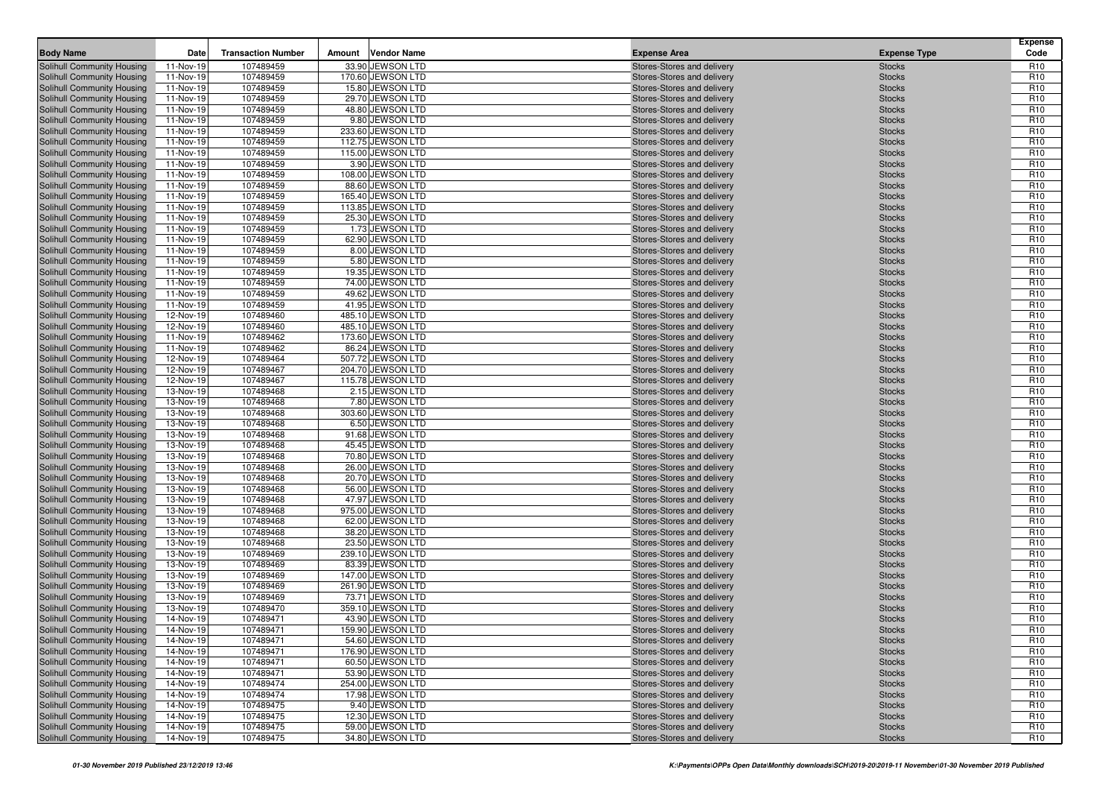| <b>Body Name</b>                                         | Date                   | <b>Transaction Number</b> | Amount | <b>Vendor Name</b>                   | <b>Expense Area</b>                                      | <b>Expense Type</b>            | <b>Expense</b><br>Code             |
|----------------------------------------------------------|------------------------|---------------------------|--------|--------------------------------------|----------------------------------------------------------|--------------------------------|------------------------------------|
| Solihull Community Housing                               | 11-Nov-19              | 107489459                 |        | 33.90 JEWSON LTD                     | Stores-Stores and delivery                               | <b>Stocks</b>                  | R <sub>10</sub>                    |
| Solihull Community Housing                               | 11-Nov-19              | 107489459                 |        | 170.60 JEWSON LTD                    | Stores-Stores and delivery                               | <b>Stocks</b>                  | R <sub>10</sub>                    |
| Solihull Community Housing                               | 11-Nov-19              | 107489459                 |        | 15.80 JEWSON LTD                     | Stores-Stores and delivery                               | <b>Stocks</b>                  | R <sub>10</sub>                    |
| Solihull Community Housing                               | 11-Nov-19              | 107489459                 |        | 29.70 JEWSON LTD                     | Stores-Stores and delivery                               | <b>Stocks</b>                  | R <sub>10</sub>                    |
| Solihull Community Housing                               | 11-Nov-19              | 107489459                 |        | 48.80 JEWSON LTD                     | Stores-Stores and delivery                               | <b>Stocks</b>                  | R <sub>10</sub>                    |
| Solihull Community Housing                               | 11-Nov-19              | 107489459                 |        | 9.80 JEWSON LTD                      | Stores-Stores and delivery                               | <b>Stocks</b>                  | R <sub>10</sub>                    |
| Solihull Community Housing                               | 11-Nov-19              | 107489459                 |        | 233.60 JEWSON LTD                    | Stores-Stores and delivery                               | <b>Stocks</b>                  | R <sub>10</sub>                    |
| Solihull Community Housing                               | 11-Nov-19              | 107489459                 |        | 112.75 JEWSON LTD                    | Stores-Stores and delivery                               | <b>Stocks</b>                  | R <sub>10</sub>                    |
| Solihull Community Housing                               | 11-Nov-19              | 107489459                 |        | 115.00 JEWSON LTD                    | Stores-Stores and delivery                               | <b>Stocks</b>                  | R <sub>10</sub>                    |
| Solihull Community Housing                               | 11-Nov-19              | 107489459                 |        | 3.90 JEWSON LTD                      | Stores-Stores and delivery                               | <b>Stocks</b>                  | R <sub>10</sub>                    |
| Solihull Community Housing                               | 11-Nov-19              | 107489459                 |        | 108.00 JEWSON LTD                    | Stores-Stores and delivery                               | <b>Stocks</b>                  | R <sub>10</sub>                    |
| Solihull Community Housing                               | 11-Nov-19              | 107489459                 |        | 88.60 JEWSON LTD                     | Stores-Stores and delivery                               | <b>Stocks</b>                  | R <sub>10</sub>                    |
| Solihull Community Housing                               | 11-Nov-19              | 107489459                 |        | 165.40 JEWSON LTD                    | Stores-Stores and delivery                               | <b>Stocks</b>                  | R <sub>10</sub>                    |
| Solihull Community Housing                               | 11-Nov-19              | 107489459                 |        | 113.85 JEWSON LTD                    | Stores-Stores and delivery                               | <b>Stocks</b>                  | R <sub>10</sub>                    |
| Solihull Community Housing                               | 11-Nov-19              | 107489459                 |        | 25.30 JEWSON LTD                     | Stores-Stores and delivery                               | <b>Stocks</b>                  | R <sub>10</sub>                    |
| Solihull Community Housing                               | 11-Nov-19              | 107489459                 |        | 1.73 JEWSON LTD                      | Stores-Stores and delivery                               | <b>Stocks</b>                  | R <sub>10</sub>                    |
| Solihull Community Housing                               | 11-Nov-19              | 107489459                 |        | 62.90 JEWSON LTD                     | Stores-Stores and delivery                               | <b>Stocks</b>                  | R <sub>10</sub>                    |
| Solihull Community Housing                               | 11-Nov-19              | 107489459                 |        | 8.00 JEWSON LTD                      | Stores-Stores and delivery                               | <b>Stocks</b>                  | R <sub>10</sub>                    |
| Solihull Community Housing                               | 11-Nov-19              | 107489459                 |        | 5.80 JEWSON LTD                      | Stores-Stores and delivery                               | <b>Stocks</b>                  | R <sub>10</sub>                    |
| Solihull Community Housing                               | 11-Nov-19              | 107489459                 |        | 19.35 JEWSON LTD                     | Stores-Stores and delivery                               | <b>Stocks</b>                  | R <sub>10</sub>                    |
| Solihull Community Housing                               | 11-Nov-19              | 107489459                 |        | 74.00 JEWSON LTD                     | Stores-Stores and delivery                               | <b>Stocks</b>                  | R <sub>10</sub>                    |
| Solihull Community Housing                               | 11-Nov-19              | 107489459                 |        | 49.62 JEWSON LTD                     | Stores-Stores and delivery                               | <b>Stocks</b>                  | R <sub>10</sub>                    |
| Solihull Community Housing                               | 11-Nov-19              | 107489459                 |        | 41.95 JEWSON LTD                     | Stores-Stores and delivery                               | <b>Stocks</b>                  | R <sub>10</sub>                    |
| Solihull Community Housing                               | 12-Nov-19              | 107489460                 |        | 485.10 JEWSON LTD                    | Stores-Stores and delivery                               | <b>Stocks</b>                  | R <sub>10</sub>                    |
| Solihull Community Housing                               | 12-Nov-19              | 107489460                 |        | 485.10 JEWSON LTD                    | Stores-Stores and delivery                               | <b>Stocks</b>                  | R <sub>10</sub>                    |
| Solihull Community Housing                               | 11-Nov-19              | 107489462                 |        | 173.60 JEWSON LTD                    | Stores-Stores and delivery                               | <b>Stocks</b>                  | R <sub>10</sub>                    |
| Solihull Community Housing                               | 11-Nov-19              | 107489462                 |        | 86.24 JEWSON LTD                     | Stores-Stores and delivery                               | <b>Stocks</b>                  | R <sub>10</sub>                    |
| Solihull Community Housing                               | 12-Nov-19              | 107489464                 |        | 507.72 JEWSON LTD                    | Stores-Stores and delivery                               | <b>Stocks</b>                  | R <sub>10</sub>                    |
| Solihull Community Housing                               | 12-Nov-19              | 107489467                 |        | 204.70 JEWSON LTD                    | Stores-Stores and delivery                               | <b>Stocks</b>                  | R <sub>10</sub>                    |
| Solihull Community Housing                               | 12-Nov-19              | 107489467                 |        | 115.78 JEWSON LTD                    | Stores-Stores and delivery                               | <b>Stocks</b>                  | R <sub>10</sub>                    |
| Solihull Community Housing                               | 13-Nov-19              | 107489468                 |        | 2.15 JEWSON LTD                      | Stores-Stores and delivery                               | <b>Stocks</b>                  | R <sub>10</sub>                    |
| Solihull Community Housing                               | 13-Nov-19              | 107489468                 |        | 7.80 JEWSON LTD                      | Stores-Stores and delivery                               | <b>Stocks</b>                  | R <sub>10</sub>                    |
| Solihull Community Housing                               | 13-Nov-19              | 107489468                 |        | 303.60 JEWSON LTD                    | Stores-Stores and delivery                               | <b>Stocks</b>                  | R <sub>10</sub>                    |
| Solihull Community Housing                               | 13-Nov-19              | 107489468                 |        | 6.50 JEWSON LTD                      | Stores-Stores and delivery                               | <b>Stocks</b>                  | R <sub>10</sub>                    |
| Solihull Community Housing                               | 13-Nov-19              | 107489468                 |        | 91.68 JEWSON LTD                     | Stores-Stores and delivery                               | <b>Stocks</b>                  | R <sub>10</sub>                    |
| Solihull Community Housing                               | 13-Nov-19              | 107489468                 |        | 45.45 JEWSON LTD                     | Stores-Stores and delivery                               | <b>Stocks</b>                  | R <sub>10</sub>                    |
| Solihull Community Housing                               | 13-Nov-19              | 107489468                 |        | 70.80 JEWSON LTD                     | Stores-Stores and delivery                               | <b>Stocks</b>                  | R <sub>10</sub>                    |
| Solihull Community Housing                               | 13-Nov-19              | 107489468                 |        | 26.00 JEWSON LTD                     | Stores-Stores and delivery                               | <b>Stocks</b>                  | R <sub>10</sub>                    |
| Solihull Community Housing                               | 13-Nov-19              | 107489468<br>107489468    |        | 20.70 JEWSON LTD<br>56.00 JEWSON LTD | Stores-Stores and delivery                               | <b>Stocks</b>                  | R <sub>10</sub><br>R <sub>10</sub> |
| Solihull Community Housing<br>Solihull Community Housing | 13-Nov-19<br>13-Nov-19 | 107489468                 |        | 47.97 JEWSON LTD                     | Stores-Stores and delivery<br>Stores-Stores and delivery | <b>Stocks</b><br><b>Stocks</b> | R <sub>10</sub>                    |
| Solihull Community Housing                               | 13-Nov-19              | 107489468                 |        | 975.00 JEWSON LTD                    | Stores-Stores and delivery                               | <b>Stocks</b>                  | R <sub>10</sub>                    |
| Solihull Community Housing                               | 13-Nov-19              | 107489468                 |        | 62.00 JEWSON LTD                     | Stores-Stores and delivery                               | <b>Stocks</b>                  | R <sub>10</sub>                    |
| Solihull Community Housing                               | 13-Nov-19              | 107489468                 |        | 38.20 JEWSON LTD                     | Stores-Stores and delivery                               | <b>Stocks</b>                  | R <sub>10</sub>                    |
| Solihull Community Housing                               | 13-Nov-19              | 107489468                 |        | 23.50 JEWSON LTD                     | Stores-Stores and delivery                               | <b>Stocks</b>                  | R <sub>10</sub>                    |
| Solihull Community Housing                               | 13-Nov-19              | 107489469                 |        | 239.10 JEWSON LTD                    | Stores-Stores and delivery                               | <b>Stocks</b>                  | R <sub>10</sub>                    |
| Solihull Community Housing                               | 13-Nov-19              | 107489469                 |        | 83.39 JEWSON LTD                     | Stores-Stores and delivery                               | <b>Stocks</b>                  | R <sub>10</sub>                    |
| Solihull Community Housing                               | 13-Nov-19              | 107489469                 |        | 147.00 JEWSON LTD                    | Stores-Stores and delivery                               | <b>Stocks</b>                  | R <sub>10</sub>                    |
| Solihull Community Housing                               | 13-Nov-19              | 107489469                 |        | 261.90 JEWSON LTD                    | Stores-Stores and delivery                               | <b>Stocks</b>                  | R <sub>10</sub>                    |
| Solihull Community Housing                               | 13-Nov-19              | 107489469                 |        | 73.71 JEWSON LTD                     | Stores-Stores and delivery                               | <b>Stocks</b>                  | R <sub>10</sub>                    |
| Solihull Community Housing                               | 13-Nov-19              | 107489470                 |        | 359.10 JEWSON LTD                    | Stores-Stores and delivery                               | <b>Stocks</b>                  | R <sub>10</sub>                    |
| Solihull Community Housing                               | 14-Nov-19              | 107489471                 |        | 43.90 JEWSON LTD                     | Stores-Stores and delivery                               | <b>Stocks</b>                  | R <sub>10</sub>                    |
| Solihull Community Housing                               | 14-Nov-19              | 107489471                 |        | 159.90 JEWSON LTD                    | Stores-Stores and delivery                               | <b>Stocks</b>                  | R <sub>10</sub>                    |
| Solihull Community Housing                               | 14-Nov-19              | 107489471                 |        | 54.60 JEWSON LTD                     | Stores-Stores and delivery                               | <b>Stocks</b>                  | R <sub>10</sub>                    |
| <b>Solihull Community Housing</b>                        | 14-Nov-19              | 107489471                 |        | 176.90 JEWSON LTD                    | Stores-Stores and delivery                               | <b>Stocks</b>                  | R <sub>10</sub>                    |
| Solihull Community Housing                               | 14-Nov-19              | 107489471                 |        | 60.50 JEWSON LTD                     | Stores-Stores and delivery                               | <b>Stocks</b>                  | R <sub>10</sub>                    |
| Solihull Community Housing                               | 14-Nov-19              | 107489471                 |        | 53.90 JEWSON LTD                     | Stores-Stores and delivery                               | <b>Stocks</b>                  | R <sub>10</sub>                    |
| Solihull Community Housing                               | 14-Nov-19              | 107489474                 |        | 254.00 JEWSON LTD                    | Stores-Stores and delivery                               | <b>Stocks</b>                  | R <sub>10</sub>                    |
| Solihull Community Housing                               | 14-Nov-19              | 107489474                 |        | 17.98 JEWSON LTD                     | Stores-Stores and delivery                               | <b>Stocks</b>                  | R <sub>10</sub>                    |
| Solihull Community Housing                               | 14-Nov-19              | 107489475                 |        | 9.40 JEWSON LTD                      | Stores-Stores and delivery                               | <b>Stocks</b>                  | R <sub>10</sub>                    |
| Solihull Community Housing                               | 14-Nov-19              | 107489475                 |        | 12.30 JEWSON LTD                     | Stores-Stores and delivery                               | <b>Stocks</b>                  | R <sub>10</sub>                    |
| Solihull Community Housing                               | 14-Nov-19              | 107489475                 |        | 59.00 JEWSON LTD                     | Stores-Stores and delivery                               | <b>Stocks</b>                  | R <sub>10</sub>                    |
| Solihull Community Housing                               | 14-Nov-19              | 107489475                 |        | 34.80 JEWSON LTD                     | Stores-Stores and delivery                               | <b>Stocks</b>                  | R <sub>10</sub>                    |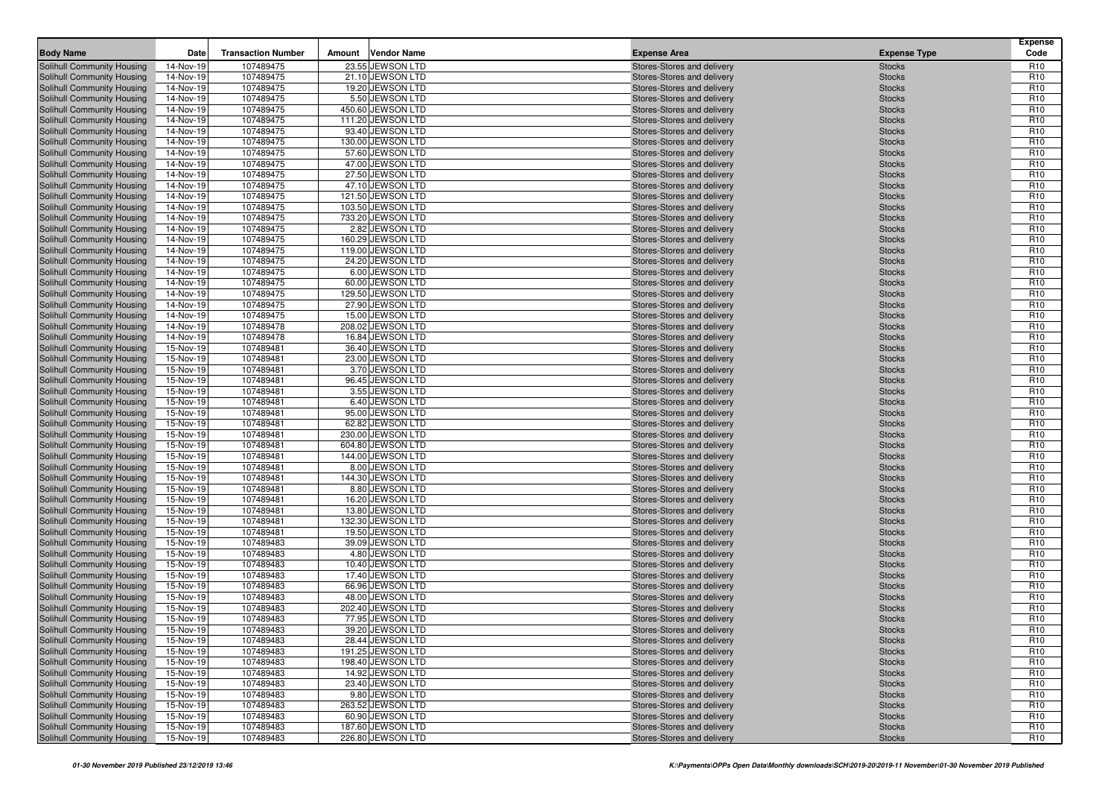| Solihull Community Housing<br>14-Nov-19<br>107489475<br>23.55 JEWSON LTD<br>Stores-Stores and delivery<br><b>Stocks</b><br>107489475<br>21.10 JEWSON LTD<br>Solihull Community Housing<br>14-Nov-19<br>Stores-Stores and delivery<br><b>Stocks</b><br>107489475<br>19.20 JEWSON LTD<br>Solihull Community Housing<br>14-Nov-19<br>Stores-Stores and delivery<br><b>Stocks</b><br>107489475<br>5.50 JEWSON LTD<br>Solihull Community Housing<br>14-Nov-19<br>Stores-Stores and delivery<br><b>Stocks</b><br>107489475<br>450.60 JEWSON LTD<br>Solihull Community Housing<br>14-Nov-19<br>Stores-Stores and delivery<br><b>Stocks</b><br>107489475<br>111.20 JEWSON LTD<br>Solihull Community Housing<br>14-Nov-19<br>Stores-Stores and delivery<br><b>Stocks</b><br>107489475<br>93.40 JEWSON LTD<br>Solihull Community Housing<br>14-Nov-19<br>Stores-Stores and delivery<br><b>Stocks</b><br>107489475<br>130.00 JEWSON LTD<br>Solihull Community Housing<br>14-Nov-19<br>Stores-Stores and delivery<br><b>Stocks</b><br>107489475<br>57.60 JEWSON LTD<br>Solihull Community Housing<br>14-Nov-19<br>Stores-Stores and delivery<br><b>Stocks</b><br>107489475<br>47.00 JEWSON LTD<br><b>Solihull Community Housing</b><br>14-Nov-19<br>Stores-Stores and delivery<br><b>Stocks</b><br>107489475<br>27.50 JEWSON LTD<br>Solihull Community Housing<br>14-Nov-19<br>Stores-Stores and delivery<br><b>Stocks</b><br>107489475<br>47.10 JEWSON LTD<br>Solihull Community Housing<br>14-Nov-19<br>Stores-Stores and delivery<br><b>Stocks</b><br>14-Nov-19<br>107489475<br>121.50 JEWSON LTD<br>Solihull Community Housing<br>Stores-Stores and delivery<br><b>Stocks</b><br><b>Solihull Community Housing</b><br>14-Nov-19<br>107489475<br>103.50 JEWSON LTD<br><b>Stocks</b><br>Stores-Stores and delivery<br>107489475<br>733.20 JEWSON LTD<br>Solihull Community Housing<br>14-Nov-19<br>Stores-Stores and delivery<br><b>Stocks</b><br>107489475<br>2.82 JEWSON LTD<br>Solihull Community Housing<br>14-Nov-19<br>Stores-Stores and delivery<br><b>Stocks</b><br>14-Nov-19<br>107489475<br>160.29 JEWSON LTD<br>Solihull Community Housing<br>Stores-Stores and delivery<br><b>Stocks</b><br>107489475<br>119.00 JEWSON LTD<br>Solihull Community Housing<br>14-Nov-19<br>Stores-Stores and delivery<br><b>Stocks</b><br>24.20 JEWSON LTD<br>Solihull Community Housing<br>14-Nov-19<br>107489475<br>Stores-Stores and delivery<br><b>Stocks</b><br>107489475<br>6.00 JEWSON LTD<br>Solihull Community Housing<br>14-Nov-19<br>Stores-Stores and delivery<br><b>Stocks</b><br>107489475<br>60.00 JEWSON LTD<br>Solihull Community Housing<br>14-Nov-19<br>Stores-Stores and delivery<br><b>Stocks</b><br>107489475<br>129.50 JEWSON LTD<br>Solihull Community Housing<br>14-Nov-19<br>Stores-Stores and delivery<br><b>Stocks</b><br>107489475<br>Solihull Community Housing<br>14-Nov-19<br>27.90 JEWSON LTD<br><b>Stocks</b><br>Stores-Stores and delivery<br>14-Nov-19<br>107489475<br>15.00 JEWSON LTD<br>Solihull Community Housing<br>Stores-Stores and delivery<br><b>Stocks</b><br>107489478<br>208.02 JEWSON LTD<br>Solihull Community Housing<br>14-Nov-19<br>Stores-Stores and delivery<br><b>Stocks</b><br>107489478<br>16.84 JEWSON LTD<br>Solihull Community Housing<br>14-Nov-19<br>Stores-Stores and delivery<br><b>Stocks</b><br>107489481<br>36.40 JEWSON LTD<br>Solihull Community Housing<br>15-Nov-19<br>Stores-Stores and delivery<br><b>Stocks</b><br>107489481<br>23.00 JEWSON LTD<br>Solihull Community Housing<br>15-Nov-19<br>Stores-Stores and delivery<br><b>Stocks</b><br>107489481<br>3.70 JEWSON LTD<br>Solihull Community Housing<br>15-Nov-19<br>Stores-Stores and delivery<br><b>Stocks</b><br>96.45 JEWSON LTD<br>Solihull Community Housing<br>15-Nov-19<br>107489481<br>Stores-Stores and delivery<br><b>Stocks</b><br>107489481<br>3.55 JEWSON LTD<br>Solihull Community Housing<br>15-Nov-19<br>Stores-Stores and delivery<br><b>Stocks</b><br>107489481<br>6.40 JEWSON LTD<br>Solihull Community Housing<br>15-Nov-19<br>Stores-Stores and delivery<br><b>Stocks</b><br>107489481<br>95.00 JEWSON LTD<br>Solihull Community Housing<br>15-Nov-19<br>Stores-Stores and delivery<br><b>Stocks</b><br>107489481<br>62.82 JEWSON LTD<br>Solihull Community Housing<br>15-Nov-19<br>Stores-Stores and delivery<br><b>Stocks</b><br>Solihull Community Housing<br>15-Nov-19<br>107489481<br>230.00 JEWSON LTD<br>Stores-Stores and delivery<br><b>Stocks</b><br>107489481<br>604.80 JEWSON LTD<br>Solihull Community Housing<br>15-Nov-19<br>Stores-Stores and delivery<br><b>Stocks</b><br>107489481<br>144.00 JEWSON LTD<br>Solihull Community Housing<br>15-Nov-19<br>Stores-Stores and delivery<br><b>Stocks</b><br>107489481<br>8.00 JEWSON LTD<br>Solihull Community Housing<br>15-Nov-19<br>Stores-Stores and delivery<br><b>Stocks</b><br>144.30 JEWSON LTD<br>Solihull Community Housing<br>15-Nov-19<br>107489481<br>Stores-Stores and delivery<br><b>Stocks</b><br>107489481<br>8.80 JEWSON LTD<br>Solihull Community Housing<br>15-Nov-19<br>Stores-Stores and delivery<br><b>Stocks</b><br>107489481<br>16.20 JEWSON LTD<br>Solihull Community Housing<br>15-Nov-19<br>Stores-Stores and delivery<br><b>Stocks</b><br>107489481<br>13.80 JEWSON LTD<br>Solihull Community Housing<br>15-Nov-19<br>Stores-Stores and delivery<br><b>Stocks</b><br>107489481<br>132.30 JEWSON LTD<br>Solihull Community Housing<br>15-Nov-19<br>Stores-Stores and delivery<br><b>Stocks</b><br>19.50 JEWSON LTD<br>Solihull Community Housing<br>15-Nov-19<br>107489481<br>Stores-Stores and delivery<br><b>Stocks</b><br>107489483<br>39.09 JEWSON LTD<br>Solihull Community Housing<br>15-Nov-19<br>Stores-Stores and delivery<br><b>Stocks</b><br>15-Nov-19<br>107489483<br>4.80 JEWSON LTD<br>Solihull Community Housing<br>Stores-Stores and delivery<br><b>Stocks</b><br>107489483<br>10.40 JEWSON LTD<br>Solihull Community Housing<br>15-Nov-19<br>Stores-Stores and delivery<br><b>Stocks</b><br>107489483<br>Solihull Community Housing<br>15-Nov-19<br>17.40 JEWSON LTD<br><b>Stocks</b><br>Stores-Stores and delivery<br>15-Nov-19<br>107489483<br>66.96 JEWSON LTD<br>Solihull Community Housing<br>Stores-Stores and delivery<br><b>Stocks</b><br>107489483<br>48.00 JEWSON LTD<br>Solihull Community Housing<br>15-Nov-19<br>Stores-Stores and delivery<br><b>Stocks</b><br>15-Nov-19<br>107489483<br>202.40 JEWSON LTD<br>Solihull Community Housing<br>Stores-Stores and delivery<br><b>Stocks</b><br>Solihull Community Housing<br>15-Nov-19<br>107489483<br>77.95 JEWSON LTD<br>Stores-Stores and delivery<br><b>Stocks</b><br>Solihull Community Housing<br>15-Nov-19<br>39.20 JEWSON LTD<br>107489483<br>Stores-Stores and delivery<br><b>Stocks</b><br>107489483<br>28.44 JEWSON LTD<br>Solihull Community Housing<br>15-Nov-19<br>Stores-Stores and delivery<br><b>Stocks</b><br>Solihull Community Housing<br>191.25 JEWSON LTD<br>15-Nov-19<br>107489483<br>Stores-Stores and delivery<br><b>Stocks</b><br>Solihull Community Housing<br>107489483<br>198.40 JEWSON LTD<br>Stores-Stores and delivery<br>15-Nov-19<br><b>Stocks</b><br>Solihull Community Housing<br>14.92 JEWSON LTD<br>Stores-Stores and delivery<br>15-Nov-19<br>107489483<br><b>Stocks</b><br>Solihull Community Housing<br>107489483<br>23.40 JEWSON LTD<br>15-Nov-19<br>Stores-Stores and delivery<br><b>Stocks</b> | <b>Body Name</b> | Date | <b>Transaction Number</b> | Amount | <b>Vendor Name</b> | <b>Expense Area</b> | <b>Expense Type</b> | <b>Expense</b><br>Code             |
|---------------------------------------------------------------------------------------------------------------------------------------------------------------------------------------------------------------------------------------------------------------------------------------------------------------------------------------------------------------------------------------------------------------------------------------------------------------------------------------------------------------------------------------------------------------------------------------------------------------------------------------------------------------------------------------------------------------------------------------------------------------------------------------------------------------------------------------------------------------------------------------------------------------------------------------------------------------------------------------------------------------------------------------------------------------------------------------------------------------------------------------------------------------------------------------------------------------------------------------------------------------------------------------------------------------------------------------------------------------------------------------------------------------------------------------------------------------------------------------------------------------------------------------------------------------------------------------------------------------------------------------------------------------------------------------------------------------------------------------------------------------------------------------------------------------------------------------------------------------------------------------------------------------------------------------------------------------------------------------------------------------------------------------------------------------------------------------------------------------------------------------------------------------------------------------------------------------------------------------------------------------------------------------------------------------------------------------------------------------------------------------------------------------------------------------------------------------------------------------------------------------------------------------------------------------------------------------------------------------------------------------------------------------------------------------------------------------------------------------------------------------------------------------------------------------------------------------------------------------------------------------------------------------------------------------------------------------------------------------------------------------------------------------------------------------------------------------------------------------------------------------------------------------------------------------------------------------------------------------------------------------------------------------------------------------------------------------------------------------------------------------------------------------------------------------------------------------------------------------------------------------------------------------------------------------------------------------------------------------------------------------------------------------------------------------------------------------------------------------------------------------------------------------------------------------------------------------------------------------------------------------------------------------------------------------------------------------------------------------------------------------------------------------------------------------------------------------------------------------------------------------------------------------------------------------------------------------------------------------------------------------------------------------------------------------------------------------------------------------------------------------------------------------------------------------------------------------------------------------------------------------------------------------------------------------------------------------------------------------------------------------------------------------------------------------------------------------------------------------------------------------------------------------------------------------------------------------------------------------------------------------------------------------------------------------------------------------------------------------------------------------------------------------------------------------------------------------------------------------------------------------------------------------------------------------------------------------------------------------------------------------------------------------------------------------------------------------------------------------------------------------------------------------------------------------------------------------------------------------------------------------------------------------------------------------------------------------------------------------------------------------------------------------------------------------------------------------------------------------------------------------------------------------------------------------------------------------------------------------------------------------------------------------------------------------------------------------------------------------------------------------------------------------------------------------------------------------------------------------------------------------------------------------------------------------------------------------------------------------------------------------------------------------------------------------------------------------------------------------------------------------------------------------------------------------------------------------------------------------------------------------------------------------------------------------------------------------------------------------------------------------------------------------------------------------------------------------------------------------------------------------------------------------------------------------------------------------------------------------------------------------------------------------------------------------------------------------------------------------------------------------------------------------------------------------------------------------------------------------------------------------------------------------------------------------------------------------------------------------------------------------------------------------------------------------------------------------------------------------------------------------------------------------------------------------------------|------------------|------|---------------------------|--------|--------------------|---------------------|---------------------|------------------------------------|
|                                                                                                                                                                                                                                                                                                                                                                                                                                                                                                                                                                                                                                                                                                                                                                                                                                                                                                                                                                                                                                                                                                                                                                                                                                                                                                                                                                                                                                                                                                                                                                                                                                                                                                                                                                                                                                                                                                                                                                                                                                                                                                                                                                                                                                                                                                                                                                                                                                                                                                                                                                                                                                                                                                                                                                                                                                                                                                                                                                                                                                                                                                                                                                                                                                                                                                                                                                                                                                                                                                                                                                                                                                                                                                                                                                                                                                                                                                                                                                                                                                                                                                                                                                                                                                                                                                                                                                                                                                                                                                                                                                                                                                                                                                                                                                                                                                                                                                                                                                                                                                                                                                                                                                                                                                                                                                                                                                                                                                                                                                                                                                                                                                                                                                                                                                                                                                                                                                                                                                                                                                                                                                                                                                                                                                                                                                                                                                                                                                                                                                                                                                                                                                                                                                                                                                                                                                                                                                                                                                                                                                                                                                                                                                                                                                                                                                                                                                                                                                                   |                  |      |                           |        |                    |                     |                     | R <sub>10</sub>                    |
|                                                                                                                                                                                                                                                                                                                                                                                                                                                                                                                                                                                                                                                                                                                                                                                                                                                                                                                                                                                                                                                                                                                                                                                                                                                                                                                                                                                                                                                                                                                                                                                                                                                                                                                                                                                                                                                                                                                                                                                                                                                                                                                                                                                                                                                                                                                                                                                                                                                                                                                                                                                                                                                                                                                                                                                                                                                                                                                                                                                                                                                                                                                                                                                                                                                                                                                                                                                                                                                                                                                                                                                                                                                                                                                                                                                                                                                                                                                                                                                                                                                                                                                                                                                                                                                                                                                                                                                                                                                                                                                                                                                                                                                                                                                                                                                                                                                                                                                                                                                                                                                                                                                                                                                                                                                                                                                                                                                                                                                                                                                                                                                                                                                                                                                                                                                                                                                                                                                                                                                                                                                                                                                                                                                                                                                                                                                                                                                                                                                                                                                                                                                                                                                                                                                                                                                                                                                                                                                                                                                                                                                                                                                                                                                                                                                                                                                                                                                                                                                   |                  |      |                           |        |                    |                     |                     | R <sub>10</sub>                    |
|                                                                                                                                                                                                                                                                                                                                                                                                                                                                                                                                                                                                                                                                                                                                                                                                                                                                                                                                                                                                                                                                                                                                                                                                                                                                                                                                                                                                                                                                                                                                                                                                                                                                                                                                                                                                                                                                                                                                                                                                                                                                                                                                                                                                                                                                                                                                                                                                                                                                                                                                                                                                                                                                                                                                                                                                                                                                                                                                                                                                                                                                                                                                                                                                                                                                                                                                                                                                                                                                                                                                                                                                                                                                                                                                                                                                                                                                                                                                                                                                                                                                                                                                                                                                                                                                                                                                                                                                                                                                                                                                                                                                                                                                                                                                                                                                                                                                                                                                                                                                                                                                                                                                                                                                                                                                                                                                                                                                                                                                                                                                                                                                                                                                                                                                                                                                                                                                                                                                                                                                                                                                                                                                                                                                                                                                                                                                                                                                                                                                                                                                                                                                                                                                                                                                                                                                                                                                                                                                                                                                                                                                                                                                                                                                                                                                                                                                                                                                                                                   |                  |      |                           |        |                    |                     |                     | R <sub>10</sub>                    |
|                                                                                                                                                                                                                                                                                                                                                                                                                                                                                                                                                                                                                                                                                                                                                                                                                                                                                                                                                                                                                                                                                                                                                                                                                                                                                                                                                                                                                                                                                                                                                                                                                                                                                                                                                                                                                                                                                                                                                                                                                                                                                                                                                                                                                                                                                                                                                                                                                                                                                                                                                                                                                                                                                                                                                                                                                                                                                                                                                                                                                                                                                                                                                                                                                                                                                                                                                                                                                                                                                                                                                                                                                                                                                                                                                                                                                                                                                                                                                                                                                                                                                                                                                                                                                                                                                                                                                                                                                                                                                                                                                                                                                                                                                                                                                                                                                                                                                                                                                                                                                                                                                                                                                                                                                                                                                                                                                                                                                                                                                                                                                                                                                                                                                                                                                                                                                                                                                                                                                                                                                                                                                                                                                                                                                                                                                                                                                                                                                                                                                                                                                                                                                                                                                                                                                                                                                                                                                                                                                                                                                                                                                                                                                                                                                                                                                                                                                                                                                                                   |                  |      |                           |        |                    |                     |                     | R <sub>10</sub>                    |
|                                                                                                                                                                                                                                                                                                                                                                                                                                                                                                                                                                                                                                                                                                                                                                                                                                                                                                                                                                                                                                                                                                                                                                                                                                                                                                                                                                                                                                                                                                                                                                                                                                                                                                                                                                                                                                                                                                                                                                                                                                                                                                                                                                                                                                                                                                                                                                                                                                                                                                                                                                                                                                                                                                                                                                                                                                                                                                                                                                                                                                                                                                                                                                                                                                                                                                                                                                                                                                                                                                                                                                                                                                                                                                                                                                                                                                                                                                                                                                                                                                                                                                                                                                                                                                                                                                                                                                                                                                                                                                                                                                                                                                                                                                                                                                                                                                                                                                                                                                                                                                                                                                                                                                                                                                                                                                                                                                                                                                                                                                                                                                                                                                                                                                                                                                                                                                                                                                                                                                                                                                                                                                                                                                                                                                                                                                                                                                                                                                                                                                                                                                                                                                                                                                                                                                                                                                                                                                                                                                                                                                                                                                                                                                                                                                                                                                                                                                                                                                                   |                  |      |                           |        |                    |                     |                     | R <sub>10</sub>                    |
|                                                                                                                                                                                                                                                                                                                                                                                                                                                                                                                                                                                                                                                                                                                                                                                                                                                                                                                                                                                                                                                                                                                                                                                                                                                                                                                                                                                                                                                                                                                                                                                                                                                                                                                                                                                                                                                                                                                                                                                                                                                                                                                                                                                                                                                                                                                                                                                                                                                                                                                                                                                                                                                                                                                                                                                                                                                                                                                                                                                                                                                                                                                                                                                                                                                                                                                                                                                                                                                                                                                                                                                                                                                                                                                                                                                                                                                                                                                                                                                                                                                                                                                                                                                                                                                                                                                                                                                                                                                                                                                                                                                                                                                                                                                                                                                                                                                                                                                                                                                                                                                                                                                                                                                                                                                                                                                                                                                                                                                                                                                                                                                                                                                                                                                                                                                                                                                                                                                                                                                                                                                                                                                                                                                                                                                                                                                                                                                                                                                                                                                                                                                                                                                                                                                                                                                                                                                                                                                                                                                                                                                                                                                                                                                                                                                                                                                                                                                                                                                   |                  |      |                           |        |                    |                     |                     | R <sub>10</sub>                    |
|                                                                                                                                                                                                                                                                                                                                                                                                                                                                                                                                                                                                                                                                                                                                                                                                                                                                                                                                                                                                                                                                                                                                                                                                                                                                                                                                                                                                                                                                                                                                                                                                                                                                                                                                                                                                                                                                                                                                                                                                                                                                                                                                                                                                                                                                                                                                                                                                                                                                                                                                                                                                                                                                                                                                                                                                                                                                                                                                                                                                                                                                                                                                                                                                                                                                                                                                                                                                                                                                                                                                                                                                                                                                                                                                                                                                                                                                                                                                                                                                                                                                                                                                                                                                                                                                                                                                                                                                                                                                                                                                                                                                                                                                                                                                                                                                                                                                                                                                                                                                                                                                                                                                                                                                                                                                                                                                                                                                                                                                                                                                                                                                                                                                                                                                                                                                                                                                                                                                                                                                                                                                                                                                                                                                                                                                                                                                                                                                                                                                                                                                                                                                                                                                                                                                                                                                                                                                                                                                                                                                                                                                                                                                                                                                                                                                                                                                                                                                                                                   |                  |      |                           |        |                    |                     |                     | R <sub>10</sub>                    |
|                                                                                                                                                                                                                                                                                                                                                                                                                                                                                                                                                                                                                                                                                                                                                                                                                                                                                                                                                                                                                                                                                                                                                                                                                                                                                                                                                                                                                                                                                                                                                                                                                                                                                                                                                                                                                                                                                                                                                                                                                                                                                                                                                                                                                                                                                                                                                                                                                                                                                                                                                                                                                                                                                                                                                                                                                                                                                                                                                                                                                                                                                                                                                                                                                                                                                                                                                                                                                                                                                                                                                                                                                                                                                                                                                                                                                                                                                                                                                                                                                                                                                                                                                                                                                                                                                                                                                                                                                                                                                                                                                                                                                                                                                                                                                                                                                                                                                                                                                                                                                                                                                                                                                                                                                                                                                                                                                                                                                                                                                                                                                                                                                                                                                                                                                                                                                                                                                                                                                                                                                                                                                                                                                                                                                                                                                                                                                                                                                                                                                                                                                                                                                                                                                                                                                                                                                                                                                                                                                                                                                                                                                                                                                                                                                                                                                                                                                                                                                                                   |                  |      |                           |        |                    |                     |                     | R <sub>10</sub>                    |
|                                                                                                                                                                                                                                                                                                                                                                                                                                                                                                                                                                                                                                                                                                                                                                                                                                                                                                                                                                                                                                                                                                                                                                                                                                                                                                                                                                                                                                                                                                                                                                                                                                                                                                                                                                                                                                                                                                                                                                                                                                                                                                                                                                                                                                                                                                                                                                                                                                                                                                                                                                                                                                                                                                                                                                                                                                                                                                                                                                                                                                                                                                                                                                                                                                                                                                                                                                                                                                                                                                                                                                                                                                                                                                                                                                                                                                                                                                                                                                                                                                                                                                                                                                                                                                                                                                                                                                                                                                                                                                                                                                                                                                                                                                                                                                                                                                                                                                                                                                                                                                                                                                                                                                                                                                                                                                                                                                                                                                                                                                                                                                                                                                                                                                                                                                                                                                                                                                                                                                                                                                                                                                                                                                                                                                                                                                                                                                                                                                                                                                                                                                                                                                                                                                                                                                                                                                                                                                                                                                                                                                                                                                                                                                                                                                                                                                                                                                                                                                                   |                  |      |                           |        |                    |                     |                     | R <sub>10</sub>                    |
|                                                                                                                                                                                                                                                                                                                                                                                                                                                                                                                                                                                                                                                                                                                                                                                                                                                                                                                                                                                                                                                                                                                                                                                                                                                                                                                                                                                                                                                                                                                                                                                                                                                                                                                                                                                                                                                                                                                                                                                                                                                                                                                                                                                                                                                                                                                                                                                                                                                                                                                                                                                                                                                                                                                                                                                                                                                                                                                                                                                                                                                                                                                                                                                                                                                                                                                                                                                                                                                                                                                                                                                                                                                                                                                                                                                                                                                                                                                                                                                                                                                                                                                                                                                                                                                                                                                                                                                                                                                                                                                                                                                                                                                                                                                                                                                                                                                                                                                                                                                                                                                                                                                                                                                                                                                                                                                                                                                                                                                                                                                                                                                                                                                                                                                                                                                                                                                                                                                                                                                                                                                                                                                                                                                                                                                                                                                                                                                                                                                                                                                                                                                                                                                                                                                                                                                                                                                                                                                                                                                                                                                                                                                                                                                                                                                                                                                                                                                                                                                   |                  |      |                           |        |                    |                     |                     | R <sub>10</sub>                    |
|                                                                                                                                                                                                                                                                                                                                                                                                                                                                                                                                                                                                                                                                                                                                                                                                                                                                                                                                                                                                                                                                                                                                                                                                                                                                                                                                                                                                                                                                                                                                                                                                                                                                                                                                                                                                                                                                                                                                                                                                                                                                                                                                                                                                                                                                                                                                                                                                                                                                                                                                                                                                                                                                                                                                                                                                                                                                                                                                                                                                                                                                                                                                                                                                                                                                                                                                                                                                                                                                                                                                                                                                                                                                                                                                                                                                                                                                                                                                                                                                                                                                                                                                                                                                                                                                                                                                                                                                                                                                                                                                                                                                                                                                                                                                                                                                                                                                                                                                                                                                                                                                                                                                                                                                                                                                                                                                                                                                                                                                                                                                                                                                                                                                                                                                                                                                                                                                                                                                                                                                                                                                                                                                                                                                                                                                                                                                                                                                                                                                                                                                                                                                                                                                                                                                                                                                                                                                                                                                                                                                                                                                                                                                                                                                                                                                                                                                                                                                                                                   |                  |      |                           |        |                    |                     |                     | R <sub>10</sub>                    |
|                                                                                                                                                                                                                                                                                                                                                                                                                                                                                                                                                                                                                                                                                                                                                                                                                                                                                                                                                                                                                                                                                                                                                                                                                                                                                                                                                                                                                                                                                                                                                                                                                                                                                                                                                                                                                                                                                                                                                                                                                                                                                                                                                                                                                                                                                                                                                                                                                                                                                                                                                                                                                                                                                                                                                                                                                                                                                                                                                                                                                                                                                                                                                                                                                                                                                                                                                                                                                                                                                                                                                                                                                                                                                                                                                                                                                                                                                                                                                                                                                                                                                                                                                                                                                                                                                                                                                                                                                                                                                                                                                                                                                                                                                                                                                                                                                                                                                                                                                                                                                                                                                                                                                                                                                                                                                                                                                                                                                                                                                                                                                                                                                                                                                                                                                                                                                                                                                                                                                                                                                                                                                                                                                                                                                                                                                                                                                                                                                                                                                                                                                                                                                                                                                                                                                                                                                                                                                                                                                                                                                                                                                                                                                                                                                                                                                                                                                                                                                                                   |                  |      |                           |        |                    |                     |                     | R <sub>10</sub>                    |
|                                                                                                                                                                                                                                                                                                                                                                                                                                                                                                                                                                                                                                                                                                                                                                                                                                                                                                                                                                                                                                                                                                                                                                                                                                                                                                                                                                                                                                                                                                                                                                                                                                                                                                                                                                                                                                                                                                                                                                                                                                                                                                                                                                                                                                                                                                                                                                                                                                                                                                                                                                                                                                                                                                                                                                                                                                                                                                                                                                                                                                                                                                                                                                                                                                                                                                                                                                                                                                                                                                                                                                                                                                                                                                                                                                                                                                                                                                                                                                                                                                                                                                                                                                                                                                                                                                                                                                                                                                                                                                                                                                                                                                                                                                                                                                                                                                                                                                                                                                                                                                                                                                                                                                                                                                                                                                                                                                                                                                                                                                                                                                                                                                                                                                                                                                                                                                                                                                                                                                                                                                                                                                                                                                                                                                                                                                                                                                                                                                                                                                                                                                                                                                                                                                                                                                                                                                                                                                                                                                                                                                                                                                                                                                                                                                                                                                                                                                                                                                                   |                  |      |                           |        |                    |                     |                     | R <sub>10</sub><br>R <sub>10</sub> |
|                                                                                                                                                                                                                                                                                                                                                                                                                                                                                                                                                                                                                                                                                                                                                                                                                                                                                                                                                                                                                                                                                                                                                                                                                                                                                                                                                                                                                                                                                                                                                                                                                                                                                                                                                                                                                                                                                                                                                                                                                                                                                                                                                                                                                                                                                                                                                                                                                                                                                                                                                                                                                                                                                                                                                                                                                                                                                                                                                                                                                                                                                                                                                                                                                                                                                                                                                                                                                                                                                                                                                                                                                                                                                                                                                                                                                                                                                                                                                                                                                                                                                                                                                                                                                                                                                                                                                                                                                                                                                                                                                                                                                                                                                                                                                                                                                                                                                                                                                                                                                                                                                                                                                                                                                                                                                                                                                                                                                                                                                                                                                                                                                                                                                                                                                                                                                                                                                                                                                                                                                                                                                                                                                                                                                                                                                                                                                                                                                                                                                                                                                                                                                                                                                                                                                                                                                                                                                                                                                                                                                                                                                                                                                                                                                                                                                                                                                                                                                                                   |                  |      |                           |        |                    |                     |                     | R <sub>10</sub>                    |
|                                                                                                                                                                                                                                                                                                                                                                                                                                                                                                                                                                                                                                                                                                                                                                                                                                                                                                                                                                                                                                                                                                                                                                                                                                                                                                                                                                                                                                                                                                                                                                                                                                                                                                                                                                                                                                                                                                                                                                                                                                                                                                                                                                                                                                                                                                                                                                                                                                                                                                                                                                                                                                                                                                                                                                                                                                                                                                                                                                                                                                                                                                                                                                                                                                                                                                                                                                                                                                                                                                                                                                                                                                                                                                                                                                                                                                                                                                                                                                                                                                                                                                                                                                                                                                                                                                                                                                                                                                                                                                                                                                                                                                                                                                                                                                                                                                                                                                                                                                                                                                                                                                                                                                                                                                                                                                                                                                                                                                                                                                                                                                                                                                                                                                                                                                                                                                                                                                                                                                                                                                                                                                                                                                                                                                                                                                                                                                                                                                                                                                                                                                                                                                                                                                                                                                                                                                                                                                                                                                                                                                                                                                                                                                                                                                                                                                                                                                                                                                                   |                  |      |                           |        |                    |                     |                     | R <sub>10</sub>                    |
|                                                                                                                                                                                                                                                                                                                                                                                                                                                                                                                                                                                                                                                                                                                                                                                                                                                                                                                                                                                                                                                                                                                                                                                                                                                                                                                                                                                                                                                                                                                                                                                                                                                                                                                                                                                                                                                                                                                                                                                                                                                                                                                                                                                                                                                                                                                                                                                                                                                                                                                                                                                                                                                                                                                                                                                                                                                                                                                                                                                                                                                                                                                                                                                                                                                                                                                                                                                                                                                                                                                                                                                                                                                                                                                                                                                                                                                                                                                                                                                                                                                                                                                                                                                                                                                                                                                                                                                                                                                                                                                                                                                                                                                                                                                                                                                                                                                                                                                                                                                                                                                                                                                                                                                                                                                                                                                                                                                                                                                                                                                                                                                                                                                                                                                                                                                                                                                                                                                                                                                                                                                                                                                                                                                                                                                                                                                                                                                                                                                                                                                                                                                                                                                                                                                                                                                                                                                                                                                                                                                                                                                                                                                                                                                                                                                                                                                                                                                                                                                   |                  |      |                           |        |                    |                     |                     | R <sub>10</sub>                    |
|                                                                                                                                                                                                                                                                                                                                                                                                                                                                                                                                                                                                                                                                                                                                                                                                                                                                                                                                                                                                                                                                                                                                                                                                                                                                                                                                                                                                                                                                                                                                                                                                                                                                                                                                                                                                                                                                                                                                                                                                                                                                                                                                                                                                                                                                                                                                                                                                                                                                                                                                                                                                                                                                                                                                                                                                                                                                                                                                                                                                                                                                                                                                                                                                                                                                                                                                                                                                                                                                                                                                                                                                                                                                                                                                                                                                                                                                                                                                                                                                                                                                                                                                                                                                                                                                                                                                                                                                                                                                                                                                                                                                                                                                                                                                                                                                                                                                                                                                                                                                                                                                                                                                                                                                                                                                                                                                                                                                                                                                                                                                                                                                                                                                                                                                                                                                                                                                                                                                                                                                                                                                                                                                                                                                                                                                                                                                                                                                                                                                                                                                                                                                                                                                                                                                                                                                                                                                                                                                                                                                                                                                                                                                                                                                                                                                                                                                                                                                                                                   |                  |      |                           |        |                    |                     |                     | R <sub>10</sub>                    |
|                                                                                                                                                                                                                                                                                                                                                                                                                                                                                                                                                                                                                                                                                                                                                                                                                                                                                                                                                                                                                                                                                                                                                                                                                                                                                                                                                                                                                                                                                                                                                                                                                                                                                                                                                                                                                                                                                                                                                                                                                                                                                                                                                                                                                                                                                                                                                                                                                                                                                                                                                                                                                                                                                                                                                                                                                                                                                                                                                                                                                                                                                                                                                                                                                                                                                                                                                                                                                                                                                                                                                                                                                                                                                                                                                                                                                                                                                                                                                                                                                                                                                                                                                                                                                                                                                                                                                                                                                                                                                                                                                                                                                                                                                                                                                                                                                                                                                                                                                                                                                                                                                                                                                                                                                                                                                                                                                                                                                                                                                                                                                                                                                                                                                                                                                                                                                                                                                                                                                                                                                                                                                                                                                                                                                                                                                                                                                                                                                                                                                                                                                                                                                                                                                                                                                                                                                                                                                                                                                                                                                                                                                                                                                                                                                                                                                                                                                                                                                                                   |                  |      |                           |        |                    |                     |                     | R <sub>10</sub>                    |
|                                                                                                                                                                                                                                                                                                                                                                                                                                                                                                                                                                                                                                                                                                                                                                                                                                                                                                                                                                                                                                                                                                                                                                                                                                                                                                                                                                                                                                                                                                                                                                                                                                                                                                                                                                                                                                                                                                                                                                                                                                                                                                                                                                                                                                                                                                                                                                                                                                                                                                                                                                                                                                                                                                                                                                                                                                                                                                                                                                                                                                                                                                                                                                                                                                                                                                                                                                                                                                                                                                                                                                                                                                                                                                                                                                                                                                                                                                                                                                                                                                                                                                                                                                                                                                                                                                                                                                                                                                                                                                                                                                                                                                                                                                                                                                                                                                                                                                                                                                                                                                                                                                                                                                                                                                                                                                                                                                                                                                                                                                                                                                                                                                                                                                                                                                                                                                                                                                                                                                                                                                                                                                                                                                                                                                                                                                                                                                                                                                                                                                                                                                                                                                                                                                                                                                                                                                                                                                                                                                                                                                                                                                                                                                                                                                                                                                                                                                                                                                                   |                  |      |                           |        |                    |                     |                     | R <sub>10</sub>                    |
|                                                                                                                                                                                                                                                                                                                                                                                                                                                                                                                                                                                                                                                                                                                                                                                                                                                                                                                                                                                                                                                                                                                                                                                                                                                                                                                                                                                                                                                                                                                                                                                                                                                                                                                                                                                                                                                                                                                                                                                                                                                                                                                                                                                                                                                                                                                                                                                                                                                                                                                                                                                                                                                                                                                                                                                                                                                                                                                                                                                                                                                                                                                                                                                                                                                                                                                                                                                                                                                                                                                                                                                                                                                                                                                                                                                                                                                                                                                                                                                                                                                                                                                                                                                                                                                                                                                                                                                                                                                                                                                                                                                                                                                                                                                                                                                                                                                                                                                                                                                                                                                                                                                                                                                                                                                                                                                                                                                                                                                                                                                                                                                                                                                                                                                                                                                                                                                                                                                                                                                                                                                                                                                                                                                                                                                                                                                                                                                                                                                                                                                                                                                                                                                                                                                                                                                                                                                                                                                                                                                                                                                                                                                                                                                                                                                                                                                                                                                                                                                   |                  |      |                           |        |                    |                     |                     | R <sub>10</sub>                    |
|                                                                                                                                                                                                                                                                                                                                                                                                                                                                                                                                                                                                                                                                                                                                                                                                                                                                                                                                                                                                                                                                                                                                                                                                                                                                                                                                                                                                                                                                                                                                                                                                                                                                                                                                                                                                                                                                                                                                                                                                                                                                                                                                                                                                                                                                                                                                                                                                                                                                                                                                                                                                                                                                                                                                                                                                                                                                                                                                                                                                                                                                                                                                                                                                                                                                                                                                                                                                                                                                                                                                                                                                                                                                                                                                                                                                                                                                                                                                                                                                                                                                                                                                                                                                                                                                                                                                                                                                                                                                                                                                                                                                                                                                                                                                                                                                                                                                                                                                                                                                                                                                                                                                                                                                                                                                                                                                                                                                                                                                                                                                                                                                                                                                                                                                                                                                                                                                                                                                                                                                                                                                                                                                                                                                                                                                                                                                                                                                                                                                                                                                                                                                                                                                                                                                                                                                                                                                                                                                                                                                                                                                                                                                                                                                                                                                                                                                                                                                                                                   |                  |      |                           |        |                    |                     |                     | R <sub>10</sub>                    |
|                                                                                                                                                                                                                                                                                                                                                                                                                                                                                                                                                                                                                                                                                                                                                                                                                                                                                                                                                                                                                                                                                                                                                                                                                                                                                                                                                                                                                                                                                                                                                                                                                                                                                                                                                                                                                                                                                                                                                                                                                                                                                                                                                                                                                                                                                                                                                                                                                                                                                                                                                                                                                                                                                                                                                                                                                                                                                                                                                                                                                                                                                                                                                                                                                                                                                                                                                                                                                                                                                                                                                                                                                                                                                                                                                                                                                                                                                                                                                                                                                                                                                                                                                                                                                                                                                                                                                                                                                                                                                                                                                                                                                                                                                                                                                                                                                                                                                                                                                                                                                                                                                                                                                                                                                                                                                                                                                                                                                                                                                                                                                                                                                                                                                                                                                                                                                                                                                                                                                                                                                                                                                                                                                                                                                                                                                                                                                                                                                                                                                                                                                                                                                                                                                                                                                                                                                                                                                                                                                                                                                                                                                                                                                                                                                                                                                                                                                                                                                                                   |                  |      |                           |        |                    |                     |                     | R <sub>10</sub>                    |
|                                                                                                                                                                                                                                                                                                                                                                                                                                                                                                                                                                                                                                                                                                                                                                                                                                                                                                                                                                                                                                                                                                                                                                                                                                                                                                                                                                                                                                                                                                                                                                                                                                                                                                                                                                                                                                                                                                                                                                                                                                                                                                                                                                                                                                                                                                                                                                                                                                                                                                                                                                                                                                                                                                                                                                                                                                                                                                                                                                                                                                                                                                                                                                                                                                                                                                                                                                                                                                                                                                                                                                                                                                                                                                                                                                                                                                                                                                                                                                                                                                                                                                                                                                                                                                                                                                                                                                                                                                                                                                                                                                                                                                                                                                                                                                                                                                                                                                                                                                                                                                                                                                                                                                                                                                                                                                                                                                                                                                                                                                                                                                                                                                                                                                                                                                                                                                                                                                                                                                                                                                                                                                                                                                                                                                                                                                                                                                                                                                                                                                                                                                                                                                                                                                                                                                                                                                                                                                                                                                                                                                                                                                                                                                                                                                                                                                                                                                                                                                                   |                  |      |                           |        |                    |                     |                     | R <sub>10</sub>                    |
|                                                                                                                                                                                                                                                                                                                                                                                                                                                                                                                                                                                                                                                                                                                                                                                                                                                                                                                                                                                                                                                                                                                                                                                                                                                                                                                                                                                                                                                                                                                                                                                                                                                                                                                                                                                                                                                                                                                                                                                                                                                                                                                                                                                                                                                                                                                                                                                                                                                                                                                                                                                                                                                                                                                                                                                                                                                                                                                                                                                                                                                                                                                                                                                                                                                                                                                                                                                                                                                                                                                                                                                                                                                                                                                                                                                                                                                                                                                                                                                                                                                                                                                                                                                                                                                                                                                                                                                                                                                                                                                                                                                                                                                                                                                                                                                                                                                                                                                                                                                                                                                                                                                                                                                                                                                                                                                                                                                                                                                                                                                                                                                                                                                                                                                                                                                                                                                                                                                                                                                                                                                                                                                                                                                                                                                                                                                                                                                                                                                                                                                                                                                                                                                                                                                                                                                                                                                                                                                                                                                                                                                                                                                                                                                                                                                                                                                                                                                                                                                   |                  |      |                           |        |                    |                     |                     | R <sub>10</sub>                    |
|                                                                                                                                                                                                                                                                                                                                                                                                                                                                                                                                                                                                                                                                                                                                                                                                                                                                                                                                                                                                                                                                                                                                                                                                                                                                                                                                                                                                                                                                                                                                                                                                                                                                                                                                                                                                                                                                                                                                                                                                                                                                                                                                                                                                                                                                                                                                                                                                                                                                                                                                                                                                                                                                                                                                                                                                                                                                                                                                                                                                                                                                                                                                                                                                                                                                                                                                                                                                                                                                                                                                                                                                                                                                                                                                                                                                                                                                                                                                                                                                                                                                                                                                                                                                                                                                                                                                                                                                                                                                                                                                                                                                                                                                                                                                                                                                                                                                                                                                                                                                                                                                                                                                                                                                                                                                                                                                                                                                                                                                                                                                                                                                                                                                                                                                                                                                                                                                                                                                                                                                                                                                                                                                                                                                                                                                                                                                                                                                                                                                                                                                                                                                                                                                                                                                                                                                                                                                                                                                                                                                                                                                                                                                                                                                                                                                                                                                                                                                                                                   |                  |      |                           |        |                    |                     |                     | R <sub>10</sub>                    |
|                                                                                                                                                                                                                                                                                                                                                                                                                                                                                                                                                                                                                                                                                                                                                                                                                                                                                                                                                                                                                                                                                                                                                                                                                                                                                                                                                                                                                                                                                                                                                                                                                                                                                                                                                                                                                                                                                                                                                                                                                                                                                                                                                                                                                                                                                                                                                                                                                                                                                                                                                                                                                                                                                                                                                                                                                                                                                                                                                                                                                                                                                                                                                                                                                                                                                                                                                                                                                                                                                                                                                                                                                                                                                                                                                                                                                                                                                                                                                                                                                                                                                                                                                                                                                                                                                                                                                                                                                                                                                                                                                                                                                                                                                                                                                                                                                                                                                                                                                                                                                                                                                                                                                                                                                                                                                                                                                                                                                                                                                                                                                                                                                                                                                                                                                                                                                                                                                                                                                                                                                                                                                                                                                                                                                                                                                                                                                                                                                                                                                                                                                                                                                                                                                                                                                                                                                                                                                                                                                                                                                                                                                                                                                                                                                                                                                                                                                                                                                                                   |                  |      |                           |        |                    |                     |                     | R <sub>10</sub>                    |
|                                                                                                                                                                                                                                                                                                                                                                                                                                                                                                                                                                                                                                                                                                                                                                                                                                                                                                                                                                                                                                                                                                                                                                                                                                                                                                                                                                                                                                                                                                                                                                                                                                                                                                                                                                                                                                                                                                                                                                                                                                                                                                                                                                                                                                                                                                                                                                                                                                                                                                                                                                                                                                                                                                                                                                                                                                                                                                                                                                                                                                                                                                                                                                                                                                                                                                                                                                                                                                                                                                                                                                                                                                                                                                                                                                                                                                                                                                                                                                                                                                                                                                                                                                                                                                                                                                                                                                                                                                                                                                                                                                                                                                                                                                                                                                                                                                                                                                                                                                                                                                                                                                                                                                                                                                                                                                                                                                                                                                                                                                                                                                                                                                                                                                                                                                                                                                                                                                                                                                                                                                                                                                                                                                                                                                                                                                                                                                                                                                                                                                                                                                                                                                                                                                                                                                                                                                                                                                                                                                                                                                                                                                                                                                                                                                                                                                                                                                                                                                                   |                  |      |                           |        |                    |                     |                     | R <sub>10</sub>                    |
|                                                                                                                                                                                                                                                                                                                                                                                                                                                                                                                                                                                                                                                                                                                                                                                                                                                                                                                                                                                                                                                                                                                                                                                                                                                                                                                                                                                                                                                                                                                                                                                                                                                                                                                                                                                                                                                                                                                                                                                                                                                                                                                                                                                                                                                                                                                                                                                                                                                                                                                                                                                                                                                                                                                                                                                                                                                                                                                                                                                                                                                                                                                                                                                                                                                                                                                                                                                                                                                                                                                                                                                                                                                                                                                                                                                                                                                                                                                                                                                                                                                                                                                                                                                                                                                                                                                                                                                                                                                                                                                                                                                                                                                                                                                                                                                                                                                                                                                                                                                                                                                                                                                                                                                                                                                                                                                                                                                                                                                                                                                                                                                                                                                                                                                                                                                                                                                                                                                                                                                                                                                                                                                                                                                                                                                                                                                                                                                                                                                                                                                                                                                                                                                                                                                                                                                                                                                                                                                                                                                                                                                                                                                                                                                                                                                                                                                                                                                                                                                   |                  |      |                           |        |                    |                     |                     | R <sub>10</sub>                    |
|                                                                                                                                                                                                                                                                                                                                                                                                                                                                                                                                                                                                                                                                                                                                                                                                                                                                                                                                                                                                                                                                                                                                                                                                                                                                                                                                                                                                                                                                                                                                                                                                                                                                                                                                                                                                                                                                                                                                                                                                                                                                                                                                                                                                                                                                                                                                                                                                                                                                                                                                                                                                                                                                                                                                                                                                                                                                                                                                                                                                                                                                                                                                                                                                                                                                                                                                                                                                                                                                                                                                                                                                                                                                                                                                                                                                                                                                                                                                                                                                                                                                                                                                                                                                                                                                                                                                                                                                                                                                                                                                                                                                                                                                                                                                                                                                                                                                                                                                                                                                                                                                                                                                                                                                                                                                                                                                                                                                                                                                                                                                                                                                                                                                                                                                                                                                                                                                                                                                                                                                                                                                                                                                                                                                                                                                                                                                                                                                                                                                                                                                                                                                                                                                                                                                                                                                                                                                                                                                                                                                                                                                                                                                                                                                                                                                                                                                                                                                                                                   |                  |      |                           |        |                    |                     |                     | R <sub>10</sub>                    |
|                                                                                                                                                                                                                                                                                                                                                                                                                                                                                                                                                                                                                                                                                                                                                                                                                                                                                                                                                                                                                                                                                                                                                                                                                                                                                                                                                                                                                                                                                                                                                                                                                                                                                                                                                                                                                                                                                                                                                                                                                                                                                                                                                                                                                                                                                                                                                                                                                                                                                                                                                                                                                                                                                                                                                                                                                                                                                                                                                                                                                                                                                                                                                                                                                                                                                                                                                                                                                                                                                                                                                                                                                                                                                                                                                                                                                                                                                                                                                                                                                                                                                                                                                                                                                                                                                                                                                                                                                                                                                                                                                                                                                                                                                                                                                                                                                                                                                                                                                                                                                                                                                                                                                                                                                                                                                                                                                                                                                                                                                                                                                                                                                                                                                                                                                                                                                                                                                                                                                                                                                                                                                                                                                                                                                                                                                                                                                                                                                                                                                                                                                                                                                                                                                                                                                                                                                                                                                                                                                                                                                                                                                                                                                                                                                                                                                                                                                                                                                                                   |                  |      |                           |        |                    |                     |                     | R <sub>10</sub>                    |
|                                                                                                                                                                                                                                                                                                                                                                                                                                                                                                                                                                                                                                                                                                                                                                                                                                                                                                                                                                                                                                                                                                                                                                                                                                                                                                                                                                                                                                                                                                                                                                                                                                                                                                                                                                                                                                                                                                                                                                                                                                                                                                                                                                                                                                                                                                                                                                                                                                                                                                                                                                                                                                                                                                                                                                                                                                                                                                                                                                                                                                                                                                                                                                                                                                                                                                                                                                                                                                                                                                                                                                                                                                                                                                                                                                                                                                                                                                                                                                                                                                                                                                                                                                                                                                                                                                                                                                                                                                                                                                                                                                                                                                                                                                                                                                                                                                                                                                                                                                                                                                                                                                                                                                                                                                                                                                                                                                                                                                                                                                                                                                                                                                                                                                                                                                                                                                                                                                                                                                                                                                                                                                                                                                                                                                                                                                                                                                                                                                                                                                                                                                                                                                                                                                                                                                                                                                                                                                                                                                                                                                                                                                                                                                                                                                                                                                                                                                                                                                                   |                  |      |                           |        |                    |                     |                     | R <sub>10</sub>                    |
|                                                                                                                                                                                                                                                                                                                                                                                                                                                                                                                                                                                                                                                                                                                                                                                                                                                                                                                                                                                                                                                                                                                                                                                                                                                                                                                                                                                                                                                                                                                                                                                                                                                                                                                                                                                                                                                                                                                                                                                                                                                                                                                                                                                                                                                                                                                                                                                                                                                                                                                                                                                                                                                                                                                                                                                                                                                                                                                                                                                                                                                                                                                                                                                                                                                                                                                                                                                                                                                                                                                                                                                                                                                                                                                                                                                                                                                                                                                                                                                                                                                                                                                                                                                                                                                                                                                                                                                                                                                                                                                                                                                                                                                                                                                                                                                                                                                                                                                                                                                                                                                                                                                                                                                                                                                                                                                                                                                                                                                                                                                                                                                                                                                                                                                                                                                                                                                                                                                                                                                                                                                                                                                                                                                                                                                                                                                                                                                                                                                                                                                                                                                                                                                                                                                                                                                                                                                                                                                                                                                                                                                                                                                                                                                                                                                                                                                                                                                                                                                   |                  |      |                           |        |                    |                     |                     | R <sub>10</sub>                    |
|                                                                                                                                                                                                                                                                                                                                                                                                                                                                                                                                                                                                                                                                                                                                                                                                                                                                                                                                                                                                                                                                                                                                                                                                                                                                                                                                                                                                                                                                                                                                                                                                                                                                                                                                                                                                                                                                                                                                                                                                                                                                                                                                                                                                                                                                                                                                                                                                                                                                                                                                                                                                                                                                                                                                                                                                                                                                                                                                                                                                                                                                                                                                                                                                                                                                                                                                                                                                                                                                                                                                                                                                                                                                                                                                                                                                                                                                                                                                                                                                                                                                                                                                                                                                                                                                                                                                                                                                                                                                                                                                                                                                                                                                                                                                                                                                                                                                                                                                                                                                                                                                                                                                                                                                                                                                                                                                                                                                                                                                                                                                                                                                                                                                                                                                                                                                                                                                                                                                                                                                                                                                                                                                                                                                                                                                                                                                                                                                                                                                                                                                                                                                                                                                                                                                                                                                                                                                                                                                                                                                                                                                                                                                                                                                                                                                                                                                                                                                                                                   |                  |      |                           |        |                    |                     |                     | R <sub>10</sub><br>R <sub>10</sub> |
|                                                                                                                                                                                                                                                                                                                                                                                                                                                                                                                                                                                                                                                                                                                                                                                                                                                                                                                                                                                                                                                                                                                                                                                                                                                                                                                                                                                                                                                                                                                                                                                                                                                                                                                                                                                                                                                                                                                                                                                                                                                                                                                                                                                                                                                                                                                                                                                                                                                                                                                                                                                                                                                                                                                                                                                                                                                                                                                                                                                                                                                                                                                                                                                                                                                                                                                                                                                                                                                                                                                                                                                                                                                                                                                                                                                                                                                                                                                                                                                                                                                                                                                                                                                                                                                                                                                                                                                                                                                                                                                                                                                                                                                                                                                                                                                                                                                                                                                                                                                                                                                                                                                                                                                                                                                                                                                                                                                                                                                                                                                                                                                                                                                                                                                                                                                                                                                                                                                                                                                                                                                                                                                                                                                                                                                                                                                                                                                                                                                                                                                                                                                                                                                                                                                                                                                                                                                                                                                                                                                                                                                                                                                                                                                                                                                                                                                                                                                                                                                   |                  |      |                           |        |                    |                     |                     | R <sub>10</sub>                    |
|                                                                                                                                                                                                                                                                                                                                                                                                                                                                                                                                                                                                                                                                                                                                                                                                                                                                                                                                                                                                                                                                                                                                                                                                                                                                                                                                                                                                                                                                                                                                                                                                                                                                                                                                                                                                                                                                                                                                                                                                                                                                                                                                                                                                                                                                                                                                                                                                                                                                                                                                                                                                                                                                                                                                                                                                                                                                                                                                                                                                                                                                                                                                                                                                                                                                                                                                                                                                                                                                                                                                                                                                                                                                                                                                                                                                                                                                                                                                                                                                                                                                                                                                                                                                                                                                                                                                                                                                                                                                                                                                                                                                                                                                                                                                                                                                                                                                                                                                                                                                                                                                                                                                                                                                                                                                                                                                                                                                                                                                                                                                                                                                                                                                                                                                                                                                                                                                                                                                                                                                                                                                                                                                                                                                                                                                                                                                                                                                                                                                                                                                                                                                                                                                                                                                                                                                                                                                                                                                                                                                                                                                                                                                                                                                                                                                                                                                                                                                                                                   |                  |      |                           |        |                    |                     |                     | R <sub>10</sub>                    |
|                                                                                                                                                                                                                                                                                                                                                                                                                                                                                                                                                                                                                                                                                                                                                                                                                                                                                                                                                                                                                                                                                                                                                                                                                                                                                                                                                                                                                                                                                                                                                                                                                                                                                                                                                                                                                                                                                                                                                                                                                                                                                                                                                                                                                                                                                                                                                                                                                                                                                                                                                                                                                                                                                                                                                                                                                                                                                                                                                                                                                                                                                                                                                                                                                                                                                                                                                                                                                                                                                                                                                                                                                                                                                                                                                                                                                                                                                                                                                                                                                                                                                                                                                                                                                                                                                                                                                                                                                                                                                                                                                                                                                                                                                                                                                                                                                                                                                                                                                                                                                                                                                                                                                                                                                                                                                                                                                                                                                                                                                                                                                                                                                                                                                                                                                                                                                                                                                                                                                                                                                                                                                                                                                                                                                                                                                                                                                                                                                                                                                                                                                                                                                                                                                                                                                                                                                                                                                                                                                                                                                                                                                                                                                                                                                                                                                                                                                                                                                                                   |                  |      |                           |        |                    |                     |                     | R <sub>10</sub>                    |
|                                                                                                                                                                                                                                                                                                                                                                                                                                                                                                                                                                                                                                                                                                                                                                                                                                                                                                                                                                                                                                                                                                                                                                                                                                                                                                                                                                                                                                                                                                                                                                                                                                                                                                                                                                                                                                                                                                                                                                                                                                                                                                                                                                                                                                                                                                                                                                                                                                                                                                                                                                                                                                                                                                                                                                                                                                                                                                                                                                                                                                                                                                                                                                                                                                                                                                                                                                                                                                                                                                                                                                                                                                                                                                                                                                                                                                                                                                                                                                                                                                                                                                                                                                                                                                                                                                                                                                                                                                                                                                                                                                                                                                                                                                                                                                                                                                                                                                                                                                                                                                                                                                                                                                                                                                                                                                                                                                                                                                                                                                                                                                                                                                                                                                                                                                                                                                                                                                                                                                                                                                                                                                                                                                                                                                                                                                                                                                                                                                                                                                                                                                                                                                                                                                                                                                                                                                                                                                                                                                                                                                                                                                                                                                                                                                                                                                                                                                                                                                                   |                  |      |                           |        |                    |                     |                     | R <sub>10</sub>                    |
|                                                                                                                                                                                                                                                                                                                                                                                                                                                                                                                                                                                                                                                                                                                                                                                                                                                                                                                                                                                                                                                                                                                                                                                                                                                                                                                                                                                                                                                                                                                                                                                                                                                                                                                                                                                                                                                                                                                                                                                                                                                                                                                                                                                                                                                                                                                                                                                                                                                                                                                                                                                                                                                                                                                                                                                                                                                                                                                                                                                                                                                                                                                                                                                                                                                                                                                                                                                                                                                                                                                                                                                                                                                                                                                                                                                                                                                                                                                                                                                                                                                                                                                                                                                                                                                                                                                                                                                                                                                                                                                                                                                                                                                                                                                                                                                                                                                                                                                                                                                                                                                                                                                                                                                                                                                                                                                                                                                                                                                                                                                                                                                                                                                                                                                                                                                                                                                                                                                                                                                                                                                                                                                                                                                                                                                                                                                                                                                                                                                                                                                                                                                                                                                                                                                                                                                                                                                                                                                                                                                                                                                                                                                                                                                                                                                                                                                                                                                                                                                   |                  |      |                           |        |                    |                     |                     | R <sub>10</sub>                    |
|                                                                                                                                                                                                                                                                                                                                                                                                                                                                                                                                                                                                                                                                                                                                                                                                                                                                                                                                                                                                                                                                                                                                                                                                                                                                                                                                                                                                                                                                                                                                                                                                                                                                                                                                                                                                                                                                                                                                                                                                                                                                                                                                                                                                                                                                                                                                                                                                                                                                                                                                                                                                                                                                                                                                                                                                                                                                                                                                                                                                                                                                                                                                                                                                                                                                                                                                                                                                                                                                                                                                                                                                                                                                                                                                                                                                                                                                                                                                                                                                                                                                                                                                                                                                                                                                                                                                                                                                                                                                                                                                                                                                                                                                                                                                                                                                                                                                                                                                                                                                                                                                                                                                                                                                                                                                                                                                                                                                                                                                                                                                                                                                                                                                                                                                                                                                                                                                                                                                                                                                                                                                                                                                                                                                                                                                                                                                                                                                                                                                                                                                                                                                                                                                                                                                                                                                                                                                                                                                                                                                                                                                                                                                                                                                                                                                                                                                                                                                                                                   |                  |      |                           |        |                    |                     |                     | R <sub>10</sub>                    |
|                                                                                                                                                                                                                                                                                                                                                                                                                                                                                                                                                                                                                                                                                                                                                                                                                                                                                                                                                                                                                                                                                                                                                                                                                                                                                                                                                                                                                                                                                                                                                                                                                                                                                                                                                                                                                                                                                                                                                                                                                                                                                                                                                                                                                                                                                                                                                                                                                                                                                                                                                                                                                                                                                                                                                                                                                                                                                                                                                                                                                                                                                                                                                                                                                                                                                                                                                                                                                                                                                                                                                                                                                                                                                                                                                                                                                                                                                                                                                                                                                                                                                                                                                                                                                                                                                                                                                                                                                                                                                                                                                                                                                                                                                                                                                                                                                                                                                                                                                                                                                                                                                                                                                                                                                                                                                                                                                                                                                                                                                                                                                                                                                                                                                                                                                                                                                                                                                                                                                                                                                                                                                                                                                                                                                                                                                                                                                                                                                                                                                                                                                                                                                                                                                                                                                                                                                                                                                                                                                                                                                                                                                                                                                                                                                                                                                                                                                                                                                                                   |                  |      |                           |        |                    |                     |                     | R <sub>10</sub>                    |
|                                                                                                                                                                                                                                                                                                                                                                                                                                                                                                                                                                                                                                                                                                                                                                                                                                                                                                                                                                                                                                                                                                                                                                                                                                                                                                                                                                                                                                                                                                                                                                                                                                                                                                                                                                                                                                                                                                                                                                                                                                                                                                                                                                                                                                                                                                                                                                                                                                                                                                                                                                                                                                                                                                                                                                                                                                                                                                                                                                                                                                                                                                                                                                                                                                                                                                                                                                                                                                                                                                                                                                                                                                                                                                                                                                                                                                                                                                                                                                                                                                                                                                                                                                                                                                                                                                                                                                                                                                                                                                                                                                                                                                                                                                                                                                                                                                                                                                                                                                                                                                                                                                                                                                                                                                                                                                                                                                                                                                                                                                                                                                                                                                                                                                                                                                                                                                                                                                                                                                                                                                                                                                                                                                                                                                                                                                                                                                                                                                                                                                                                                                                                                                                                                                                                                                                                                                                                                                                                                                                                                                                                                                                                                                                                                                                                                                                                                                                                                                                   |                  |      |                           |        |                    |                     |                     | R <sub>10</sub>                    |
|                                                                                                                                                                                                                                                                                                                                                                                                                                                                                                                                                                                                                                                                                                                                                                                                                                                                                                                                                                                                                                                                                                                                                                                                                                                                                                                                                                                                                                                                                                                                                                                                                                                                                                                                                                                                                                                                                                                                                                                                                                                                                                                                                                                                                                                                                                                                                                                                                                                                                                                                                                                                                                                                                                                                                                                                                                                                                                                                                                                                                                                                                                                                                                                                                                                                                                                                                                                                                                                                                                                                                                                                                                                                                                                                                                                                                                                                                                                                                                                                                                                                                                                                                                                                                                                                                                                                                                                                                                                                                                                                                                                                                                                                                                                                                                                                                                                                                                                                                                                                                                                                                                                                                                                                                                                                                                                                                                                                                                                                                                                                                                                                                                                                                                                                                                                                                                                                                                                                                                                                                                                                                                                                                                                                                                                                                                                                                                                                                                                                                                                                                                                                                                                                                                                                                                                                                                                                                                                                                                                                                                                                                                                                                                                                                                                                                                                                                                                                                                                   |                  |      |                           |        |                    |                     |                     | R <sub>10</sub>                    |
|                                                                                                                                                                                                                                                                                                                                                                                                                                                                                                                                                                                                                                                                                                                                                                                                                                                                                                                                                                                                                                                                                                                                                                                                                                                                                                                                                                                                                                                                                                                                                                                                                                                                                                                                                                                                                                                                                                                                                                                                                                                                                                                                                                                                                                                                                                                                                                                                                                                                                                                                                                                                                                                                                                                                                                                                                                                                                                                                                                                                                                                                                                                                                                                                                                                                                                                                                                                                                                                                                                                                                                                                                                                                                                                                                                                                                                                                                                                                                                                                                                                                                                                                                                                                                                                                                                                                                                                                                                                                                                                                                                                                                                                                                                                                                                                                                                                                                                                                                                                                                                                                                                                                                                                                                                                                                                                                                                                                                                                                                                                                                                                                                                                                                                                                                                                                                                                                                                                                                                                                                                                                                                                                                                                                                                                                                                                                                                                                                                                                                                                                                                                                                                                                                                                                                                                                                                                                                                                                                                                                                                                                                                                                                                                                                                                                                                                                                                                                                                                   |                  |      |                           |        |                    |                     |                     | R <sub>10</sub>                    |
|                                                                                                                                                                                                                                                                                                                                                                                                                                                                                                                                                                                                                                                                                                                                                                                                                                                                                                                                                                                                                                                                                                                                                                                                                                                                                                                                                                                                                                                                                                                                                                                                                                                                                                                                                                                                                                                                                                                                                                                                                                                                                                                                                                                                                                                                                                                                                                                                                                                                                                                                                                                                                                                                                                                                                                                                                                                                                                                                                                                                                                                                                                                                                                                                                                                                                                                                                                                                                                                                                                                                                                                                                                                                                                                                                                                                                                                                                                                                                                                                                                                                                                                                                                                                                                                                                                                                                                                                                                                                                                                                                                                                                                                                                                                                                                                                                                                                                                                                                                                                                                                                                                                                                                                                                                                                                                                                                                                                                                                                                                                                                                                                                                                                                                                                                                                                                                                                                                                                                                                                                                                                                                                                                                                                                                                                                                                                                                                                                                                                                                                                                                                                                                                                                                                                                                                                                                                                                                                                                                                                                                                                                                                                                                                                                                                                                                                                                                                                                                                   |                  |      |                           |        |                    |                     |                     | R <sub>10</sub>                    |
|                                                                                                                                                                                                                                                                                                                                                                                                                                                                                                                                                                                                                                                                                                                                                                                                                                                                                                                                                                                                                                                                                                                                                                                                                                                                                                                                                                                                                                                                                                                                                                                                                                                                                                                                                                                                                                                                                                                                                                                                                                                                                                                                                                                                                                                                                                                                                                                                                                                                                                                                                                                                                                                                                                                                                                                                                                                                                                                                                                                                                                                                                                                                                                                                                                                                                                                                                                                                                                                                                                                                                                                                                                                                                                                                                                                                                                                                                                                                                                                                                                                                                                                                                                                                                                                                                                                                                                                                                                                                                                                                                                                                                                                                                                                                                                                                                                                                                                                                                                                                                                                                                                                                                                                                                                                                                                                                                                                                                                                                                                                                                                                                                                                                                                                                                                                                                                                                                                                                                                                                                                                                                                                                                                                                                                                                                                                                                                                                                                                                                                                                                                                                                                                                                                                                                                                                                                                                                                                                                                                                                                                                                                                                                                                                                                                                                                                                                                                                                                                   |                  |      |                           |        |                    |                     |                     | R <sub>10</sub>                    |
|                                                                                                                                                                                                                                                                                                                                                                                                                                                                                                                                                                                                                                                                                                                                                                                                                                                                                                                                                                                                                                                                                                                                                                                                                                                                                                                                                                                                                                                                                                                                                                                                                                                                                                                                                                                                                                                                                                                                                                                                                                                                                                                                                                                                                                                                                                                                                                                                                                                                                                                                                                                                                                                                                                                                                                                                                                                                                                                                                                                                                                                                                                                                                                                                                                                                                                                                                                                                                                                                                                                                                                                                                                                                                                                                                                                                                                                                                                                                                                                                                                                                                                                                                                                                                                                                                                                                                                                                                                                                                                                                                                                                                                                                                                                                                                                                                                                                                                                                                                                                                                                                                                                                                                                                                                                                                                                                                                                                                                                                                                                                                                                                                                                                                                                                                                                                                                                                                                                                                                                                                                                                                                                                                                                                                                                                                                                                                                                                                                                                                                                                                                                                                                                                                                                                                                                                                                                                                                                                                                                                                                                                                                                                                                                                                                                                                                                                                                                                                                                   |                  |      |                           |        |                    |                     |                     | R <sub>10</sub>                    |
|                                                                                                                                                                                                                                                                                                                                                                                                                                                                                                                                                                                                                                                                                                                                                                                                                                                                                                                                                                                                                                                                                                                                                                                                                                                                                                                                                                                                                                                                                                                                                                                                                                                                                                                                                                                                                                                                                                                                                                                                                                                                                                                                                                                                                                                                                                                                                                                                                                                                                                                                                                                                                                                                                                                                                                                                                                                                                                                                                                                                                                                                                                                                                                                                                                                                                                                                                                                                                                                                                                                                                                                                                                                                                                                                                                                                                                                                                                                                                                                                                                                                                                                                                                                                                                                                                                                                                                                                                                                                                                                                                                                                                                                                                                                                                                                                                                                                                                                                                                                                                                                                                                                                                                                                                                                                                                                                                                                                                                                                                                                                                                                                                                                                                                                                                                                                                                                                                                                                                                                                                                                                                                                                                                                                                                                                                                                                                                                                                                                                                                                                                                                                                                                                                                                                                                                                                                                                                                                                                                                                                                                                                                                                                                                                                                                                                                                                                                                                                                                   |                  |      |                           |        |                    |                     |                     | R <sub>10</sub>                    |
|                                                                                                                                                                                                                                                                                                                                                                                                                                                                                                                                                                                                                                                                                                                                                                                                                                                                                                                                                                                                                                                                                                                                                                                                                                                                                                                                                                                                                                                                                                                                                                                                                                                                                                                                                                                                                                                                                                                                                                                                                                                                                                                                                                                                                                                                                                                                                                                                                                                                                                                                                                                                                                                                                                                                                                                                                                                                                                                                                                                                                                                                                                                                                                                                                                                                                                                                                                                                                                                                                                                                                                                                                                                                                                                                                                                                                                                                                                                                                                                                                                                                                                                                                                                                                                                                                                                                                                                                                                                                                                                                                                                                                                                                                                                                                                                                                                                                                                                                                                                                                                                                                                                                                                                                                                                                                                                                                                                                                                                                                                                                                                                                                                                                                                                                                                                                                                                                                                                                                                                                                                                                                                                                                                                                                                                                                                                                                                                                                                                                                                                                                                                                                                                                                                                                                                                                                                                                                                                                                                                                                                                                                                                                                                                                                                                                                                                                                                                                                                                   |                  |      |                           |        |                    |                     |                     | R <sub>10</sub>                    |
|                                                                                                                                                                                                                                                                                                                                                                                                                                                                                                                                                                                                                                                                                                                                                                                                                                                                                                                                                                                                                                                                                                                                                                                                                                                                                                                                                                                                                                                                                                                                                                                                                                                                                                                                                                                                                                                                                                                                                                                                                                                                                                                                                                                                                                                                                                                                                                                                                                                                                                                                                                                                                                                                                                                                                                                                                                                                                                                                                                                                                                                                                                                                                                                                                                                                                                                                                                                                                                                                                                                                                                                                                                                                                                                                                                                                                                                                                                                                                                                                                                                                                                                                                                                                                                                                                                                                                                                                                                                                                                                                                                                                                                                                                                                                                                                                                                                                                                                                                                                                                                                                                                                                                                                                                                                                                                                                                                                                                                                                                                                                                                                                                                                                                                                                                                                                                                                                                                                                                                                                                                                                                                                                                                                                                                                                                                                                                                                                                                                                                                                                                                                                                                                                                                                                                                                                                                                                                                                                                                                                                                                                                                                                                                                                                                                                                                                                                                                                                                                   |                  |      |                           |        |                    |                     |                     | R <sub>10</sub>                    |
|                                                                                                                                                                                                                                                                                                                                                                                                                                                                                                                                                                                                                                                                                                                                                                                                                                                                                                                                                                                                                                                                                                                                                                                                                                                                                                                                                                                                                                                                                                                                                                                                                                                                                                                                                                                                                                                                                                                                                                                                                                                                                                                                                                                                                                                                                                                                                                                                                                                                                                                                                                                                                                                                                                                                                                                                                                                                                                                                                                                                                                                                                                                                                                                                                                                                                                                                                                                                                                                                                                                                                                                                                                                                                                                                                                                                                                                                                                                                                                                                                                                                                                                                                                                                                                                                                                                                                                                                                                                                                                                                                                                                                                                                                                                                                                                                                                                                                                                                                                                                                                                                                                                                                                                                                                                                                                                                                                                                                                                                                                                                                                                                                                                                                                                                                                                                                                                                                                                                                                                                                                                                                                                                                                                                                                                                                                                                                                                                                                                                                                                                                                                                                                                                                                                                                                                                                                                                                                                                                                                                                                                                                                                                                                                                                                                                                                                                                                                                                                                   |                  |      |                           |        |                    |                     |                     | R <sub>10</sub>                    |
|                                                                                                                                                                                                                                                                                                                                                                                                                                                                                                                                                                                                                                                                                                                                                                                                                                                                                                                                                                                                                                                                                                                                                                                                                                                                                                                                                                                                                                                                                                                                                                                                                                                                                                                                                                                                                                                                                                                                                                                                                                                                                                                                                                                                                                                                                                                                                                                                                                                                                                                                                                                                                                                                                                                                                                                                                                                                                                                                                                                                                                                                                                                                                                                                                                                                                                                                                                                                                                                                                                                                                                                                                                                                                                                                                                                                                                                                                                                                                                                                                                                                                                                                                                                                                                                                                                                                                                                                                                                                                                                                                                                                                                                                                                                                                                                                                                                                                                                                                                                                                                                                                                                                                                                                                                                                                                                                                                                                                                                                                                                                                                                                                                                                                                                                                                                                                                                                                                                                                                                                                                                                                                                                                                                                                                                                                                                                                                                                                                                                                                                                                                                                                                                                                                                                                                                                                                                                                                                                                                                                                                                                                                                                                                                                                                                                                                                                                                                                                                                   |                  |      |                           |        |                    |                     |                     | R <sub>10</sub>                    |
|                                                                                                                                                                                                                                                                                                                                                                                                                                                                                                                                                                                                                                                                                                                                                                                                                                                                                                                                                                                                                                                                                                                                                                                                                                                                                                                                                                                                                                                                                                                                                                                                                                                                                                                                                                                                                                                                                                                                                                                                                                                                                                                                                                                                                                                                                                                                                                                                                                                                                                                                                                                                                                                                                                                                                                                                                                                                                                                                                                                                                                                                                                                                                                                                                                                                                                                                                                                                                                                                                                                                                                                                                                                                                                                                                                                                                                                                                                                                                                                                                                                                                                                                                                                                                                                                                                                                                                                                                                                                                                                                                                                                                                                                                                                                                                                                                                                                                                                                                                                                                                                                                                                                                                                                                                                                                                                                                                                                                                                                                                                                                                                                                                                                                                                                                                                                                                                                                                                                                                                                                                                                                                                                                                                                                                                                                                                                                                                                                                                                                                                                                                                                                                                                                                                                                                                                                                                                                                                                                                                                                                                                                                                                                                                                                                                                                                                                                                                                                                                   |                  |      |                           |        |                    |                     |                     | R <sub>10</sub>                    |
|                                                                                                                                                                                                                                                                                                                                                                                                                                                                                                                                                                                                                                                                                                                                                                                                                                                                                                                                                                                                                                                                                                                                                                                                                                                                                                                                                                                                                                                                                                                                                                                                                                                                                                                                                                                                                                                                                                                                                                                                                                                                                                                                                                                                                                                                                                                                                                                                                                                                                                                                                                                                                                                                                                                                                                                                                                                                                                                                                                                                                                                                                                                                                                                                                                                                                                                                                                                                                                                                                                                                                                                                                                                                                                                                                                                                                                                                                                                                                                                                                                                                                                                                                                                                                                                                                                                                                                                                                                                                                                                                                                                                                                                                                                                                                                                                                                                                                                                                                                                                                                                                                                                                                                                                                                                                                                                                                                                                                                                                                                                                                                                                                                                                                                                                                                                                                                                                                                                                                                                                                                                                                                                                                                                                                                                                                                                                                                                                                                                                                                                                                                                                                                                                                                                                                                                                                                                                                                                                                                                                                                                                                                                                                                                                                                                                                                                                                                                                                                                   |                  |      |                           |        |                    |                     |                     | R <sub>10</sub><br>R <sub>10</sub> |
|                                                                                                                                                                                                                                                                                                                                                                                                                                                                                                                                                                                                                                                                                                                                                                                                                                                                                                                                                                                                                                                                                                                                                                                                                                                                                                                                                                                                                                                                                                                                                                                                                                                                                                                                                                                                                                                                                                                                                                                                                                                                                                                                                                                                                                                                                                                                                                                                                                                                                                                                                                                                                                                                                                                                                                                                                                                                                                                                                                                                                                                                                                                                                                                                                                                                                                                                                                                                                                                                                                                                                                                                                                                                                                                                                                                                                                                                                                                                                                                                                                                                                                                                                                                                                                                                                                                                                                                                                                                                                                                                                                                                                                                                                                                                                                                                                                                                                                                                                                                                                                                                                                                                                                                                                                                                                                                                                                                                                                                                                                                                                                                                                                                                                                                                                                                                                                                                                                                                                                                                                                                                                                                                                                                                                                                                                                                                                                                                                                                                                                                                                                                                                                                                                                                                                                                                                                                                                                                                                                                                                                                                                                                                                                                                                                                                                                                                                                                                                                                   |                  |      |                           |        |                    |                     |                     | R <sub>10</sub>                    |
|                                                                                                                                                                                                                                                                                                                                                                                                                                                                                                                                                                                                                                                                                                                                                                                                                                                                                                                                                                                                                                                                                                                                                                                                                                                                                                                                                                                                                                                                                                                                                                                                                                                                                                                                                                                                                                                                                                                                                                                                                                                                                                                                                                                                                                                                                                                                                                                                                                                                                                                                                                                                                                                                                                                                                                                                                                                                                                                                                                                                                                                                                                                                                                                                                                                                                                                                                                                                                                                                                                                                                                                                                                                                                                                                                                                                                                                                                                                                                                                                                                                                                                                                                                                                                                                                                                                                                                                                                                                                                                                                                                                                                                                                                                                                                                                                                                                                                                                                                                                                                                                                                                                                                                                                                                                                                                                                                                                                                                                                                                                                                                                                                                                                                                                                                                                                                                                                                                                                                                                                                                                                                                                                                                                                                                                                                                                                                                                                                                                                                                                                                                                                                                                                                                                                                                                                                                                                                                                                                                                                                                                                                                                                                                                                                                                                                                                                                                                                                                                   |                  |      |                           |        |                    |                     |                     | R <sub>10</sub>                    |
| Solihull Community Housing<br>107489483<br>9.80 JEWSON LTD<br>Stores-Stores and delivery<br>15-Nov-19<br><b>Stocks</b>                                                                                                                                                                                                                                                                                                                                                                                                                                                                                                                                                                                                                                                                                                                                                                                                                                                                                                                                                                                                                                                                                                                                                                                                                                                                                                                                                                                                                                                                                                                                                                                                                                                                                                                                                                                                                                                                                                                                                                                                                                                                                                                                                                                                                                                                                                                                                                                                                                                                                                                                                                                                                                                                                                                                                                                                                                                                                                                                                                                                                                                                                                                                                                                                                                                                                                                                                                                                                                                                                                                                                                                                                                                                                                                                                                                                                                                                                                                                                                                                                                                                                                                                                                                                                                                                                                                                                                                                                                                                                                                                                                                                                                                                                                                                                                                                                                                                                                                                                                                                                                                                                                                                                                                                                                                                                                                                                                                                                                                                                                                                                                                                                                                                                                                                                                                                                                                                                                                                                                                                                                                                                                                                                                                                                                                                                                                                                                                                                                                                                                                                                                                                                                                                                                                                                                                                                                                                                                                                                                                                                                                                                                                                                                                                                                                                                                                            |                  |      |                           |        |                    |                     |                     | R <sub>10</sub>                    |
| Solihull Community Housing<br>15-Nov-19<br>107489483<br>263.52 JEWSON LTD<br>Stores-Stores and delivery<br><b>Stocks</b>                                                                                                                                                                                                                                                                                                                                                                                                                                                                                                                                                                                                                                                                                                                                                                                                                                                                                                                                                                                                                                                                                                                                                                                                                                                                                                                                                                                                                                                                                                                                                                                                                                                                                                                                                                                                                                                                                                                                                                                                                                                                                                                                                                                                                                                                                                                                                                                                                                                                                                                                                                                                                                                                                                                                                                                                                                                                                                                                                                                                                                                                                                                                                                                                                                                                                                                                                                                                                                                                                                                                                                                                                                                                                                                                                                                                                                                                                                                                                                                                                                                                                                                                                                                                                                                                                                                                                                                                                                                                                                                                                                                                                                                                                                                                                                                                                                                                                                                                                                                                                                                                                                                                                                                                                                                                                                                                                                                                                                                                                                                                                                                                                                                                                                                                                                                                                                                                                                                                                                                                                                                                                                                                                                                                                                                                                                                                                                                                                                                                                                                                                                                                                                                                                                                                                                                                                                                                                                                                                                                                                                                                                                                                                                                                                                                                                                                          |                  |      |                           |        |                    |                     |                     | R <sub>10</sub>                    |
| Solihull Community Housing<br>107489483<br>60.90 JEWSON LTD<br>15-Nov-19<br>Stores-Stores and delivery<br><b>Stocks</b>                                                                                                                                                                                                                                                                                                                                                                                                                                                                                                                                                                                                                                                                                                                                                                                                                                                                                                                                                                                                                                                                                                                                                                                                                                                                                                                                                                                                                                                                                                                                                                                                                                                                                                                                                                                                                                                                                                                                                                                                                                                                                                                                                                                                                                                                                                                                                                                                                                                                                                                                                                                                                                                                                                                                                                                                                                                                                                                                                                                                                                                                                                                                                                                                                                                                                                                                                                                                                                                                                                                                                                                                                                                                                                                                                                                                                                                                                                                                                                                                                                                                                                                                                                                                                                                                                                                                                                                                                                                                                                                                                                                                                                                                                                                                                                                                                                                                                                                                                                                                                                                                                                                                                                                                                                                                                                                                                                                                                                                                                                                                                                                                                                                                                                                                                                                                                                                                                                                                                                                                                                                                                                                                                                                                                                                                                                                                                                                                                                                                                                                                                                                                                                                                                                                                                                                                                                                                                                                                                                                                                                                                                                                                                                                                                                                                                                                           |                  |      |                           |        |                    |                     |                     | R <sub>10</sub>                    |
| Solihull Community Housing<br>107489483<br>187.60 JEWSON LTD<br>Stores-Stores and delivery<br>15-Nov-19<br><b>Stocks</b>                                                                                                                                                                                                                                                                                                                                                                                                                                                                                                                                                                                                                                                                                                                                                                                                                                                                                                                                                                                                                                                                                                                                                                                                                                                                                                                                                                                                                                                                                                                                                                                                                                                                                                                                                                                                                                                                                                                                                                                                                                                                                                                                                                                                                                                                                                                                                                                                                                                                                                                                                                                                                                                                                                                                                                                                                                                                                                                                                                                                                                                                                                                                                                                                                                                                                                                                                                                                                                                                                                                                                                                                                                                                                                                                                                                                                                                                                                                                                                                                                                                                                                                                                                                                                                                                                                                                                                                                                                                                                                                                                                                                                                                                                                                                                                                                                                                                                                                                                                                                                                                                                                                                                                                                                                                                                                                                                                                                                                                                                                                                                                                                                                                                                                                                                                                                                                                                                                                                                                                                                                                                                                                                                                                                                                                                                                                                                                                                                                                                                                                                                                                                                                                                                                                                                                                                                                                                                                                                                                                                                                                                                                                                                                                                                                                                                                                          |                  |      |                           |        |                    |                     |                     | R <sub>10</sub>                    |
| Solihull Community Housing<br>15-Nov-19<br>107489483<br>226.80 JEWSON LTD<br>Stores-Stores and delivery<br><b>Stocks</b>                                                                                                                                                                                                                                                                                                                                                                                                                                                                                                                                                                                                                                                                                                                                                                                                                                                                                                                                                                                                                                                                                                                                                                                                                                                                                                                                                                                                                                                                                                                                                                                                                                                                                                                                                                                                                                                                                                                                                                                                                                                                                                                                                                                                                                                                                                                                                                                                                                                                                                                                                                                                                                                                                                                                                                                                                                                                                                                                                                                                                                                                                                                                                                                                                                                                                                                                                                                                                                                                                                                                                                                                                                                                                                                                                                                                                                                                                                                                                                                                                                                                                                                                                                                                                                                                                                                                                                                                                                                                                                                                                                                                                                                                                                                                                                                                                                                                                                                                                                                                                                                                                                                                                                                                                                                                                                                                                                                                                                                                                                                                                                                                                                                                                                                                                                                                                                                                                                                                                                                                                                                                                                                                                                                                                                                                                                                                                                                                                                                                                                                                                                                                                                                                                                                                                                                                                                                                                                                                                                                                                                                                                                                                                                                                                                                                                                                          |                  |      |                           |        |                    |                     |                     | R <sub>10</sub>                    |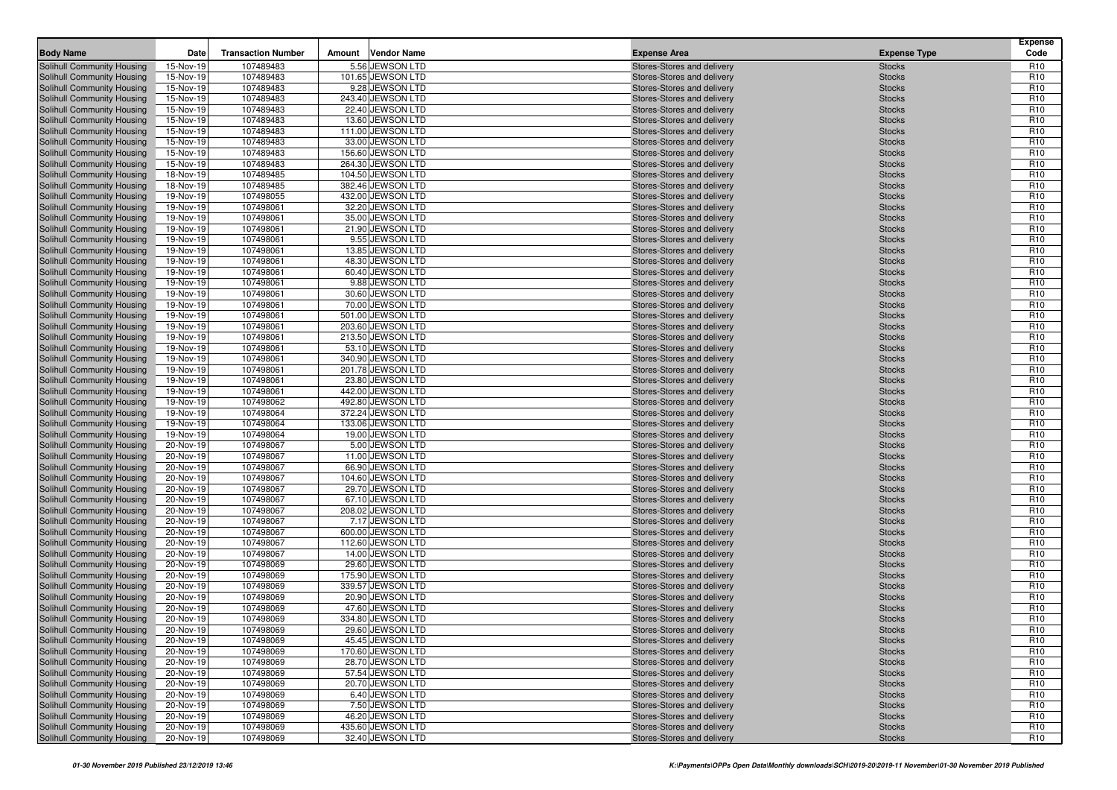| <b>Body Name</b>                                         | Date                   | <b>Transaction Number</b> | Amount | Vendor Name                           | <b>Expense Area</b>                                      | <b>Expense Type</b>            | <b>Expense</b><br>Code             |
|----------------------------------------------------------|------------------------|---------------------------|--------|---------------------------------------|----------------------------------------------------------|--------------------------------|------------------------------------|
| Solihull Community Housing                               | 15-Nov-19              | 107489483                 |        | 5.56 JEWSON LTD                       | Stores-Stores and delivery                               | <b>Stocks</b>                  | R <sub>10</sub>                    |
| Solihull Community Housing                               | 15-Nov-19              | 107489483                 |        | 101.65 JEWSON LTD                     | Stores-Stores and delivery                               | <b>Stocks</b>                  | R <sub>10</sub>                    |
| Solihull Community Housing                               | 15-Nov-19              | 107489483                 |        | 9.28 JEWSON LTD                       | Stores-Stores and delivery                               | <b>Stocks</b>                  | R <sub>10</sub>                    |
| Solihull Community Housing                               | 15-Nov-19              | 107489483                 |        | 243.40 JEWSON LTD                     | Stores-Stores and delivery                               | <b>Stocks</b>                  | R <sub>10</sub>                    |
| Solihull Community Housing                               | 15-Nov-19              | 107489483                 |        | 22.40 JEWSON LTD                      | Stores-Stores and delivery                               | <b>Stocks</b>                  | R <sub>10</sub>                    |
| Solihull Community Housing                               | 15-Nov-19              | 107489483                 |        | 13.60 JEWSON LTD                      | Stores-Stores and delivery                               | <b>Stocks</b>                  | R <sub>10</sub>                    |
| Solihull Community Housing                               | 15-Nov-19              | 107489483                 |        | 111.00 JEWSON LTD                     | Stores-Stores and delivery                               | <b>Stocks</b>                  | R <sub>10</sub>                    |
| Solihull Community Housing                               | 15-Nov-19              | 107489483                 |        | 33.00 JEWSON LTD                      | Stores-Stores and delivery                               | <b>Stocks</b>                  | R <sub>10</sub>                    |
| Solihull Community Housing                               | 15-Nov-19              | 107489483                 |        | 156.60 JEWSON LTD                     | Stores-Stores and delivery                               | <b>Stocks</b>                  | R <sub>10</sub>                    |
| Solihull Community Housing                               | 15-Nov-19              | 107489483                 |        | 264.30 JEWSON LTD                     | Stores-Stores and delivery                               | <b>Stocks</b>                  | R <sub>10</sub>                    |
| Solihull Community Housing                               | 18-Nov-19              | 107489485                 |        | 104.50 JEWSON LTD                     | Stores-Stores and delivery                               | <b>Stocks</b>                  | R <sub>10</sub>                    |
| Solihull Community Housing                               | 18-Nov-19              | 107489485                 |        | 382.46 JEWSON LTD                     | Stores-Stores and delivery                               | <b>Stocks</b>                  | R <sub>10</sub>                    |
| Solihull Community Housing                               | 19-Nov-19              | 107498055                 |        | 432.00 JEWSON LTD                     | Stores-Stores and delivery                               | <b>Stocks</b>                  | R <sub>10</sub>                    |
| Solihull Community Housing                               | 19-Nov-19              | 107498061                 |        | 32.20 JEWSON LTD                      | Stores-Stores and delivery                               | <b>Stocks</b>                  | R <sub>10</sub>                    |
| Solihull Community Housing                               | 19-Nov-19              | 107498061                 |        | 35.00 JEWSON LTD                      | Stores-Stores and delivery                               | <b>Stocks</b>                  | R <sub>10</sub>                    |
| Solihull Community Housing                               | 19-Nov-19              | 107498061                 |        | 21.90 JEWSON LTD                      | Stores-Stores and delivery                               | <b>Stocks</b>                  | R <sub>10</sub>                    |
| Solihull Community Housing                               | 19-Nov-19              | 107498061                 |        | 9.55 JEWSON LTD                       | Stores-Stores and delivery                               | <b>Stocks</b>                  | R <sub>10</sub>                    |
| Solihull Community Housing                               | 19-Nov-19              | 107498061                 |        | 13.85 JEWSON LTD                      | Stores-Stores and delivery                               | <b>Stocks</b>                  | R <sub>10</sub>                    |
| Solihull Community Housing                               | 19-Nov-19              | 107498061                 |        | 48.30 JEWSON LTD                      | Stores-Stores and delivery                               | <b>Stocks</b>                  | R <sub>10</sub>                    |
| Solihull Community Housing                               | 19-Nov-19              | 107498061                 |        | 60.40 JEWSON LTD                      | Stores-Stores and delivery                               | <b>Stocks</b>                  | R <sub>10</sub>                    |
| Solihull Community Housing                               | 19-Nov-19              | 107498061                 |        | 9.88 JEWSON LTD                       | Stores-Stores and delivery                               | <b>Stocks</b>                  | R <sub>10</sub>                    |
| Solihull Community Housing                               | 19-Nov-19              | 107498061                 |        | 30.60 JEWSON LTD                      | Stores-Stores and delivery                               | <b>Stocks</b>                  | R <sub>10</sub>                    |
| Solihull Community Housing                               | 19-Nov-19              | 107498061                 |        | 70.00 JEWSON LTD                      | Stores-Stores and delivery                               | <b>Stocks</b>                  | R <sub>10</sub>                    |
| Solihull Community Housing                               | 19-Nov-19              | 107498061                 |        | 501.00 JEWSON LTD                     | Stores-Stores and delivery                               | <b>Stocks</b>                  | R <sub>10</sub>                    |
| Solihull Community Housing                               | 19-Nov-19              | 107498061                 |        | 203.60 JEWSON LTD                     | Stores-Stores and delivery                               | <b>Stocks</b>                  | R <sub>10</sub>                    |
| Solihull Community Housing<br>Solihull Community Housing | 19-Nov-19              | 107498061                 |        | 213.50 JEWSON LTD                     | Stores-Stores and delivery                               | <b>Stocks</b>                  | R <sub>10</sub><br>R <sub>10</sub> |
|                                                          | 19-Nov-19              | 107498061                 |        | 53.10 JEWSON LTD<br>340.90 JEWSON LTD | Stores-Stores and delivery                               | <b>Stocks</b>                  | R <sub>10</sub>                    |
| Solihull Community Housing                               | 19-Nov-19              | 107498061<br>107498061    |        | 201.78 JEWSON LTD                     | Stores-Stores and delivery                               | <b>Stocks</b>                  | R <sub>10</sub>                    |
| Solihull Community Housing<br>Solihull Community Housing | 19-Nov-19<br>19-Nov-19 | 107498061                 |        | 23.80 JEWSON LTD                      | Stores-Stores and delivery<br>Stores-Stores and delivery | <b>Stocks</b><br><b>Stocks</b> | R <sub>10</sub>                    |
| Solihull Community Housing                               | 19-Nov-19              | 107498061                 |        | 442.00 JEWSON LTD                     | Stores-Stores and delivery                               | <b>Stocks</b>                  | R <sub>10</sub>                    |
| Solihull Community Housing                               | 19-Nov-19              | 107498062                 |        | 492.80 JEWSON LTD                     | Stores-Stores and delivery                               | <b>Stocks</b>                  | R <sub>10</sub>                    |
| Solihull Community Housing                               | 19-Nov-19              | 107498064                 |        | 372.24 JEWSON LTD                     | Stores-Stores and delivery                               | <b>Stocks</b>                  | R <sub>10</sub>                    |
| Solihull Community Housing                               | 19-Nov-19              | 107498064                 |        | 133.06 JEWSON LTD                     | Stores-Stores and delivery                               | <b>Stocks</b>                  | R <sub>10</sub>                    |
| Solihull Community Housing                               | 19-Nov-19              | 107498064                 |        | 19.00 JEWSON LTD                      | Stores-Stores and delivery                               | <b>Stocks</b>                  | R <sub>10</sub>                    |
| Solihull Community Housing                               | 20-Nov-19              | 107498067                 |        | 5.00 JEWSON LTD                       | Stores-Stores and delivery                               | <b>Stocks</b>                  | R <sub>10</sub>                    |
| Solihull Community Housing                               | 20-Nov-19              | 107498067                 |        | 11.00 JEWSON LTD                      | Stores-Stores and delivery                               | <b>Stocks</b>                  | R <sub>10</sub>                    |
| Solihull Community Housing                               | 20-Nov-19              | 107498067                 |        | 66.90 JEWSON LTD                      | Stores-Stores and delivery                               | <b>Stocks</b>                  | R <sub>10</sub>                    |
| Solihull Community Housing                               | 20-Nov-19              | 107498067                 |        | 104.60 JEWSON LTD                     | Stores-Stores and delivery                               | <b>Stocks</b>                  | R <sub>10</sub>                    |
| Solihull Community Housing                               | 20-Nov-19              | 107498067                 |        | 29.70 JEWSON LTD                      | Stores-Stores and delivery                               | <b>Stocks</b>                  | R <sub>10</sub>                    |
| Solihull Community Housing                               | 20-Nov-19              | 107498067                 |        | 67.10 JEWSON LTD                      | Stores-Stores and delivery                               | <b>Stocks</b>                  | R <sub>10</sub>                    |
| Solihull Community Housing                               | 20-Nov-19              | 107498067                 |        | 208.02 JEWSON LTD                     | Stores-Stores and delivery                               | <b>Stocks</b>                  | R <sub>10</sub>                    |
| Solihull Community Housing                               | 20-Nov-19              | 107498067                 |        | 7.17 JEWSON LTD                       | Stores-Stores and delivery                               | <b>Stocks</b>                  | R <sub>10</sub>                    |
| Solihull Community Housing                               | 20-Nov-19              | 107498067                 |        | 600.00 JEWSON LTD                     | Stores-Stores and delivery                               | <b>Stocks</b>                  | R <sub>10</sub>                    |
| Solihull Community Housing                               | 20-Nov-19              | 107498067                 |        | 112.60 JEWSON LTD                     | Stores-Stores and delivery                               | <b>Stocks</b>                  | R <sub>10</sub>                    |
| Solihull Community Housing                               | 20-Nov-19              | 107498067                 |        | 14.00 JEWSON LTD                      | Stores-Stores and delivery                               | <b>Stocks</b>                  | R <sub>10</sub>                    |
| Solihull Community Housing                               | 20-Nov-19              | 107498069                 |        | 29.60 JEWSON LTD                      | Stores-Stores and delivery                               | <b>Stocks</b>                  | R <sub>10</sub>                    |
| Solihull Community Housing                               | 20-Nov-19              | 107498069                 |        | 175.90 JEWSON LTD                     | Stores-Stores and delivery                               | <b>Stocks</b>                  | R <sub>10</sub>                    |
| Solihull Community Housing                               | 20-Nov-19              | 107498069                 |        | 339.57 JEWSON LTD                     | Stores-Stores and delivery                               | <b>Stocks</b>                  | R <sub>10</sub>                    |
| Solihull Community Housing                               | 20-Nov-19              | 107498069                 |        | 20.90 JEWSON LTD                      | Stores-Stores and delivery                               | <b>Stocks</b>                  | R <sub>10</sub>                    |
| Solihull Community Housing                               | 20-Nov-19              | 107498069                 |        | 47.60 JEWSON LTD                      | Stores-Stores and delivery                               | <b>Stocks</b>                  | R <sub>10</sub>                    |
| Solihull Community Housing                               | 20-Nov-19              | 107498069                 |        | 334.80 JEWSON LTD                     | Stores-Stores and delivery                               | <b>Stocks</b>                  | R <sub>10</sub>                    |
| Solihull Community Housing                               | 20-Nov-19              | 107498069                 |        | 29.60 JEWSON LTD                      | Stores-Stores and delivery                               | <b>Stocks</b>                  | R <sub>10</sub>                    |
| Solihull Community Housing                               | 20-Nov-19              | 107498069                 |        | 45.45 JEWSON LTD                      | Stores-Stores and delivery                               | <b>Stocks</b>                  | R <sub>10</sub>                    |
| Solihull Community Housing                               | 20-Nov-19              | 107498069                 |        | 170.60 JEWSON LTD                     | Stores-Stores and delivery                               | <b>Stocks</b>                  | R <sub>10</sub>                    |
| Solihull Community Housing                               | 20-Nov-19              | 107498069                 |        | 28.70 JEWSON LTD                      | Stores-Stores and delivery                               | <b>Stocks</b>                  | R <sub>10</sub>                    |
| Solihull Community Housing                               | 20-Nov-19              | 107498069                 |        | 57.54 JEWSON LTD                      | Stores-Stores and delivery                               | <b>Stocks</b>                  | R <sub>10</sub>                    |
| Solihull Community Housing                               | 20-Nov-19              | 107498069                 |        | 20.70 JEWSON LTD                      | Stores-Stores and delivery                               | <b>Stocks</b>                  | R <sub>10</sub>                    |
| Solihull Community Housing                               | 20-Nov-19              | 107498069                 |        | 6.40 JEWSON LTD<br>7.50 JEWSON LTD    | Stores-Stores and delivery                               | <b>Stocks</b>                  | R <sub>10</sub>                    |
| Solihull Community Housing<br>Solihull Community Housing | 20-Nov-19<br>20-Nov-19 | 107498069<br>107498069    |        | 46.20 JEWSON LTD                      | Stores-Stores and delivery<br>Stores-Stores and delivery | <b>Stocks</b><br><b>Stocks</b> | R <sub>10</sub><br>R <sub>10</sub> |
| Solihull Community Housing                               | 20-Nov-19              | 107498069                 |        | 435.60 JEWSON LTD                     | Stores-Stores and delivery                               | <b>Stocks</b>                  | R <sub>10</sub>                    |
| Solihull Community Housing                               | 20-Nov-19              | 107498069                 |        | 32.40 JEWSON LTD                      | Stores-Stores and delivery                               | <b>Stocks</b>                  | R <sub>10</sub>                    |
|                                                          |                        |                           |        |                                       |                                                          |                                |                                    |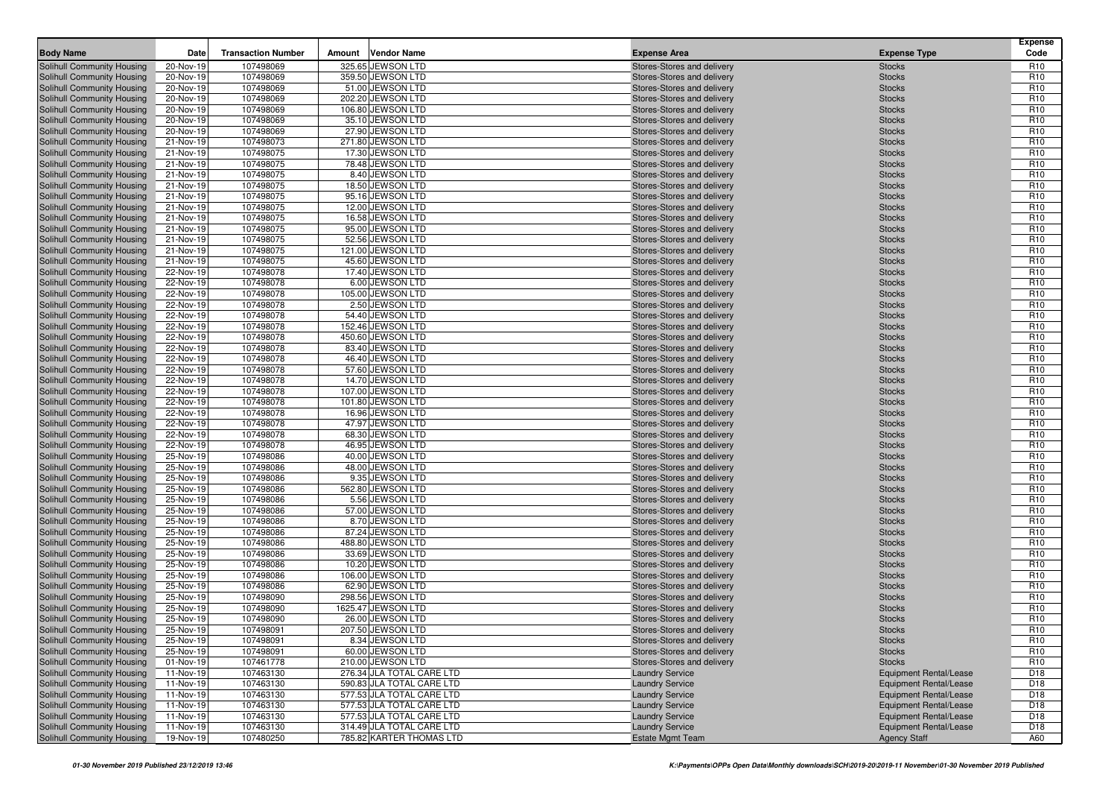| <b>Body Name</b>                                         | Date                   | <b>Transaction Number</b> | Amount | <b>Vendor Name</b>                    | <b>Expense Area</b>                                      | <b>Expense Type</b>            | <b>Expense</b><br>Code             |
|----------------------------------------------------------|------------------------|---------------------------|--------|---------------------------------------|----------------------------------------------------------|--------------------------------|------------------------------------|
| Solihull Community Housing                               | 20-Nov-19              | 107498069                 |        | 325.65 JEWSON LTD                     | Stores-Stores and delivery                               | <b>Stocks</b>                  | R <sub>10</sub>                    |
| Solihull Community Housing                               | 20-Nov-19              | 107498069                 |        | 359.50 JEWSON LTD                     | Stores-Stores and delivery                               | <b>Stocks</b>                  | R <sub>10</sub>                    |
| Solihull Community Housing                               | 20-Nov-19              | 107498069                 |        | 51.00 JEWSON LTD                      | Stores-Stores and delivery                               | <b>Stocks</b>                  | R <sub>10</sub>                    |
| Solihull Community Housing                               | 20-Nov-19              | 107498069                 |        | 202.20 JEWSON LTD                     | Stores-Stores and delivery                               | <b>Stocks</b>                  | R <sub>10</sub>                    |
| Solihull Community Housing                               | 20-Nov-19              | 107498069                 |        | 106.80 JEWSON LTD                     | Stores-Stores and delivery                               | <b>Stocks</b>                  | R <sub>10</sub>                    |
| Solihull Community Housing                               | 20-Nov-19              | 107498069                 |        | 35.10 JEWSON LTD                      | Stores-Stores and delivery                               | <b>Stocks</b>                  | R <sub>10</sub>                    |
| Solihull Community Housing                               | 20-Nov-19              | 107498069                 |        | 27.90 JEWSON LTD                      | Stores-Stores and delivery                               | <b>Stocks</b>                  | R <sub>10</sub>                    |
| Solihull Community Housing                               | 21-Nov-19              | 107498073                 |        | 271.80 JEWSON LTD                     | Stores-Stores and delivery                               | <b>Stocks</b>                  | R <sub>10</sub>                    |
| Solihull Community Housing                               | 21-Nov-19              | 107498075                 |        | 17.30 JEWSON LTD                      | Stores-Stores and delivery                               | <b>Stocks</b>                  | R <sub>10</sub>                    |
| Solihull Community Housing                               | 21-Nov-19              | 107498075                 |        | 78.48 JEWSON LTD                      | Stores-Stores and delivery                               | <b>Stocks</b>                  | R <sub>10</sub>                    |
| Solihull Community Housing                               | 21-Nov-19              | 107498075                 |        | 8.40 JEWSON LTD                       | Stores-Stores and delivery                               | <b>Stocks</b>                  | R <sub>10</sub>                    |
| Solihull Community Housing                               | 21-Nov-19              | 107498075                 |        | 18.50 JEWSON LTD                      | Stores-Stores and delivery                               | <b>Stocks</b>                  | R <sub>10</sub>                    |
| <b>Solihull Community Housing</b>                        | 21-Nov-19              | 107498075                 |        | 95.16 JEWSON LTD                      | Stores-Stores and delivery                               | <b>Stocks</b>                  | R <sub>10</sub>                    |
| Solihull Community Housing                               | 21-Nov-19              | 107498075                 |        | 12.00 JEWSON LTD                      | Stores-Stores and delivery                               | <b>Stocks</b>                  | R <sub>10</sub>                    |
| Solihull Community Housing                               | 21-Nov-19              | 107498075                 |        | 16.58 JEWSON LTD                      | Stores-Stores and delivery                               | <b>Stocks</b>                  | R <sub>10</sub>                    |
| Solihull Community Housing                               | 21-Nov-19              | 107498075                 |        | 95.00 JEWSON LTD                      | Stores-Stores and delivery                               | <b>Stocks</b>                  | R <sub>10</sub>                    |
| Solihull Community Housing                               | 21-Nov-19              | 107498075                 |        | 52.56 JEWSON LTD                      | Stores-Stores and delivery                               | <b>Stocks</b>                  | R <sub>10</sub>                    |
| Solihull Community Housing                               | 21-Nov-19              | 107498075                 |        | 121.00 JEWSON LTD                     | Stores-Stores and delivery                               | <b>Stocks</b>                  | R <sub>10</sub>                    |
| <b>Solihull Community Housing</b>                        | 21-Nov-19              | 107498075                 |        | 45.60 JEWSON LTD                      | Stores-Stores and delivery                               | <b>Stocks</b>                  | R <sub>10</sub>                    |
| Solihull Community Housing                               | 22-Nov-19              | 107498078                 |        | 17.40 JEWSON LTD                      | Stores-Stores and delivery                               | <b>Stocks</b>                  | R <sub>10</sub>                    |
| Solihull Community Housing                               | 22-Nov-19              | 107498078                 |        | 6.00 JEWSON LTD                       | Stores-Stores and delivery                               | <b>Stocks</b>                  | R <sub>10</sub>                    |
| Solihull Community Housing                               | 22-Nov-19              | 107498078                 |        | 105.00 JEWSON LTD                     | Stores-Stores and delivery                               | <b>Stocks</b>                  | R <sub>10</sub>                    |
| Solihull Community Housing                               | 22-Nov-19              | 107498078                 |        | 2.50 JEWSON LTD                       | Stores-Stores and delivery                               | <b>Stocks</b>                  | R <sub>10</sub>                    |
| Solihull Community Housing                               | 22-Nov-19              | 107498078                 |        | 54.40 JEWSON LTD                      | Stores-Stores and delivery                               | <b>Stocks</b>                  | R <sub>10</sub>                    |
| Solihull Community Housing                               | 22-Nov-19              | 107498078                 |        | 152.46 JEWSON LTD                     | Stores-Stores and delivery                               | <b>Stocks</b>                  | R <sub>10</sub>                    |
| Solihull Community Housing                               | 22-Nov-19              | 107498078                 |        | 450.60 JEWSON LTD                     | Stores-Stores and delivery                               | <b>Stocks</b>                  | R <sub>10</sub>                    |
| Solihull Community Housing                               | 22-Nov-19              | 107498078                 |        | 83.40 JEWSON LTD                      | Stores-Stores and delivery                               | <b>Stocks</b>                  | R <sub>10</sub>                    |
| Solihull Community Housing                               | 22-Nov-19              | 107498078                 |        | 46.40 JEWSON LTD                      | Stores-Stores and delivery                               | <b>Stocks</b>                  | R <sub>10</sub>                    |
| Solihull Community Housing                               | 22-Nov-19              | 107498078                 |        | 57.60 JEWSON LTD                      | Stores-Stores and delivery                               | <b>Stocks</b>                  | R <sub>10</sub>                    |
| Solihull Community Housing                               | 22-Nov-19              | 107498078                 |        | 14.70 JEWSON LTD                      | Stores-Stores and delivery                               | <b>Stocks</b>                  | R <sub>10</sub>                    |
| Solihull Community Housing                               | 22-Nov-19              | 107498078                 |        | 107.00 JEWSON LTD                     | Stores-Stores and delivery                               | <b>Stocks</b>                  | R <sub>10</sub>                    |
| Solihull Community Housing                               | 22-Nov-19              | 107498078                 |        | 101.80 JEWSON LTD                     | Stores-Stores and delivery                               | <b>Stocks</b>                  | R <sub>10</sub>                    |
| Solihull Community Housing                               | 22-Nov-19              | 107498078                 |        | 16.96 JEWSON LTD                      | Stores-Stores and delivery                               | <b>Stocks</b>                  | R <sub>10</sub>                    |
| Solihull Community Housing                               | 22-Nov-19              | 107498078                 |        | 47.97 JEWSON LTD                      | Stores-Stores and delivery                               | <b>Stocks</b>                  | R <sub>10</sub>                    |
| Solihull Community Housing                               | 22-Nov-19              | 107498078                 |        | 68.30 JEWSON LTD                      | Stores-Stores and delivery                               | <b>Stocks</b>                  | R <sub>10</sub>                    |
| Solihull Community Housing                               | 22-Nov-19              | 107498078                 |        | 46.95 JEWSON LTD                      | Stores-Stores and delivery                               | <b>Stocks</b>                  | R <sub>10</sub>                    |
| Solihull Community Housing                               | 25-Nov-19              | 107498086                 |        | 40.00 JEWSON LTD                      | Stores-Stores and delivery                               | <b>Stocks</b>                  | R <sub>10</sub>                    |
| Solihull Community Housing                               | 25-Nov-19              | 107498086                 |        | 48.00 JEWSON LTD                      | Stores-Stores and delivery                               | <b>Stocks</b>                  | R <sub>10</sub>                    |
| Solihull Community Housing                               | 25-Nov-19              | 107498086                 |        | 9.35 JEWSON LTD                       | Stores-Stores and delivery                               | <b>Stocks</b>                  | R <sub>10</sub>                    |
| Solihull Community Housing                               | 25-Nov-19              | 107498086                 |        | 562.80 JEWSON LTD                     | Stores-Stores and delivery                               | <b>Stocks</b>                  | R <sub>10</sub>                    |
| Solihull Community Housing                               | 25-Nov-19              | 107498086                 |        | 5.56 JEWSON LTD                       | Stores-Stores and delivery                               | <b>Stocks</b>                  | R <sub>10</sub>                    |
| Solihull Community Housing                               | 25-Nov-19              | 107498086                 |        | 57.00 JEWSON LTD                      | Stores-Stores and delivery                               | <b>Stocks</b>                  | R <sub>10</sub>                    |
| Solihull Community Housing                               | 25-Nov-19              | 107498086                 |        | 8.70 JEWSON LTD                       | Stores-Stores and delivery                               | <b>Stocks</b>                  | R <sub>10</sub>                    |
| Solihull Community Housing                               | 25-Nov-19              | 107498086                 |        | 87.24 JEWSON LTD                      | Stores-Stores and delivery                               | <b>Stocks</b>                  | R <sub>10</sub>                    |
| Solihull Community Housing                               | 25-Nov-19              | 107498086                 |        | 488.80 JEWSON LTD                     | Stores-Stores and delivery                               | <b>Stocks</b>                  | R <sub>10</sub>                    |
| Solihull Community Housing                               | 25-Nov-19              | 107498086                 |        | 33.69 JEWSON LTD                      | Stores-Stores and delivery                               | <b>Stocks</b>                  | R <sub>10</sub>                    |
| Solihull Community Housing<br>Solihull Community Housing | 25-Nov-19<br>25-Nov-19 | 107498086<br>107498086    |        | 10.20 JEWSON LTD<br>106.00 JEWSON LTD | Stores-Stores and delivery                               | <b>Stocks</b><br><b>Stocks</b> | R <sub>10</sub><br>R <sub>10</sub> |
| Solihull Community Housing                               | 25-Nov-19              | 107498086                 |        | 62.90 JEWSON LTD                      | Stores-Stores and delivery<br>Stores-Stores and delivery | <b>Stocks</b>                  | R <sub>10</sub>                    |
| Solihull Community Housing                               | 25-Nov-19              | 107498090                 |        | 298.56 JEWSON LTD                     | Stores-Stores and delivery                               | <b>Stocks</b>                  | R <sub>10</sub>                    |
| Solihull Community Housing                               | 25-Nov-19              | 107498090                 |        | 1625.47 JEWSON LTD                    | Stores-Stores and delivery                               | <b>Stocks</b>                  | R <sub>10</sub>                    |
| Solihull Community Housing                               | 25-Nov-19              | 107498090                 |        | 26.00 JEWSON LTD                      | Stores-Stores and delivery                               | <b>Stocks</b>                  | R <sub>10</sub>                    |
| Solihull Community Housing                               | 25-Nov-19              | 107498091                 |        | 207.50 JEWSON LTD                     | Stores-Stores and delivery                               | <b>Stocks</b>                  | R <sub>10</sub>                    |
| <b>Solihull Community Housing</b>                        | 25-Nov-19              | 107498091                 |        | 8.34 JEWSON LTD                       | Stores-Stores and delivery                               | <b>Stocks</b>                  | R <sub>10</sub>                    |
| Solihull Community Housing                               | 25-Nov-19              | 107498091                 |        | 60.00 JEWSON LTD                      | Stores-Stores and delivery                               | <b>Stocks</b>                  | R <sub>10</sub>                    |
| Solihull Community Housing                               | 01-Nov-19              | 107461778                 |        | 210.00 JEWSON LTD                     | Stores-Stores and delivery                               | <b>Stocks</b>                  | R <sub>10</sub>                    |
| Solihull Community Housing                               | 11-Nov-19              | 107463130                 |        | 276.34 JLA TOTAL CARE LTD             | <b>Laundry Service</b>                                   | <b>Equipment Rental/Lease</b>  | D <sub>18</sub>                    |
| Solihull Community Housing                               | 11-Nov-19              | 107463130                 |        | 590.83 JLA TOTAL CARE LTD             | <b>Laundry Service</b>                                   | <b>Equipment Rental/Lease</b>  | D <sub>18</sub>                    |
| Solihull Community Housing                               | 11-Nov-19              | 107463130                 |        | 577.53 JLA TOTAL CARE LTD             | <b>Laundry Service</b>                                   | <b>Equipment Rental/Lease</b>  | D <sub>18</sub>                    |
| Solihull Community Housing                               | 11-Nov-19              | 107463130                 |        | 577.53 JLA TOTAL CARE LTD             | <b>Laundry Service</b>                                   | <b>Equipment Rental/Lease</b>  | D <sub>18</sub>                    |
| Solihull Community Housing                               | 11-Nov-19              | 107463130                 |        | 577.53 JLA TOTAL CARE LTD             | <b>Laundry Service</b>                                   | <b>Equipment Rental/Lease</b>  | D <sub>18</sub>                    |
| Solihull Community Housing                               | 11-Nov-19              | 107463130                 |        | 314.49 JLA TOTAL CARE LTD             | <b>Laundry Service</b>                                   | <b>Equipment Rental/Lease</b>  | D <sub>18</sub>                    |
| Solihull Community Housing                               | 19-Nov-19              | 107480250                 |        | 785.82 KARTER THOMAS LTD              | <b>Estate Mgmt Team</b>                                  | <b>Agency Staff</b>            | A60                                |
|                                                          |                        |                           |        |                                       |                                                          |                                |                                    |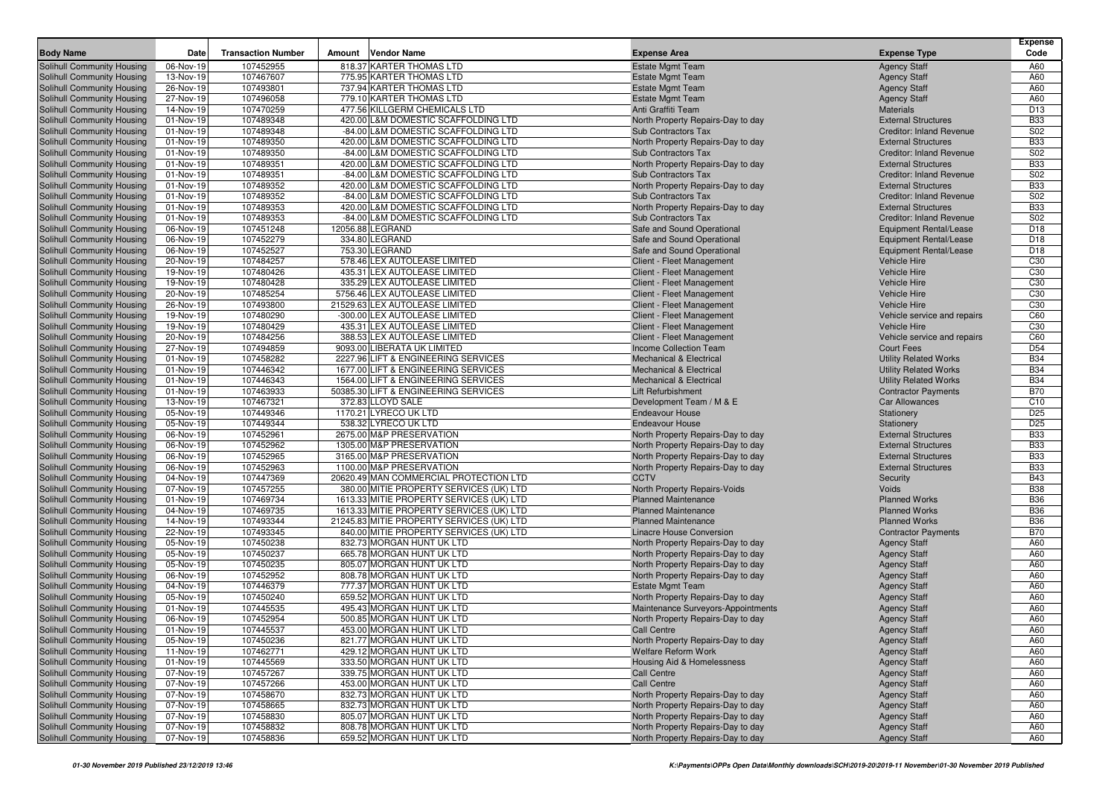|                                                          |                        |                           |        |                                                               |                                                        |                                                  | <b>Expense</b>                     |
|----------------------------------------------------------|------------------------|---------------------------|--------|---------------------------------------------------------------|--------------------------------------------------------|--------------------------------------------------|------------------------------------|
| <b>Body Name</b>                                         | Date                   | <b>Transaction Number</b> | Amount | <b>Vendor Name</b>                                            | <b>Expense Area</b>                                    | <b>Expense Type</b>                              | Code                               |
| Solihull Community Housing                               | 06-Nov-19              | 107452955                 |        | 818.37 KARTER THOMAS LTD                                      | <b>Estate Mgmt Team</b>                                | <b>Agency Staff</b>                              | A60                                |
| Solihull Community Housing                               | 13-Nov-19              | 107467607                 |        | 775.95 KARTER THOMAS LTD                                      | <b>Estate Mgmt Team</b>                                | <b>Agency Staff</b>                              | A60                                |
| Solihull Community Housing                               | 26-Nov-19              | 107493801                 |        | 737.94 KARTER THOMAS LTD                                      | <b>Estate Mgmt Team</b>                                | <b>Agency Staff</b>                              | A60                                |
| Solihull Community Housing                               | 27-Nov-19              | 107496058                 |        | 779.10 KARTER THOMAS LTD                                      | <b>Estate Mgmt Team</b>                                | <b>Agency Staff</b>                              | A60                                |
| Solihull Community Housing                               | 14-Nov-19              | 107470259                 |        | 477.56 KILLGERM CHEMICALS LTD                                 | Anti Graffiti Team                                     | <b>Materials</b>                                 | D <sub>13</sub>                    |
| Solihull Community Housing                               | 01-Nov-19              | 107489348                 |        | 420.00 L&M DOMESTIC SCAFFOLDING LTD                           | North Property Repairs-Day to day                      | <b>External Structures</b>                       | <b>B33</b>                         |
| Solihull Community Housing                               | 01-Nov-19              | 107489348                 |        | -84.00 L&M DOMESTIC SCAFFOLDING LTD                           | Sub Contractors Tax                                    | <b>Creditor: Inland Revenue</b>                  | S02                                |
| Solihull Community Housing                               | 01-Nov-19              | 107489350                 |        | 420.00 L&M DOMESTIC SCAFFOLDING LTD                           | North Property Repairs-Day to day                      | <b>External Structures</b>                       | <b>B33</b>                         |
| Solihull Community Housing                               | 01-Nov-19              | 107489350                 |        | -84.00 L&M DOMESTIC SCAFFOLDING LTD                           | Sub Contractors Tax                                    | <b>Creditor: Inland Revenue</b>                  | S <sub>02</sub>                    |
| Solihull Community Housing                               | 01-Nov-19              | 107489351                 |        | 420.00 L&M DOMESTIC SCAFFOLDING LTD                           | North Property Repairs-Day to day                      | <b>External Structures</b>                       | <b>B33</b>                         |
| Solihull Community Housing                               | 01-Nov-19              | 107489351                 |        | -84.00 L&M DOMESTIC SCAFFOLDING LTD                           | Sub Contractors Tax                                    | <b>Creditor: Inland Revenue</b>                  | S02                                |
| Solihull Community Housing                               | 01-Nov-19              | 107489352                 |        | 420.00 L&M DOMESTIC SCAFFOLDING LTD                           | North Property Repairs-Day to day                      | <b>External Structures</b>                       | <b>B33</b>                         |
| Solihull Community Housing                               | 01-Nov-19              | 107489352                 |        | -84.00 L&M DOMESTIC SCAFFOLDING LTD                           | <b>Sub Contractors Tax</b>                             | <b>Creditor: Inland Revenue</b>                  | S02                                |
| Solihull Community Housing                               | 01-Nov-19              | 107489353                 |        | 420.00 L&M DOMESTIC SCAFFOLDING LTD                           | North Property Repairs-Day to day                      | <b>External Structures</b>                       | <b>B33</b>                         |
| Solihull Community Housing                               | 01-Nov-19              | 107489353                 |        | -84.00 L&M DOMESTIC SCAFFOLDING LTD                           | Sub Contractors Tax                                    | <b>Creditor: Inland Revenue</b>                  | S <sub>02</sub>                    |
| Solihull Community Housing                               | 06-Nov-19              | 107451248                 |        | 12056.88 LEGRAND                                              | Safe and Sound Operational                             | <b>Equipment Rental/Lease</b>                    | D <sub>18</sub>                    |
| Solihull Community Housing                               | 06-Nov-19              | 107452279                 |        | 334.80 LEGRAND                                                | Safe and Sound Operational                             | <b>Equipment Rental/Lease</b>                    | D <sub>18</sub>                    |
| Solihull Community Housing                               | 06-Nov-19              | 107452527                 |        | 753.30 LEGRAND                                                | Safe and Sound Operational                             | <b>Equipment Rental/Lease</b>                    | D <sub>18</sub>                    |
| Solihull Community Housing                               | 20-Nov-19              | 107484257                 |        | 578.46 LEX AUTOLEASE LIMITED                                  | Client - Fleet Management                              | Vehicle Hire                                     | C <sub>30</sub>                    |
| Solihull Community Housing                               | 19-Nov-19              | 107480426                 |        | 435.31 LEX AUTOLEASE LIMITED                                  | Client - Fleet Management                              | Vehicle Hire                                     | C <sub>30</sub>                    |
| Solihull Community Housing                               | 19-Nov-19              | 107480428                 |        | 335.29 LEX AUTOLEASE LIMITED<br>5756.46 LEX AUTOLEASE LIMITED | Client - Fleet Management                              | Vehicle Hire                                     | C <sub>30</sub>                    |
| Solihull Community Housing<br>Solihull Community Housing | 20-Nov-19<br>26-Nov-19 | 107485254<br>107493800    |        | 21529.63 LEX AUTOLEASE LIMITED                                | Client - Fleet Management<br>Client - Fleet Management | Vehicle Hire<br><b>Vehicle Hire</b>              | C <sub>30</sub><br>C <sub>30</sub> |
| Solihull Community Housing                               | 19-Nov-19              | 107480290                 |        | -300.00 LEX AUTOLEASE LIMITED                                 | Client - Fleet Management                              | Vehicle service and repairs                      | C60                                |
| Solihull Community Housing                               | 19-Nov-19              | 107480429                 |        | 435.31 LEX AUTOLEASE LIMITED                                  | Client - Fleet Management                              | Vehicle Hire                                     | C <sub>30</sub>                    |
|                                                          | 20-Nov-19              | 107484256                 |        | 388.53 LEX AUTOLEASE LIMITED                                  |                                                        |                                                  | C60                                |
| Solihull Community Housing<br>Solihull Community Housing | 27-Nov-19              | 107494859                 |        | 9093.00 LIBERATA UK LIMITED                                   | Client - Fleet Management<br>Income Collection Team    | Vehicle service and repairs<br><b>Court Fees</b> | D <sub>54</sub>                    |
| Solihull Community Housing                               | 01-Nov-19              | 107458282                 |        | 2227.96 LIFT & ENGINEERING SERVICES                           | <b>Mechanical &amp; Electrical</b>                     | <b>Utility Related Works</b>                     | <b>B34</b>                         |
| Solihull Community Housing                               | 01-Nov-19              | 107446342                 |        | 1677.00 LIFT & ENGINEERING SERVICES                           | <b>Mechanical &amp; Electrical</b>                     | <b>Utility Related Works</b>                     | <b>B34</b>                         |
| Solihull Community Housing                               | 01-Nov-19              | 107446343                 |        | 1564.00 LIFT & ENGINEERING SERVICES                           | <b>Mechanical &amp; Electrical</b>                     | <b>Utility Related Works</b>                     | <b>B34</b>                         |
| Solihull Community Housing                               | 01-Nov-19              | 107463933                 |        | 50385.30 LIFT & ENGINEERING SERVICES                          | Lift Refurbishment                                     | <b>Contractor Payments</b>                       | <b>B70</b>                         |
| Solihull Community Housing                               | 13-Nov-19              | 107467321                 |        | 372.83 LLOYD SALE                                             | Development Team / M & E                               | Car Allowances                                   | C <sub>10</sub>                    |
| Solihull Community Housing                               | 05-Nov-19              | 107449346                 |        | 1170.21 LYRECO UK LTD                                         | <b>Endeavour House</b>                                 | Stationery                                       | D <sub>25</sub>                    |
| Solihull Community Housing                               | 05-Nov-19              | 107449344                 |        | 538.32 LYRECO UK LTD                                          | <b>Endeavour House</b>                                 | Stationery                                       | D <sub>25</sub>                    |
| Solihull Community Housing                               | 06-Nov-19              | 107452961                 |        | 2675.00 M&P PRESERVATION                                      | North Property Repairs-Day to day                      | <b>External Structures</b>                       | <b>B33</b>                         |
| Solihull Community Housing                               | 06-Nov-19              | 107452962                 |        | 1305.00 M&P PRESERVATION                                      | North Property Repairs-Day to day                      | <b>External Structures</b>                       | <b>B33</b>                         |
| Solihull Community Housing                               | 06-Nov-19              | 107452965                 |        | 3165.00 M&P PRESERVATION                                      | North Property Repairs-Day to day                      | <b>External Structures</b>                       | <b>B33</b>                         |
| Solihull Community Housing                               | 06-Nov-19              | 107452963                 |        | 1100.00 M&P PRESERVATION                                      | North Property Repairs-Day to day                      | <b>External Structures</b>                       | <b>B33</b>                         |
| Solihull Community Housing                               | 04-Nov-19              | 107447369                 |        | 20620.49 MAN COMMERCIAL PROTECTION LTD                        | <b>CCTV</b>                                            | Security                                         | <b>B43</b>                         |
| Solihull Community Housing                               | 07-Nov-19              | 107457255                 |        | 380.00 MITIE PROPERTY SERVICES (UK) LTD                       | North Property Repairs-Voids                           | Voids                                            | <b>B38</b>                         |
| Solihull Community Housing                               | 01-Nov-19              | 107469734                 |        | 1613.33 MITIE PROPERTY SERVICES (UK) LTD                      | <b>Planned Maintenance</b>                             | <b>Planned Works</b>                             | <b>B36</b>                         |
| Solihull Community Housing                               | 04-Nov-19              | 107469735                 |        | 1613.33 MITIE PROPERTY SERVICES (UK) LTD                      | <b>Planned Maintenance</b>                             | <b>Planned Works</b>                             | <b>B36</b>                         |
| Solihull Community Housing                               | 14-Nov-19              | 107493344                 |        | 21245.83 MITIE PROPERTY SERVICES (UK) LTD                     | <b>Planned Maintenance</b>                             | <b>Planned Works</b>                             | <b>B36</b>                         |
| Solihull Community Housing                               | 22-Nov-19              | 107493345                 |        | 840.00 MITIE PROPERTY SERVICES (UK) LTD                       | Linacre House Conversion                               | <b>Contractor Payments</b>                       | <b>B70</b>                         |
| Solihull Community Housing                               | 05-Nov-19              | 107450238                 |        | 832.73 MORGAN HUNT UK LTD                                     | North Property Repairs-Day to day                      | <b>Agency Staff</b>                              | A60                                |
| Solihull Community Housing                               | 05-Nov-19              | 107450237                 |        | 665.78 MORGAN HUNT UK LTD                                     | North Property Repairs-Day to day                      | <b>Agency Staff</b>                              | A60                                |
| Solihull Community Housing                               | 05-Nov-19              | 107450235                 |        | 805.07 MORGAN HUNT UK LTD                                     | North Property Repairs-Day to day                      | <b>Agency Staff</b>                              | A60                                |
| Solihull Community Housing                               | 06-Nov-19              | 107452952                 |        | 808.78 MORGAN HUNT UK LTD                                     | North Property Repairs-Day to day                      | <b>Agency Staff</b>                              | A60                                |
| Solihull Community Housing                               | 04-Nov-19              | 107446379                 |        | 777.37 MORGAN HUNT UK LTD                                     | <b>Estate Mgmt Team</b>                                | <b>Agency Staff</b>                              | A60                                |
| Solihull Community Housing                               | 05-Nov-19              | 107450240                 |        | 659.52 MORGAN HUNT UK LTD                                     | North Property Repairs-Day to day                      | <b>Agency Staff</b>                              | A60                                |
| Solihull Community Housing                               | 01-Nov-19              | 107445535                 |        | 495.43 MORGAN HUNT UK LTD                                     | Maintenance Surveyors-Appointments                     | <b>Agency Staff</b>                              | A60                                |
| Solihull Community Housing                               | 06-Nov-19              | 107452954                 |        | 500.85 MORGAN HUNT UK LTD                                     | North Property Repairs-Day to day                      | <b>Agency Staff</b>                              | A60                                |
| Solihull Community Housing                               | 01-Nov-19              | 107445537                 |        | 453.00 MORGAN HUNT UK LTD                                     | Call Centre                                            | <b>Agency Staff</b>                              | A60                                |
| Solihull Community Housing                               | 05-Nov-19              | 107450236                 |        | 821.77 MORGAN HUNT UK LTD                                     | North Property Repairs-Day to day                      | <b>Agency Staff</b>                              | A60                                |
| Solihull Community Housing                               | 11-Nov-19              | 107462771                 |        | 429.12 MORGAN HUNT UK LTD                                     | <b>Welfare Reform Work</b>                             | <b>Agency Staff</b>                              | A60                                |
| Solihull Community Housing                               | 01-Nov-19              | 107445569                 |        | 333.50 MORGAN HUNT UK LTD                                     | <b>Housing Aid &amp; Homelessness</b>                  | <b>Agency Staff</b>                              | A60                                |
| Solihull Community Housing                               | 07-Nov-19              | 107457267                 |        | 339.75 MORGAN HUNT UK LTD                                     | <b>Call Centre</b>                                     | <b>Agency Staff</b>                              | A60                                |
| Solihull Community Housing                               | 07-Nov-19              | 107457266                 |        | 453.00 MORGAN HUNT UK LTD                                     | <b>Call Centre</b>                                     | <b>Agency Staff</b>                              | A60                                |
| Solihull Community Housing                               | 07-Nov-19              | 107458670                 |        | 832.73 MORGAN HUNT UK LTD                                     | North Property Repairs-Day to day                      | <b>Agency Staff</b>                              | A60                                |
| Solihull Community Housing                               | 07-Nov-19              | 107458665                 |        | 832.73 MORGAN HUNT UK LTD                                     | North Property Repairs-Day to day                      | <b>Agency Staff</b>                              | A60                                |
| Solihull Community Housing                               | 07-Nov-19              | 107458830                 |        | 805.07 MORGAN HUNT UK LTD                                     | North Property Repairs-Day to day                      | <b>Agency Staff</b>                              | A60                                |
| Solihull Community Housing                               | 07-Nov-19              | 107458832                 |        | 808.78 MORGAN HUNT UK LTD                                     | North Property Repairs-Day to day                      | <b>Agency Staff</b>                              | A60                                |
| Solihull Community Housing                               | 07-Nov-19              | 107458836                 |        | 659.52 MORGAN HUNT UK LTD                                     | North Property Repairs-Day to day                      | <b>Agency Staff</b>                              | A60                                |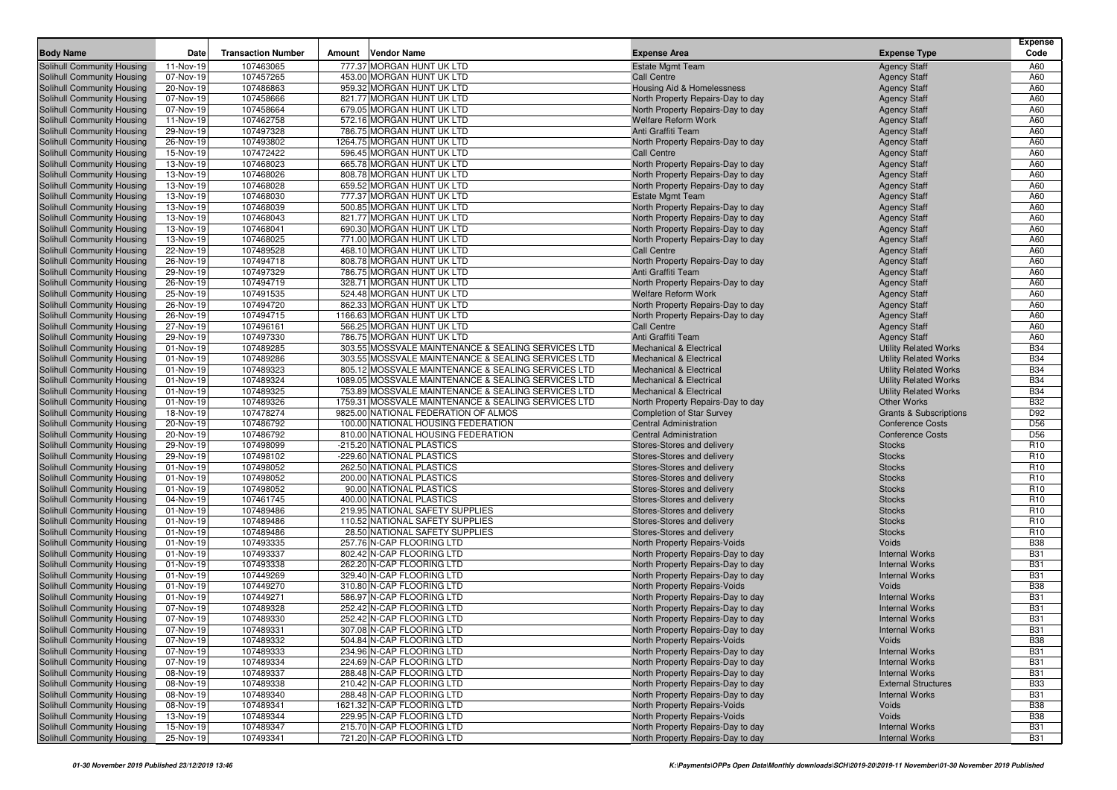|                                                          |                        |                           |                                                        |                                                     |                                                                        |                                                | Expense                  |
|----------------------------------------------------------|------------------------|---------------------------|--------------------------------------------------------|-----------------------------------------------------|------------------------------------------------------------------------|------------------------------------------------|--------------------------|
| <b>Body Name</b>                                         | Date                   | <b>Transaction Number</b> | <b>Vendor Name</b><br>Amount                           |                                                     | <b>Expense Area</b>                                                    | <b>Expense Type</b>                            | Code                     |
| Solihull Community Housing                               | 11-Nov-19              | 107463065                 | 777.37 MORGAN HUNT UK LTD                              |                                                     | <b>Estate Mgmt Team</b>                                                | <b>Agency Staff</b>                            | A60                      |
| Solihull Community Housing                               | 07-Nov-19<br>20-Nov-19 | 107457265                 | 453.00 MORGAN HUNT UK LTD<br>959.32 MORGAN HUNT UK LTD |                                                     | <b>Call Centre</b>                                                     | <b>Agency Staff</b>                            | A60                      |
| Solihull Community Housing                               |                        | 107486863<br>107458666    | 821.77 MORGAN HUNT UK LTD                              |                                                     | Housing Aid & Homelessness                                             | <b>Agency Staff</b>                            | A60<br>A60               |
| Solihull Community Housing<br>Solihull Community Housing | 07-Nov-19<br>07-Nov-19 | 107458664                 | 679.05 MORGAN HUNT UK LTD                              |                                                     | North Property Repairs-Day to day                                      | <b>Agency Staff</b><br><b>Agency Staff</b>     | A60                      |
| Solihull Community Housing                               | 11-Nov-19              | 107462758                 | 572.16 MORGAN HUNT UK LTD                              |                                                     | North Property Repairs-Day to day<br><b>Welfare Reform Work</b>        | <b>Agency Staff</b>                            | A60                      |
| Solihull Community Housing                               | 29-Nov-19              | 107497328                 | 786.75 MORGAN HUNT UK LTD                              |                                                     | Anti Graffiti Team                                                     | <b>Agency Staff</b>                            | A60                      |
| Solihull Community Housing                               | 26-Nov-19              | 107493802                 | 1264.75 MORGAN HUNT UK LTD                             |                                                     | North Property Repairs-Day to day                                      | <b>Agency Staff</b>                            | A60                      |
| Solihull Community Housing                               | 15-Nov-19              | 107472422                 | 596.45 MORGAN HUNT UK LTD                              |                                                     | <b>Call Centre</b>                                                     | <b>Agency Staff</b>                            | A60                      |
| Solihull Community Housing                               | 13-Nov-19              | 107468023                 | 665.78 MORGAN HUNT UK LTD                              |                                                     | North Property Repairs-Day to day                                      | <b>Agency Staff</b>                            | A60                      |
| Solihull Community Housing                               | 13-Nov-19              | 107468026                 | 808.78 MORGAN HUNT UK LTD                              |                                                     | North Property Repairs-Day to day                                      | <b>Agency Staff</b>                            | A60                      |
| Solihull Community Housing                               | 13-Nov-19              | 107468028                 | 659.52 MORGAN HUNT UK LTD                              |                                                     | North Property Repairs-Day to day                                      | <b>Agency Staff</b>                            | A60                      |
| Solihull Community Housing                               | 13-Nov-19              | 107468030                 | 777.37 MORGAN HUNT UK LTD                              |                                                     | <b>Estate Mgmt Team</b>                                                | <b>Agency Staff</b>                            | A60                      |
| Solihull Community Housing                               | 13-Nov-19              | 107468039                 | 500.85 MORGAN HUNT UK LTD                              |                                                     | North Property Repairs-Day to day                                      | <b>Agency Staff</b>                            | A60                      |
| Solihull Community Housing                               | 13-Nov-19              | 107468043                 | 821.77 MORGAN HUNT UK LTD                              |                                                     | North Property Repairs-Day to day                                      | <b>Agency Staff</b>                            | A60                      |
| Solihull Community Housing                               | 13-Nov-19              | 107468041                 | 690.30 MORGAN HUNT UK LTD                              |                                                     | North Property Repairs-Day to day                                      | <b>Agency Staff</b>                            | A60                      |
| Solihull Community Housing                               | 13-Nov-19              | 107468025                 | 771.00 MORGAN HUNT UK LTD                              |                                                     | North Property Repairs-Day to day                                      | <b>Agency Staff</b>                            | A60                      |
| Solihull Community Housing                               | 22-Nov-19              | 107489528                 | 468.10 MORGAN HUNT UK LTD                              |                                                     | <b>Call Centre</b>                                                     | <b>Agency Staff</b>                            | A60                      |
| Solihull Community Housing                               | 26-Nov-19              | 107494718                 | 808.78 MORGAN HUNT UK LTD                              |                                                     | North Property Repairs-Day to day                                      | <b>Agency Staff</b>                            | A60                      |
| Solihull Community Housing                               | 29-Nov-19              | 107497329                 | 786.75 MORGAN HUNT UK LTD                              |                                                     | Anti Graffiti Team                                                     | <b>Agency Staff</b>                            | A60                      |
| Solihull Community Housing                               | 26-Nov-19              | 107494719                 | 328.71 MORGAN HUNT UK LTD                              |                                                     | North Property Repairs-Day to day                                      | <b>Agency Staff</b>                            | A60                      |
| Solihull Community Housing                               | 25-Nov-19              | 107491535                 | 524.48 MORGAN HUNT UK LTD                              |                                                     | <b>Welfare Reform Work</b>                                             | <b>Agency Staff</b>                            | A60                      |
| Solihull Community Housing                               | 26-Nov-19              | 107494720                 | 862.33 MORGAN HUNT UK LTD                              |                                                     | North Property Repairs-Day to day                                      | <b>Agency Staff</b>                            | A60                      |
| Solihull Community Housing                               | 26-Nov-19              | 107494715                 | 1166.63 MORGAN HUNT UK LTD                             |                                                     | North Property Repairs-Day to day                                      | <b>Agency Staff</b>                            | A60                      |
| Solihull Community Housing                               | 27-Nov-19              | 107496161                 | 566.25 MORGAN HUNT UK LTD                              |                                                     | <b>Call Centre</b>                                                     | <b>Agency Staff</b>                            | A60                      |
| Solihull Community Housing                               | 29-Nov-19              | 107497330                 | 786.75 MORGAN HUNT UK LTD                              |                                                     | Anti Graffiti Team                                                     | <b>Agency Staff</b>                            | A60                      |
| Solihull Community Housing                               | 01-Nov-19              | 107489285                 |                                                        | 303.55 MOSSVALE MAINTENANCE & SEALING SERVICES LTD  | <b>Mechanical &amp; Electrical</b>                                     | <b>Utility Related Works</b>                   | <b>B34</b>               |
| Solihull Community Housing                               | 01-Nov-19              | 107489286                 |                                                        | 303.55 MOSSVALE MAINTENANCE & SEALING SERVICES LTD  | <b>Mechanical &amp; Electrical</b>                                     | <b>Utility Related Works</b>                   | <b>B34</b>               |
| Solihull Community Housing                               | 01-Nov-19              | 107489323                 |                                                        | 805.12 MOSSVALE MAINTENANCE & SEALING SERVICES LTD  | <b>Mechanical &amp; Electrical</b>                                     | <b>Utility Related Works</b>                   | <b>B34</b>               |
| Solihull Community Housing                               | 01-Nov-19              | 107489324                 |                                                        | 1089.05 MOSSVALE MAINTENANCE & SEALING SERVICES LTD | <b>Mechanical &amp; Electrical</b>                                     | <b>Utility Related Works</b>                   | <b>B34</b>               |
| Solihull Community Housing                               | 01-Nov-19              | 107489325                 |                                                        | 753.89 MOSSVALE MAINTENANCE & SEALING SERVICES LTD  | <b>Mechanical &amp; Electrical</b>                                     | <b>Utility Related Works</b>                   | <b>B34</b>               |
| Solihull Community Housing                               | 01-Nov-19              | 107489326                 |                                                        | 1759.31 MOSSVALE MAINTENANCE & SEALING SERVICES LTD | North Property Repairs-Day to day                                      | Other Works                                    | <b>B32</b>               |
| Solihull Community Housing                               | 18-Nov-19              | 107478274                 | 9825.00 NATIONAL FEDERATION OF ALMOS                   |                                                     | <b>Completion of Star Survey</b>                                       | <b>Grants &amp; Subscriptions</b>              | D92                      |
| Solihull Community Housing                               | 20-Nov-19              | 107486792                 | 100.00 NATIONAL HOUSING FEDERATION                     |                                                     | <b>Central Administration</b>                                          | <b>Conference Costs</b>                        | D <sub>56</sub>          |
| Solihull Community Housing                               | 20-Nov-19              | 107486792                 | 810.00 NATIONAL HOUSING FEDERATION                     |                                                     | <b>Central Administration</b>                                          | <b>Conference Costs</b>                        | D <sub>56</sub>          |
| Solihull Community Housing                               | 29-Nov-19              | 107498099                 | -215.20 NATIONAL PLASTICS                              |                                                     | Stores-Stores and delivery                                             | <b>Stocks</b>                                  | R <sub>10</sub>          |
| Solihull Community Housing                               | 29-Nov-19              | 107498102                 | -229.60 NATIONAL PLASTICS                              |                                                     | Stores-Stores and delivery                                             | <b>Stocks</b>                                  | R <sub>10</sub>          |
| Solihull Community Housing                               | 01-Nov-19              | 107498052                 | 262.50 NATIONAL PLASTICS                               |                                                     | Stores-Stores and delivery                                             | <b>Stocks</b>                                  | R <sub>10</sub>          |
| <b>Solihull Community Housing</b>                        | 01-Nov-19              | 107498052                 | 200.00 NATIONAL PLASTICS                               |                                                     | Stores-Stores and delivery                                             | <b>Stocks</b>                                  | R <sub>10</sub>          |
| Solihull Community Housing                               | 01-Nov-19              | 107498052                 | 90.00 NATIONAL PLASTICS                                |                                                     | Stores-Stores and delivery                                             | <b>Stocks</b>                                  | R <sub>10</sub>          |
| Solihull Community Housing                               | 04-Nov-19              | 107461745                 | 400.00 NATIONAL PLASTICS                               |                                                     | Stores-Stores and delivery                                             | <b>Stocks</b>                                  | R <sub>10</sub>          |
| Solihull Community Housing                               | 01-Nov-19              | 107489486                 | 219.95 NATIONAL SAFETY SUPPLIES                        |                                                     | Stores-Stores and delivery                                             | <b>Stocks</b>                                  | R <sub>10</sub>          |
| Solihull Community Housing                               | 01-Nov-19              | 107489486                 | 110.52 NATIONAL SAFETY SUPPLIES                        |                                                     | Stores-Stores and delivery                                             | <b>Stocks</b>                                  | R <sub>10</sub>          |
| Solihull Community Housing                               | 01-Nov-19              | 107489486                 | 28.50 NATIONAL SAFETY SUPPLIES                         |                                                     | Stores-Stores and delivery                                             | <b>Stocks</b>                                  | R <sub>10</sub>          |
| Solihull Community Housing                               | 01-Nov-19              | 107493335                 | 257.76 N-CAP FLOORING LTD                              |                                                     | North Property Repairs-Voids                                           | Voids                                          | <b>B38</b>               |
| Solihull Community Housing                               | 01-Nov-19              | 107493337                 | 802.42 N-CAP FLOORING LTD                              |                                                     | North Property Repairs-Day to day                                      | <b>Internal Works</b>                          | <b>B31</b>               |
| Solihull Community Housing                               | 01-Nov-19              | 107493338                 | 262.20 N-CAP FLOORING LTD                              |                                                     | North Property Repairs-Day to day                                      | <b>Internal Works</b>                          | <b>B31</b>               |
| Solihull Community Housing                               | 01-Nov-19              | 107449269                 | 329.40 N-CAP FLOORING LTD                              |                                                     | North Property Repairs-Day to day                                      | <b>Internal Works</b>                          | <b>B31</b><br><b>B38</b> |
| Solihull Community Housing<br>Solihull Community Housing | 01-Nov-19              | 107449270                 | 310.80 N-CAP FLOORING LTD                              |                                                     | North Property Repairs-Voids                                           | Voids                                          | <b>B31</b>               |
|                                                          | 01-Nov-19<br>07-Nov-19 | 107449271<br>107489328    | 586.97 N-CAP FLOORING LTD<br>252.42 N-CAP FLOORING LTD |                                                     | North Property Repairs-Day to day                                      | <b>Internal Works</b><br><b>Internal Works</b> | <b>B31</b>               |
| Solihull Community Housing<br>Solihull Community Housing | 07-Nov-19              | 107489330                 | 252.42 N-CAP FLOORING LTD                              |                                                     | North Property Repairs-Day to day<br>North Property Repairs-Day to day | <b>Internal Works</b>                          | <b>B31</b>               |
| Solihull Community Housing                               | 07-Nov-19              | 107489331                 | 307.08 N-CAP FLOORING LTD                              |                                                     | North Property Repairs-Day to day                                      | <b>Internal Works</b>                          | <b>B31</b>               |
| Solihull Community Housing                               | 07-Nov-19              | 107489332                 | 504.84 N-CAP FLOORING LTD                              |                                                     | North Property Repairs-Voids                                           | Voids                                          | <b>B38</b>               |
| Solihull Community Housing                               | 07-Nov-19              | 107489333                 | 234.96 N-CAP FLOORING LTD                              |                                                     | North Property Repairs-Day to day                                      | <b>Internal Works</b>                          | <b>B31</b>               |
| Solihull Community Housing                               | 07-Nov-19              | 107489334                 | 224.69 N-CAP FLOORING LTD                              |                                                     | North Property Repairs-Day to day                                      | <b>Internal Works</b>                          | <b>B31</b>               |
| Solihull Community Housing                               | 08-Nov-19              | 107489337                 | 288.48 N-CAP FLOORING LTD                              |                                                     | North Property Repairs-Day to day                                      | <b>Internal Works</b>                          | <b>B31</b>               |
| Solihull Community Housing                               | 08-Nov-19              | 107489338                 | 210.42 N-CAP FLOORING LTD                              |                                                     | North Property Repairs-Day to day                                      | <b>External Structures</b>                     | <b>B33</b>               |
| Solihull Community Housing                               | 08-Nov-19              | 107489340                 | 288.48 N-CAP FLOORING LTD                              |                                                     | North Property Repairs-Day to day                                      | <b>Internal Works</b>                          | <b>B31</b>               |
| Solihull Community Housing                               | 08-Nov-19              | 107489341                 | 1621.32 N-CAP FLOORING LTD                             |                                                     | North Property Repairs-Voids                                           | Voids                                          | <b>B38</b>               |
| Solihull Community Housing                               | 13-Nov-19              | 107489344                 | 229.95 N-CAP FLOORING LTD                              |                                                     | North Property Repairs-Voids                                           | Voids                                          | <b>B38</b>               |
| Solihull Community Housing                               | 15-Nov-19              | 107489347                 | 215.70 N-CAP FLOORING LTD                              |                                                     | North Property Repairs-Day to day                                      | <b>Internal Works</b>                          | <b>B31</b>               |
| Solihull Community Housing                               | 25-Nov-19              | 107493341                 | 721.20 N-CAP FLOORING LTD                              |                                                     | North Property Repairs-Day to day                                      | <b>Internal Works</b>                          | <b>B31</b>               |
|                                                          |                        |                           |                                                        |                                                     |                                                                        |                                                |                          |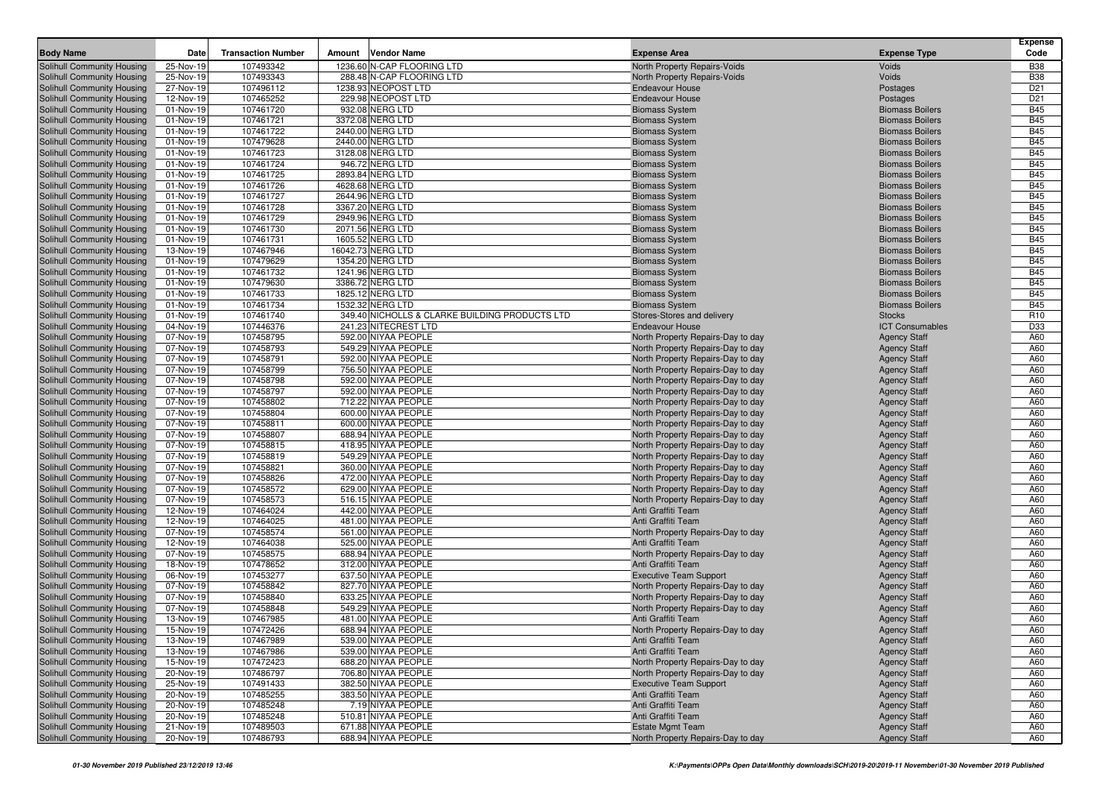|                                                          |                         |                           |        |                                                |                                                |                                                  | Expense                  |
|----------------------------------------------------------|-------------------------|---------------------------|--------|------------------------------------------------|------------------------------------------------|--------------------------------------------------|--------------------------|
| <b>Body Name</b>                                         | Date                    | <b>Transaction Number</b> | Amount | <b>Vendor Name</b>                             | <b>Expense Area</b>                            | <b>Expense Type</b>                              | Code                     |
| Solihull Community Housing                               | 25-Nov-19               | 107493342                 |        | 1236.60 N-CAP FLOORING LTD                     | North Property Repairs-Voids                   | Voids                                            | <b>B38</b>               |
| Solihull Community Housing                               | 25-Nov-19               | 107493343                 |        | 288.48 N-CAP FLOORING LTD                      | North Property Repairs-Voids                   | Voids                                            | <b>B38</b>               |
| Solihull Community Housing                               | 27-Nov-19               | 107496112                 |        | 1238.93 NEOPOST LTD                            | <b>Endeavour House</b>                         | Postages                                         | D <sub>21</sub>          |
| Solihull Community Housing                               | 12-Nov-19               | 107465252                 |        | 229.98 NEOPOST LTD                             | <b>Endeavour House</b>                         | Postages                                         | D <sub>21</sub>          |
| Solihull Community Housing                               | 01-Nov-19               | 107461720                 |        | 932.08 NERG LTD                                | <b>Biomass System</b>                          | <b>Biomass Boilers</b>                           | <b>B45</b>               |
| Solihull Community Housing                               | 01-Nov-19               | 107461721                 |        | 3372.08 NERG LTD                               | <b>Biomass System</b>                          | <b>Biomass Boilers</b>                           | <b>B45</b>               |
| Solihull Community Housing                               | 01-Nov-19               | 107461722                 |        | 2440.00 NERG LTD                               | <b>Biomass System</b>                          | <b>Biomass Boilers</b>                           | <b>B45</b>               |
| Solihull Community Housing                               | 01-Nov-19               | 107479628                 |        | 2440.00 NERG LTD                               | <b>Biomass System</b>                          | <b>Biomass Boilers</b>                           | <b>B45</b>               |
| Solihull Community Housing                               | 01-Nov-19               | 107461723                 |        | 3128.08 NERG LTD                               | <b>Biomass System</b>                          | <b>Biomass Boilers</b>                           | <b>B45</b><br><b>B45</b> |
| Solihull Community Housing                               | 01-Nov-19               | 107461724                 |        | 946.72 NERG LTD                                | <b>Biomass System</b>                          | <b>Biomass Boilers</b>                           |                          |
| Solihull Community Housing                               | 01-Nov-19               | 107461725                 |        | 2893.84 NERG LTD                               | <b>Biomass System</b>                          | <b>Biomass Boilers</b><br><b>Biomass Boilers</b> | <b>B45</b><br><b>B45</b> |
| Solihull Community Housing                               | 01-Nov-19               | 107461726                 |        | 4628.68 NERG LTD                               | <b>Biomass System</b>                          |                                                  | <b>B45</b>               |
| Solihull Community Housing                               | 01-Nov-19               | 107461727<br>107461728    |        | 2644.96 NERG LTD<br>3367.20 NERG LTD           | <b>Biomass System</b>                          | <b>Biomass Boilers</b><br><b>Biomass Boilers</b> | <b>B45</b>               |
| Solihull Community Housing                               | 01-Nov-19               | 107461729                 |        | 2949.96 NERG LTD                               | <b>Biomass System</b>                          | <b>Biomass Boilers</b>                           | <b>B45</b>               |
| Solihull Community Housing                               | 01-Nov-19<br>01-Nov-19  | 107461730                 |        | 2071.56 NERG LTD                               | <b>Biomass System</b>                          | <b>Biomass Boilers</b>                           | <b>B45</b>               |
| Solihull Community Housing                               |                         | 107461731                 |        | 1605.52 NERG LTD                               | <b>Biomass System</b>                          | <b>Biomass Boilers</b>                           | <b>B45</b>               |
| Solihull Community Housing                               | 01-Nov-19               |                           |        | 16042.73 NERG LTD                              | <b>Biomass System</b>                          | <b>Biomass Boilers</b>                           | <b>B45</b>               |
| Solihull Community Housing                               | 13-Nov-19<br>01-Nov-19  | 107467946<br>107479629    |        | 1354.20 NERG LTD                               | <b>Biomass System</b>                          | <b>Biomass Boilers</b>                           | <b>B45</b>               |
| Solihull Community Housing<br>Solihull Community Housing | 01-Nov-19               | 107461732                 |        | 1241.96 NERG LTD                               | <b>Biomass System</b><br><b>Biomass System</b> | <b>Biomass Boilers</b>                           | <b>B45</b>               |
| Solihull Community Housing                               | 01-Nov-19               | 107479630                 |        | 3386.72 NERG LTD                               | <b>Biomass System</b>                          | <b>Biomass Boilers</b>                           | <b>B45</b>               |
|                                                          |                         | 107461733                 |        | 1825.12 NERG LTD                               |                                                | <b>Biomass Boilers</b>                           | <b>B45</b>               |
| Solihull Community Housing<br>Solihull Community Housing | 01-Nov-19<br>01-Nov-19  | 107461734                 |        | 1532.32 NERG LTD                               | <b>Biomass System</b><br><b>Biomass System</b> | <b>Biomass Boilers</b>                           | <b>B45</b>               |
| Solihull Community Housing                               | 01-Nov-19               | 107461740                 |        | 349.40 NICHOLLS & CLARKE BUILDING PRODUCTS LTD | Stores-Stores and delivery                     | <b>Stocks</b>                                    | R <sub>10</sub>          |
| Solihull Community Housing                               | 04-Nov-19               | 107446376                 |        | 241.23 NITECREST LTD                           | <b>Endeavour House</b>                         | <b>ICT Consumables</b>                           | D33                      |
| Solihull Community Housing                               | 07-Nov-19               | 107458795                 |        | 592.00 NIYAA PEOPLE                            | North Property Repairs-Day to day              | <b>Agency Staff</b>                              | A60                      |
| Solihull Community Housing                               | 07-Nov-19               | 107458793                 |        | 549.29 NIYAA PEOPLE                            | North Property Repairs-Day to day              | <b>Agency Staff</b>                              | A60                      |
| Solihull Community Housing                               | 07-Nov-19               | 107458791                 |        | 592.00 NIYAA PEOPLE                            | North Property Repairs-Day to day              | <b>Agency Staff</b>                              | A60                      |
| Solihull Community Housing                               | 07-Nov-19               | 107458799                 |        | 756.50 NIYAA PEOPLE                            | North Property Repairs-Day to day              | <b>Agency Staff</b>                              | A60                      |
| Solihull Community Housing                               | 07-Nov-19               | 107458798                 |        | 592.00 NIYAA PEOPLE                            | North Property Repairs-Day to day              | <b>Agency Staff</b>                              | A60                      |
| Solihull Community Housing                               | 07-Nov-19               | 107458797                 |        | 592.00 NIYAA PEOPLE                            | North Property Repairs-Day to day              | <b>Agency Staff</b>                              | A60                      |
| Solihull Community Housing                               | 07-Nov-19               | 107458802                 |        | 712.22 NIYAA PEOPLE                            | North Property Repairs-Day to day              | <b>Agency Staff</b>                              | A60                      |
| Solihull Community Housing                               | 07-Nov-19               | 107458804                 |        | 600.00 NIYAA PEOPLE                            | North Property Repairs-Day to day              | <b>Agency Staff</b>                              | A60                      |
| Solihull Community Housing                               | 07-Nov-19               | 107458811                 |        | 600.00 NIYAA PEOPLE                            | North Property Repairs-Day to day              | <b>Agency Staff</b>                              | A60                      |
| Solihull Community Housing                               | 07-Nov-19               | 107458807                 |        | 688.94 NIYAA PEOPLE                            | North Property Repairs-Day to day              | <b>Agency Staff</b>                              | A60                      |
| Solihull Community Housing                               | 07-Nov-19               | 107458815                 |        | 418.95 NIYAA PEOPLE                            | North Property Repairs-Day to day              | <b>Agency Staff</b>                              | A60                      |
| Solihull Community Housing                               | 07-Nov-19               | 107458819                 |        | 549.29 NIYAA PEOPLE                            | North Property Repairs-Day to day              | <b>Agency Staff</b>                              | A60                      |
| Solihull Community Housing                               | 07-Nov-19               | 107458821                 |        | 360.00 NIYAA PEOPLE                            | North Property Repairs-Day to day              | <b>Agency Staff</b>                              | A60                      |
| Solihull Community Housing                               | 07-Nov-19               | 107458826                 |        | 472.00 NIYAA PEOPLE                            | North Property Repairs-Day to day              | <b>Agency Staff</b>                              | A60                      |
| Solihull Community Housing                               | 07-Nov-19               | 107458572                 |        | 629.00 NIYAA PEOPLE                            | North Property Repairs-Day to day              | <b>Agency Staff</b>                              | A60                      |
| Solihull Community Housing                               | 07-Nov-19               | 107458573                 |        | 516.15 NIYAA PEOPLE                            | North Property Repairs-Day to day              | <b>Agency Staff</b>                              | A60                      |
| Solihull Community Housing                               | $\overline{12}$ -Nov-19 | 107464024                 |        | 442.00 NIYAA PEOPLE                            | Anti Graffiti Team                             | <b>Agency Staff</b>                              | A60                      |
| Solihull Community Housing                               | 12-Nov-19               | 107464025                 |        | 481.00 NIYAA PEOPLE                            | Anti Graffiti Team                             | <b>Agency Staff</b>                              | A60                      |
| Solihull Community Housing                               | 07-Nov-19               | 107458574                 |        | 561.00 NIYAA PEOPLE                            | North Property Repairs-Day to day              | <b>Agency Staff</b>                              | A60                      |
| Solihull Community Housing                               | 12-Nov-19               | 107464038                 |        | 525.00 NIYAA PEOPLE                            | Anti Graffiti Team                             | <b>Agency Staff</b>                              | A60                      |
| Solihull Community Housing                               | 07-Nov-19               | 107458575                 |        | 688.94 NIYAA PEOPLE                            | North Property Repairs-Day to day              | <b>Agency Staff</b>                              | A60                      |
| Solihull Community Housing                               | 18-Nov-19               | 107478652                 |        | 312.00 NIYAA PEOPLE                            | Anti Graffiti Team                             | <b>Agency Staff</b>                              | A60                      |
| Solihull Community Housing                               | 06-Nov-19               | 107453277                 |        | 637.50 NIYAA PEOPLE                            | <b>Executive Team Support</b>                  | <b>Agency Staff</b>                              | A60                      |
| Solihull Community Housing                               | 07-Nov-19               | 107458842                 |        | 827.70 NIYAA PEOPLE                            | North Property Repairs-Day to day              | <b>Agency Staff</b>                              | A60                      |
| Solihull Community Housing                               | 07-Nov-19               | 107458840                 |        | 633.25 NIYAA PEOPLE                            | North Property Repairs-Day to day              | <b>Agency Staff</b>                              | A60                      |
| Solihull Community Housing                               | 07-Nov-19               | 107458848                 |        | 549.29 NIYAA PEOPLE                            | North Property Repairs-Day to day              | <b>Agency Staff</b>                              | A60                      |
| <b>Solihull Community Housing</b>                        | 13-Nov-19               | 107467985                 |        | 481.00 NIYAA PEOPLE                            | Anti Graffiti Team                             | <b>Agency Staff</b>                              | A60                      |
| Solihull Community Housing                               | 15-Nov-19               | 107472426                 |        | 688.94 NIYAA PEOPLE                            | North Property Repairs-Day to day              | <b>Agency Staff</b>                              | A60                      |
| Solihull Community Housing                               | 13-Nov-19               | 107467989                 |        | 539.00 NIYAA PEOPLE                            | Anti Graffiti Team                             | <b>Agency Staff</b>                              | A60                      |
| Solihull Community Housing                               | 13-Nov-19               | 107467986                 |        | 539.00 NIYAA PEOPLE                            | Anti Graffiti Team                             | <b>Agency Staff</b>                              | A60                      |
| Solihull Community Housing                               | 15-Nov-19               | 107472423                 |        | 688.20 NIYAA PEOPLE                            | North Property Repairs-Day to day              | <b>Agency Staff</b>                              | A60                      |
| Solihull Community Housing                               | 20-Nov-19               | 107486797                 |        | 706.80 NIYAA PEOPLE                            | North Property Repairs-Day to day              | <b>Agency Staff</b>                              | A60                      |
| Solihull Community Housing                               | 25-Nov-19               | 107491433                 |        | 382.50 NIYAA PEOPLE                            | <b>Executive Team Support</b>                  | <b>Agency Staff</b>                              | A60                      |
| Solihull Community Housing                               | 20-Nov-19               | 107485255                 |        | 383.50 NIYAA PEOPLE                            | Anti Graffiti Team                             | <b>Agency Staff</b>                              | A60                      |
| Solihull Community Housing                               | 20-Nov-19               | 107485248                 |        | 7.19 NIYAA PEOPLE                              | Anti Graffiti Team                             | <b>Agency Staff</b>                              | A60                      |
| Solihull Community Housing                               | 20-Nov-19               | 107485248                 |        | 510.81 NIYAA PEOPLE                            | Anti Graffiti Team                             | <b>Agency Staff</b>                              | A60                      |
| Solihull Community Housing                               | 21-Nov-19               | 107489503                 |        | 671.88 NIYAA PEOPLE                            | <b>Estate Mgmt Team</b>                        | <b>Agency Staff</b>                              | A60                      |
| Solihull Community Housing                               | 20-Nov-19               | 107486793                 |        | 688.94 NIYAA PEOPLE                            | North Property Repairs-Day to day              | <b>Agency Staff</b>                              | A60                      |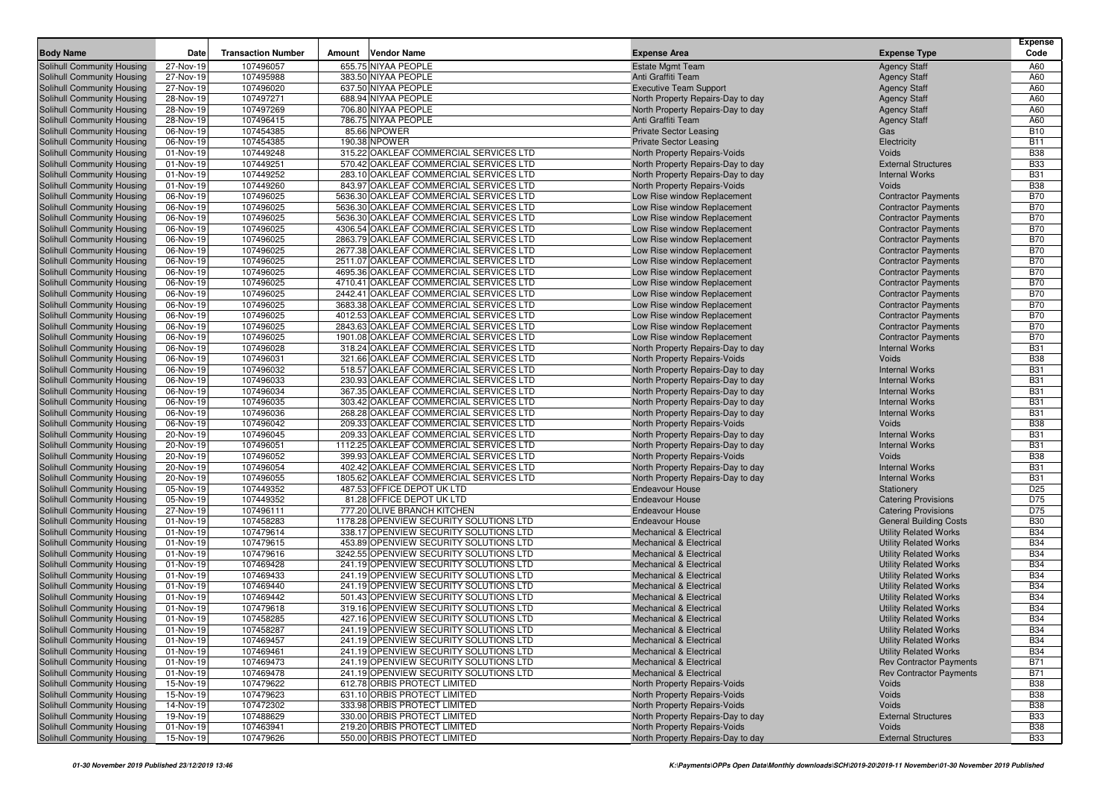|                                                          |                        |                           |        |                                                                                    |                                                            |                                                          | <b>Expense</b>           |
|----------------------------------------------------------|------------------------|---------------------------|--------|------------------------------------------------------------------------------------|------------------------------------------------------------|----------------------------------------------------------|--------------------------|
| <b>Body Name</b>                                         | Date                   | <b>Transaction Number</b> | Amount | <b>Vendor Name</b>                                                                 | <b>Expense Area</b>                                        | <b>Expense Type</b>                                      | Code                     |
| Solihull Community Housing                               | 27-Nov-19              | 107496057                 |        | 655.75 NIYAA PEOPLE                                                                | <b>Estate Mgmt Team</b>                                    | <b>Agency Staff</b>                                      | A60                      |
| Solihull Community Housing                               | 27-Nov-19              | 107495988                 |        | 383.50 NIYAA PEOPLE                                                                | Anti Graffiti Team                                         | <b>Agency Staff</b>                                      | A60                      |
| Solihull Community Housing                               | 27-Nov-19              | 107496020                 |        | 637.50 NIYAA PEOPLE                                                                | <b>Executive Team Support</b>                              | <b>Agency Staff</b>                                      | A60                      |
| Solihull Community Housing                               | 28-Nov-19              | 107497271                 |        | 688.94 NIYAA PEOPLE                                                                | North Property Repairs-Day to day                          | <b>Agency Staff</b>                                      | A60                      |
| <b>Solihull Community Housing</b>                        | 28-Nov-19              | 107497269                 |        | 706.80 NIYAA PEOPLE                                                                | North Property Repairs-Day to day                          | <b>Agency Staff</b>                                      | A60                      |
| Solihull Community Housing                               | 28-Nov-19              | 107496415                 |        | 786.75 NIYAA PEOPLE                                                                | Anti Graffiti Team                                         | <b>Agency Staff</b>                                      | A60                      |
| Solihull Community Housing                               | 06-Nov-19              | 107454385                 |        | 85.66 NPOWER                                                                       | <b>Private Sector Leasing</b>                              | Gas                                                      | <b>B10</b>               |
| Solihull Community Housing                               | 06-Nov-19              | 107454385                 |        | 190.38 NPOWER                                                                      | <b>Private Sector Leasing</b>                              | Electricity                                              | <b>B11</b>               |
| Solihull Community Housing                               | 01-Nov-19              | 107449248                 |        | 315.22 OAKLEAF COMMERCIAL SERVICES LTD                                             | North Property Repairs-Voids                               | Voids                                                    | <b>B38</b>               |
| Solihull Community Housing                               | 01-Nov-19              | 107449251                 |        | 570.42 OAKLEAF COMMERCIAL SERVICES LTD                                             | North Property Repairs-Day to day                          | <b>External Structures</b>                               | <b>B33</b>               |
| Solihull Community Housing                               | 01-Nov-19              | 107449252                 |        | 283.10 OAKLEAF COMMERCIAL SERVICES LTD                                             | North Property Repairs-Day to day                          | <b>Internal Works</b>                                    | <b>B31</b>               |
| Solihull Community Housing                               | 01-Nov-19              | 107449260                 |        | 843.97 OAKLEAF COMMERCIAL SERVICES LTD                                             | North Property Repairs-Voids                               | Voids                                                    | <b>B38</b>               |
| Solihull Community Housing                               | 06-Nov-19              | 107496025                 |        | 5636.30 OAKLEAF COMMERCIAL SERVICES LTD                                            | Low Rise window Replacement                                | <b>Contractor Payments</b>                               | <b>B70</b><br><b>B70</b> |
| Solihull Community Housing                               | 06-Nov-19              | 107496025<br>107496025    |        | 5636.30 OAKLEAF COMMERCIAL SERVICES LTD<br>5636.30 OAKLEAF COMMERCIAL SERVICES LTD | Low Rise window Replacement                                | <b>Contractor Payments</b>                               | <b>B70</b>               |
| Solihull Community Housing                               | 06-Nov-19              |                           |        |                                                                                    | Low Rise window Replacement                                | <b>Contractor Payments</b>                               | <b>B70</b>               |
| Solihull Community Housing                               | 06-Nov-19              | 107496025                 |        | 4306.54 OAKLEAF COMMERCIAL SERVICES LTD                                            | Low Rise window Replacement                                | <b>Contractor Payments</b>                               |                          |
| Solihull Community Housing                               | 06-Nov-19              | 107496025                 |        | 2863.79 OAKLEAF COMMERCIAL SERVICES LTD                                            | Low Rise window Replacement                                | <b>Contractor Payments</b>                               | <b>B70</b>               |
| Solihull Community Housing                               | 06-Nov-19              | 107496025                 |        | 2677.38 OAKLEAF COMMERCIAL SERVICES LTD                                            | Low Rise window Replacement                                | <b>Contractor Payments</b>                               | <b>B70</b><br><b>B70</b> |
| Solihull Community Housing                               | 06-Nov-19              | 107496025<br>107496025    |        | 2511.07 OAKLEAF COMMERCIAL SERVICES LTD<br>4695.36 OAKLEAF COMMERCIAL SERVICES LTD | Low Rise window Replacement                                | <b>Contractor Payments</b>                               | <b>B70</b>               |
| Solihull Community Housing                               | 06-Nov-19              | 107496025                 |        | 4710.41 OAKLEAF COMMERCIAL SERVICES LTD                                            | Low Rise window Replacement<br>Low Rise window Replacement | <b>Contractor Payments</b>                               | <b>B70</b>               |
| Solihull Community Housing                               | 06-Nov-19              | 107496025                 |        | 2442.41 OAKLEAF COMMERCIAL SERVICES LTD                                            |                                                            | <b>Contractor Payments</b>                               | <b>B70</b>               |
| Solihull Community Housing<br>Solihull Community Housing | 06-Nov-19<br>06-Nov-19 | 107496025                 |        | 3683.38 OAKLEAF COMMERCIAL SERVICES LTD                                            | Low Rise window Replacement<br>Low Rise window Replacement | <b>Contractor Payments</b><br><b>Contractor Payments</b> | <b>B70</b>               |
| Solihull Community Housing                               | 06-Nov-19              | 107496025                 |        | 4012.53 OAKLEAF COMMERCIAL SERVICES LTD                                            | Low Rise window Replacement                                | <b>Contractor Payments</b>                               | <b>B70</b>               |
| Solihull Community Housing                               | 06-Nov-19              | 107496025                 |        | 2843.63 OAKLEAF COMMERCIAL SERVICES LTD                                            | Low Rise window Replacement                                | <b>Contractor Payments</b>                               | <b>B70</b>               |
| Solihull Community Housing                               | 06-Nov-19              | 107496025                 |        | 1901.08 OAKLEAF COMMERCIAL SERVICES LTD                                            | Low Rise window Replacement                                | <b>Contractor Payments</b>                               | <b>B70</b>               |
| Solihull Community Housing                               | 06-Nov-19              | 107496028                 |        | 318.24 OAKLEAF COMMERCIAL SERVICES LTD                                             | North Property Repairs-Day to day                          | <b>Internal Works</b>                                    | <b>B31</b>               |
| Solihull Community Housing                               | 06-Nov-19              | 107496031                 |        | 321.66 OAKLEAF COMMERCIAL SERVICES LTD                                             | North Property Repairs-Voids                               | Voids                                                    | <b>B38</b>               |
| Solihull Community Housing                               | 06-Nov-19              | 107496032                 |        | 518.57 OAKLEAF COMMERCIAL SERVICES LTD                                             | North Property Repairs-Day to day                          | <b>Internal Works</b>                                    | <b>B31</b>               |
| Solihull Community Housing                               | 06-Nov-19              | 107496033                 |        | 230.93 OAKLEAF COMMERCIAL SERVICES LTD                                             | North Property Repairs-Day to day                          | <b>Internal Works</b>                                    | <b>B31</b>               |
| Solihull Community Housing                               | 06-Nov-19              | 107496034                 |        | 367.35 OAKLEAF COMMERCIAL SERVICES LTD                                             | North Property Repairs-Day to day                          | <b>Internal Works</b>                                    | <b>B31</b>               |
| Solihull Community Housing                               | 06-Nov-19              | 107496035                 |        | 303.42 OAKLEAF COMMERCIAL SERVICES LTD                                             | North Property Repairs-Day to day                          | <b>Internal Works</b>                                    | <b>B31</b>               |
| Solihull Community Housing                               | 06-Nov-19              | 107496036                 |        | 268.28 OAKLEAF COMMERCIAL SERVICES LTD                                             | North Property Repairs-Day to day                          | <b>Internal Works</b>                                    | <b>B31</b>               |
| Solihull Community Housing                               | 06-Nov-19              | 107496042                 |        | 209.33 OAKLEAF COMMERCIAL SERVICES LTD                                             | North Property Repairs-Voids                               | Voids                                                    | <b>B38</b>               |
| Solihull Community Housing                               | 20-Nov-19              | 107496045                 |        | 209.33 OAKLEAF COMMERCIAL SERVICES LTD                                             | North Property Repairs-Day to day                          | <b>Internal Works</b>                                    | <b>B31</b>               |
| Solihull Community Housing                               | 20-Nov-19              | 107496051                 |        | 1112.25 OAKLEAF COMMERCIAL SERVICES LTD                                            | North Property Repairs-Day to day                          | <b>Internal Works</b>                                    | <b>B31</b>               |
| Solihull Community Housing                               | 20-Nov-19              | 107496052                 |        | 399.93 OAKLEAF COMMERCIAL SERVICES LTD                                             | North Property Repairs-Voids                               | Voids                                                    | <b>B38</b>               |
| Solihull Community Housing                               | 20-Nov-19              | 107496054                 |        | 402.42 OAKLEAF COMMERCIAL SERVICES LTD                                             | North Property Repairs-Day to day                          | <b>Internal Works</b>                                    | <b>B31</b>               |
| Solihull Community Housing                               | 20-Nov-19              | 107496055                 |        | 1805.62 OAKLEAF COMMERCIAL SERVICES LTD                                            | North Property Repairs-Day to day                          | <b>Internal Works</b>                                    | <b>B31</b>               |
| Solihull Community Housing                               | 05-Nov-19              | 107449352                 |        | 487.53 OFFICE DEPOT UK LTD                                                         | <b>Endeavour House</b>                                     | Stationery                                               | D <sub>25</sub>          |
| Solihull Community Housing                               | 05-Nov-19              | 107449352                 |        | 81.28 OFFICE DEPOT UK LTD                                                          | <b>Endeavour House</b>                                     | <b>Catering Provisions</b>                               | D75                      |
| Solihull Community Housing                               | 27-Nov-19              | 107496111                 |        | 777.20 OLIVE BRANCH KITCHEN                                                        | <b>Endeavour House</b>                                     | <b>Catering Provisions</b>                               | D75                      |
| Solihull Community Housing                               | 01-Nov-19              | 107458283                 |        | 1178.28 OPENVIEW SECURITY SOLUTIONS LTD                                            | <b>Endeavour House</b>                                     | <b>General Building Costs</b>                            | <b>B30</b>               |
| Solihull Community Housing                               | 01-Nov-19              | 107479614                 |        | 338.17 OPENVIEW SECURITY SOLUTIONS LTD                                             | <b>Mechanical &amp; Electrical</b>                         | <b>Utility Related Works</b>                             | <b>B34</b>               |
| Solihull Community Housing                               | 01-Nov-19              | 107479615                 |        | 453.89 OPENVIEW SECURITY SOLUTIONS LTD                                             | <b>Mechanical &amp; Electrical</b>                         | <b>Utility Related Works</b>                             | <b>B34</b>               |
| Solihull Community Housing                               | 01-Nov-19              | 107479616                 |        | 3242.55 OPENVIEW SECURITY SOLUTIONS LTD                                            | <b>Mechanical &amp; Electrical</b>                         | <b>Utility Related Works</b>                             | <b>B34</b>               |
| Solihull Community Housing                               | 01-Nov-19              | 107469428                 |        | 241.19 OPENVIEW SECURITY SOLUTIONS LTD                                             | <b>Mechanical &amp; Electrical</b>                         | <b>Utility Related Works</b>                             | <b>B34</b>               |
| Solihull Community Housing                               | 01-Nov-19              | 107469433                 |        | 241.19 OPENVIEW SECURITY SOLUTIONS LTD                                             | <b>Mechanical &amp; Electrical</b>                         | <b>Utility Related Works</b>                             | <b>B34</b>               |
| Solihull Community Housing                               | 01-Nov-19              | 107469440                 |        | 241.19 OPENVIEW SECURITY SOLUTIONS LTD                                             | <b>Mechanical &amp; Electrical</b>                         | <b>Utility Related Works</b>                             | <b>B34</b>               |
| Solihull Community Housing                               | 01-Nov-19              | 107469442                 |        | 501.43 OPENVIEW SECURITY SOLUTIONS LTD                                             | <b>Mechanical &amp; Electrical</b>                         | <b>Utility Related Works</b>                             | <b>B34</b>               |
| Solihull Community Housing                               | 01-Nov-19              | 107479618                 |        | 319.16 OPENVIEW SECURITY SOLUTIONS LTD                                             | <b>Mechanical &amp; Electrical</b>                         | <b>Utility Related Works</b>                             | <b>B34</b>               |
| Solihull Community Housing                               | 01-Nov-19              | 107458285                 |        | 427.16 OPENVIEW SECURITY SOLUTIONS LTD                                             | <b>Mechanical &amp; Electrical</b>                         | <b>Utility Related Works</b>                             | <b>B34</b>               |
| Solihull Community Housing                               | 01-Nov-19              | 107458287                 |        | 241.19 OPENVIEW SECURITY SOLUTIONS LTD                                             | Mechanical & Electrical                                    | <b>Utility Related Works</b>                             | <b>B34</b>               |
| Solihull Community Housing                               | 01-Nov-19              | 107469457                 |        | 241.19 OPENVIEW SECURITY SOLUTIONS LTD                                             | Mechanical & Electrical                                    | <b>Utility Related Works</b>                             | <b>B34</b>               |
| Solihull Community Housing                               | 01-Nov-19              | 107469461                 |        | 241.19 OPENVIEW SECURITY SOLUTIONS LTD                                             | <b>Mechanical &amp; Electrical</b>                         | <b>Utility Related Works</b>                             | <b>B34</b>               |
| Solihull Community Housing                               | 01-Nov-19              | 107469473                 |        | 241.19 OPENVIEW SECURITY SOLUTIONS LTD                                             | <b>Mechanical &amp; Electrical</b>                         | <b>Rev Contractor Payments</b>                           | <b>B71</b>               |
| Solihull Community Housing                               | 01-Nov-19              | 107469478                 |        | 241.19 OPENVIEW SECURITY SOLUTIONS LTD                                             | <b>Mechanical &amp; Electrical</b>                         | <b>Rev Contractor Payments</b>                           | <b>B71</b>               |
| Solihull Community Housing                               | 15-Nov-19              | 107479622                 |        | 612.78 ORBIS PROTECT LIMITED                                                       | North Property Repairs-Voids                               | Voids                                                    | <b>B38</b>               |
| Solihull Community Housing                               | 15-Nov-19              | 107479623                 |        | 631.10 ORBIS PROTECT LIMITED                                                       | North Property Repairs-Voids                               | Voids                                                    | <b>B38</b>               |
| Solihull Community Housing                               | 14-Nov-19              | 107472302                 |        | 333.98 ORBIS PROTECT LIMITED                                                       | North Property Repairs-Voids                               | Voids                                                    | <b>B38</b>               |
| Solihull Community Housing                               | 19-Nov-19              | 107488629                 |        | 330.00 ORBIS PROTECT LIMITED                                                       | North Property Repairs-Day to day                          | <b>External Structures</b>                               | <b>B33</b>               |
| Solihull Community Housing                               | 01-Nov-19              | 107463941                 |        | 219.20 ORBIS PROTECT LIMITED                                                       | North Property Repairs-Voids                               | Voids                                                    | <b>B38</b>               |
| Solihull Community Housing                               | 15-Nov-19              | 107479626                 |        | 550.00 ORBIS PROTECT LIMITED                                                       | North Property Repairs-Day to day                          | <b>External Structures</b>                               | <b>B33</b>               |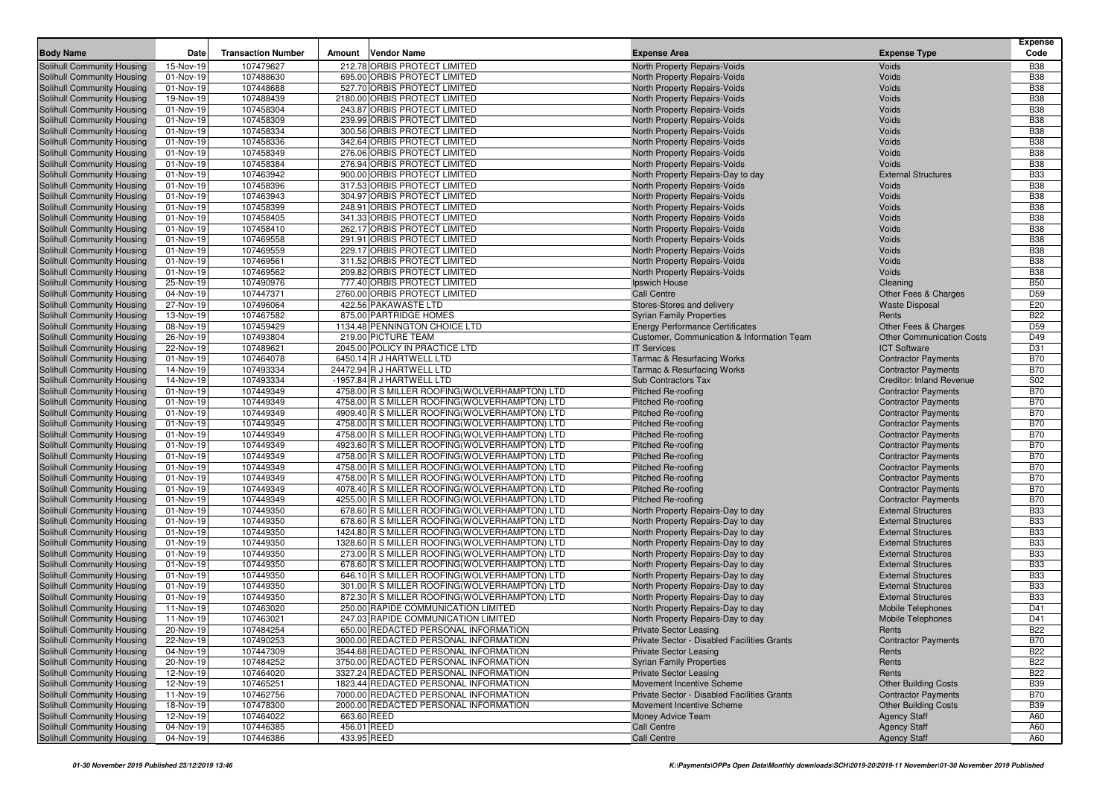| <b>Body Name</b>                                         | Date                   | <b>Transaction Number</b> | Amount | <b>Vendor Name</b>                                                                             | <b>Expense Area</b>                                                          | <b>Expense Type</b>                                    | <b>Expense</b><br>Code   |
|----------------------------------------------------------|------------------------|---------------------------|--------|------------------------------------------------------------------------------------------------|------------------------------------------------------------------------------|--------------------------------------------------------|--------------------------|
| Solihull Community Housing                               | 15-Nov-19              | 107479627                 |        | 212.78 ORBIS PROTECT LIMITED                                                                   | North Property Repairs-Voids                                                 | Voids                                                  | <b>B38</b>               |
| Solihull Community Housing                               | 01-Nov-19              | 107488630                 |        | 695.00 ORBIS PROTECT LIMITED                                                                   | North Property Repairs-Voids                                                 | Voids                                                  | <b>B38</b>               |
| Solihull Community Housing                               | 01-Nov-19              | 107448688                 |        | 527.70 ORBIS PROTECT LIMITED                                                                   | North Property Repairs-Voids                                                 | Voids                                                  | <b>B38</b>               |
| Solihull Community Housing                               | 19-Nov-19              | 107488439                 |        | 2180.00 ORBIS PROTECT LIMITED                                                                  | North Property Repairs-Voids                                                 | Voids                                                  | <b>B38</b>               |
| Solihull Community Housing                               | 01-Nov-19              | 107458304                 |        | 243.87 ORBIS PROTECT LIMITED                                                                   | North Property Repairs-Voids                                                 | Voids                                                  | <b>B38</b>               |
| Solihull Community Housing                               | 01-Nov-19              | 107458309                 |        | 239.99 ORBIS PROTECT LIMITED                                                                   | North Property Repairs-Voids                                                 | Voids                                                  | <b>B38</b>               |
| Solihull Community Housing                               | 01-Nov-19              | 107458334                 |        | 300.56 ORBIS PROTECT LIMITED                                                                   | North Property Repairs-Voids                                                 | Voids                                                  | <b>B38</b>               |
| Solihull Community Housing                               | 01-Nov-19              | 107458336                 |        | 342.64 ORBIS PROTECT LIMITED                                                                   | North Property Repairs-Voids                                                 | Voids                                                  | <b>B38</b>               |
| Solihull Community Housing                               | 01-Nov-19              | 107458349                 |        | 276.06 ORBIS PROTECT LIMITED                                                                   | North Property Repairs-Voids                                                 | Voids                                                  | <b>B38</b>               |
| Solihull Community Housing                               | 01-Nov-19              | 107458384                 |        | 276.94 ORBIS PROTECT LIMITED                                                                   | North Property Repairs-Voids                                                 | Voids                                                  | <b>B38</b>               |
| Solihull Community Housing                               | 01-Nov-19              | 107463942                 |        | 900.00 ORBIS PROTECT LIMITED                                                                   | North Property Repairs-Day to day                                            | <b>External Structures</b>                             | <b>B33</b>               |
| Solihull Community Housing                               | 01-Nov-19              | 107458396                 |        | 317.53 ORBIS PROTECT LIMITED                                                                   | North Property Repairs-Voids                                                 | Voids                                                  | <b>B38</b>               |
| Solihull Community Housing                               | 01-Nov-19              | 107463943                 |        | 304.97 ORBIS PROTECT LIMITED                                                                   | North Property Repairs-Voids                                                 | Voids                                                  | <b>B38</b>               |
| Solihull Community Housing                               | 01-Nov-19              | 107458399                 |        | 248.91 ORBIS PROTECT LIMITED                                                                   | North Property Repairs-Voids                                                 | Voids                                                  | <b>B38</b>               |
| Solihull Community Housing                               | 01-Nov-19              | 107458405                 |        | 341.33 ORBIS PROTECT LIMITED                                                                   | North Property Repairs-Voids                                                 | Voids                                                  | <b>B38</b>               |
| Solihull Community Housing                               | 01-Nov-19              | 107458410                 |        | 262.17 ORBIS PROTECT LIMITED                                                                   | North Property Repairs-Voids                                                 | Voids                                                  | <b>B38</b>               |
| Solihull Community Housing                               | 01-Nov-19              | 107469558                 |        | 291.91 ORBIS PROTECT LIMITED                                                                   | North Property Repairs-Voids                                                 | Voids                                                  | <b>B38</b>               |
| Solihull Community Housing                               | 01-Nov-19              | 107469559                 |        | 229.17 ORBIS PROTECT LIMITED                                                                   | North Property Repairs-Voids                                                 | Voids                                                  | <b>B38</b>               |
| Solihull Community Housing                               | 01-Nov-19              | 107469561                 |        | 311.52 ORBIS PROTECT LIMITED                                                                   | North Property Repairs-Voids                                                 | Voids                                                  | <b>B38</b>               |
| Solihull Community Housing                               | 01-Nov-19              | 107469562                 |        | 209.82 ORBIS PROTECT LIMITED                                                                   | North Property Repairs-Voids                                                 | Voids                                                  | <b>B38</b>               |
| Solihull Community Housing                               | 25-Nov-19              | 107490976                 |        | 777.40 ORBIS PROTECT LIMITED                                                                   | Ipswich House                                                                | Cleaning                                               | <b>B50</b>               |
| Solihull Community Housing                               | 04-Nov-19              | 107447371                 |        | 2760.00 ORBIS PROTECT LIMITED                                                                  | Call Centre                                                                  | Other Fees & Charges                                   | D <sub>59</sub>          |
| Solihull Community Housing                               | 27-Nov-19              | 107496064                 |        | 422.56 PAKAWASTE LTD                                                                           | Stores-Stores and delivery                                                   | <b>Waste Disposal</b>                                  | E20                      |
| Solihull Community Housing                               | 13-Nov-19              | 107467582                 |        | 875.00 PARTRIDGE HOMES                                                                         | <b>Syrian Family Properties</b>                                              | Rents                                                  | <b>B22</b>               |
| Solihull Community Housing                               | 08-Nov-19              | 107459429                 |        | 1134.48 PENNINGTON CHOICE LTD                                                                  | <b>Energy Performance Certificates</b>                                       | Other Fees & Charges                                   | D <sub>59</sub>          |
| Solihull Community Housing                               | 26-Nov-19              | 107493804                 |        | 219.00 PICTURE TEAM                                                                            | Customer, Communication & Information Team                                   | <b>Other Communication Costs</b>                       | D49                      |
| Solihull Community Housing                               | 22-Nov-19              | 107489621                 |        | 2045.00 POLICY IN PRACTICE LTD                                                                 | <b>IT Services</b>                                                           | <b>ICT Software</b>                                    | D31                      |
| Solihull Community Housing                               | 01-Nov-19              | 107464078                 |        | 6450.14 R J HARTWELL LTD                                                                       | Tarmac & Resurfacing Works                                                   | <b>Contractor Payments</b>                             | <b>B70</b>               |
| Solihull Community Housing                               | 14-Nov-19              | 107493334                 |        | 24472.94 R J HARTWELL LTD                                                                      | <b>Tarmac &amp; Resurfacing Works</b>                                        | <b>Contractor Payments</b>                             | <b>B70</b>               |
| Solihull Community Housing                               | 14-Nov-19              | 107493334                 |        | -1957.84 R J HARTWELL LTD                                                                      | Sub Contractors Tax                                                          | Creditor: Inland Revenue                               | S02                      |
| Solihull Community Housing                               | 01-Nov-19              | 107449349                 |        | 4758.00 R S MILLER ROOFING(WOLVERHAMPTON) LTD                                                  | <b>Pitched Re-roofing</b>                                                    | <b>Contractor Payments</b>                             | <b>B70</b>               |
| Solihull Community Housing                               | 01-Nov-19              | 107449349                 |        | 4758.00 R S MILLER ROOFING (WOLVERHAMPTON) LTD                                                 | <b>Pitched Re-roofing</b>                                                    | <b>Contractor Payments</b>                             | <b>B70</b>               |
| Solihull Community Housing                               | 01-Nov-19              | 107449349                 |        | 4909.40 R S MILLER ROOFING(WOLVERHAMPTON) LTD                                                  | <b>Pitched Re-roofing</b>                                                    | <b>Contractor Payments</b>                             | <b>B70</b>               |
| Solihull Community Housing                               | 01-Nov-19              | 107449349                 |        | 4758.00 R S MILLER ROOFING(WOLVERHAMPTON) LTD                                                  | <b>Pitched Re-roofing</b>                                                    | <b>Contractor Payments</b>                             | <b>B70</b>               |
| Solihull Community Housing                               | 01-Nov-19              | 107449349                 |        | 4758.00 R S MILLER ROOFING(WOLVERHAMPTON) LTD                                                  | <b>Pitched Re-roofing</b>                                                    | <b>Contractor Payments</b>                             | <b>B70</b>               |
| Solihull Community Housing                               | 01-Nov-19              | 107449349                 |        | 4923.60 R S MILLER ROOFING (WOLVERHAMPTON) LTD                                                 | <b>Pitched Re-roofing</b>                                                    | <b>Contractor Payments</b>                             | <b>B70</b>               |
| Solihull Community Housing                               | 01-Nov-19              | 107449349                 |        | 4758.00 R S MILLER ROOFING (WOLVERHAMPTON) LTD                                                 | <b>Pitched Re-roofing</b>                                                    | <b>Contractor Payments</b>                             | <b>B70</b>               |
| Solihull Community Housing                               | 01-Nov-19              | 107449349                 |        | 4758.00 R S MILLER ROOFING (WOLVERHAMPTON) LTD                                                 | <b>Pitched Re-roofing</b>                                                    | <b>Contractor Payments</b>                             | <b>B70</b>               |
| Solihull Community Housing                               | 01-Nov-19              | 107449349                 |        | 4758.00 R S MILLER ROOFING (WOLVERHAMPTON) LTD                                                 | <b>Pitched Re-roofing</b>                                                    | <b>Contractor Payments</b>                             | <b>B70</b>               |
| Solihull Community Housing                               | 01-Nov-19              | 107449349                 |        | 4078.40 R S MILLER ROOFING (WOLVERHAMPTON) LTD                                                 | <b>Pitched Re-roofing</b>                                                    | <b>Contractor Payments</b>                             | <b>B70</b>               |
| Solihull Community Housing                               | 01-Nov-19              | 107449349                 |        | 4255.00 R S MILLER ROOFING(WOLVERHAMPTON) LTD                                                  | <b>Pitched Re-roofing</b>                                                    | <b>Contractor Payments</b>                             | <b>B70</b>               |
| Solihull Community Housing                               | 01-Nov-19              | 107449350                 |        | 678.60 R S MILLER ROOFING (WOLVERHAMPTON) LTD                                                  | North Property Repairs-Day to day                                            | <b>External Structures</b>                             | <b>B33</b>               |
| Solihull Community Housing                               | 01-Nov-19              | 107449350                 |        | 678.60 R S MILLER ROOFING (WOLVERHAMPTON) LTD                                                  | North Property Repairs-Day to day                                            | <b>External Structures</b>                             | <b>B33</b>               |
| Solihull Community Housing                               | 01-Nov-19              | 107449350                 |        | 1424.80 R S MILLER ROOFING (WOLVERHAMPTON) LTD                                                 | North Property Repairs-Day to day                                            | <b>External Structures</b>                             | <b>B33</b>               |
| Solihull Community Housing                               | 01-Nov-19              | 107449350                 |        | 1328.60 R S MILLER ROOFING(WOLVERHAMPTON) LTD                                                  | North Property Repairs-Day to day                                            | <b>External Structures</b>                             | <b>B33</b>               |
| Solihull Community Housing                               | 01-Nov-19              | 107449350                 |        | 273.00 R S MILLER ROOFING (WOLVERHAMPTON) LTD                                                  | North Property Repairs-Day to day                                            | <b>External Structures</b>                             | <b>B33</b>               |
| Solihull Community Housing                               | 01-Nov-19              | 107449350                 |        | 678.60 R S MILLER ROOFING (WOLVERHAMPTON) LTD<br>646.10 R S MILLER ROOFING (WOLVERHAMPTON) LTD | North Property Repairs-Day to day                                            | <b>External Structures</b>                             | <b>B33</b><br><b>B33</b> |
| Solihull Community Housing<br>Solihull Community Housing | 01-Nov-19              | 107449350                 |        |                                                                                                | North Property Repairs-Day to day                                            | <b>External Structures</b>                             |                          |
|                                                          | 01-Nov-19              | 107449350                 |        | 301.00 R S MILLER ROOFING(WOLVERHAMPTON) LTD                                                   | North Property Repairs-Day to day                                            | <b>External Structures</b>                             | <b>B33</b><br><b>B33</b> |
| Solihull Community Housing                               | 01-Nov-19              | 107449350                 |        | 872.30 R S MILLER ROOFING (WOLVERHAMPTON) LTD                                                  | North Property Repairs-Day to day                                            | <b>External Structures</b><br><b>Mobile Telephones</b> | D41                      |
| Solihull Community Housing                               | 11-Nov-19<br>11-Nov-19 | 107463020<br>107463021    |        | 250.00 RAPIDE COMMUNICATION LIMITED<br>247.03 RAPIDE COMMUNICATION LIMITED                     | North Property Repairs-Day to day                                            |                                                        | D41                      |
| Solihull Community Housing                               |                        |                           |        |                                                                                                | North Property Repairs-Day to day                                            | <b>Mobile Telephones</b>                               | <b>B22</b>               |
| Solihull Community Housing<br>Solihull Community Housing | 20-Nov-19<br>22-Nov-19 | 107484254<br>107490253    |        | 650.00 REDACTED PERSONAL INFORMATION<br>3000.00 REDACTED PERSONAL INFORMATION                  | <b>Private Sector Leasing</b><br>Private Sector - Disabled Facilities Grants | Rents<br><b>Contractor Payments</b>                    | <b>B70</b>               |
| Solihull Community Housing                               |                        | 107447309                 |        | 3544.68 REDACTED PERSONAL INFORMATION                                                          |                                                                              | Rents                                                  | <b>B22</b>               |
|                                                          | 04-Nov-19              |                           |        |                                                                                                | <b>Private Sector Leasing</b>                                                |                                                        |                          |
| Solihull Community Housing<br>Solihull Community Housing | 20-Nov-19<br>12-Nov-19 | 107484252<br>107464020    |        | 3750.00 REDACTED PERSONAL INFORMATION<br>3327.24 REDACTED PERSONAL INFORMATION                 | <b>Syrian Family Properties</b><br><b>Private Sector Leasing</b>             | Rents<br>Rents                                         | <b>B22</b><br><b>B22</b> |
| Solihull Community Housing                               | 12-Nov-19              | 107465251                 |        | 1823.44 REDACTED PERSONAL INFORMATION                                                          | Movement Incentive Scheme                                                    | <b>Other Building Costs</b>                            | <b>B39</b>               |
| Solihull Community Housing                               | 11-Nov-19              | 107462756                 |        | 7000.00 REDACTED PERSONAL INFORMATION                                                          | Private Sector - Disabled Facilities Grants                                  | <b>Contractor Payments</b>                             | <b>B70</b>               |
| Solihull Community Housing                               | 18-Nov-19              | 107478300                 |        | 2000.00 REDACTED PERSONAL INFORMATION                                                          | Movement Incentive Scheme                                                    | <b>Other Building Costs</b>                            | <b>B39</b>               |
| Solihull Community Housing                               | 12-Nov-19              | 107464022                 |        | 663.60 REED                                                                                    | Money Advice Team                                                            | <b>Agency Staff</b>                                    | A60                      |
| Solihull Community Housing                               | 04-Nov-19              | 107446385                 |        | 456.01 REED                                                                                    | Call Centre                                                                  | <b>Agency Staff</b>                                    | A60                      |
| Solihull Community Housing                               | 04-Nov-19              | 107446386                 |        | 433.95 REED                                                                                    | Call Centre                                                                  | <b>Agency Staff</b>                                    | A60                      |
|                                                          |                        |                           |        |                                                                                                |                                                                              |                                                        |                          |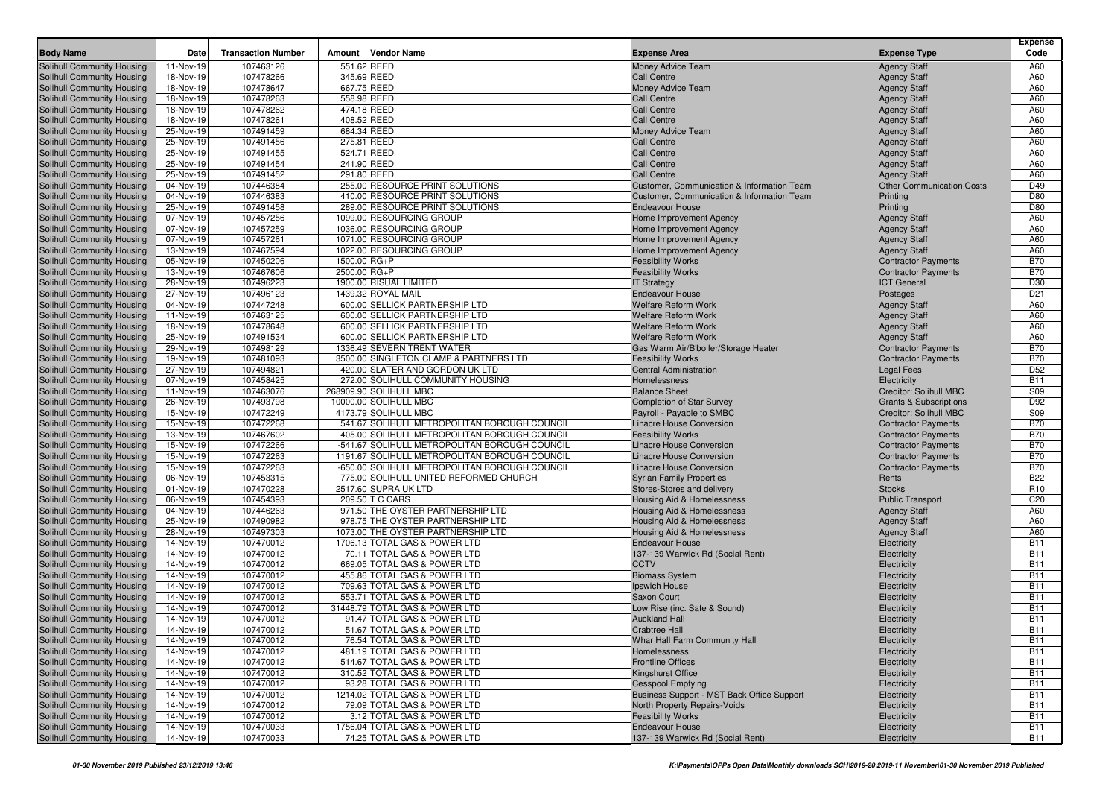|                                                                 |                          |                           |              |                                                              |                                                                  |                                                 | <b>Expense</b>           |
|-----------------------------------------------------------------|--------------------------|---------------------------|--------------|--------------------------------------------------------------|------------------------------------------------------------------|-------------------------------------------------|--------------------------|
| <b>Body Name</b>                                                | Date                     | <b>Transaction Number</b> | Amount       | <b>Vendor Name</b>                                           | <b>Expense Area</b>                                              | <b>Expense Type</b>                             | Code                     |
| Solihull Community Housing                                      | 11-Nov-19                | 107463126                 |              | 551.62 REED                                                  | Money Advice Team                                                | <b>Agency Staff</b>                             | A60                      |
| Solihull Community Housing                                      | 18-Nov-19                | 107478266                 |              | 345.69 REED                                                  | <b>Call Centre</b>                                               | <b>Agency Staff</b>                             | A60                      |
| Solihull Community Housing                                      | 18-Nov-19<br>$18-Nov-19$ | 107478647                 |              | 667.75 REED                                                  | Money Advice Team                                                | <b>Agency Staff</b>                             | A60                      |
| Solihull Community Housing<br><b>Solihull Community Housing</b> | 18-Nov-19                | 107478263<br>107478262    | 474.18 REED  | 558.98 REED                                                  | <b>Call Centre</b><br><b>Call Centre</b>                         | <b>Agency Staff</b>                             | A60<br>A60               |
| Solihull Community Housing                                      | 18-Nov-19                | 107478261                 |              | 408.52 REED                                                  | <b>Call Centre</b>                                               | <b>Agency Staff</b><br><b>Agency Staff</b>      | A60                      |
| Solihull Community Housing                                      | 25-Nov-19                | 107491459                 |              | 684.34 REED                                                  | Money Advice Team                                                | <b>Agency Staff</b>                             | A60                      |
| Solihull Community Housing                                      | 25-Nov-19                | 107491456                 |              | 275.81 REED                                                  | <b>Call Centre</b>                                               | <b>Agency Staff</b>                             | A60                      |
| Solihull Community Housing                                      | 25-Nov-19                | 107491455                 |              | 524.71 REED                                                  | <b>Call Centre</b>                                               | <b>Agency Staff</b>                             | A60                      |
| Solihull Community Housing                                      | 25-Nov-19                | 107491454                 |              | 241.90 REED                                                  | <b>Call Centre</b>                                               | <b>Agency Staff</b>                             | A60                      |
| Solihull Community Housing                                      | 25-Nov-19                | 107491452                 |              | 291.80 REED                                                  | <b>Call Centre</b>                                               | <b>Agency Staff</b>                             | A60                      |
| Solihull Community Housing                                      | 04-Nov-19                | 107446384                 |              | 255.00 RESOURCE PRINT SOLUTIONS                              | Customer, Communication & Information Team                       | <b>Other Communication Costs</b>                | D49                      |
| Solihull Community Housing                                      | 04-Nov-19                | 107446383                 |              | 410.00 RESOURCE PRINT SOLUTIONS                              | Customer, Communication & Information Team                       | Printing                                        | D80                      |
| Solihull Community Housing                                      | 25-Nov-19                | 107491458                 |              | 289.00 RESOURCE PRINT SOLUTIONS                              | <b>Endeavour House</b>                                           | Printing                                        | D80                      |
| Solihull Community Housing                                      | 07-Nov-19                | 107457256                 |              | 1099.00 RESOURCING GROUP                                     | Home Improvement Agency                                          | <b>Agency Staff</b>                             | A60                      |
| Solihull Community Housing                                      | 07-Nov-19                | 107457259                 |              | 1036.00 RESOURCING GROUP                                     | Home Improvement Agency                                          | <b>Agency Staff</b>                             | A60                      |
| Solihull Community Housing                                      | 07-Nov-19                | 107457261                 |              | 1071.00 RESOURCING GROUP                                     | Home Improvement Agency                                          | <b>Agency Staff</b>                             | A60                      |
| Solihull Community Housing                                      | 13-Nov-19                | 107467594                 |              | 1022.00 RESOURCING GROUP                                     | Home Improvement Agency                                          | <b>Agency Staff</b>                             | A60                      |
| Solihull Community Housing                                      | 05-Nov-19                | 107450206                 | 1500.00 RG+P |                                                              | <b>Feasibility Works</b>                                         | <b>Contractor Payments</b>                      | <b>B70</b>               |
| Solihull Community Housing                                      | 13-Nov-19                | 107467606                 | 2500.00 RG+P |                                                              | <b>Feasibility Works</b>                                         | <b>Contractor Payments</b>                      | <b>B70</b>               |
| Solihull Community Housing                                      | 28-Nov-19                | 107496223                 |              | 1900.00 RISUAL LIMITED                                       | <b>IT Strategy</b>                                               | <b>ICT General</b>                              | D30                      |
| Solihull Community Housing                                      | 27-Nov-19                | 107496123                 |              | 1439.32 ROYAL MAIL                                           | <b>Endeavour House</b>                                           | Postages                                        | D <sub>21</sub>          |
| Solihull Community Housing                                      | 04-Nov-19                | 107447248                 |              | 600.00 SELLICK PARTNERSHIP LTD                               | <b>Welfare Reform Work</b>                                       | <b>Agency Staff</b>                             | A60                      |
| Solihull Community Housing                                      | 11-Nov-19                | 107463125                 |              | 600.00 SELLICK PARTNERSHIP LTD                               | <b>Welfare Reform Work</b>                                       | <b>Agency Staff</b>                             | A60                      |
| Solihull Community Housing                                      | 18-Nov-19                | 107478648                 |              | 600.00 SELLICK PARTNERSHIP LTD                               | <b>Welfare Reform Work</b>                                       | <b>Agency Staff</b>                             | A60                      |
| Solihull Community Housing                                      | 25-Nov-19                | 107491534<br>107498129    |              | 600.00 SELLICK PARTNERSHIP LTD<br>1336.49 SEVERN TRENT WATER | <b>Welfare Reform Work</b>                                       | <b>Agency Staff</b>                             | A60<br><b>B70</b>        |
| Solihull Community Housing<br>Solihull Community Housing        | 29-Nov-19                | 107481093                 |              | 3500.00 SINGLETON CLAMP & PARTNERS LTD                       | Gas Warm Air/B'boiler/Storage Heater<br><b>Feasibility Works</b> | <b>Contractor Payments</b>                      | <b>B70</b>               |
| Solihull Community Housing                                      | 19-Nov-19<br>27-Nov-19   | 107494821                 |              | 420.00 SLATER AND GORDON UK LTD                              | <b>Central Administration</b>                                    | <b>Contractor Payments</b><br><b>Legal Fees</b> | D <sub>52</sub>          |
| Solihull Community Housing                                      | 07-Nov-19                | 107458425                 |              | 272.00 SOLIHULL COMMUNITY HOUSING                            | Homelessness                                                     | Electricity                                     | <b>B11</b>               |
| Solihull Community Housing                                      | 11-Nov-19                | 107463076                 |              | 268909.90 SOLIHULL MBC                                       | <b>Balance Sheet</b>                                             | Creditor: Solihull MBC                          | S09                      |
| Solihull Community Housing                                      | 26-Nov-19                | 107493798                 |              | 10000.00 SOLIHULL MBC                                        | <b>Completion of Star Survey</b>                                 | <b>Grants &amp; Subscriptions</b>               | D92                      |
| Solihull Community Housing                                      | 15-Nov-19                | 107472249                 |              | 4173.79 SOLIHULL MBC                                         | Payroll - Payable to SMBC                                        | <b>Creditor: Solihull MBC</b>                   | S09                      |
| Solihull Community Housing                                      | 15-Nov-19                | 107472268                 |              | 541.67 SOLIHULL METROPOLITAN BOROUGH COUNCIL                 | <b>Linacre House Conversion</b>                                  | <b>Contractor Payments</b>                      | <b>B70</b>               |
| <b>Solihull Community Housing</b>                               | 13-Nov-19                | 107467602                 |              | 405.00 SOLIHULL METROPOLITAN BOROUGH COUNCIL                 | <b>Feasibility Works</b>                                         | <b>Contractor Payments</b>                      | <b>B70</b>               |
| Solihull Community Housing                                      | 15-Nov-19                | 107472266                 |              | -541.67 SOLIHULL METROPOLITAN BOROUGH COUNCIL                | <b>Linacre House Conversion</b>                                  | <b>Contractor Payments</b>                      | <b>B70</b>               |
| Solihull Community Housing                                      | 15-Nov-19                | 107472263                 |              | 1191.67 SOLIHULL METROPOLITAN BOROUGH COUNCIL                | <b>Linacre House Conversion</b>                                  | <b>Contractor Payments</b>                      | <b>B70</b>               |
| Solihull Community Housing                                      | 15-Nov-19                | 107472263                 |              | -650.00 SOLIHULL METROPOLITAN BOROUGH COUNCIL                | <b>Linacre House Conversion</b>                                  | <b>Contractor Payments</b>                      | <b>B70</b>               |
| <b>Solihull Community Housing</b>                               | 06-Nov-19                | 107453315                 |              | 775.00 SOLIHULL UNITED REFORMED CHURCH                       | <b>Syrian Family Properties</b>                                  | Rents                                           | <b>B22</b>               |
| Solihull Community Housing                                      | 01-Nov-19                | 107470228                 |              | 2517.60 SUPRA UK LTD                                         | Stores-Stores and delivery                                       | <b>Stocks</b>                                   | R <sub>10</sub>          |
| Solihull Community Housing                                      | $\overline{0}$ 6-Nov-19  | 107454393                 |              | 209.50 T C CARS                                              | Housing Aid & Homelessness                                       | <b>Public Transport</b>                         | C <sub>20</sub>          |
| Solihull Community Housing                                      | 04-Nov-19                | 107446263                 |              | 971.50 THE OYSTER PARTNERSHIP LTD                            | Housing Aid & Homelessness                                       | <b>Agency Staff</b>                             | A60                      |
| Solihull Community Housing                                      | 25-Nov-19                | 107490982                 |              | 978.75 THE OYSTER PARTNERSHIP LTD                            | Housing Aid & Homelessness                                       | <b>Agency Staff</b>                             | A60                      |
| Solihull Community Housing                                      | 28-Nov-19                | 107497303                 |              | 1073.00 THE OYSTER PARTNERSHIP LTD                           | Housing Aid & Homelessness                                       | <b>Agency Staff</b>                             | A60                      |
| Solihull Community Housing                                      | 14-Nov-19                | 107470012                 |              | 1706.13 TOTAL GAS & POWER LTD                                | <b>Endeavour House</b>                                           | Electricity                                     | <b>B11</b>               |
| Solihull Community Housing                                      | 14-Nov-19                | 107470012<br>107470012    |              | 70.11 TOTAL GAS & POWER LTD                                  | 137-139 Warwick Rd (Social Rent)                                 | Electricity                                     | <b>B11</b><br><b>B11</b> |
| Solihull Community Housing<br>Solihull Community Housing        | 14-Nov-19<br>14-Nov-19   | 107470012                 |              | 669.05 TOTAL GAS & POWER LTD<br>455.86 TOTAL GAS & POWER LTD | <b>CCTV</b><br><b>Biomass System</b>                             | Electricity<br>Electricity                      | <b>B11</b>               |
| Solihull Community Housing                                      | 14-Nov-19                | 107470012                 |              | 709.63 TOTAL GAS & POWER LTD                                 | <b>Ipswich House</b>                                             | Electricity                                     | <b>B11</b>               |
| Solihull Community Housing                                      | 14-Nov-19                | 107470012                 |              | 553.71 TOTAL GAS & POWER LTD                                 | Saxon Court                                                      | Electricity                                     | <b>B11</b>               |
| Solihull Community Housing                                      | 14-Nov-19                | 107470012                 |              | 31448.79 TOTAL GAS & POWER LTD                               | Low Rise (inc. Safe & Sound)                                     | Electricity                                     | <b>B11</b>               |
| Solihull Community Housing                                      | 14-Nov-19                | 107470012                 |              | 91.47 TOTAL GAS & POWER LTD                                  | <b>Auckland Hall</b>                                             | Electricity                                     | <b>B11</b>               |
| Solihull Community Housing                                      | 14-Nov-19                | 107470012                 |              | 51.67 TOTAL GAS & POWER LTD                                  | <b>Crabtree Hall</b>                                             | Electricity                                     | <b>B11</b>               |
| Solihull Community Housing                                      | 14-Nov-19                | 107470012                 |              | 76.54 TOTAL GAS & POWER LTD                                  | Whar Hall Farm Community Hall                                    | Electricity                                     | <b>B11</b>               |
| Solihull Community Housing                                      | 14-Nov-19                | 107470012                 |              | 481.19 TOTAL GAS & POWER LTD                                 | Homelessness                                                     | Electricity                                     | <b>B11</b>               |
| Solihull Community Housing                                      | 14-Nov-19                | 107470012                 |              | 514.67 TOTAL GAS & POWER LTD                                 | <b>Frontline Offices</b>                                         | Electricity                                     | <b>B11</b>               |
| Solihull Community Housing                                      | 14-Nov-19                | 107470012                 |              | 310.52 TOTAL GAS & POWER LTD                                 | Kingshurst Office                                                | Electricity                                     | <b>B11</b>               |
| Solihull Community Housing                                      | 14-Nov-19                | 107470012                 |              | 93.28 TOTAL GAS & POWER LTD                                  | <b>Cesspool Emptying</b>                                         | Electricity                                     | <b>B11</b>               |
| Solihull Community Housing                                      | 14-Nov-19                | 107470012                 |              | 1214.02 TOTAL GAS & POWER LTD                                | Business Support - MST Back Office Support                       | Electricity                                     | <b>B11</b>               |
| Solihull Community Housing                                      | 14-Nov-19                | 107470012                 |              | 79.09 TOTAL GAS & POWER LTD                                  | North Property Repairs-Voids                                     | Electricity                                     | <b>B11</b>               |
| Solihull Community Housing                                      | 14-Nov-19                | 107470012                 |              | 3.12 TOTAL GAS & POWER LTD                                   | <b>Feasibility Works</b>                                         | Electricity                                     | <b>B11</b>               |
| Solihull Community Housing                                      | 14-Nov-19                | 107470033                 |              | 1756.04 TOTAL GAS & POWER LTD                                | <b>Endeavour House</b>                                           | Electricity                                     | <b>B11</b>               |
| Solihull Community Housing                                      | 14-Nov-19                | 107470033                 |              | 74.25 TOTAL GAS & POWER LTD                                  | 137-139 Warwick Rd (Social Rent)                                 | Electricity                                     | <b>B11</b>               |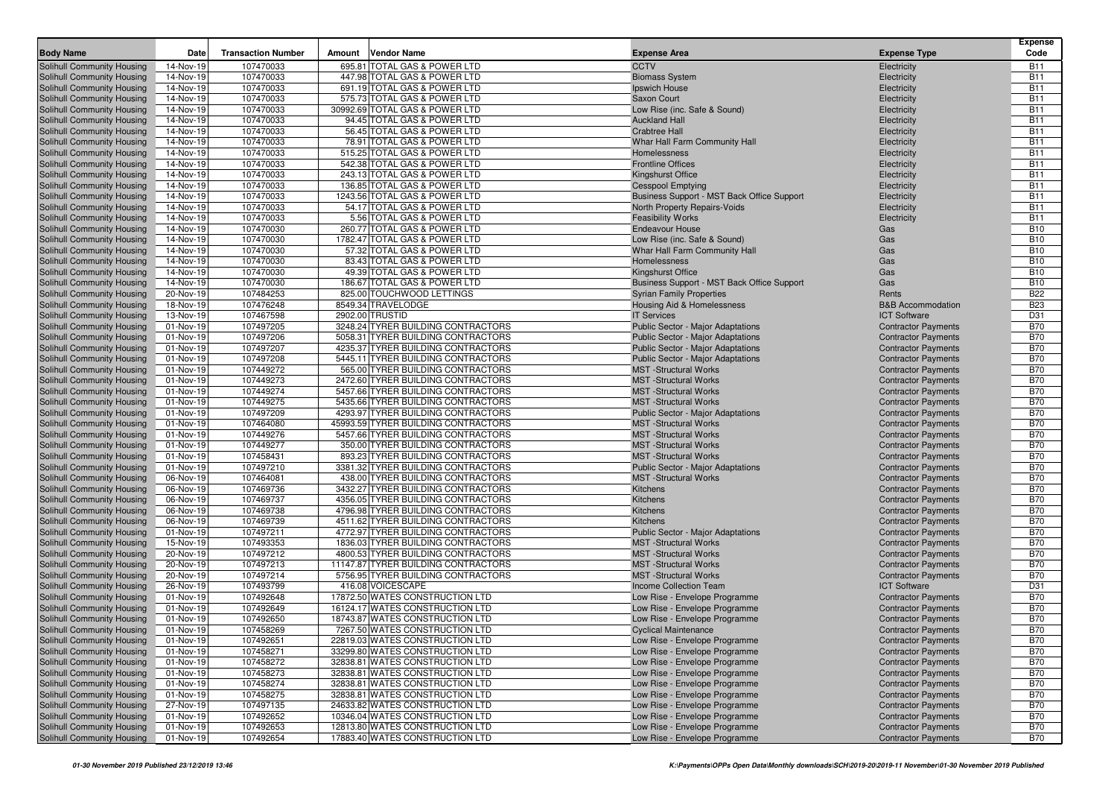| <b>Body Name</b><br><b>Transaction Number</b><br><b>Vendor Name</b><br><b>Expense Type</b><br>Date<br>Amount<br><b>Expense Area</b><br>107470033<br>695.81 TOTAL GAS & POWER LTD<br><b>CCTV</b><br><b>Solihull Community Housing</b><br>14-Nov-19<br>Electricity<br>107470033<br>447.98 TOTAL GAS & POWER LTD<br>Solihull Community Housing<br>14-Nov-19<br><b>Biomass System</b><br>Electricity<br>107470033<br>691.19 TOTAL GAS & POWER LTD<br>Solihull Community Housing<br>14-Nov-19<br>Ipswich House<br>Electricity<br>107470033<br>575.73 TOTAL GAS & POWER LTD<br>Solihull Community Housing<br>14-Nov-19<br>Saxon Court<br>Electricity<br>107470033<br>30992.69 TOTAL GAS & POWER LTD<br>Solihull Community Housing<br>14-Nov-19<br>Low Rise (inc. Safe & Sound)<br>Electricity<br>107470033<br>94.45 TOTAL GAS & POWER LTD<br>Solihull Community Housing<br>14-Nov-19<br><b>Auckland Hall</b><br>Electricity<br>107470033<br>56.45 TOTAL GAS & POWER LTD<br>Solihull Community Housing<br>14-Nov-19<br><b>Crabtree Hall</b><br>Electricity<br>107470033<br>78.91 TOTAL GAS & POWER LTD<br>Whar Hall Farm Community Hall<br>Solihull Community Housing<br>14-Nov-19<br>Electricity<br>107470033<br>515.25 TOTAL GAS & POWER LTD<br>Solihull Community Housing<br>14-Nov-19<br>Homelessness<br>Electricity<br>107470033<br>542.38 TOTAL GAS & POWER LTD<br>Solihull Community Housing<br>14-Nov-19<br><b>Frontline Offices</b><br>Electricity<br>107470033<br>243.13 TOTAL GAS & POWER LTD<br>Solihull Community Housing<br>14-Nov-19<br>Kingshurst Office<br>Electricity<br>107470033<br>136.85 TOTAL GAS & POWER LTD<br>Solihull Community Housing<br>14-Nov-19<br><b>Cesspool Emptying</b><br>Electricity<br>107470033<br>1243.56 TOTAL GAS & POWER LTD<br>Solihull Community Housing<br>14-Nov-19<br>Business Support - MST Back Office Support<br>Electricity<br>Solihull Community Housing<br>14-Nov-19<br>107470033<br>54.17 TOTAL GAS & POWER LTD<br>North Property Repairs-Voids<br>Electricity<br>107470033<br>5.56 TOTAL GAS & POWER LTD<br>Solihull Community Housing<br>14-Nov-19<br><b>Feasibility Works</b><br>Electricity<br>107470030<br>260.77 TOTAL GAS & POWER LTD<br>Solihull Community Housing<br>14-Nov-19<br><b>Endeavour House</b><br>Gas<br>14-Nov-19<br>107470030<br>1782.47 TOTAL GAS & POWER LTD<br>Solihull Community Housing<br>Low Rise (inc. Safe & Sound)<br>Gas<br>107470030<br>57.32 TOTAL GAS & POWER LTD<br>Solihull Community Housing<br>14-Nov-19<br>Whar Hall Farm Community Hall<br>Gas<br>Solihull Community Housing<br>14-Nov-19<br>107470030<br>83.43 TOTAL GAS & POWER LTD<br>Homelessness<br>Gas<br>14-Nov-19<br>107470030<br>49.39 TOTAL GAS & POWER LTD<br>Solihull Community Housing<br>Kingshurst Office<br>Gas<br>14-Nov-19<br>107470030<br>186.67 TOTAL GAS & POWER LTD<br>Solihull Community Housing<br>Business Support - MST Back Office Support<br>Gas<br>107484253<br>825.00 TOUCHWOOD LETTINGS<br>Rents<br>Solihull Community Housing<br>20-Nov-19<br><b>Syrian Family Properties</b><br>Solihull Community Housing<br>18-Nov-19<br>107476248<br>8549.34 TRAVELODGE<br>Housing Aid & Homelessness<br><b>B&amp;B Accommodation</b><br>13-Nov-19<br>107467598<br>2902.00 TRUSTID<br>Solihull Community Housing<br><b>IT Services</b><br><b>ICT Software</b><br>107497205<br>3248.24 TYRER BUILDING CONTRACTORS<br>Solihull Community Housing<br>01-Nov-19<br><b>Public Sector - Major Adaptations</b><br><b>Contractor Payments</b><br>107497206<br>5058.31 TYRER BUILDING CONTRACTORS<br>Solihull Community Housing<br>01-Nov-19<br><b>Public Sector - Major Adaptations</b><br><b>Contractor Payments</b> | Code                     |
|-----------------------------------------------------------------------------------------------------------------------------------------------------------------------------------------------------------------------------------------------------------------------------------------------------------------------------------------------------------------------------------------------------------------------------------------------------------------------------------------------------------------------------------------------------------------------------------------------------------------------------------------------------------------------------------------------------------------------------------------------------------------------------------------------------------------------------------------------------------------------------------------------------------------------------------------------------------------------------------------------------------------------------------------------------------------------------------------------------------------------------------------------------------------------------------------------------------------------------------------------------------------------------------------------------------------------------------------------------------------------------------------------------------------------------------------------------------------------------------------------------------------------------------------------------------------------------------------------------------------------------------------------------------------------------------------------------------------------------------------------------------------------------------------------------------------------------------------------------------------------------------------------------------------------------------------------------------------------------------------------------------------------------------------------------------------------------------------------------------------------------------------------------------------------------------------------------------------------------------------------------------------------------------------------------------------------------------------------------------------------------------------------------------------------------------------------------------------------------------------------------------------------------------------------------------------------------------------------------------------------------------------------------------------------------------------------------------------------------------------------------------------------------------------------------------------------------------------------------------------------------------------------------------------------------------------------------------------------------------------------------------------------------------------------------------------------------------------------------------------------------------------------------------------------------------------------------------------------------------------------------------------------------------------------------------------------------------------------------------------------------------------------------------------------------------------------------------------------------------------------------------------------------------------------------------------------------------------------------------------------------------------------------------------------------|--------------------------|
|                                                                                                                                                                                                                                                                                                                                                                                                                                                                                                                                                                                                                                                                                                                                                                                                                                                                                                                                                                                                                                                                                                                                                                                                                                                                                                                                                                                                                                                                                                                                                                                                                                                                                                                                                                                                                                                                                                                                                                                                                                                                                                                                                                                                                                                                                                                                                                                                                                                                                                                                                                                                                                                                                                                                                                                                                                                                                                                                                                                                                                                                                                                                                                                                                                                                                                                                                                                                                                                                                                                                                                                                                                                                             | <b>B11</b>               |
|                                                                                                                                                                                                                                                                                                                                                                                                                                                                                                                                                                                                                                                                                                                                                                                                                                                                                                                                                                                                                                                                                                                                                                                                                                                                                                                                                                                                                                                                                                                                                                                                                                                                                                                                                                                                                                                                                                                                                                                                                                                                                                                                                                                                                                                                                                                                                                                                                                                                                                                                                                                                                                                                                                                                                                                                                                                                                                                                                                                                                                                                                                                                                                                                                                                                                                                                                                                                                                                                                                                                                                                                                                                                             | <b>B11</b>               |
|                                                                                                                                                                                                                                                                                                                                                                                                                                                                                                                                                                                                                                                                                                                                                                                                                                                                                                                                                                                                                                                                                                                                                                                                                                                                                                                                                                                                                                                                                                                                                                                                                                                                                                                                                                                                                                                                                                                                                                                                                                                                                                                                                                                                                                                                                                                                                                                                                                                                                                                                                                                                                                                                                                                                                                                                                                                                                                                                                                                                                                                                                                                                                                                                                                                                                                                                                                                                                                                                                                                                                                                                                                                                             | <b>B11</b>               |
|                                                                                                                                                                                                                                                                                                                                                                                                                                                                                                                                                                                                                                                                                                                                                                                                                                                                                                                                                                                                                                                                                                                                                                                                                                                                                                                                                                                                                                                                                                                                                                                                                                                                                                                                                                                                                                                                                                                                                                                                                                                                                                                                                                                                                                                                                                                                                                                                                                                                                                                                                                                                                                                                                                                                                                                                                                                                                                                                                                                                                                                                                                                                                                                                                                                                                                                                                                                                                                                                                                                                                                                                                                                                             | <b>B11</b>               |
|                                                                                                                                                                                                                                                                                                                                                                                                                                                                                                                                                                                                                                                                                                                                                                                                                                                                                                                                                                                                                                                                                                                                                                                                                                                                                                                                                                                                                                                                                                                                                                                                                                                                                                                                                                                                                                                                                                                                                                                                                                                                                                                                                                                                                                                                                                                                                                                                                                                                                                                                                                                                                                                                                                                                                                                                                                                                                                                                                                                                                                                                                                                                                                                                                                                                                                                                                                                                                                                                                                                                                                                                                                                                             | <b>B11</b>               |
|                                                                                                                                                                                                                                                                                                                                                                                                                                                                                                                                                                                                                                                                                                                                                                                                                                                                                                                                                                                                                                                                                                                                                                                                                                                                                                                                                                                                                                                                                                                                                                                                                                                                                                                                                                                                                                                                                                                                                                                                                                                                                                                                                                                                                                                                                                                                                                                                                                                                                                                                                                                                                                                                                                                                                                                                                                                                                                                                                                                                                                                                                                                                                                                                                                                                                                                                                                                                                                                                                                                                                                                                                                                                             | <b>B11</b>               |
|                                                                                                                                                                                                                                                                                                                                                                                                                                                                                                                                                                                                                                                                                                                                                                                                                                                                                                                                                                                                                                                                                                                                                                                                                                                                                                                                                                                                                                                                                                                                                                                                                                                                                                                                                                                                                                                                                                                                                                                                                                                                                                                                                                                                                                                                                                                                                                                                                                                                                                                                                                                                                                                                                                                                                                                                                                                                                                                                                                                                                                                                                                                                                                                                                                                                                                                                                                                                                                                                                                                                                                                                                                                                             | <b>B11</b>               |
|                                                                                                                                                                                                                                                                                                                                                                                                                                                                                                                                                                                                                                                                                                                                                                                                                                                                                                                                                                                                                                                                                                                                                                                                                                                                                                                                                                                                                                                                                                                                                                                                                                                                                                                                                                                                                                                                                                                                                                                                                                                                                                                                                                                                                                                                                                                                                                                                                                                                                                                                                                                                                                                                                                                                                                                                                                                                                                                                                                                                                                                                                                                                                                                                                                                                                                                                                                                                                                                                                                                                                                                                                                                                             | <b>B11</b>               |
|                                                                                                                                                                                                                                                                                                                                                                                                                                                                                                                                                                                                                                                                                                                                                                                                                                                                                                                                                                                                                                                                                                                                                                                                                                                                                                                                                                                                                                                                                                                                                                                                                                                                                                                                                                                                                                                                                                                                                                                                                                                                                                                                                                                                                                                                                                                                                                                                                                                                                                                                                                                                                                                                                                                                                                                                                                                                                                                                                                                                                                                                                                                                                                                                                                                                                                                                                                                                                                                                                                                                                                                                                                                                             | <b>B11</b>               |
|                                                                                                                                                                                                                                                                                                                                                                                                                                                                                                                                                                                                                                                                                                                                                                                                                                                                                                                                                                                                                                                                                                                                                                                                                                                                                                                                                                                                                                                                                                                                                                                                                                                                                                                                                                                                                                                                                                                                                                                                                                                                                                                                                                                                                                                                                                                                                                                                                                                                                                                                                                                                                                                                                                                                                                                                                                                                                                                                                                                                                                                                                                                                                                                                                                                                                                                                                                                                                                                                                                                                                                                                                                                                             | <b>B11</b>               |
|                                                                                                                                                                                                                                                                                                                                                                                                                                                                                                                                                                                                                                                                                                                                                                                                                                                                                                                                                                                                                                                                                                                                                                                                                                                                                                                                                                                                                                                                                                                                                                                                                                                                                                                                                                                                                                                                                                                                                                                                                                                                                                                                                                                                                                                                                                                                                                                                                                                                                                                                                                                                                                                                                                                                                                                                                                                                                                                                                                                                                                                                                                                                                                                                                                                                                                                                                                                                                                                                                                                                                                                                                                                                             | <b>B11</b>               |
|                                                                                                                                                                                                                                                                                                                                                                                                                                                                                                                                                                                                                                                                                                                                                                                                                                                                                                                                                                                                                                                                                                                                                                                                                                                                                                                                                                                                                                                                                                                                                                                                                                                                                                                                                                                                                                                                                                                                                                                                                                                                                                                                                                                                                                                                                                                                                                                                                                                                                                                                                                                                                                                                                                                                                                                                                                                                                                                                                                                                                                                                                                                                                                                                                                                                                                                                                                                                                                                                                                                                                                                                                                                                             | <b>B11</b>               |
|                                                                                                                                                                                                                                                                                                                                                                                                                                                                                                                                                                                                                                                                                                                                                                                                                                                                                                                                                                                                                                                                                                                                                                                                                                                                                                                                                                                                                                                                                                                                                                                                                                                                                                                                                                                                                                                                                                                                                                                                                                                                                                                                                                                                                                                                                                                                                                                                                                                                                                                                                                                                                                                                                                                                                                                                                                                                                                                                                                                                                                                                                                                                                                                                                                                                                                                                                                                                                                                                                                                                                                                                                                                                             | <b>B11</b>               |
|                                                                                                                                                                                                                                                                                                                                                                                                                                                                                                                                                                                                                                                                                                                                                                                                                                                                                                                                                                                                                                                                                                                                                                                                                                                                                                                                                                                                                                                                                                                                                                                                                                                                                                                                                                                                                                                                                                                                                                                                                                                                                                                                                                                                                                                                                                                                                                                                                                                                                                                                                                                                                                                                                                                                                                                                                                                                                                                                                                                                                                                                                                                                                                                                                                                                                                                                                                                                                                                                                                                                                                                                                                                                             | <b>B11</b>               |
|                                                                                                                                                                                                                                                                                                                                                                                                                                                                                                                                                                                                                                                                                                                                                                                                                                                                                                                                                                                                                                                                                                                                                                                                                                                                                                                                                                                                                                                                                                                                                                                                                                                                                                                                                                                                                                                                                                                                                                                                                                                                                                                                                                                                                                                                                                                                                                                                                                                                                                                                                                                                                                                                                                                                                                                                                                                                                                                                                                                                                                                                                                                                                                                                                                                                                                                                                                                                                                                                                                                                                                                                                                                                             | <b>B11</b>               |
|                                                                                                                                                                                                                                                                                                                                                                                                                                                                                                                                                                                                                                                                                                                                                                                                                                                                                                                                                                                                                                                                                                                                                                                                                                                                                                                                                                                                                                                                                                                                                                                                                                                                                                                                                                                                                                                                                                                                                                                                                                                                                                                                                                                                                                                                                                                                                                                                                                                                                                                                                                                                                                                                                                                                                                                                                                                                                                                                                                                                                                                                                                                                                                                                                                                                                                                                                                                                                                                                                                                                                                                                                                                                             | <b>B10</b>               |
|                                                                                                                                                                                                                                                                                                                                                                                                                                                                                                                                                                                                                                                                                                                                                                                                                                                                                                                                                                                                                                                                                                                                                                                                                                                                                                                                                                                                                                                                                                                                                                                                                                                                                                                                                                                                                                                                                                                                                                                                                                                                                                                                                                                                                                                                                                                                                                                                                                                                                                                                                                                                                                                                                                                                                                                                                                                                                                                                                                                                                                                                                                                                                                                                                                                                                                                                                                                                                                                                                                                                                                                                                                                                             | <b>B10</b><br><b>B10</b> |
|                                                                                                                                                                                                                                                                                                                                                                                                                                                                                                                                                                                                                                                                                                                                                                                                                                                                                                                                                                                                                                                                                                                                                                                                                                                                                                                                                                                                                                                                                                                                                                                                                                                                                                                                                                                                                                                                                                                                                                                                                                                                                                                                                                                                                                                                                                                                                                                                                                                                                                                                                                                                                                                                                                                                                                                                                                                                                                                                                                                                                                                                                                                                                                                                                                                                                                                                                                                                                                                                                                                                                                                                                                                                             | <b>B10</b>               |
|                                                                                                                                                                                                                                                                                                                                                                                                                                                                                                                                                                                                                                                                                                                                                                                                                                                                                                                                                                                                                                                                                                                                                                                                                                                                                                                                                                                                                                                                                                                                                                                                                                                                                                                                                                                                                                                                                                                                                                                                                                                                                                                                                                                                                                                                                                                                                                                                                                                                                                                                                                                                                                                                                                                                                                                                                                                                                                                                                                                                                                                                                                                                                                                                                                                                                                                                                                                                                                                                                                                                                                                                                                                                             | <b>B10</b>               |
|                                                                                                                                                                                                                                                                                                                                                                                                                                                                                                                                                                                                                                                                                                                                                                                                                                                                                                                                                                                                                                                                                                                                                                                                                                                                                                                                                                                                                                                                                                                                                                                                                                                                                                                                                                                                                                                                                                                                                                                                                                                                                                                                                                                                                                                                                                                                                                                                                                                                                                                                                                                                                                                                                                                                                                                                                                                                                                                                                                                                                                                                                                                                                                                                                                                                                                                                                                                                                                                                                                                                                                                                                                                                             | <b>B10</b>               |
|                                                                                                                                                                                                                                                                                                                                                                                                                                                                                                                                                                                                                                                                                                                                                                                                                                                                                                                                                                                                                                                                                                                                                                                                                                                                                                                                                                                                                                                                                                                                                                                                                                                                                                                                                                                                                                                                                                                                                                                                                                                                                                                                                                                                                                                                                                                                                                                                                                                                                                                                                                                                                                                                                                                                                                                                                                                                                                                                                                                                                                                                                                                                                                                                                                                                                                                                                                                                                                                                                                                                                                                                                                                                             | <b>B22</b>               |
|                                                                                                                                                                                                                                                                                                                                                                                                                                                                                                                                                                                                                                                                                                                                                                                                                                                                                                                                                                                                                                                                                                                                                                                                                                                                                                                                                                                                                                                                                                                                                                                                                                                                                                                                                                                                                                                                                                                                                                                                                                                                                                                                                                                                                                                                                                                                                                                                                                                                                                                                                                                                                                                                                                                                                                                                                                                                                                                                                                                                                                                                                                                                                                                                                                                                                                                                                                                                                                                                                                                                                                                                                                                                             | <b>B23</b>               |
|                                                                                                                                                                                                                                                                                                                                                                                                                                                                                                                                                                                                                                                                                                                                                                                                                                                                                                                                                                                                                                                                                                                                                                                                                                                                                                                                                                                                                                                                                                                                                                                                                                                                                                                                                                                                                                                                                                                                                                                                                                                                                                                                                                                                                                                                                                                                                                                                                                                                                                                                                                                                                                                                                                                                                                                                                                                                                                                                                                                                                                                                                                                                                                                                                                                                                                                                                                                                                                                                                                                                                                                                                                                                             | D31                      |
|                                                                                                                                                                                                                                                                                                                                                                                                                                                                                                                                                                                                                                                                                                                                                                                                                                                                                                                                                                                                                                                                                                                                                                                                                                                                                                                                                                                                                                                                                                                                                                                                                                                                                                                                                                                                                                                                                                                                                                                                                                                                                                                                                                                                                                                                                                                                                                                                                                                                                                                                                                                                                                                                                                                                                                                                                                                                                                                                                                                                                                                                                                                                                                                                                                                                                                                                                                                                                                                                                                                                                                                                                                                                             | <b>B70</b>               |
|                                                                                                                                                                                                                                                                                                                                                                                                                                                                                                                                                                                                                                                                                                                                                                                                                                                                                                                                                                                                                                                                                                                                                                                                                                                                                                                                                                                                                                                                                                                                                                                                                                                                                                                                                                                                                                                                                                                                                                                                                                                                                                                                                                                                                                                                                                                                                                                                                                                                                                                                                                                                                                                                                                                                                                                                                                                                                                                                                                                                                                                                                                                                                                                                                                                                                                                                                                                                                                                                                                                                                                                                                                                                             | <b>B70</b>               |
| 107497207<br>4235.37 TYRER BUILDING CONTRACTORS<br>Solihull Community Housing<br>01-Nov-19<br><b>Public Sector - Major Adaptations</b><br><b>Contractor Payments</b>                                                                                                                                                                                                                                                                                                                                                                                                                                                                                                                                                                                                                                                                                                                                                                                                                                                                                                                                                                                                                                                                                                                                                                                                                                                                                                                                                                                                                                                                                                                                                                                                                                                                                                                                                                                                                                                                                                                                                                                                                                                                                                                                                                                                                                                                                                                                                                                                                                                                                                                                                                                                                                                                                                                                                                                                                                                                                                                                                                                                                                                                                                                                                                                                                                                                                                                                                                                                                                                                                                        | <b>B70</b>               |
| 107497208<br>5445.11 TYRER BUILDING CONTRACTORS<br>Solihull Community Housing<br>01-Nov-19<br><b>Public Sector - Major Adaptations</b><br><b>Contractor Payments</b>                                                                                                                                                                                                                                                                                                                                                                                                                                                                                                                                                                                                                                                                                                                                                                                                                                                                                                                                                                                                                                                                                                                                                                                                                                                                                                                                                                                                                                                                                                                                                                                                                                                                                                                                                                                                                                                                                                                                                                                                                                                                                                                                                                                                                                                                                                                                                                                                                                                                                                                                                                                                                                                                                                                                                                                                                                                                                                                                                                                                                                                                                                                                                                                                                                                                                                                                                                                                                                                                                                        | <b>B70</b>               |
| 107449272<br>565.00 TYRER BUILDING CONTRACTORS<br>Solihull Community Housing<br>01-Nov-19<br><b>MST</b> -Structural Works<br><b>Contractor Payments</b>                                                                                                                                                                                                                                                                                                                                                                                                                                                                                                                                                                                                                                                                                                                                                                                                                                                                                                                                                                                                                                                                                                                                                                                                                                                                                                                                                                                                                                                                                                                                                                                                                                                                                                                                                                                                                                                                                                                                                                                                                                                                                                                                                                                                                                                                                                                                                                                                                                                                                                                                                                                                                                                                                                                                                                                                                                                                                                                                                                                                                                                                                                                                                                                                                                                                                                                                                                                                                                                                                                                     | <b>B70</b>               |
| 107449273<br>2472.60 TYRER BUILDING CONTRACTORS<br>Solihull Community Housing<br>01-Nov-19<br><b>MST</b> -Structural Works<br><b>Contractor Payments</b>                                                                                                                                                                                                                                                                                                                                                                                                                                                                                                                                                                                                                                                                                                                                                                                                                                                                                                                                                                                                                                                                                                                                                                                                                                                                                                                                                                                                                                                                                                                                                                                                                                                                                                                                                                                                                                                                                                                                                                                                                                                                                                                                                                                                                                                                                                                                                                                                                                                                                                                                                                                                                                                                                                                                                                                                                                                                                                                                                                                                                                                                                                                                                                                                                                                                                                                                                                                                                                                                                                                    | <b>B70</b>               |
| 107449274<br>Solihull Community Housing<br>01-Nov-19<br>5457.66 TYRER BUILDING CONTRACTORS<br><b>MST</b> -Structural Works<br><b>Contractor Payments</b>                                                                                                                                                                                                                                                                                                                                                                                                                                                                                                                                                                                                                                                                                                                                                                                                                                                                                                                                                                                                                                                                                                                                                                                                                                                                                                                                                                                                                                                                                                                                                                                                                                                                                                                                                                                                                                                                                                                                                                                                                                                                                                                                                                                                                                                                                                                                                                                                                                                                                                                                                                                                                                                                                                                                                                                                                                                                                                                                                                                                                                                                                                                                                                                                                                                                                                                                                                                                                                                                                                                    | <b>B70</b>               |
| 107449275<br>5435.66 TYRER BUILDING CONTRACTORS<br>Solihull Community Housing<br>01-Nov-19<br><b>MST</b> -Structural Works<br><b>Contractor Payments</b>                                                                                                                                                                                                                                                                                                                                                                                                                                                                                                                                                                                                                                                                                                                                                                                                                                                                                                                                                                                                                                                                                                                                                                                                                                                                                                                                                                                                                                                                                                                                                                                                                                                                                                                                                                                                                                                                                                                                                                                                                                                                                                                                                                                                                                                                                                                                                                                                                                                                                                                                                                                                                                                                                                                                                                                                                                                                                                                                                                                                                                                                                                                                                                                                                                                                                                                                                                                                                                                                                                                    | <b>B70</b>               |
| 107497209<br>4293.97 TYRER BUILDING CONTRACTORS<br>Solihull Community Housing<br>01-Nov-19<br><b>Public Sector - Major Adaptations</b><br><b>Contractor Payments</b>                                                                                                                                                                                                                                                                                                                                                                                                                                                                                                                                                                                                                                                                                                                                                                                                                                                                                                                                                                                                                                                                                                                                                                                                                                                                                                                                                                                                                                                                                                                                                                                                                                                                                                                                                                                                                                                                                                                                                                                                                                                                                                                                                                                                                                                                                                                                                                                                                                                                                                                                                                                                                                                                                                                                                                                                                                                                                                                                                                                                                                                                                                                                                                                                                                                                                                                                                                                                                                                                                                        | <b>B70</b>               |
| 107464080<br>45993.59 TYRER BUILDING CONTRACTORS<br>Solihull Community Housing<br>01-Nov-19<br><b>MST</b> -Structural Works<br><b>Contractor Payments</b>                                                                                                                                                                                                                                                                                                                                                                                                                                                                                                                                                                                                                                                                                                                                                                                                                                                                                                                                                                                                                                                                                                                                                                                                                                                                                                                                                                                                                                                                                                                                                                                                                                                                                                                                                                                                                                                                                                                                                                                                                                                                                                                                                                                                                                                                                                                                                                                                                                                                                                                                                                                                                                                                                                                                                                                                                                                                                                                                                                                                                                                                                                                                                                                                                                                                                                                                                                                                                                                                                                                   | <b>B70</b>               |
| 01-Nov-19<br>107449276<br>5457.66 TYRER BUILDING CONTRACTORS<br><b>Contractor Payments</b><br>Solihull Community Housing<br><b>MST</b> -Structural Works                                                                                                                                                                                                                                                                                                                                                                                                                                                                                                                                                                                                                                                                                                                                                                                                                                                                                                                                                                                                                                                                                                                                                                                                                                                                                                                                                                                                                                                                                                                                                                                                                                                                                                                                                                                                                                                                                                                                                                                                                                                                                                                                                                                                                                                                                                                                                                                                                                                                                                                                                                                                                                                                                                                                                                                                                                                                                                                                                                                                                                                                                                                                                                                                                                                                                                                                                                                                                                                                                                                    | <b>B70</b><br><b>B70</b> |
| Solihull Community Housing<br>01-Nov-19<br>107449277<br>350.00 TYRER BUILDING CONTRACTORS<br><b>MST</b> -Structural Works<br><b>Contractor Payments</b><br>107458431<br>893.23 TYRER BUILDING CONTRACTORS<br>Solihull Community Housing<br>01-Nov-19<br><b>MST</b> -Structural Works<br><b>Contractor Payments</b>                                                                                                                                                                                                                                                                                                                                                                                                                                                                                                                                                                                                                                                                                                                                                                                                                                                                                                                                                                                                                                                                                                                                                                                                                                                                                                                                                                                                                                                                                                                                                                                                                                                                                                                                                                                                                                                                                                                                                                                                                                                                                                                                                                                                                                                                                                                                                                                                                                                                                                                                                                                                                                                                                                                                                                                                                                                                                                                                                                                                                                                                                                                                                                                                                                                                                                                                                          | <b>B70</b>               |
| 3381.32 TYRER BUILDING CONTRACTORS<br>107497210<br>Solihull Community Housing<br>01-Nov-19<br>Public Sector - Major Adaptations<br><b>Contractor Payments</b>                                                                                                                                                                                                                                                                                                                                                                                                                                                                                                                                                                                                                                                                                                                                                                                                                                                                                                                                                                                                                                                                                                                                                                                                                                                                                                                                                                                                                                                                                                                                                                                                                                                                                                                                                                                                                                                                                                                                                                                                                                                                                                                                                                                                                                                                                                                                                                                                                                                                                                                                                                                                                                                                                                                                                                                                                                                                                                                                                                                                                                                                                                                                                                                                                                                                                                                                                                                                                                                                                                               | <b>B70</b>               |
| 107464081<br>438.00 TYRER BUILDING CONTRACTORS<br><b>MST</b> -Structural Works<br>Solihull Community Housing<br>06-Nov-19<br><b>Contractor Payments</b>                                                                                                                                                                                                                                                                                                                                                                                                                                                                                                                                                                                                                                                                                                                                                                                                                                                                                                                                                                                                                                                                                                                                                                                                                                                                                                                                                                                                                                                                                                                                                                                                                                                                                                                                                                                                                                                                                                                                                                                                                                                                                                                                                                                                                                                                                                                                                                                                                                                                                                                                                                                                                                                                                                                                                                                                                                                                                                                                                                                                                                                                                                                                                                                                                                                                                                                                                                                                                                                                                                                     | <b>B70</b>               |
| 107469736<br>Solihull Community Housing<br>06-Nov-19<br>3432.27 TYRER BUILDING CONTRACTORS<br>Kitchens<br><b>Contractor Payments</b>                                                                                                                                                                                                                                                                                                                                                                                                                                                                                                                                                                                                                                                                                                                                                                                                                                                                                                                                                                                                                                                                                                                                                                                                                                                                                                                                                                                                                                                                                                                                                                                                                                                                                                                                                                                                                                                                                                                                                                                                                                                                                                                                                                                                                                                                                                                                                                                                                                                                                                                                                                                                                                                                                                                                                                                                                                                                                                                                                                                                                                                                                                                                                                                                                                                                                                                                                                                                                                                                                                                                        | <b>B70</b>               |
| 107469737<br>4356.05 TYRER BUILDING CONTRACTORS<br>Solihull Community Housing<br>06-Nov-19<br>Kitchens<br><b>Contractor Payments</b>                                                                                                                                                                                                                                                                                                                                                                                                                                                                                                                                                                                                                                                                                                                                                                                                                                                                                                                                                                                                                                                                                                                                                                                                                                                                                                                                                                                                                                                                                                                                                                                                                                                                                                                                                                                                                                                                                                                                                                                                                                                                                                                                                                                                                                                                                                                                                                                                                                                                                                                                                                                                                                                                                                                                                                                                                                                                                                                                                                                                                                                                                                                                                                                                                                                                                                                                                                                                                                                                                                                                        | <b>B70</b>               |
| 107469738<br>4796.98 TYRER BUILDING CONTRACTORS<br>Solihull Community Housing<br>06-Nov-19<br>Kitchens<br><b>Contractor Payments</b>                                                                                                                                                                                                                                                                                                                                                                                                                                                                                                                                                                                                                                                                                                                                                                                                                                                                                                                                                                                                                                                                                                                                                                                                                                                                                                                                                                                                                                                                                                                                                                                                                                                                                                                                                                                                                                                                                                                                                                                                                                                                                                                                                                                                                                                                                                                                                                                                                                                                                                                                                                                                                                                                                                                                                                                                                                                                                                                                                                                                                                                                                                                                                                                                                                                                                                                                                                                                                                                                                                                                        | <b>B70</b>               |
| 107469739<br>4511.62 TYRER BUILDING CONTRACTORS<br>Solihull Community Housing<br>06-Nov-19<br>Kitchens<br><b>Contractor Payments</b>                                                                                                                                                                                                                                                                                                                                                                                                                                                                                                                                                                                                                                                                                                                                                                                                                                                                                                                                                                                                                                                                                                                                                                                                                                                                                                                                                                                                                                                                                                                                                                                                                                                                                                                                                                                                                                                                                                                                                                                                                                                                                                                                                                                                                                                                                                                                                                                                                                                                                                                                                                                                                                                                                                                                                                                                                                                                                                                                                                                                                                                                                                                                                                                                                                                                                                                                                                                                                                                                                                                                        | <b>B70</b>               |
| 107497211<br>4772.97 TYRER BUILDING CONTRACTORS<br>Solihull Community Housing<br>01-Nov-19<br>Public Sector - Major Adaptations<br><b>Contractor Payments</b>                                                                                                                                                                                                                                                                                                                                                                                                                                                                                                                                                                                                                                                                                                                                                                                                                                                                                                                                                                                                                                                                                                                                                                                                                                                                                                                                                                                                                                                                                                                                                                                                                                                                                                                                                                                                                                                                                                                                                                                                                                                                                                                                                                                                                                                                                                                                                                                                                                                                                                                                                                                                                                                                                                                                                                                                                                                                                                                                                                                                                                                                                                                                                                                                                                                                                                                                                                                                                                                                                                               | <b>B70</b>               |
| 107493353<br>1836.03 TYRER BUILDING CONTRACTORS<br>Solihull Community Housing<br>15-Nov-19<br><b>MST</b> -Structural Works<br><b>Contractor Payments</b>                                                                                                                                                                                                                                                                                                                                                                                                                                                                                                                                                                                                                                                                                                                                                                                                                                                                                                                                                                                                                                                                                                                                                                                                                                                                                                                                                                                                                                                                                                                                                                                                                                                                                                                                                                                                                                                                                                                                                                                                                                                                                                                                                                                                                                                                                                                                                                                                                                                                                                                                                                                                                                                                                                                                                                                                                                                                                                                                                                                                                                                                                                                                                                                                                                                                                                                                                                                                                                                                                                                    | <b>B70</b>               |
| 20-Nov-19<br>107497212<br>4800.53 TYRER BUILDING CONTRACTORS<br>Solihull Community Housing<br><b>MST</b> -Structural Works<br><b>Contractor Payments</b>                                                                                                                                                                                                                                                                                                                                                                                                                                                                                                                                                                                                                                                                                                                                                                                                                                                                                                                                                                                                                                                                                                                                                                                                                                                                                                                                                                                                                                                                                                                                                                                                                                                                                                                                                                                                                                                                                                                                                                                                                                                                                                                                                                                                                                                                                                                                                                                                                                                                                                                                                                                                                                                                                                                                                                                                                                                                                                                                                                                                                                                                                                                                                                                                                                                                                                                                                                                                                                                                                                                    | <b>B70</b>               |
| 11147.87 TYRER BUILDING CONTRACTORS<br>Solihull Community Housing<br>20-Nov-19<br>107497213<br><b>MST</b> -Structural Works<br><b>Contractor Payments</b>                                                                                                                                                                                                                                                                                                                                                                                                                                                                                                                                                                                                                                                                                                                                                                                                                                                                                                                                                                                                                                                                                                                                                                                                                                                                                                                                                                                                                                                                                                                                                                                                                                                                                                                                                                                                                                                                                                                                                                                                                                                                                                                                                                                                                                                                                                                                                                                                                                                                                                                                                                                                                                                                                                                                                                                                                                                                                                                                                                                                                                                                                                                                                                                                                                                                                                                                                                                                                                                                                                                   | <b>B70</b>               |
| 107497214<br>Solihull Community Housing<br>20-Nov-19<br>5756.95 TYRER BUILDING CONTRACTORS<br><b>MST</b> -Structural Works<br><b>Contractor Payments</b>                                                                                                                                                                                                                                                                                                                                                                                                                                                                                                                                                                                                                                                                                                                                                                                                                                                                                                                                                                                                                                                                                                                                                                                                                                                                                                                                                                                                                                                                                                                                                                                                                                                                                                                                                                                                                                                                                                                                                                                                                                                                                                                                                                                                                                                                                                                                                                                                                                                                                                                                                                                                                                                                                                                                                                                                                                                                                                                                                                                                                                                                                                                                                                                                                                                                                                                                                                                                                                                                                                                    | <b>B70</b>               |
| 26-Nov-19<br>107493799<br>416.08 VOICESCAPE<br>Solihull Community Housing<br>Income Collection Team<br><b>ICT Software</b>                                                                                                                                                                                                                                                                                                                                                                                                                                                                                                                                                                                                                                                                                                                                                                                                                                                                                                                                                                                                                                                                                                                                                                                                                                                                                                                                                                                                                                                                                                                                                                                                                                                                                                                                                                                                                                                                                                                                                                                                                                                                                                                                                                                                                                                                                                                                                                                                                                                                                                                                                                                                                                                                                                                                                                                                                                                                                                                                                                                                                                                                                                                                                                                                                                                                                                                                                                                                                                                                                                                                                  | D31                      |
| 17872.50 WATES CONSTRUCTION LTD<br>Solihull Community Housing<br>01-Nov-19<br>107492648<br>Low Rise - Envelope Programme<br><b>Contractor Payments</b>                                                                                                                                                                                                                                                                                                                                                                                                                                                                                                                                                                                                                                                                                                                                                                                                                                                                                                                                                                                                                                                                                                                                                                                                                                                                                                                                                                                                                                                                                                                                                                                                                                                                                                                                                                                                                                                                                                                                                                                                                                                                                                                                                                                                                                                                                                                                                                                                                                                                                                                                                                                                                                                                                                                                                                                                                                                                                                                                                                                                                                                                                                                                                                                                                                                                                                                                                                                                                                                                                                                      | <b>B70</b>               |
| 107492649<br>16124.17 WATES CONSTRUCTION LTD<br>Solihull Community Housing<br>01-Nov-19<br>Low Rise - Envelope Programme<br><b>Contractor Payments</b>                                                                                                                                                                                                                                                                                                                                                                                                                                                                                                                                                                                                                                                                                                                                                                                                                                                                                                                                                                                                                                                                                                                                                                                                                                                                                                                                                                                                                                                                                                                                                                                                                                                                                                                                                                                                                                                                                                                                                                                                                                                                                                                                                                                                                                                                                                                                                                                                                                                                                                                                                                                                                                                                                                                                                                                                                                                                                                                                                                                                                                                                                                                                                                                                                                                                                                                                                                                                                                                                                                                      | <b>B70</b>               |
| Solihull Community Housing<br>18743.87 WATES CONSTRUCTION LTD<br>01-Nov-19<br>107492650<br>Low Rise - Envelope Programme<br><b>Contractor Payments</b>                                                                                                                                                                                                                                                                                                                                                                                                                                                                                                                                                                                                                                                                                                                                                                                                                                                                                                                                                                                                                                                                                                                                                                                                                                                                                                                                                                                                                                                                                                                                                                                                                                                                                                                                                                                                                                                                                                                                                                                                                                                                                                                                                                                                                                                                                                                                                                                                                                                                                                                                                                                                                                                                                                                                                                                                                                                                                                                                                                                                                                                                                                                                                                                                                                                                                                                                                                                                                                                                                                                      | <b>B70</b>               |
| Solihull Community Housing<br>01-Nov-19<br>107458269<br>7267.50 WATES CONSTRUCTION LTD<br><b>Cyclical Maintenance</b><br><b>Contractor Payments</b><br>22819.03 WATES CONSTRUCTION LTD                                                                                                                                                                                                                                                                                                                                                                                                                                                                                                                                                                                                                                                                                                                                                                                                                                                                                                                                                                                                                                                                                                                                                                                                                                                                                                                                                                                                                                                                                                                                                                                                                                                                                                                                                                                                                                                                                                                                                                                                                                                                                                                                                                                                                                                                                                                                                                                                                                                                                                                                                                                                                                                                                                                                                                                                                                                                                                                                                                                                                                                                                                                                                                                                                                                                                                                                                                                                                                                                                      | <b>B70</b>               |
| 107492651<br><b>Contractor Payments</b><br>Solihull Community Housing<br>01-Nov-19<br>Low Rise - Envelope Programme                                                                                                                                                                                                                                                                                                                                                                                                                                                                                                                                                                                                                                                                                                                                                                                                                                                                                                                                                                                                                                                                                                                                                                                                                                                                                                                                                                                                                                                                                                                                                                                                                                                                                                                                                                                                                                                                                                                                                                                                                                                                                                                                                                                                                                                                                                                                                                                                                                                                                                                                                                                                                                                                                                                                                                                                                                                                                                                                                                                                                                                                                                                                                                                                                                                                                                                                                                                                                                                                                                                                                         | <b>B70</b>               |
| Solihull Community Housing<br>107458271<br>33299.80 WATES CONSTRUCTION LTD<br>Low Rise - Envelope Programme<br><b>Contractor Payments</b><br>01-Nov-19<br>107458272<br>32838.81 WATES CONSTRUCTION LTD<br>01-Nov-19                                                                                                                                                                                                                                                                                                                                                                                                                                                                                                                                                                                                                                                                                                                                                                                                                                                                                                                                                                                                                                                                                                                                                                                                                                                                                                                                                                                                                                                                                                                                                                                                                                                                                                                                                                                                                                                                                                                                                                                                                                                                                                                                                                                                                                                                                                                                                                                                                                                                                                                                                                                                                                                                                                                                                                                                                                                                                                                                                                                                                                                                                                                                                                                                                                                                                                                                                                                                                                                         | <b>B70</b>               |
| Solihull Community Housing<br>Low Rise - Envelope Programme<br><b>Contractor Payments</b><br>107458273<br>32838.81 WATES CONSTRUCTION LTD<br>Solihull Community Housing<br>01-Nov-19<br>Low Rise - Envelope Programme<br><b>Contractor Payments</b>                                                                                                                                                                                                                                                                                                                                                                                                                                                                                                                                                                                                                                                                                                                                                                                                                                                                                                                                                                                                                                                                                                                                                                                                                                                                                                                                                                                                                                                                                                                                                                                                                                                                                                                                                                                                                                                                                                                                                                                                                                                                                                                                                                                                                                                                                                                                                                                                                                                                                                                                                                                                                                                                                                                                                                                                                                                                                                                                                                                                                                                                                                                                                                                                                                                                                                                                                                                                                         | <b>B70</b><br><b>B70</b> |
| Solihull Community Housing<br>107458274<br>32838.81 WATES CONSTRUCTION LTD<br>Low Rise - Envelope Programme<br><b>Contractor Payments</b><br>01-Nov-19                                                                                                                                                                                                                                                                                                                                                                                                                                                                                                                                                                                                                                                                                                                                                                                                                                                                                                                                                                                                                                                                                                                                                                                                                                                                                                                                                                                                                                                                                                                                                                                                                                                                                                                                                                                                                                                                                                                                                                                                                                                                                                                                                                                                                                                                                                                                                                                                                                                                                                                                                                                                                                                                                                                                                                                                                                                                                                                                                                                                                                                                                                                                                                                                                                                                                                                                                                                                                                                                                                                      | <b>B70</b>               |
| 107458275<br>Solihull Community Housing<br>32838.81 WATES CONSTRUCTION LTD<br>Low Rise - Envelope Programme<br><b>Contractor Payments</b><br>01-Nov-19                                                                                                                                                                                                                                                                                                                                                                                                                                                                                                                                                                                                                                                                                                                                                                                                                                                                                                                                                                                                                                                                                                                                                                                                                                                                                                                                                                                                                                                                                                                                                                                                                                                                                                                                                                                                                                                                                                                                                                                                                                                                                                                                                                                                                                                                                                                                                                                                                                                                                                                                                                                                                                                                                                                                                                                                                                                                                                                                                                                                                                                                                                                                                                                                                                                                                                                                                                                                                                                                                                                      | <b>B70</b>               |
| Solihull Community Housing<br>27-Nov-19<br>107497135<br>24633.82 WATES CONSTRUCTION LTD<br>Low Rise - Envelope Programme<br><b>Contractor Payments</b>                                                                                                                                                                                                                                                                                                                                                                                                                                                                                                                                                                                                                                                                                                                                                                                                                                                                                                                                                                                                                                                                                                                                                                                                                                                                                                                                                                                                                                                                                                                                                                                                                                                                                                                                                                                                                                                                                                                                                                                                                                                                                                                                                                                                                                                                                                                                                                                                                                                                                                                                                                                                                                                                                                                                                                                                                                                                                                                                                                                                                                                                                                                                                                                                                                                                                                                                                                                                                                                                                                                      | <b>B70</b>               |
| 107492652<br><b>Contractor Payments</b><br>Solihull Community Housing<br>01-Nov-19<br>10346.04 WATES CONSTRUCTION LTD<br>Low Rise - Envelope Programme                                                                                                                                                                                                                                                                                                                                                                                                                                                                                                                                                                                                                                                                                                                                                                                                                                                                                                                                                                                                                                                                                                                                                                                                                                                                                                                                                                                                                                                                                                                                                                                                                                                                                                                                                                                                                                                                                                                                                                                                                                                                                                                                                                                                                                                                                                                                                                                                                                                                                                                                                                                                                                                                                                                                                                                                                                                                                                                                                                                                                                                                                                                                                                                                                                                                                                                                                                                                                                                                                                                      | <b>B70</b>               |
| Solihull Community Housing<br>107492653<br>12813.80 WATES CONSTRUCTION LTD<br>Low Rise - Envelope Programme<br><b>Contractor Payments</b><br>01-Nov-19                                                                                                                                                                                                                                                                                                                                                                                                                                                                                                                                                                                                                                                                                                                                                                                                                                                                                                                                                                                                                                                                                                                                                                                                                                                                                                                                                                                                                                                                                                                                                                                                                                                                                                                                                                                                                                                                                                                                                                                                                                                                                                                                                                                                                                                                                                                                                                                                                                                                                                                                                                                                                                                                                                                                                                                                                                                                                                                                                                                                                                                                                                                                                                                                                                                                                                                                                                                                                                                                                                                      | <b>B70</b>               |
| 107492654<br>17883.40 WATES CONSTRUCTION LTD<br>Low Rise - Envelope Programme<br><b>Contractor Payments</b><br>Solihull Community Housing<br>01-Nov-19                                                                                                                                                                                                                                                                                                                                                                                                                                                                                                                                                                                                                                                                                                                                                                                                                                                                                                                                                                                                                                                                                                                                                                                                                                                                                                                                                                                                                                                                                                                                                                                                                                                                                                                                                                                                                                                                                                                                                                                                                                                                                                                                                                                                                                                                                                                                                                                                                                                                                                                                                                                                                                                                                                                                                                                                                                                                                                                                                                                                                                                                                                                                                                                                                                                                                                                                                                                                                                                                                                                      | <b>B70</b>               |